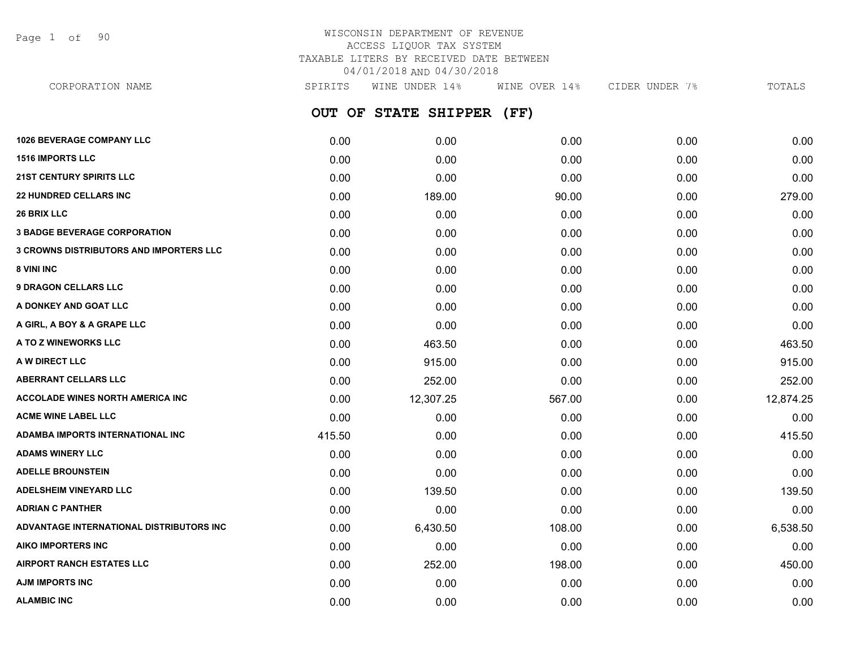Page 1 of 90

# WISCONSIN DEPARTMENT OF REVENUE ACCESS LIQUOR TAX SYSTEM TAXABLE LITERS BY RECEIVED DATE BETWEEN 04/01/2018 AND 04/30/2018

**OUT OF STATE SHIPPER (FF) 1026 BEVERAGE COMPANY LLC** 0.00 0.00 0.00 0.00 0.00 **1516 IMPORTS LLC** 0.00 0.00 0.00 0.00 0.00 **21ST CENTURY SPIRITS LLC** 0.00 0.00 0.00 0.00 0.00 **22 HUNDRED CELLARS INC** 0.00 189.00 90.00 0.00 279.00 **26 BRIX LLC** 0.00 0.00 0.00 0.00 0.00 **3 BADGE BEVERAGE CORPORATION** 0.00 0.00 0.00 0.00 0.00 **3 CROWNS DISTRIBUTORS AND IMPORTERS LLC** 0.00 0.00 0.00 0.00 0.00 **8 VINI INC** 0.00 0.00 0.00 0.00 0.00 **9 DRAGON CELLARS LLC** 0.00 0.00 0.00 0.00 0.00 **A DONKEY AND GOAT LLC** 0.00 0.00 0.00 0.00 0.00 **A GIRL, A BOY & A GRAPE LLC** 0.00 0.00 0.00 0.00 0.00 **A TO Z WINEWORKS LLC** 0.00 463.50 0.00 0.00 463.50 **A W DIRECT LLC** 0.00 915.00 0.00 0.00 915.00 **ABERRANT CELLARS LLC** 0.00 252.00 0.00 0.00 252.00 **ACCOLADE WINES NORTH AMERICA INC 12,307.25** 12,307.25 567.00 0.00 12,874.25 **ACME WINE LABEL LLC** 0.00 0.00 0.00 0.00 0.00 **ADAMBA IMPORTS INTERNATIONAL INC** 415.50 0.00 0.00 0.00 415.50 **ADAMS WINERY LLC** 0.00 0.00 0.00 0.00 0.00 **ADELLE BROUNSTEIN** 0.00 0.00 0.00 0.00 0.00 **ADELSHEIM VINEYARD LLC** 0.00 139.50 0.00 0.00 139.50 **ADRIAN C PANTHER** 0.00 0.00 0.00 0.00 0.00 **ADVANTAGE INTERNATIONAL DISTRIBUTORS INC** 0.00 6,430.50 108.00 0.00 6,538.50 **AIKO IMPORTERS INC** 0.00 0.00 0.00 0.00 0.00 **AIRPORT RANCH ESTATES LLC** 0.00 252.00 198.00 0.00 450.00 **AJM IMPORTS INC** 0.00 0.00 0.00 0.00 0.00 CORPORATION NAME SPIRITS WINE UNDER 14% WINE OVER 14% CIDER UNDER 7% TOTALS

**ALAMBIC INC** 0.00 0.00 0.00 0.00 0.00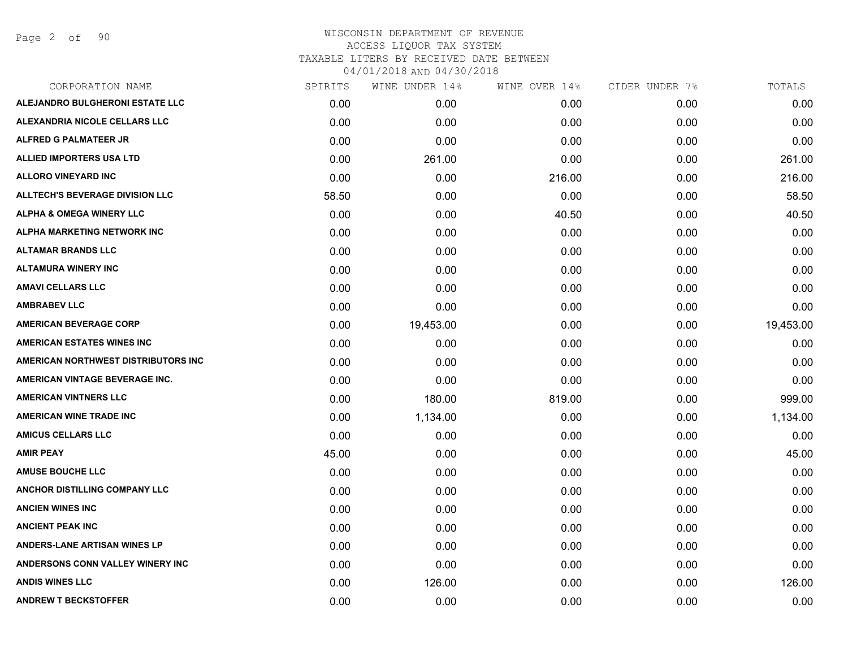Page 2 of 90

| CORPORATION NAME                       | SPIRITS | WINE UNDER 14% | WINE OVER 14% | CIDER UNDER 7% | TOTALS    |
|----------------------------------------|---------|----------------|---------------|----------------|-----------|
| ALEJANDRO BULGHERONI ESTATE LLC        | 0.00    | 0.00           | 0.00          | 0.00           | 0.00      |
| ALEXANDRIA NICOLE CELLARS LLC          | 0.00    | 0.00           | 0.00          | 0.00           | 0.00      |
| <b>ALFRED G PALMATEER JR</b>           | 0.00    | 0.00           | 0.00          | 0.00           | 0.00      |
| <b>ALLIED IMPORTERS USA LTD</b>        | 0.00    | 261.00         | 0.00          | 0.00           | 261.00    |
| <b>ALLORO VINEYARD INC</b>             | 0.00    | 0.00           | 216.00        | 0.00           | 216.00    |
| <b>ALLTECH'S BEVERAGE DIVISION LLC</b> | 58.50   | 0.00           | 0.00          | 0.00           | 58.50     |
| <b>ALPHA &amp; OMEGA WINERY LLC</b>    | 0.00    | 0.00           | 40.50         | 0.00           | 40.50     |
| ALPHA MARKETING NETWORK INC            | 0.00    | 0.00           | 0.00          | 0.00           | 0.00      |
| <b>ALTAMAR BRANDS LLC</b>              | 0.00    | 0.00           | 0.00          | 0.00           | 0.00      |
| <b>ALTAMURA WINERY INC</b>             | 0.00    | 0.00           | 0.00          | 0.00           | 0.00      |
| <b>AMAVI CELLARS LLC</b>               | 0.00    | 0.00           | 0.00          | 0.00           | 0.00      |
| <b>AMBRABEV LLC</b>                    | 0.00    | 0.00           | 0.00          | 0.00           | 0.00      |
| <b>AMERICAN BEVERAGE CORP</b>          | 0.00    | 19,453.00      | 0.00          | 0.00           | 19,453.00 |
| <b>AMERICAN ESTATES WINES INC</b>      | 0.00    | 0.00           | 0.00          | 0.00           | 0.00      |
| AMERICAN NORTHWEST DISTRIBUTORS INC    | 0.00    | 0.00           | 0.00          | 0.00           | 0.00      |
| AMERICAN VINTAGE BEVERAGE INC.         | 0.00    | 0.00           | 0.00          | 0.00           | 0.00      |
| <b>AMERICAN VINTNERS LLC</b>           | 0.00    | 180.00         | 819.00        | 0.00           | 999.00    |
| <b>AMERICAN WINE TRADE INC</b>         | 0.00    | 1,134.00       | 0.00          | 0.00           | 1,134.00  |
| <b>AMICUS CELLARS LLC</b>              | 0.00    | 0.00           | 0.00          | 0.00           | 0.00      |
| <b>AMIR PEAY</b>                       | 45.00   | 0.00           | 0.00          | 0.00           | 45.00     |
| <b>AMUSE BOUCHE LLC</b>                | 0.00    | 0.00           | 0.00          | 0.00           | 0.00      |
| <b>ANCHOR DISTILLING COMPANY LLC</b>   | 0.00    | 0.00           | 0.00          | 0.00           | 0.00      |
| <b>ANCIEN WINES INC</b>                | 0.00    | 0.00           | 0.00          | 0.00           | 0.00      |
| <b>ANCIENT PEAK INC</b>                | 0.00    | 0.00           | 0.00          | 0.00           | 0.00      |
| <b>ANDERS-LANE ARTISAN WINES LP</b>    | 0.00    | 0.00           | 0.00          | 0.00           | 0.00      |
| ANDERSONS CONN VALLEY WINERY INC       | 0.00    | 0.00           | 0.00          | 0.00           | 0.00      |
| <b>ANDIS WINES LLC</b>                 | 0.00    | 126.00         | 0.00          | 0.00           | 126.00    |
| <b>ANDREW T BECKSTOFFER</b>            | 0.00    | 0.00           | 0.00          | 0.00           | 0.00      |
|                                        |         |                |               |                |           |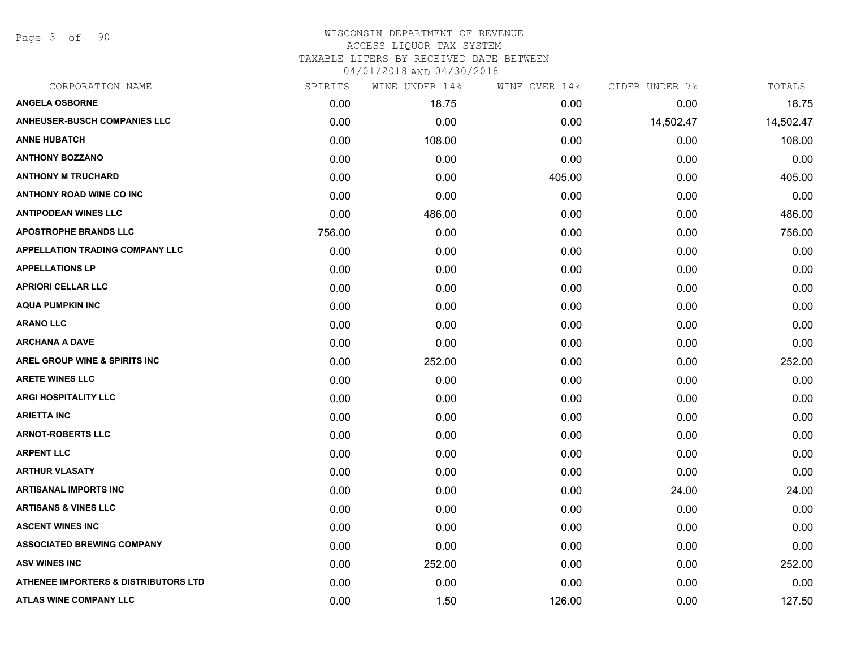Page 3 of 90

| SPIRITS | WINE UNDER 14% | WINE OVER 14% | CIDER UNDER 7% | TOTALS    |
|---------|----------------|---------------|----------------|-----------|
| 0.00    | 18.75          | 0.00          | 0.00           | 18.75     |
| 0.00    | 0.00           | 0.00          | 14,502.47      | 14,502.47 |
| 0.00    | 108.00         | 0.00          | 0.00           | 108.00    |
| 0.00    | 0.00           | 0.00          | 0.00           | 0.00      |
| 0.00    | 0.00           | 405.00        | 0.00           | 405.00    |
| 0.00    | 0.00           | 0.00          | 0.00           | 0.00      |
| 0.00    | 486.00         | 0.00          | 0.00           | 486.00    |
| 756.00  | 0.00           | 0.00          | 0.00           | 756.00    |
| 0.00    | 0.00           | 0.00          | 0.00           | 0.00      |
| 0.00    | 0.00           | 0.00          | 0.00           | 0.00      |
| 0.00    | 0.00           | 0.00          | 0.00           | 0.00      |
| 0.00    | 0.00           | 0.00          | 0.00           | 0.00      |
| 0.00    | 0.00           | 0.00          | 0.00           | 0.00      |
| 0.00    | 0.00           | 0.00          | 0.00           | 0.00      |
| 0.00    | 252.00         | 0.00          | 0.00           | 252.00    |
| 0.00    | 0.00           | 0.00          | 0.00           | 0.00      |
| 0.00    | 0.00           | 0.00          | 0.00           | 0.00      |
| 0.00    | 0.00           | 0.00          | 0.00           | 0.00      |
| 0.00    | 0.00           | 0.00          | 0.00           | 0.00      |
| 0.00    | 0.00           | 0.00          | 0.00           | 0.00      |
| 0.00    | 0.00           | 0.00          | 0.00           | 0.00      |
| 0.00    | 0.00           | 0.00          | 24.00          | 24.00     |
| 0.00    | 0.00           | 0.00          | 0.00           | 0.00      |
| 0.00    | 0.00           | 0.00          | 0.00           | 0.00      |
| 0.00    | 0.00           | 0.00          | 0.00           | 0.00      |
| 0.00    | 252.00         | 0.00          | 0.00           | 252.00    |
| 0.00    | 0.00           | 0.00          | 0.00           | 0.00      |
| 0.00    | 1.50           | 126.00        | 0.00           | 127.50    |
|         |                |               |                |           |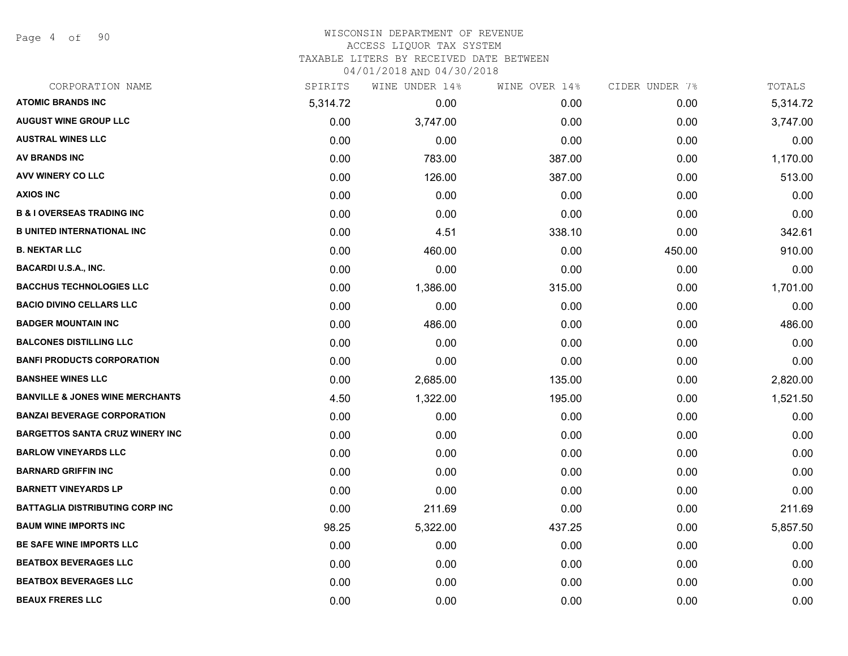Page 4 of 90

| CORPORATION NAME                           | SPIRITS  | WINE UNDER 14% | WINE OVER 14% | CIDER UNDER 7% | TOTALS   |
|--------------------------------------------|----------|----------------|---------------|----------------|----------|
| <b>ATOMIC BRANDS INC</b>                   | 5,314.72 | 0.00           | 0.00          | 0.00           | 5,314.72 |
| <b>AUGUST WINE GROUP LLC</b>               | 0.00     | 3,747.00       | 0.00          | 0.00           | 3,747.00 |
| <b>AUSTRAL WINES LLC</b>                   | 0.00     | 0.00           | 0.00          | 0.00           | 0.00     |
| <b>AV BRANDS INC</b>                       | 0.00     | 783.00         | 387.00        | 0.00           | 1,170.00 |
| AVV WINERY CO LLC                          | 0.00     | 126.00         | 387.00        | 0.00           | 513.00   |
| <b>AXIOS INC</b>                           | 0.00     | 0.00           | 0.00          | 0.00           | 0.00     |
| <b>B &amp; I OVERSEAS TRADING INC</b>      | 0.00     | 0.00           | 0.00          | 0.00           | 0.00     |
| <b>B UNITED INTERNATIONAL INC</b>          | 0.00     | 4.51           | 338.10        | 0.00           | 342.61   |
| <b>B. NEKTAR LLC</b>                       | 0.00     | 460.00         | 0.00          | 450.00         | 910.00   |
| <b>BACARDI U.S.A., INC.</b>                | 0.00     | 0.00           | 0.00          | 0.00           | 0.00     |
| <b>BACCHUS TECHNOLOGIES LLC</b>            | 0.00     | 1,386.00       | 315.00        | 0.00           | 1,701.00 |
| <b>BACIO DIVINO CELLARS LLC</b>            | 0.00     | 0.00           | 0.00          | 0.00           | 0.00     |
| <b>BADGER MOUNTAIN INC</b>                 | 0.00     | 486.00         | 0.00          | 0.00           | 486.00   |
| <b>BALCONES DISTILLING LLC</b>             | 0.00     | 0.00           | 0.00          | 0.00           | 0.00     |
| <b>BANFI PRODUCTS CORPORATION</b>          | 0.00     | 0.00           | 0.00          | 0.00           | 0.00     |
| <b>BANSHEE WINES LLC</b>                   | 0.00     | 2,685.00       | 135.00        | 0.00           | 2,820.00 |
| <b>BANVILLE &amp; JONES WINE MERCHANTS</b> | 4.50     | 1,322.00       | 195.00        | 0.00           | 1,521.50 |
| <b>BANZAI BEVERAGE CORPORATION</b>         | 0.00     | 0.00           | 0.00          | 0.00           | 0.00     |
| <b>BARGETTOS SANTA CRUZ WINERY INC</b>     | 0.00     | 0.00           | 0.00          | 0.00           | 0.00     |
| <b>BARLOW VINEYARDS LLC</b>                | 0.00     | 0.00           | 0.00          | 0.00           | 0.00     |
| <b>BARNARD GRIFFIN INC</b>                 | 0.00     | 0.00           | 0.00          | 0.00           | 0.00     |
| <b>BARNETT VINEYARDS LP</b>                | 0.00     | 0.00           | 0.00          | 0.00           | 0.00     |
| BATTAGLIA DISTRIBUTING CORP INC            | 0.00     | 211.69         | 0.00          | 0.00           | 211.69   |
| <b>BAUM WINE IMPORTS INC</b>               | 98.25    | 5,322.00       | 437.25        | 0.00           | 5,857.50 |
| <b>BE SAFE WINE IMPORTS LLC</b>            | 0.00     | 0.00           | 0.00          | 0.00           | 0.00     |
| <b>BEATBOX BEVERAGES LLC</b>               | 0.00     | 0.00           | 0.00          | 0.00           | 0.00     |
| <b>BEATBOX BEVERAGES LLC</b>               | 0.00     | 0.00           | 0.00          | 0.00           | 0.00     |
| <b>BEAUX FRERES LLC</b>                    | 0.00     | 0.00           | 0.00          | 0.00           | 0.00     |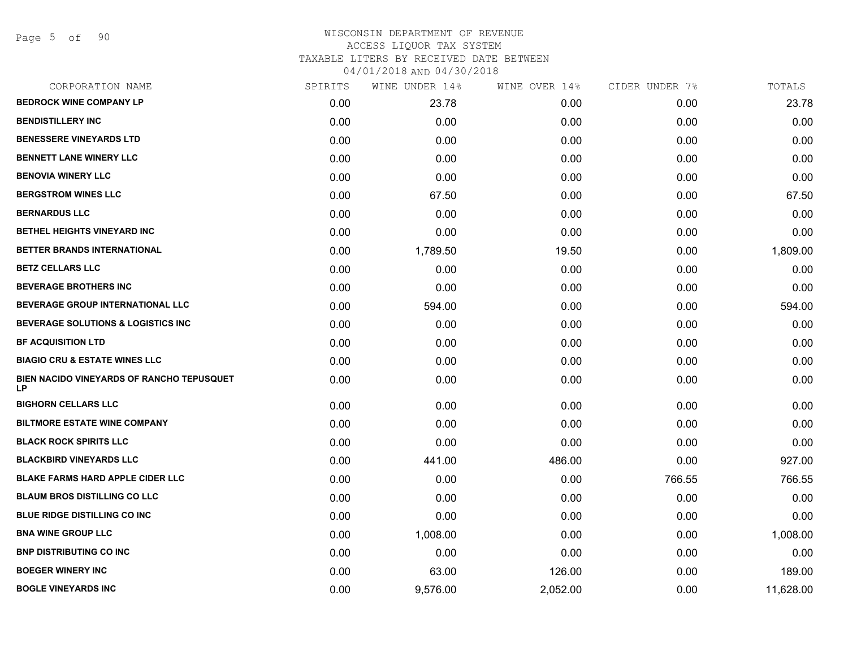| CORPORATION NAME                                       | SPIRITS | WINE UNDER 14% | WINE OVER 14% | CIDER UNDER 7% | TOTALS    |
|--------------------------------------------------------|---------|----------------|---------------|----------------|-----------|
| <b>BEDROCK WINE COMPANY LP</b>                         | 0.00    | 23.78          | 0.00          | 0.00           | 23.78     |
| <b>BENDISTILLERY INC</b>                               | 0.00    | 0.00           | 0.00          | 0.00           | 0.00      |
| <b>BENESSERE VINEYARDS LTD</b>                         | 0.00    | 0.00           | 0.00          | 0.00           | 0.00      |
| <b>BENNETT LANE WINERY LLC</b>                         | 0.00    | 0.00           | 0.00          | 0.00           | 0.00      |
| <b>BENOVIA WINERY LLC</b>                              | 0.00    | 0.00           | 0.00          | 0.00           | 0.00      |
| <b>BERGSTROM WINES LLC</b>                             | 0.00    | 67.50          | 0.00          | 0.00           | 67.50     |
| <b>BERNARDUS LLC</b>                                   | 0.00    | 0.00           | 0.00          | 0.00           | 0.00      |
| BETHEL HEIGHTS VINEYARD INC                            | 0.00    | 0.00           | 0.00          | 0.00           | 0.00      |
| BETTER BRANDS INTERNATIONAL                            | 0.00    | 1,789.50       | 19.50         | 0.00           | 1,809.00  |
| <b>BETZ CELLARS LLC</b>                                | 0.00    | 0.00           | 0.00          | 0.00           | 0.00      |
| <b>BEVERAGE BROTHERS INC</b>                           | 0.00    | 0.00           | 0.00          | 0.00           | 0.00      |
| BEVERAGE GROUP INTERNATIONAL LLC                       | 0.00    | 594.00         | 0.00          | 0.00           | 594.00    |
| BEVERAGE SOLUTIONS & LOGISTICS INC                     | 0.00    | 0.00           | 0.00          | 0.00           | 0.00      |
| <b>BF ACQUISITION LTD</b>                              | 0.00    | 0.00           | 0.00          | 0.00           | 0.00      |
| <b>BIAGIO CRU &amp; ESTATE WINES LLC</b>               | 0.00    | 0.00           | 0.00          | 0.00           | 0.00      |
| BIEN NACIDO VINEYARDS OF RANCHO TEPUSQUET<br><b>LP</b> | 0.00    | 0.00           | 0.00          | 0.00           | 0.00      |
| <b>BIGHORN CELLARS LLC</b>                             | 0.00    | 0.00           | 0.00          | 0.00           | 0.00      |
| <b>BILTMORE ESTATE WINE COMPANY</b>                    | 0.00    | 0.00           | 0.00          | 0.00           | 0.00      |
| <b>BLACK ROCK SPIRITS LLC</b>                          | 0.00    | 0.00           | 0.00          | 0.00           | 0.00      |
| <b>BLACKBIRD VINEYARDS LLC</b>                         | 0.00    | 441.00         | 486.00        | 0.00           | 927.00    |
| <b>BLAKE FARMS HARD APPLE CIDER LLC</b>                | 0.00    | 0.00           | 0.00          | 766.55         | 766.55    |
| <b>BLAUM BROS DISTILLING CO LLC</b>                    | 0.00    | 0.00           | 0.00          | 0.00           | 0.00      |
| <b>BLUE RIDGE DISTILLING CO INC</b>                    | 0.00    | 0.00           | 0.00          | 0.00           | 0.00      |
| <b>BNA WINE GROUP LLC</b>                              | 0.00    | 1,008.00       | 0.00          | 0.00           | 1,008.00  |
| <b>BNP DISTRIBUTING CO INC</b>                         | 0.00    | 0.00           | 0.00          | 0.00           | 0.00      |
| <b>BOEGER WINERY INC</b>                               | 0.00    | 63.00          | 126.00        | 0.00           | 189.00    |
| <b>BOGLE VINEYARDS INC</b>                             | 0.00    | 9,576.00       | 2,052.00      | 0.00           | 11,628.00 |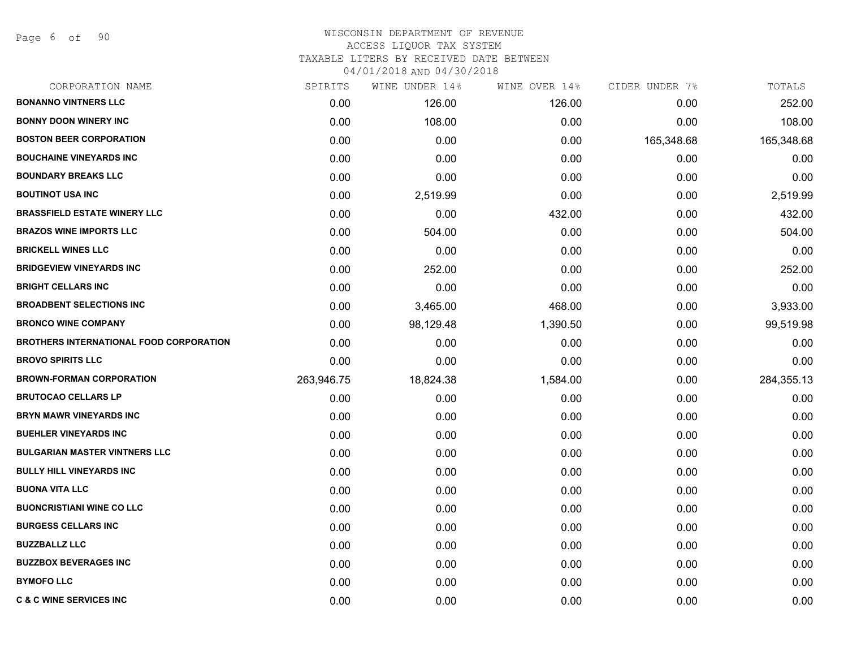Page 6 of 90

# WISCONSIN DEPARTMENT OF REVENUE ACCESS LIQUOR TAX SYSTEM TAXABLE LITERS BY RECEIVED DATE BETWEEN

| CORPORATION NAME                        | SPIRITS    | WINE UNDER 14% | WINE OVER 14% | CIDER UNDER 7% | TOTALS     |
|-----------------------------------------|------------|----------------|---------------|----------------|------------|
| <b>BONANNO VINTNERS LLC</b>             | 0.00       | 126.00         | 126.00        | 0.00           | 252.00     |
| <b>BONNY DOON WINERY INC</b>            | 0.00       | 108.00         | 0.00          | 0.00           | 108.00     |
| <b>BOSTON BEER CORPORATION</b>          | 0.00       | 0.00           | 0.00          | 165,348.68     | 165,348.68 |
| <b>BOUCHAINE VINEYARDS INC</b>          | 0.00       | 0.00           | 0.00          | 0.00           | 0.00       |
| <b>BOUNDARY BREAKS LLC</b>              | 0.00       | 0.00           | 0.00          | 0.00           | 0.00       |
| <b>BOUTINOT USA INC</b>                 | 0.00       | 2,519.99       | 0.00          | 0.00           | 2,519.99   |
| <b>BRASSFIELD ESTATE WINERY LLC</b>     | 0.00       | 0.00           | 432.00        | 0.00           | 432.00     |
| <b>BRAZOS WINE IMPORTS LLC</b>          | 0.00       | 504.00         | 0.00          | 0.00           | 504.00     |
| <b>BRICKELL WINES LLC</b>               | 0.00       | 0.00           | 0.00          | 0.00           | 0.00       |
| <b>BRIDGEVIEW VINEYARDS INC</b>         | 0.00       | 252.00         | 0.00          | 0.00           | 252.00     |
| <b>BRIGHT CELLARS INC</b>               | 0.00       | 0.00           | 0.00          | 0.00           | 0.00       |
| <b>BROADBENT SELECTIONS INC</b>         | 0.00       | 3,465.00       | 468.00        | 0.00           | 3,933.00   |
| <b>BRONCO WINE COMPANY</b>              | 0.00       | 98,129.48      | 1,390.50      | 0.00           | 99,519.98  |
| BROTHERS INTERNATIONAL FOOD CORPORATION | 0.00       | 0.00           | 0.00          | 0.00           | 0.00       |
| <b>BROVO SPIRITS LLC</b>                | 0.00       | 0.00           | 0.00          | 0.00           | 0.00       |
| <b>BROWN-FORMAN CORPORATION</b>         | 263,946.75 | 18,824.38      | 1,584.00      | 0.00           | 284,355.13 |
| <b>BRUTOCAO CELLARS LP</b>              | 0.00       | 0.00           | 0.00          | 0.00           | 0.00       |
| BRYN MAWR VINEYARDS INC                 | 0.00       | 0.00           | 0.00          | 0.00           | 0.00       |
| <b>BUEHLER VINEYARDS INC</b>            | 0.00       | 0.00           | 0.00          | 0.00           | 0.00       |
| <b>BULGARIAN MASTER VINTNERS LLC</b>    | 0.00       | 0.00           | 0.00          | 0.00           | 0.00       |
| <b>BULLY HILL VINEYARDS INC</b>         | 0.00       | 0.00           | 0.00          | 0.00           | 0.00       |
| <b>BUONA VITA LLC</b>                   | 0.00       | 0.00           | 0.00          | 0.00           | 0.00       |
| <b>BUONCRISTIANI WINE CO LLC</b>        | 0.00       | 0.00           | 0.00          | 0.00           | 0.00       |
| <b>BURGESS CELLARS INC</b>              | 0.00       | 0.00           | 0.00          | 0.00           | 0.00       |
| <b>BUZZBALLZ LLC</b>                    | 0.00       | 0.00           | 0.00          | 0.00           | 0.00       |
| <b>BUZZBOX BEVERAGES INC</b>            | 0.00       | 0.00           | 0.00          | 0.00           | 0.00       |
| <b>BYMOFO LLC</b>                       | 0.00       | 0.00           | 0.00          | 0.00           | 0.00       |
| <b>C &amp; C WINE SERVICES INC</b>      | 0.00       | 0.00           | 0.00          | 0.00           | 0.00       |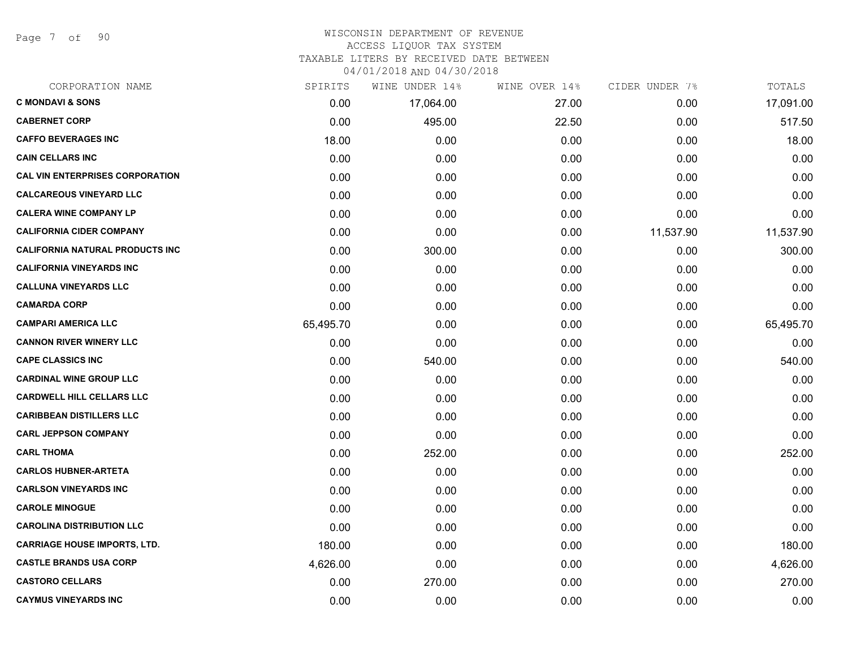Page 7 of 90

# WISCONSIN DEPARTMENT OF REVENUE ACCESS LIQUOR TAX SYSTEM

TAXABLE LITERS BY RECEIVED DATE BETWEEN

| CORPORATION NAME                       | SPIRITS   | WINE UNDER 14% | WINE OVER 14% | CIDER UNDER 7% | TOTALS    |
|----------------------------------------|-----------|----------------|---------------|----------------|-----------|
| <b>C MONDAVI &amp; SONS</b>            | 0.00      | 17,064.00      | 27.00         | 0.00           | 17,091.00 |
| <b>CABERNET CORP</b>                   | 0.00      | 495.00         | 22.50         | 0.00           | 517.50    |
| <b>CAFFO BEVERAGES INC</b>             | 18.00     | 0.00           | 0.00          | 0.00           | 18.00     |
| <b>CAIN CELLARS INC</b>                | 0.00      | 0.00           | 0.00          | 0.00           | 0.00      |
| <b>CAL VIN ENTERPRISES CORPORATION</b> | 0.00      | 0.00           | 0.00          | 0.00           | 0.00      |
| <b>CALCAREOUS VINEYARD LLC</b>         | 0.00      | 0.00           | 0.00          | 0.00           | 0.00      |
| <b>CALERA WINE COMPANY LP</b>          | 0.00      | 0.00           | 0.00          | 0.00           | 0.00      |
| <b>CALIFORNIA CIDER COMPANY</b>        | 0.00      | 0.00           | 0.00          | 11,537.90      | 11,537.90 |
| <b>CALIFORNIA NATURAL PRODUCTS INC</b> | 0.00      | 300.00         | 0.00          | 0.00           | 300.00    |
| <b>CALIFORNIA VINEYARDS INC</b>        | 0.00      | 0.00           | 0.00          | 0.00           | 0.00      |
| <b>CALLUNA VINEYARDS LLC</b>           | 0.00      | 0.00           | 0.00          | 0.00           | 0.00      |
| <b>CAMARDA CORP</b>                    | 0.00      | 0.00           | 0.00          | 0.00           | 0.00      |
| <b>CAMPARI AMERICA LLC</b>             | 65,495.70 | 0.00           | 0.00          | 0.00           | 65,495.70 |
| <b>CANNON RIVER WINERY LLC</b>         | 0.00      | 0.00           | 0.00          | 0.00           | 0.00      |
| <b>CAPE CLASSICS INC</b>               | 0.00      | 540.00         | 0.00          | 0.00           | 540.00    |
| <b>CARDINAL WINE GROUP LLC</b>         | 0.00      | 0.00           | 0.00          | 0.00           | 0.00      |
| <b>CARDWELL HILL CELLARS LLC</b>       | 0.00      | 0.00           | 0.00          | 0.00           | 0.00      |
| <b>CARIBBEAN DISTILLERS LLC</b>        | 0.00      | 0.00           | 0.00          | 0.00           | 0.00      |
| <b>CARL JEPPSON COMPANY</b>            | 0.00      | 0.00           | 0.00          | 0.00           | 0.00      |
| <b>CARL THOMA</b>                      | 0.00      | 252.00         | 0.00          | 0.00           | 252.00    |
| <b>CARLOS HUBNER-ARTETA</b>            | 0.00      | 0.00           | 0.00          | 0.00           | 0.00      |
| <b>CARLSON VINEYARDS INC</b>           | 0.00      | 0.00           | 0.00          | 0.00           | 0.00      |
| <b>CAROLE MINOGUE</b>                  | 0.00      | 0.00           | 0.00          | 0.00           | 0.00      |
| <b>CAROLINA DISTRIBUTION LLC</b>       | 0.00      | 0.00           | 0.00          | 0.00           | 0.00      |
| <b>CARRIAGE HOUSE IMPORTS, LTD.</b>    | 180.00    | 0.00           | 0.00          | 0.00           | 180.00    |
| <b>CASTLE BRANDS USA CORP</b>          | 4,626.00  | 0.00           | 0.00          | 0.00           | 4,626.00  |
| <b>CASTORO CELLARS</b>                 | 0.00      | 270.00         | 0.00          | 0.00           | 270.00    |
| <b>CAYMUS VINEYARDS INC</b>            | 0.00      | 0.00           | 0.00          | 0.00           | 0.00      |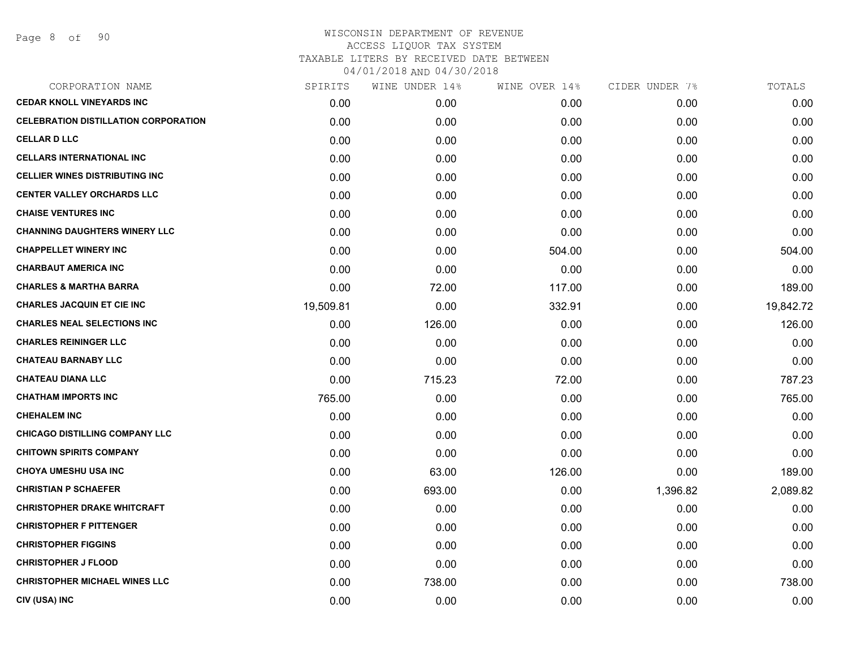| CORPORATION NAME                            | SPIRITS   | WINE UNDER 14% | WINE OVER 14% | CIDER UNDER 7% | TOTALS    |
|---------------------------------------------|-----------|----------------|---------------|----------------|-----------|
| <b>CEDAR KNOLL VINEYARDS INC</b>            | 0.00      | 0.00           | 0.00          | 0.00           | 0.00      |
| <b>CELEBRATION DISTILLATION CORPORATION</b> | 0.00      | 0.00           | 0.00          | 0.00           | 0.00      |
| <b>CELLAR D LLC</b>                         | 0.00      | 0.00           | 0.00          | 0.00           | 0.00      |
| <b>CELLARS INTERNATIONAL INC</b>            | 0.00      | 0.00           | 0.00          | 0.00           | 0.00      |
| <b>CELLIER WINES DISTRIBUTING INC</b>       | 0.00      | 0.00           | 0.00          | 0.00           | 0.00      |
| <b>CENTER VALLEY ORCHARDS LLC</b>           | 0.00      | 0.00           | 0.00          | 0.00           | 0.00      |
| <b>CHAISE VENTURES INC</b>                  | 0.00      | 0.00           | 0.00          | 0.00           | 0.00      |
| <b>CHANNING DAUGHTERS WINERY LLC</b>        | 0.00      | 0.00           | 0.00          | 0.00           | 0.00      |
| <b>CHAPPELLET WINERY INC</b>                | 0.00      | 0.00           | 504.00        | 0.00           | 504.00    |
| <b>CHARBAUT AMERICA INC</b>                 | 0.00      | 0.00           | 0.00          | 0.00           | 0.00      |
| <b>CHARLES &amp; MARTHA BARRA</b>           | 0.00      | 72.00          | 117.00        | 0.00           | 189.00    |
| <b>CHARLES JACQUIN ET CIE INC</b>           | 19,509.81 | 0.00           | 332.91        | 0.00           | 19,842.72 |
| <b>CHARLES NEAL SELECTIONS INC</b>          | 0.00      | 126.00         | 0.00          | 0.00           | 126.00    |
| <b>CHARLES REININGER LLC</b>                | 0.00      | 0.00           | 0.00          | 0.00           | 0.00      |
| <b>CHATEAU BARNABY LLC</b>                  | 0.00      | 0.00           | 0.00          | 0.00           | 0.00      |
| <b>CHATEAU DIANA LLC</b>                    | 0.00      | 715.23         | 72.00         | 0.00           | 787.23    |
| <b>CHATHAM IMPORTS INC</b>                  | 765.00    | 0.00           | 0.00          | 0.00           | 765.00    |
| <b>CHEHALEM INC</b>                         | 0.00      | 0.00           | 0.00          | 0.00           | 0.00      |
| <b>CHICAGO DISTILLING COMPANY LLC</b>       | 0.00      | 0.00           | 0.00          | 0.00           | 0.00      |
| <b>CHITOWN SPIRITS COMPANY</b>              | 0.00      | 0.00           | 0.00          | 0.00           | 0.00      |
| <b>CHOYA UMESHU USA INC</b>                 | 0.00      | 63.00          | 126.00        | 0.00           | 189.00    |
| <b>CHRISTIAN P SCHAEFER</b>                 | 0.00      | 693.00         | 0.00          | 1,396.82       | 2,089.82  |
| <b>CHRISTOPHER DRAKE WHITCRAFT</b>          | 0.00      | 0.00           | 0.00          | 0.00           | 0.00      |
| <b>CHRISTOPHER F PITTENGER</b>              | 0.00      | 0.00           | 0.00          | 0.00           | 0.00      |
| <b>CHRISTOPHER FIGGINS</b>                  | 0.00      | 0.00           | 0.00          | 0.00           | 0.00      |
| <b>CHRISTOPHER J FLOOD</b>                  | 0.00      | 0.00           | 0.00          | 0.00           | 0.00      |
| <b>CHRISTOPHER MICHAEL WINES LLC</b>        | 0.00      | 738.00         | 0.00          | 0.00           | 738.00    |
| CIV (USA) INC                               | 0.00      | 0.00           | 0.00          | 0.00           | 0.00      |
|                                             |           |                |               |                |           |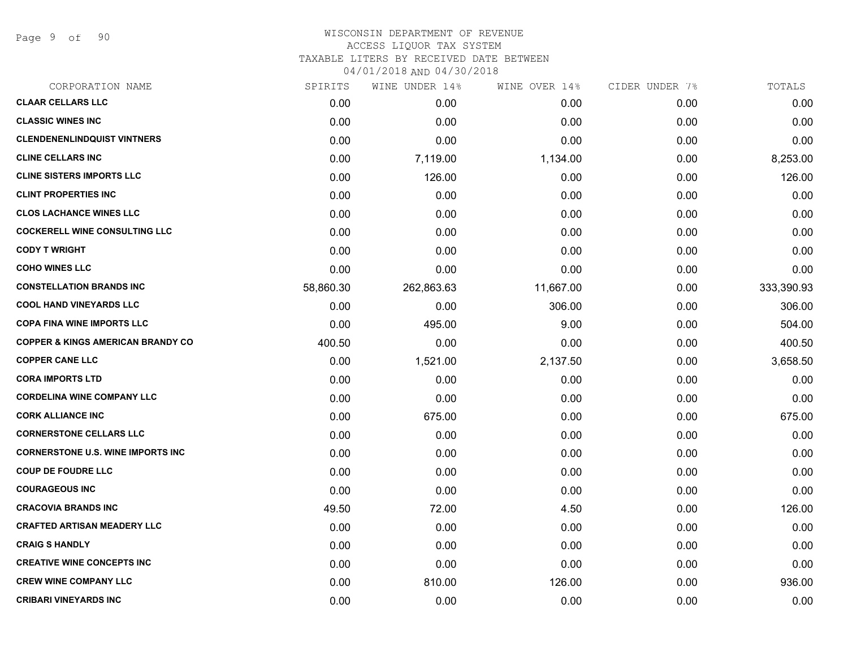Page 9 of 90

| CORPORATION NAME                             | SPIRITS   | WINE UNDER 14% | WINE OVER 14% | CIDER UNDER 7% | TOTALS     |
|----------------------------------------------|-----------|----------------|---------------|----------------|------------|
| <b>CLAAR CELLARS LLC</b>                     | 0.00      | 0.00           | 0.00          | 0.00           | 0.00       |
| <b>CLASSIC WINES INC</b>                     | 0.00      | 0.00           | 0.00          | 0.00           | 0.00       |
| <b>CLENDENENLINDQUIST VINTNERS</b>           | 0.00      | 0.00           | 0.00          | 0.00           | 0.00       |
| <b>CLINE CELLARS INC</b>                     | 0.00      | 7,119.00       | 1,134.00      | 0.00           | 8,253.00   |
| <b>CLINE SISTERS IMPORTS LLC</b>             | 0.00      | 126.00         | 0.00          | 0.00           | 126.00     |
| <b>CLINT PROPERTIES INC</b>                  | 0.00      | 0.00           | 0.00          | 0.00           | 0.00       |
| <b>CLOS LACHANCE WINES LLC</b>               | 0.00      | 0.00           | 0.00          | 0.00           | 0.00       |
| <b>COCKERELL WINE CONSULTING LLC</b>         | 0.00      | 0.00           | 0.00          | 0.00           | 0.00       |
| <b>CODY T WRIGHT</b>                         | 0.00      | 0.00           | 0.00          | 0.00           | 0.00       |
| <b>COHO WINES LLC</b>                        | 0.00      | 0.00           | 0.00          | 0.00           | 0.00       |
| <b>CONSTELLATION BRANDS INC</b>              | 58,860.30 | 262,863.63     | 11,667.00     | 0.00           | 333,390.93 |
| <b>COOL HAND VINEYARDS LLC</b>               | 0.00      | 0.00           | 306.00        | 0.00           | 306.00     |
| <b>COPA FINA WINE IMPORTS LLC</b>            | 0.00      | 495.00         | 9.00          | 0.00           | 504.00     |
| <b>COPPER &amp; KINGS AMERICAN BRANDY CO</b> | 400.50    | 0.00           | 0.00          | 0.00           | 400.50     |
| <b>COPPER CANE LLC</b>                       | 0.00      | 1,521.00       | 2,137.50      | 0.00           | 3,658.50   |
| <b>CORA IMPORTS LTD</b>                      | 0.00      | 0.00           | 0.00          | 0.00           | 0.00       |
| <b>CORDELINA WINE COMPANY LLC</b>            | 0.00      | 0.00           | 0.00          | 0.00           | 0.00       |
| <b>CORK ALLIANCE INC</b>                     | 0.00      | 675.00         | 0.00          | 0.00           | 675.00     |
| <b>CORNERSTONE CELLARS LLC</b>               | 0.00      | 0.00           | 0.00          | 0.00           | 0.00       |
| <b>CORNERSTONE U.S. WINE IMPORTS INC</b>     | 0.00      | 0.00           | 0.00          | 0.00           | 0.00       |
| <b>COUP DE FOUDRE LLC</b>                    | 0.00      | 0.00           | 0.00          | 0.00           | 0.00       |
| <b>COURAGEOUS INC</b>                        | 0.00      | 0.00           | 0.00          | 0.00           | 0.00       |
| <b>CRACOVIA BRANDS INC</b>                   | 49.50     | 72.00          | 4.50          | 0.00           | 126.00     |
| <b>CRAFTED ARTISAN MEADERY LLC</b>           | 0.00      | 0.00           | 0.00          | 0.00           | 0.00       |
| <b>CRAIG S HANDLY</b>                        | 0.00      | 0.00           | 0.00          | 0.00           | 0.00       |
| <b>CREATIVE WINE CONCEPTS INC</b>            | 0.00      | 0.00           | 0.00          | 0.00           | 0.00       |
| <b>CREW WINE COMPANY LLC</b>                 | 0.00      | 810.00         | 126.00        | 0.00           | 936.00     |
| <b>CRIBARI VINEYARDS INC</b>                 | 0.00      | 0.00           | 0.00          | 0.00           | 0.00       |
|                                              |           |                |               |                |            |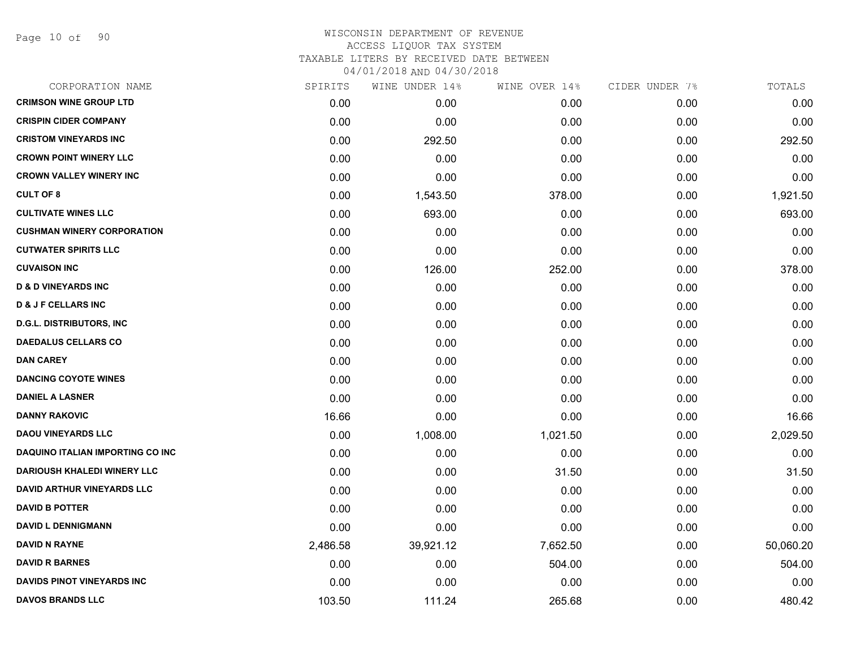Page 10 of 90

| SPIRITS  | WINE UNDER 14% | WINE OVER 14% | CIDER UNDER 7% | TOTALS    |
|----------|----------------|---------------|----------------|-----------|
| 0.00     | 0.00           | 0.00          | 0.00           | 0.00      |
| 0.00     | 0.00           | 0.00          | 0.00           | 0.00      |
| 0.00     | 292.50         | 0.00          | 0.00           | 292.50    |
| 0.00     | 0.00           | 0.00          | 0.00           | 0.00      |
| 0.00     | 0.00           | 0.00          | 0.00           | 0.00      |
| 0.00     | 1,543.50       | 378.00        | 0.00           | 1,921.50  |
| 0.00     | 693.00         | 0.00          | 0.00           | 693.00    |
| 0.00     | 0.00           | 0.00          | 0.00           | 0.00      |
| 0.00     | 0.00           | 0.00          | 0.00           | 0.00      |
| 0.00     | 126.00         | 252.00        | 0.00           | 378.00    |
| 0.00     | 0.00           | 0.00          | 0.00           | 0.00      |
| 0.00     | 0.00           | 0.00          | 0.00           | 0.00      |
| 0.00     | 0.00           | 0.00          | 0.00           | 0.00      |
| 0.00     | 0.00           | 0.00          | 0.00           | 0.00      |
| 0.00     | 0.00           | 0.00          | 0.00           | 0.00      |
| 0.00     | 0.00           | 0.00          | 0.00           | 0.00      |
| 0.00     | 0.00           | 0.00          | 0.00           | 0.00      |
| 16.66    | 0.00           | 0.00          | 0.00           | 16.66     |
| 0.00     | 1,008.00       | 1,021.50      | 0.00           | 2,029.50  |
| 0.00     | 0.00           | 0.00          | 0.00           | 0.00      |
| 0.00     | 0.00           | 31.50         | 0.00           | 31.50     |
| 0.00     | 0.00           | 0.00          | 0.00           | 0.00      |
| 0.00     | 0.00           | 0.00          | 0.00           | 0.00      |
| 0.00     | 0.00           | 0.00          | 0.00           | 0.00      |
| 2,486.58 | 39,921.12      | 7,652.50      | 0.00           | 50,060.20 |
| 0.00     | 0.00           | 504.00        | 0.00           | 504.00    |
| 0.00     | 0.00           | 0.00          | 0.00           | 0.00      |
| 103.50   | 111.24         | 265.68        | 0.00           | 480.42    |
|          |                |               |                |           |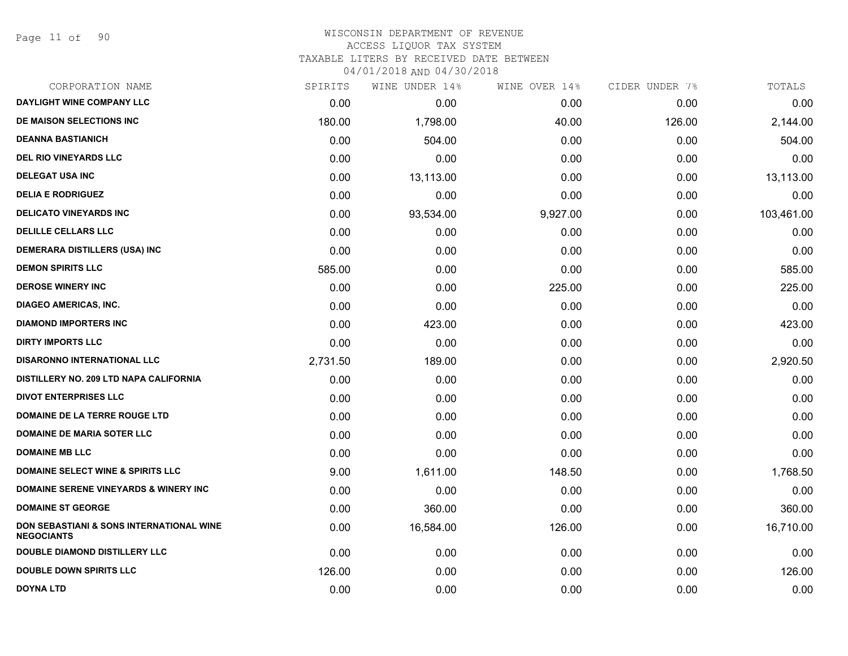| CORPORATION NAME                                              | SPIRITS  | WINE UNDER 14% | WINE OVER 14% | CIDER UNDER 7% | TOTALS     |
|---------------------------------------------------------------|----------|----------------|---------------|----------------|------------|
| DAYLIGHT WINE COMPANY LLC                                     | 0.00     | 0.00           | 0.00          | 0.00           | 0.00       |
| DE MAISON SELECTIONS INC                                      | 180.00   | 1,798.00       | 40.00         | 126.00         | 2,144.00   |
| <b>DEANNA BASTIANICH</b>                                      | 0.00     | 504.00         | 0.00          | 0.00           | 504.00     |
| <b>DEL RIO VINEYARDS LLC</b>                                  | 0.00     | 0.00           | 0.00          | 0.00           | 0.00       |
| <b>DELEGAT USA INC</b>                                        | 0.00     | 13,113.00      | 0.00          | 0.00           | 13,113.00  |
| <b>DELIA E RODRIGUEZ</b>                                      | 0.00     | 0.00           | 0.00          | 0.00           | 0.00       |
| <b>DELICATO VINEYARDS INC</b>                                 | 0.00     | 93,534.00      | 9,927.00      | 0.00           | 103,461.00 |
| <b>DELILLE CELLARS LLC</b>                                    | 0.00     | 0.00           | 0.00          | 0.00           | 0.00       |
| <b>DEMERARA DISTILLERS (USA) INC</b>                          | 0.00     | 0.00           | 0.00          | 0.00           | 0.00       |
| <b>DEMON SPIRITS LLC</b>                                      | 585.00   | 0.00           | 0.00          | 0.00           | 585.00     |
| <b>DEROSE WINERY INC</b>                                      | 0.00     | 0.00           | 225.00        | 0.00           | 225.00     |
| DIAGEO AMERICAS, INC.                                         | 0.00     | 0.00           | 0.00          | 0.00           | 0.00       |
| <b>DIAMOND IMPORTERS INC</b>                                  | 0.00     | 423.00         | 0.00          | 0.00           | 423.00     |
| <b>DIRTY IMPORTS LLC</b>                                      | 0.00     | 0.00           | 0.00          | 0.00           | 0.00       |
| <b>DISARONNO INTERNATIONAL LLC</b>                            | 2,731.50 | 189.00         | 0.00          | 0.00           | 2,920.50   |
| DISTILLERY NO. 209 LTD NAPA CALIFORNIA                        | 0.00     | 0.00           | 0.00          | 0.00           | 0.00       |
| <b>DIVOT ENTERPRISES LLC</b>                                  | 0.00     | 0.00           | 0.00          | 0.00           | 0.00       |
| <b>DOMAINE DE LA TERRE ROUGE LTD</b>                          | 0.00     | 0.00           | 0.00          | 0.00           | 0.00       |
| <b>DOMAINE DE MARIA SOTER LLC</b>                             | 0.00     | 0.00           | 0.00          | 0.00           | 0.00       |
| <b>DOMAINE MB LLC</b>                                         | 0.00     | 0.00           | 0.00          | 0.00           | 0.00       |
| <b>DOMAINE SELECT WINE &amp; SPIRITS LLC</b>                  | 9.00     | 1,611.00       | 148.50        | 0.00           | 1,768.50   |
| <b>DOMAINE SERENE VINEYARDS &amp; WINERY INC</b>              | 0.00     | 0.00           | 0.00          | 0.00           | 0.00       |
| <b>DOMAINE ST GEORGE</b>                                      | 0.00     | 360.00         | 0.00          | 0.00           | 360.00     |
| DON SEBASTIANI & SONS INTERNATIONAL WINE<br><b>NEGOCIANTS</b> | 0.00     | 16,584.00      | 126.00        | 0.00           | 16,710.00  |
| <b>DOUBLE DIAMOND DISTILLERY LLC</b>                          | 0.00     | 0.00           | 0.00          | 0.00           | 0.00       |
| <b>DOUBLE DOWN SPIRITS LLC</b>                                | 126.00   | 0.00           | 0.00          | 0.00           | 126.00     |
| <b>DOYNA LTD</b>                                              | 0.00     | 0.00           | 0.00          | 0.00           | 0.00       |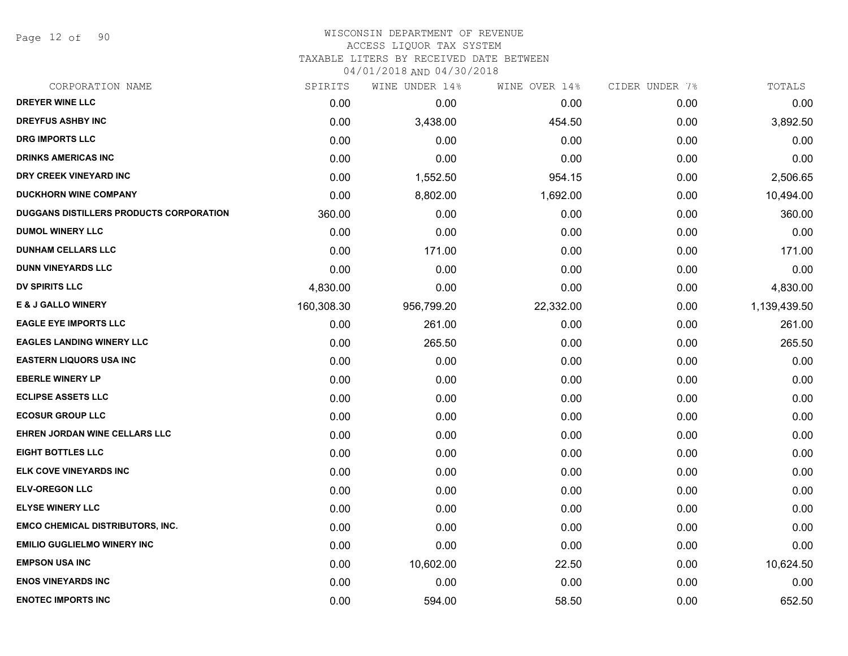Page 12 of 90

## WISCONSIN DEPARTMENT OF REVENUE ACCESS LIQUOR TAX SYSTEM

TAXABLE LITERS BY RECEIVED DATE BETWEEN

| CORPORATION NAME                        | SPIRITS    | WINE UNDER 14% | WINE OVER 14% | CIDER UNDER 7% | TOTALS       |
|-----------------------------------------|------------|----------------|---------------|----------------|--------------|
| DREYER WINE LLC                         | 0.00       | 0.00           | 0.00          | 0.00           | 0.00         |
| <b>DREYFUS ASHBY INC</b>                | 0.00       | 3,438.00       | 454.50        | 0.00           | 3,892.50     |
| <b>DRG IMPORTS LLC</b>                  | 0.00       | 0.00           | 0.00          | 0.00           | 0.00         |
| <b>DRINKS AMERICAS INC</b>              | 0.00       | 0.00           | 0.00          | 0.00           | 0.00         |
| DRY CREEK VINEYARD INC                  | 0.00       | 1,552.50       | 954.15        | 0.00           | 2,506.65     |
| <b>DUCKHORN WINE COMPANY</b>            | 0.00       | 8,802.00       | 1,692.00      | 0.00           | 10,494.00    |
| DUGGANS DISTILLERS PRODUCTS CORPORATION | 360.00     | 0.00           | 0.00          | 0.00           | 360.00       |
| <b>DUMOL WINERY LLC</b>                 | 0.00       | 0.00           | 0.00          | 0.00           | 0.00         |
| <b>DUNHAM CELLARS LLC</b>               | 0.00       | 171.00         | 0.00          | 0.00           | 171.00       |
| <b>DUNN VINEYARDS LLC</b>               | 0.00       | 0.00           | 0.00          | 0.00           | 0.00         |
| <b>DV SPIRITS LLC</b>                   | 4,830.00   | 0.00           | 0.00          | 0.00           | 4,830.00     |
| E & J GALLO WINERY                      | 160,308.30 | 956,799.20     | 22,332.00     | 0.00           | 1,139,439.50 |
| <b>EAGLE EYE IMPORTS LLC</b>            | 0.00       | 261.00         | 0.00          | 0.00           | 261.00       |
| <b>EAGLES LANDING WINERY LLC</b>        | 0.00       | 265.50         | 0.00          | 0.00           | 265.50       |
| <b>EASTERN LIQUORS USA INC</b>          | 0.00       | 0.00           | 0.00          | 0.00           | 0.00         |
| <b>EBERLE WINERY LP</b>                 | 0.00       | 0.00           | 0.00          | 0.00           | 0.00         |
| <b>ECLIPSE ASSETS LLC</b>               | 0.00       | 0.00           | 0.00          | 0.00           | 0.00         |
| <b>ECOSUR GROUP LLC</b>                 | 0.00       | 0.00           | 0.00          | 0.00           | 0.00         |
| EHREN JORDAN WINE CELLARS LLC           | 0.00       | 0.00           | 0.00          | 0.00           | 0.00         |
| <b>EIGHT BOTTLES LLC</b>                | 0.00       | 0.00           | 0.00          | 0.00           | 0.00         |
| ELK COVE VINEYARDS INC                  | 0.00       | 0.00           | 0.00          | 0.00           | 0.00         |
| <b>ELV-OREGON LLC</b>                   | 0.00       | 0.00           | 0.00          | 0.00           | 0.00         |
| <b>ELYSE WINERY LLC</b>                 | 0.00       | 0.00           | 0.00          | 0.00           | 0.00         |
| <b>EMCO CHEMICAL DISTRIBUTORS, INC.</b> | 0.00       | 0.00           | 0.00          | 0.00           | 0.00         |
| <b>EMILIO GUGLIELMO WINERY INC</b>      | 0.00       | 0.00           | 0.00          | 0.00           | 0.00         |
| <b>EMPSON USA INC</b>                   | 0.00       | 10,602.00      | 22.50         | 0.00           | 10,624.50    |
| <b>ENOS VINEYARDS INC</b>               | 0.00       | 0.00           | 0.00          | 0.00           | 0.00         |
| <b>ENOTEC IMPORTS INC</b>               | 0.00       | 594.00         | 58.50         | 0.00           | 652.50       |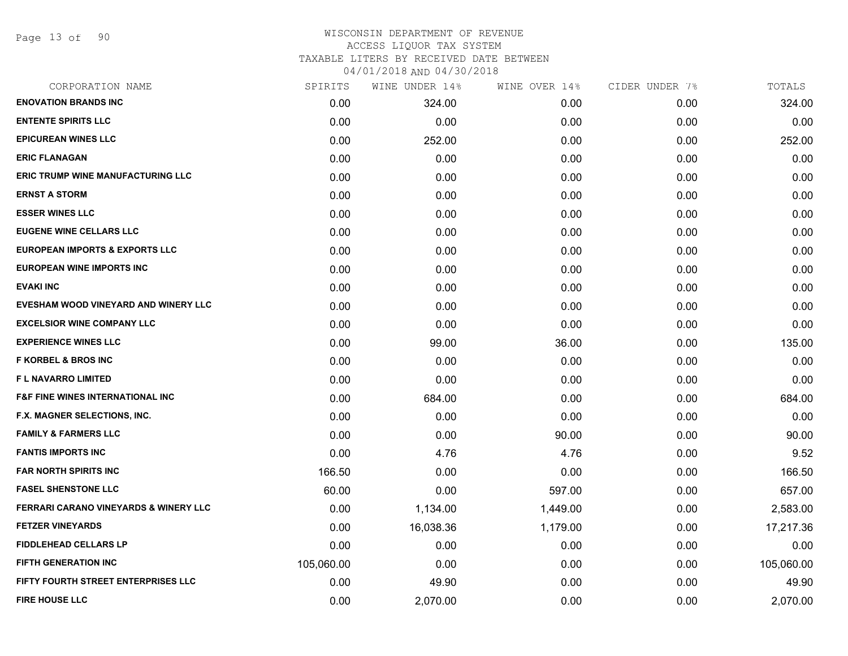Page 13 of 90

| CORPORATION NAME                                 | SPIRITS    | WINE UNDER 14% | WINE OVER 14% | CIDER UNDER 7% | TOTALS     |
|--------------------------------------------------|------------|----------------|---------------|----------------|------------|
| <b>ENOVATION BRANDS INC</b>                      | 0.00       | 324.00         | 0.00          | 0.00           | 324.00     |
| <b>ENTENTE SPIRITS LLC</b>                       | 0.00       | 0.00           | 0.00          | 0.00           | 0.00       |
| <b>EPICUREAN WINES LLC</b>                       | 0.00       | 252.00         | 0.00          | 0.00           | 252.00     |
| <b>ERIC FLANAGAN</b>                             | 0.00       | 0.00           | 0.00          | 0.00           | 0.00       |
| <b>ERIC TRUMP WINE MANUFACTURING LLC</b>         | 0.00       | 0.00           | 0.00          | 0.00           | 0.00       |
| <b>ERNST A STORM</b>                             | 0.00       | 0.00           | 0.00          | 0.00           | 0.00       |
| <b>ESSER WINES LLC</b>                           | 0.00       | 0.00           | 0.00          | 0.00           | 0.00       |
| <b>EUGENE WINE CELLARS LLC</b>                   | 0.00       | 0.00           | 0.00          | 0.00           | 0.00       |
| <b>EUROPEAN IMPORTS &amp; EXPORTS LLC</b>        | 0.00       | 0.00           | 0.00          | 0.00           | 0.00       |
| EUROPEAN WINE IMPORTS INC                        | 0.00       | 0.00           | 0.00          | 0.00           | 0.00       |
| <b>EVAKI INC</b>                                 | 0.00       | 0.00           | 0.00          | 0.00           | 0.00       |
| EVESHAM WOOD VINEYARD AND WINERY LLC             | 0.00       | 0.00           | 0.00          | 0.00           | 0.00       |
| <b>EXCELSIOR WINE COMPANY LLC</b>                | 0.00       | 0.00           | 0.00          | 0.00           | 0.00       |
| <b>EXPERIENCE WINES LLC</b>                      | 0.00       | 99.00          | 36.00         | 0.00           | 135.00     |
| <b>F KORBEL &amp; BROS INC</b>                   | 0.00       | 0.00           | 0.00          | 0.00           | 0.00       |
| F L NAVARRO LIMITED                              | 0.00       | 0.00           | 0.00          | 0.00           | 0.00       |
| <b>F&amp;F FINE WINES INTERNATIONAL INC</b>      | 0.00       | 684.00         | 0.00          | 0.00           | 684.00     |
| F.X. MAGNER SELECTIONS, INC.                     | 0.00       | 0.00           | 0.00          | 0.00           | 0.00       |
| <b>FAMILY &amp; FARMERS LLC</b>                  | 0.00       | 0.00           | 90.00         | 0.00           | 90.00      |
| <b>FANTIS IMPORTS INC</b>                        | 0.00       | 4.76           | 4.76          | 0.00           | 9.52       |
| <b>FAR NORTH SPIRITS INC</b>                     | 166.50     | 0.00           | 0.00          | 0.00           | 166.50     |
| <b>FASEL SHENSTONE LLC</b>                       | 60.00      | 0.00           | 597.00        | 0.00           | 657.00     |
| <b>FERRARI CARANO VINEYARDS &amp; WINERY LLC</b> | 0.00       | 1,134.00       | 1,449.00      | 0.00           | 2,583.00   |
| <b>FETZER VINEYARDS</b>                          | 0.00       | 16,038.36      | 1,179.00      | 0.00           | 17,217.36  |
| <b>FIDDLEHEAD CELLARS LP</b>                     | 0.00       | 0.00           | 0.00          | 0.00           | 0.00       |
| <b>FIFTH GENERATION INC</b>                      | 105,060.00 | 0.00           | 0.00          | 0.00           | 105,060.00 |
| <b>FIFTY FOURTH STREET ENTERPRISES LLC</b>       | 0.00       | 49.90          | 0.00          | 0.00           | 49.90      |
| <b>FIRE HOUSE LLC</b>                            | 0.00       | 2,070.00       | 0.00          | 0.00           | 2,070.00   |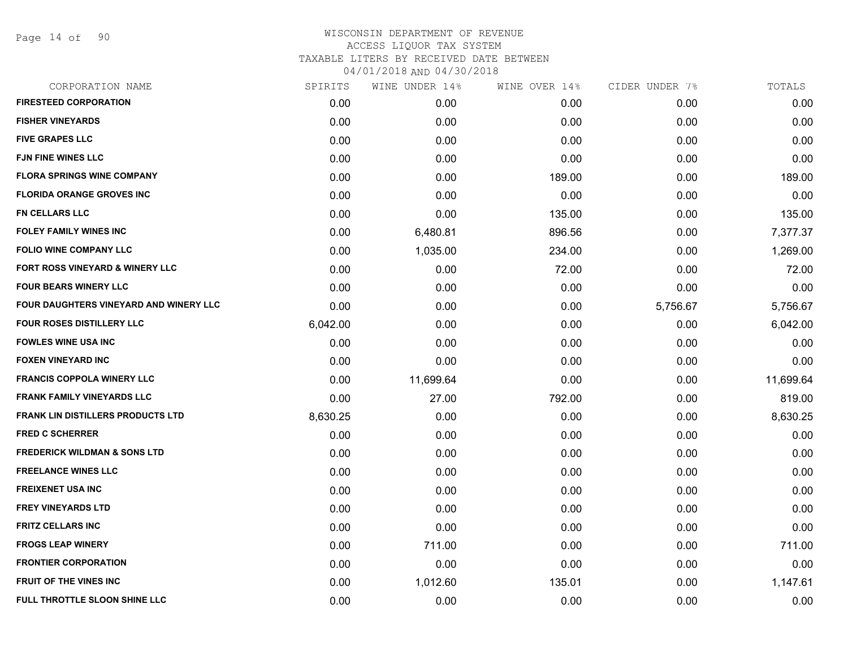|          | WINE UNDER 14% |        |               | TOTALS         |
|----------|----------------|--------|---------------|----------------|
| 0.00     | 0.00           | 0.00   | 0.00          | 0.00           |
| 0.00     | 0.00           | 0.00   | 0.00          | 0.00           |
| 0.00     | 0.00           | 0.00   | 0.00          | 0.00           |
| 0.00     | 0.00           | 0.00   | 0.00          | 0.00           |
| 0.00     | 0.00           | 189.00 | 0.00          | 189.00         |
| 0.00     | 0.00           | 0.00   | 0.00          | 0.00           |
| 0.00     | 0.00           | 135.00 | 0.00          | 135.00         |
| 0.00     | 6,480.81       | 896.56 | 0.00          | 7,377.37       |
| 0.00     | 1,035.00       | 234.00 | 0.00          | 1,269.00       |
| 0.00     | 0.00           | 72.00  | 0.00          | 72.00          |
| 0.00     | 0.00           | 0.00   | 0.00          | 0.00           |
| 0.00     | 0.00           | 0.00   | 5,756.67      | 5,756.67       |
| 6,042.00 | 0.00           | 0.00   | 0.00          | 6,042.00       |
| 0.00     | 0.00           | 0.00   | 0.00          | 0.00           |
| 0.00     | 0.00           | 0.00   | 0.00          | 0.00           |
| 0.00     | 11,699.64      | 0.00   | 0.00          | 11,699.64      |
| 0.00     | 27.00          | 792.00 | 0.00          | 819.00         |
| 8,630.25 | 0.00           | 0.00   | 0.00          | 8,630.25       |
| 0.00     | 0.00           | 0.00   | 0.00          | 0.00           |
| 0.00     | 0.00           | 0.00   | 0.00          | 0.00           |
| 0.00     | 0.00           | 0.00   | 0.00          | 0.00           |
| 0.00     | 0.00           | 0.00   | 0.00          | 0.00           |
| 0.00     | 0.00           | 0.00   | 0.00          | 0.00           |
| 0.00     | 0.00           | 0.00   | 0.00          | 0.00           |
| 0.00     | 711.00         | 0.00   | 0.00          | 711.00         |
| 0.00     | 0.00           | 0.00   | 0.00          | 0.00           |
| 0.00     | 1,012.60       | 135.01 | 0.00          | 1,147.61       |
| 0.00     | 0.00           | 0.00   | 0.00          | 0.00           |
|          | SPIRITS        |        | WINE OVER 14% | CIDER UNDER 7% |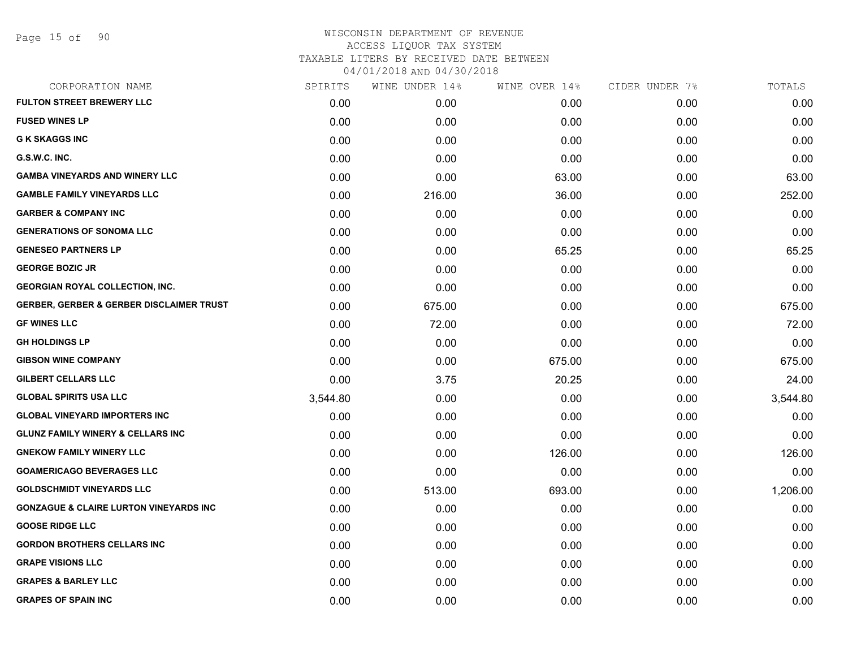| SPIRITS  | WINE UNDER 14% | WINE OVER 14% |      | TOTALS         |
|----------|----------------|---------------|------|----------------|
| 0.00     | 0.00           | 0.00          | 0.00 | 0.00           |
| 0.00     | 0.00           | 0.00          | 0.00 | 0.00           |
| 0.00     | 0.00           | 0.00          | 0.00 | 0.00           |
| 0.00     | 0.00           | 0.00          | 0.00 | 0.00           |
| 0.00     | 0.00           | 63.00         | 0.00 | 63.00          |
| 0.00     | 216.00         | 36.00         | 0.00 | 252.00         |
| 0.00     | 0.00           | 0.00          | 0.00 | 0.00           |
| 0.00     | 0.00           | 0.00          | 0.00 | 0.00           |
| 0.00     | 0.00           | 65.25         | 0.00 | 65.25          |
| 0.00     | 0.00           | 0.00          | 0.00 | 0.00           |
| 0.00     | 0.00           | 0.00          | 0.00 | 0.00           |
| 0.00     | 675.00         | 0.00          | 0.00 | 675.00         |
| 0.00     | 72.00          | 0.00          | 0.00 | 72.00          |
| 0.00     | 0.00           | 0.00          | 0.00 | 0.00           |
| 0.00     | 0.00           | 675.00        | 0.00 | 675.00         |
| 0.00     | 3.75           | 20.25         | 0.00 | 24.00          |
| 3,544.80 | 0.00           | 0.00          | 0.00 | 3,544.80       |
| 0.00     | 0.00           | 0.00          | 0.00 | 0.00           |
| 0.00     | 0.00           | 0.00          | 0.00 | 0.00           |
| 0.00     | 0.00           | 126.00        | 0.00 | 126.00         |
| 0.00     | 0.00           | 0.00          | 0.00 | 0.00           |
| 0.00     | 513.00         | 693.00        | 0.00 | 1,206.00       |
| 0.00     | 0.00           | 0.00          | 0.00 | 0.00           |
| 0.00     | 0.00           | 0.00          | 0.00 | 0.00           |
| 0.00     | 0.00           | 0.00          | 0.00 | 0.00           |
| 0.00     | 0.00           | 0.00          | 0.00 | 0.00           |
| 0.00     | 0.00           | 0.00          | 0.00 | 0.00           |
| 0.00     | 0.00           | 0.00          | 0.00 | 0.00           |
|          |                |               |      | CIDER UNDER 7% |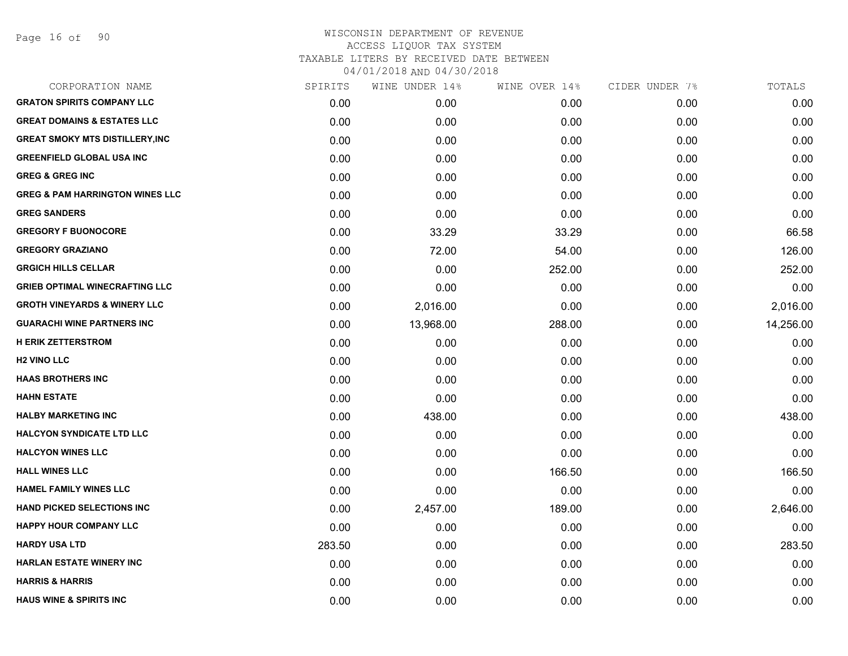| CORPORATION NAME                           | SPIRITS | WINE UNDER 14% | WINE OVER 14% | CIDER UNDER 7% | TOTALS    |
|--------------------------------------------|---------|----------------|---------------|----------------|-----------|
| <b>GRATON SPIRITS COMPANY LLC</b>          | 0.00    | 0.00           | 0.00          | 0.00           | 0.00      |
| <b>GREAT DOMAINS &amp; ESTATES LLC</b>     | 0.00    | 0.00           | 0.00          | 0.00           | 0.00      |
| <b>GREAT SMOKY MTS DISTILLERY, INC</b>     | 0.00    | 0.00           | 0.00          | 0.00           | 0.00      |
| <b>GREENFIELD GLOBAL USA INC</b>           | 0.00    | 0.00           | 0.00          | 0.00           | 0.00      |
| <b>GREG &amp; GREG INC</b>                 | 0.00    | 0.00           | 0.00          | 0.00           | 0.00      |
| <b>GREG &amp; PAM HARRINGTON WINES LLC</b> | 0.00    | 0.00           | 0.00          | 0.00           | 0.00      |
| <b>GREG SANDERS</b>                        | 0.00    | 0.00           | 0.00          | 0.00           | 0.00      |
| <b>GREGORY F BUONOCORE</b>                 | 0.00    | 33.29          | 33.29         | 0.00           | 66.58     |
| <b>GREGORY GRAZIANO</b>                    | 0.00    | 72.00          | 54.00         | 0.00           | 126.00    |
| <b>GRGICH HILLS CELLAR</b>                 | 0.00    | 0.00           | 252.00        | 0.00           | 252.00    |
| <b>GRIEB OPTIMAL WINECRAFTING LLC</b>      | 0.00    | 0.00           | 0.00          | 0.00           | 0.00      |
| <b>GROTH VINEYARDS &amp; WINERY LLC</b>    | 0.00    | 2,016.00       | 0.00          | 0.00           | 2,016.00  |
| <b>GUARACHI WINE PARTNERS INC</b>          | 0.00    | 13,968.00      | 288.00        | 0.00           | 14,256.00 |
| <b>H ERIK ZETTERSTROM</b>                  | 0.00    | 0.00           | 0.00          | 0.00           | 0.00      |
| <b>H2 VINO LLC</b>                         | 0.00    | 0.00           | 0.00          | 0.00           | 0.00      |
| <b>HAAS BROTHERS INC</b>                   | 0.00    | 0.00           | 0.00          | 0.00           | 0.00      |
| <b>HAHN ESTATE</b>                         | 0.00    | 0.00           | 0.00          | 0.00           | 0.00      |
| <b>HALBY MARKETING INC</b>                 | 0.00    | 438.00         | 0.00          | 0.00           | 438.00    |
| <b>HALCYON SYNDICATE LTD LLC</b>           | 0.00    | 0.00           | 0.00          | 0.00           | 0.00      |
| <b>HALCYON WINES LLC</b>                   | 0.00    | 0.00           | 0.00          | 0.00           | 0.00      |
| <b>HALL WINES LLC</b>                      | 0.00    | 0.00           | 166.50        | 0.00           | 166.50    |
| <b>HAMEL FAMILY WINES LLC</b>              | 0.00    | 0.00           | 0.00          | 0.00           | 0.00      |
| <b>HAND PICKED SELECTIONS INC</b>          | 0.00    | 2,457.00       | 189.00        | 0.00           | 2,646.00  |
| <b>HAPPY HOUR COMPANY LLC</b>              | 0.00    | 0.00           | 0.00          | 0.00           | 0.00      |
| <b>HARDY USA LTD</b>                       | 283.50  | 0.00           | 0.00          | 0.00           | 283.50    |
| <b>HARLAN ESTATE WINERY INC</b>            | 0.00    | 0.00           | 0.00          | 0.00           | 0.00      |
| <b>HARRIS &amp; HARRIS</b>                 | 0.00    | 0.00           | 0.00          | 0.00           | 0.00      |
| <b>HAUS WINE &amp; SPIRITS INC</b>         | 0.00    | 0.00           | 0.00          | 0.00           | 0.00      |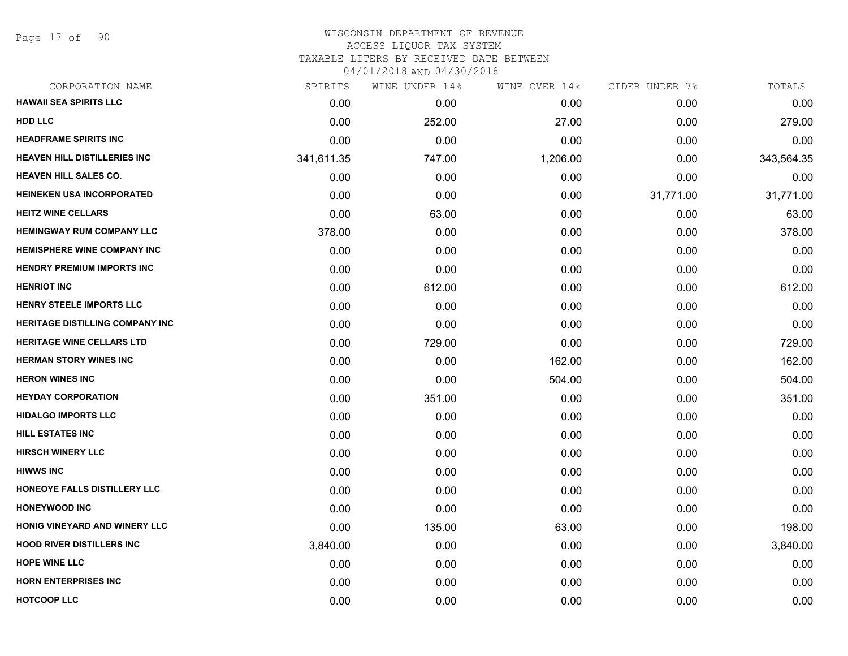Page 17 of 90

| CORPORATION NAME                       | SPIRITS    | WINE UNDER 14% | WINE OVER 14% | CIDER UNDER 7% | TOTALS     |
|----------------------------------------|------------|----------------|---------------|----------------|------------|
| <b>HAWAII SEA SPIRITS LLC</b>          | 0.00       | 0.00           | 0.00          | 0.00           | 0.00       |
| <b>HDD LLC</b>                         | 0.00       | 252.00         | 27.00         | 0.00           | 279.00     |
| <b>HEADFRAME SPIRITS INC</b>           | 0.00       | 0.00           | 0.00          | 0.00           | 0.00       |
| <b>HEAVEN HILL DISTILLERIES INC</b>    | 341,611.35 | 747.00         | 1,206.00      | 0.00           | 343,564.35 |
| <b>HEAVEN HILL SALES CO.</b>           | 0.00       | 0.00           | 0.00          | 0.00           | 0.00       |
| <b>HEINEKEN USA INCORPORATED</b>       | 0.00       | 0.00           | 0.00          | 31,771.00      | 31,771.00  |
| <b>HEITZ WINE CELLARS</b>              | 0.00       | 63.00          | 0.00          | 0.00           | 63.00      |
| <b>HEMINGWAY RUM COMPANY LLC</b>       | 378.00     | 0.00           | 0.00          | 0.00           | 378.00     |
| <b>HEMISPHERE WINE COMPANY INC</b>     | 0.00       | 0.00           | 0.00          | 0.00           | 0.00       |
| <b>HENDRY PREMIUM IMPORTS INC</b>      | 0.00       | 0.00           | 0.00          | 0.00           | 0.00       |
| <b>HENRIOT INC</b>                     | 0.00       | 612.00         | 0.00          | 0.00           | 612.00     |
| HENRY STEELE IMPORTS LLC               | 0.00       | 0.00           | 0.00          | 0.00           | 0.00       |
| <b>HERITAGE DISTILLING COMPANY INC</b> | 0.00       | 0.00           | 0.00          | 0.00           | 0.00       |
| <b>HERITAGE WINE CELLARS LTD</b>       | 0.00       | 729.00         | 0.00          | 0.00           | 729.00     |
| <b>HERMAN STORY WINES INC</b>          | 0.00       | 0.00           | 162.00        | 0.00           | 162.00     |
| <b>HERON WINES INC</b>                 | 0.00       | 0.00           | 504.00        | 0.00           | 504.00     |
| <b>HEYDAY CORPORATION</b>              | 0.00       | 351.00         | 0.00          | 0.00           | 351.00     |
| <b>HIDALGO IMPORTS LLC</b>             | 0.00       | 0.00           | 0.00          | 0.00           | 0.00       |
| <b>HILL ESTATES INC</b>                | 0.00       | 0.00           | 0.00          | 0.00           | 0.00       |
| <b>HIRSCH WINERY LLC</b>               | 0.00       | 0.00           | 0.00          | 0.00           | 0.00       |
| <b>HIWWS INC</b>                       | 0.00       | 0.00           | 0.00          | 0.00           | 0.00       |
| HONEOYE FALLS DISTILLERY LLC           | 0.00       | 0.00           | 0.00          | 0.00           | 0.00       |
| <b>HONEYWOOD INC</b>                   | 0.00       | 0.00           | 0.00          | 0.00           | 0.00       |
| HONIG VINEYARD AND WINERY LLC          | 0.00       | 135.00         | 63.00         | 0.00           | 198.00     |
| <b>HOOD RIVER DISTILLERS INC</b>       | 3,840.00   | 0.00           | 0.00          | 0.00           | 3,840.00   |
| <b>HOPE WINE LLC</b>                   | 0.00       | 0.00           | 0.00          | 0.00           | 0.00       |
| <b>HORN ENTERPRISES INC</b>            | 0.00       | 0.00           | 0.00          | 0.00           | 0.00       |
| <b>HOTCOOP LLC</b>                     | 0.00       | 0.00           | 0.00          | 0.00           | 0.00       |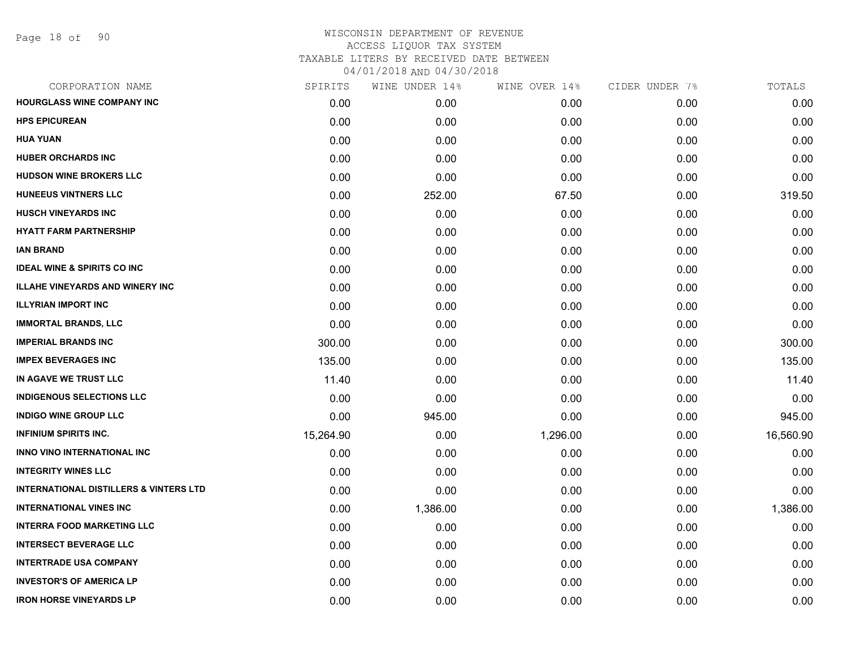| SPIRITS   | WINE UNDER 14% | WINE OVER 14% | CIDER UNDER 7% | TOTALS    |
|-----------|----------------|---------------|----------------|-----------|
| 0.00      | 0.00           | 0.00          | 0.00           | 0.00      |
| 0.00      | 0.00           | 0.00          | 0.00           | 0.00      |
| 0.00      | 0.00           | 0.00          | 0.00           | 0.00      |
| 0.00      | 0.00           | 0.00          | 0.00           | 0.00      |
| 0.00      | 0.00           | 0.00          | 0.00           | 0.00      |
| 0.00      | 252.00         | 67.50         | 0.00           | 319.50    |
| 0.00      | 0.00           | 0.00          | 0.00           | 0.00      |
| 0.00      | 0.00           | 0.00          | 0.00           | 0.00      |
| 0.00      | 0.00           | 0.00          | 0.00           | 0.00      |
| 0.00      | 0.00           | 0.00          | 0.00           | 0.00      |
| 0.00      | 0.00           | 0.00          | 0.00           | 0.00      |
| 0.00      | 0.00           | 0.00          | 0.00           | 0.00      |
| 0.00      | 0.00           | 0.00          | 0.00           | 0.00      |
| 300.00    | 0.00           | 0.00          | 0.00           | 300.00    |
| 135.00    | 0.00           | 0.00          | 0.00           | 135.00    |
| 11.40     | 0.00           | 0.00          | 0.00           | 11.40     |
| 0.00      | 0.00           | 0.00          | 0.00           | 0.00      |
| 0.00      | 945.00         | 0.00          | 0.00           | 945.00    |
| 15,264.90 | 0.00           | 1,296.00      | 0.00           | 16,560.90 |
| 0.00      | 0.00           | 0.00          | 0.00           | 0.00      |
| 0.00      | 0.00           | 0.00          | 0.00           | 0.00      |
| 0.00      | 0.00           | 0.00          | 0.00           | 0.00      |
| 0.00      | 1,386.00       | 0.00          | 0.00           | 1,386.00  |
| 0.00      | 0.00           | 0.00          | 0.00           | 0.00      |
| 0.00      | 0.00           | 0.00          | 0.00           | 0.00      |
| 0.00      | 0.00           | 0.00          | 0.00           | 0.00      |
| 0.00      | 0.00           | 0.00          | 0.00           | 0.00      |
| 0.00      | 0.00           | 0.00          | 0.00           | 0.00      |
|           |                |               |                |           |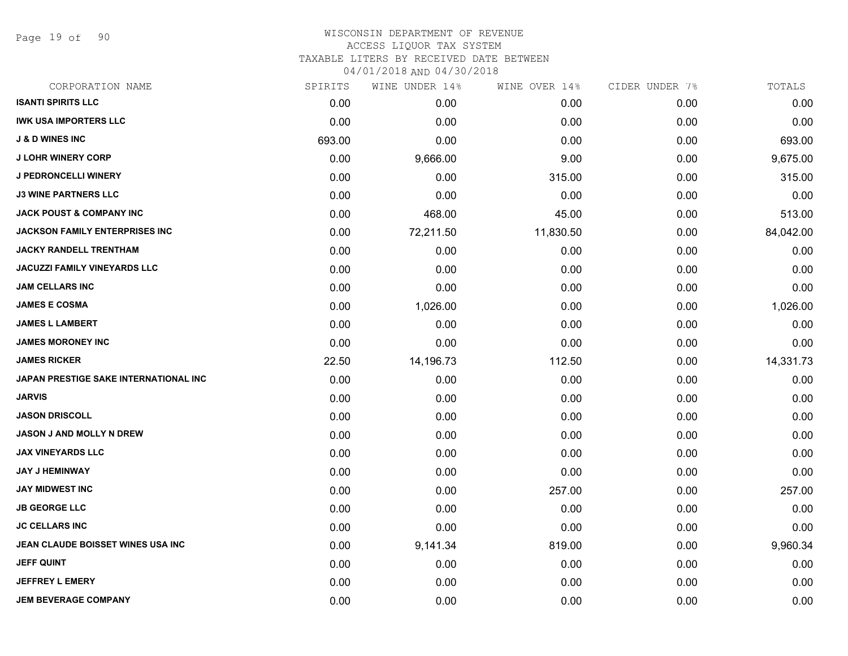Page 19 of 90

| CORPORATION NAME                      | SPIRITS | WINE UNDER 14% | WINE OVER 14% | CIDER UNDER 7% | TOTALS    |
|---------------------------------------|---------|----------------|---------------|----------------|-----------|
| <b>ISANTI SPIRITS LLC</b>             | 0.00    | 0.00           | 0.00          | 0.00           | 0.00      |
| <b>IWK USA IMPORTERS LLC</b>          | 0.00    | 0.00           | 0.00          | 0.00           | 0.00      |
| <b>J &amp; D WINES INC</b>            | 693.00  | 0.00           | 0.00          | 0.00           | 693.00    |
| <b>J LOHR WINERY CORP</b>             | 0.00    | 9,666.00       | 9.00          | 0.00           | 9,675.00  |
| <b>J PEDRONCELLI WINERY</b>           | 0.00    | 0.00           | 315.00        | 0.00           | 315.00    |
| <b>J3 WINE PARTNERS LLC</b>           | 0.00    | 0.00           | 0.00          | 0.00           | 0.00      |
| <b>JACK POUST &amp; COMPANY INC</b>   | 0.00    | 468.00         | 45.00         | 0.00           | 513.00    |
| <b>JACKSON FAMILY ENTERPRISES INC</b> | 0.00    | 72,211.50      | 11,830.50     | 0.00           | 84,042.00 |
| <b>JACKY RANDELL TRENTHAM</b>         | 0.00    | 0.00           | 0.00          | 0.00           | 0.00      |
| JACUZZI FAMILY VINEYARDS LLC          | 0.00    | 0.00           | 0.00          | 0.00           | 0.00      |
| <b>JAM CELLARS INC</b>                | 0.00    | 0.00           | 0.00          | 0.00           | 0.00      |
| <b>JAMES E COSMA</b>                  | 0.00    | 1,026.00       | 0.00          | 0.00           | 1,026.00  |
| <b>JAMES L LAMBERT</b>                | 0.00    | 0.00           | 0.00          | 0.00           | 0.00      |
| <b>JAMES MORONEY INC</b>              | 0.00    | 0.00           | 0.00          | 0.00           | 0.00      |
| <b>JAMES RICKER</b>                   | 22.50   | 14,196.73      | 112.50        | 0.00           | 14,331.73 |
| JAPAN PRESTIGE SAKE INTERNATIONAL INC | 0.00    | 0.00           | 0.00          | 0.00           | 0.00      |
| <b>JARVIS</b>                         | 0.00    | 0.00           | 0.00          | 0.00           | 0.00      |
| <b>JASON DRISCOLL</b>                 | 0.00    | 0.00           | 0.00          | 0.00           | 0.00      |
| JASON J AND MOLLY N DREW              | 0.00    | 0.00           | 0.00          | 0.00           | 0.00      |
| <b>JAX VINEYARDS LLC</b>              | 0.00    | 0.00           | 0.00          | 0.00           | 0.00      |
| <b>JAY J HEMINWAY</b>                 | 0.00    | 0.00           | 0.00          | 0.00           | 0.00      |
| <b>JAY MIDWEST INC</b>                | 0.00    | 0.00           | 257.00        | 0.00           | 257.00    |
| <b>JB GEORGE LLC</b>                  | 0.00    | 0.00           | 0.00          | 0.00           | 0.00      |
| <b>JC CELLARS INC</b>                 | 0.00    | 0.00           | 0.00          | 0.00           | 0.00      |
| JEAN CLAUDE BOISSET WINES USA INC     | 0.00    | 9,141.34       | 819.00        | 0.00           | 9,960.34  |
| <b>JEFF QUINT</b>                     | 0.00    | 0.00           | 0.00          | 0.00           | 0.00      |
| <b>JEFFREY L EMERY</b>                | 0.00    | 0.00           | 0.00          | 0.00           | 0.00      |
| <b>JEM BEVERAGE COMPANY</b>           | 0.00    | 0.00           | 0.00          | 0.00           | 0.00      |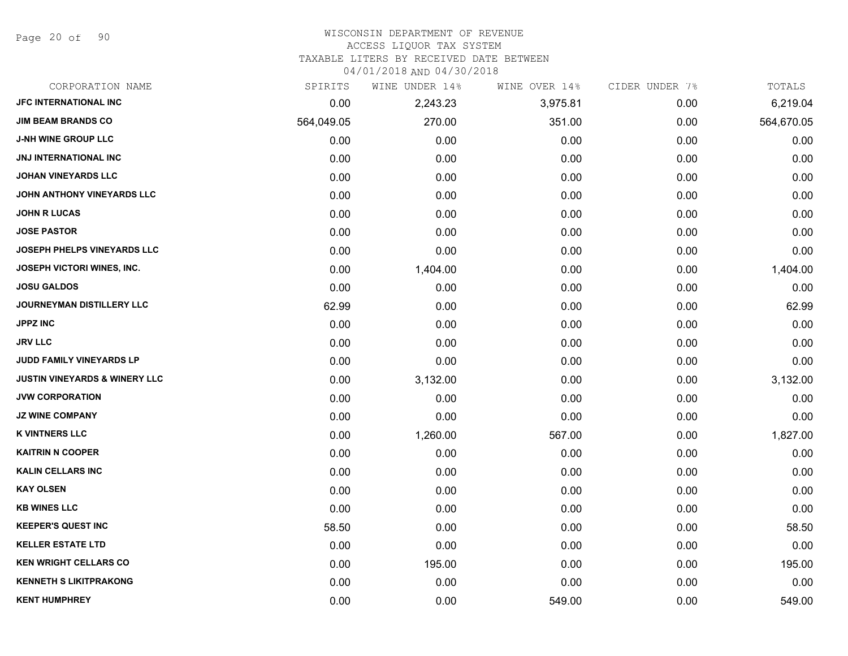Page 20 of 90

# WISCONSIN DEPARTMENT OF REVENUE

ACCESS LIQUOR TAX SYSTEM

TAXABLE LITERS BY RECEIVED DATE BETWEEN

| CORPORATION NAME                         | SPIRITS    | WINE UNDER 14% | WINE OVER 14% | CIDER UNDER 7% | TOTALS     |
|------------------------------------------|------------|----------------|---------------|----------------|------------|
| JFC INTERNATIONAL INC                    | 0.00       | 2,243.23       | 3,975.81      | 0.00           | 6,219.04   |
| <b>JIM BEAM BRANDS CO</b>                | 564,049.05 | 270.00         | 351.00        | 0.00           | 564,670.05 |
| J-NH WINE GROUP LLC                      | 0.00       | 0.00           | 0.00          | 0.00           | 0.00       |
| <b>JNJ INTERNATIONAL INC</b>             | 0.00       | 0.00           | 0.00          | 0.00           | 0.00       |
| <b>JOHAN VINEYARDS LLC</b>               | 0.00       | 0.00           | 0.00          | 0.00           | 0.00       |
| JOHN ANTHONY VINEYARDS LLC               | 0.00       | 0.00           | 0.00          | 0.00           | 0.00       |
| <b>JOHN R LUCAS</b>                      | 0.00       | 0.00           | 0.00          | 0.00           | 0.00       |
| <b>JOSE PASTOR</b>                       | 0.00       | 0.00           | 0.00          | 0.00           | 0.00       |
| JOSEPH PHELPS VINEYARDS LLC              | 0.00       | 0.00           | 0.00          | 0.00           | 0.00       |
| <b>JOSEPH VICTORI WINES, INC.</b>        | 0.00       | 1,404.00       | 0.00          | 0.00           | 1,404.00   |
| <b>JOSU GALDOS</b>                       | 0.00       | 0.00           | 0.00          | 0.00           | 0.00       |
| JOURNEYMAN DISTILLERY LLC                | 62.99      | 0.00           | 0.00          | 0.00           | 62.99      |
| <b>JPPZ INC</b>                          | 0.00       | 0.00           | 0.00          | 0.00           | 0.00       |
| <b>JRV LLC</b>                           | 0.00       | 0.00           | 0.00          | 0.00           | 0.00       |
| JUDD FAMILY VINEYARDS LP                 | 0.00       | 0.00           | 0.00          | 0.00           | 0.00       |
| <b>JUSTIN VINEYARDS &amp; WINERY LLC</b> | 0.00       | 3,132.00       | 0.00          | 0.00           | 3,132.00   |
| <b>JVW CORPORATION</b>                   | 0.00       | 0.00           | 0.00          | 0.00           | 0.00       |
| <b>JZ WINE COMPANY</b>                   | 0.00       | 0.00           | 0.00          | 0.00           | 0.00       |
| <b>K VINTNERS LLC</b>                    | 0.00       | 1,260.00       | 567.00        | 0.00           | 1,827.00   |
| <b>KAITRIN N COOPER</b>                  | 0.00       | 0.00           | 0.00          | 0.00           | 0.00       |
| <b>KALIN CELLARS INC</b>                 | 0.00       | 0.00           | 0.00          | 0.00           | 0.00       |
| <b>KAY OLSEN</b>                         | 0.00       | 0.00           | 0.00          | 0.00           | 0.00       |
| <b>KB WINES LLC</b>                      | 0.00       | 0.00           | 0.00          | 0.00           | 0.00       |
| <b>KEEPER'S QUEST INC</b>                | 58.50      | 0.00           | 0.00          | 0.00           | 58.50      |
| <b>KELLER ESTATE LTD</b>                 | 0.00       | 0.00           | 0.00          | 0.00           | 0.00       |
| <b>KEN WRIGHT CELLARS CO</b>             | 0.00       | 195.00         | 0.00          | 0.00           | 195.00     |
| <b>KENNETH S LIKITPRAKONG</b>            | 0.00       | 0.00           | 0.00          | 0.00           | 0.00       |
| <b>KENT HUMPHREY</b>                     | 0.00       | 0.00           | 549.00        | 0.00           | 549.00     |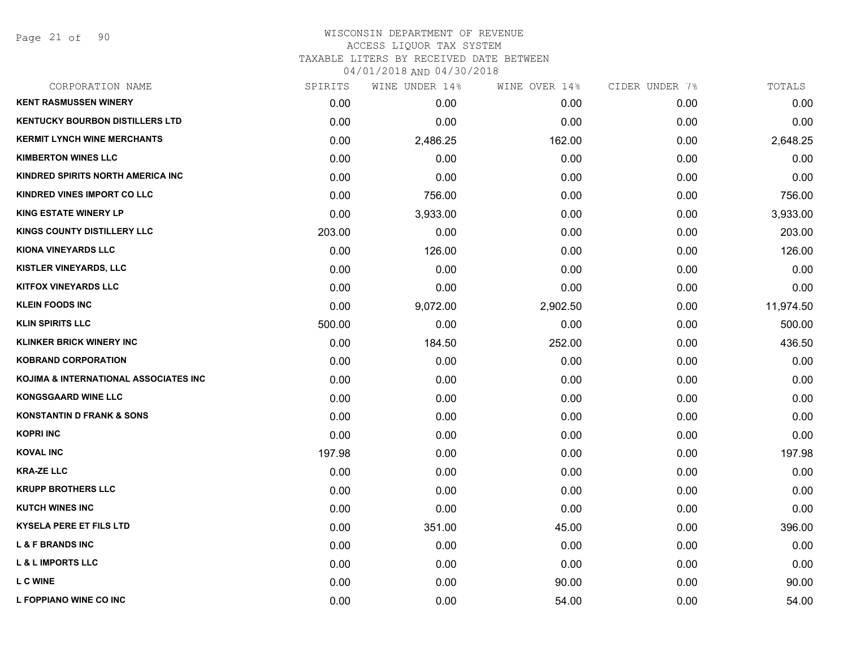Page 21 of 90

| CORPORATION NAME                       | SPIRITS | WINE UNDER 14% | WINE OVER 14% | CIDER UNDER 7% | TOTALS    |
|----------------------------------------|---------|----------------|---------------|----------------|-----------|
| <b>KENT RASMUSSEN WINERY</b>           | 0.00    | 0.00           | 0.00          | 0.00           | 0.00      |
| <b>KENTUCKY BOURBON DISTILLERS LTD</b> | 0.00    | 0.00           | 0.00          | 0.00           | 0.00      |
| <b>KERMIT LYNCH WINE MERCHANTS</b>     | 0.00    | 2,486.25       | 162.00        | 0.00           | 2,648.25  |
| <b>KIMBERTON WINES LLC</b>             | 0.00    | 0.00           | 0.00          | 0.00           | 0.00      |
| KINDRED SPIRITS NORTH AMERICA INC      | 0.00    | 0.00           | 0.00          | 0.00           | 0.00      |
| KINDRED VINES IMPORT CO LLC            | 0.00    | 756.00         | 0.00          | 0.00           | 756.00    |
| <b>KING ESTATE WINERY LP</b>           | 0.00    | 3,933.00       | 0.00          | 0.00           | 3,933.00  |
| KINGS COUNTY DISTILLERY LLC            | 203.00  | 0.00           | 0.00          | 0.00           | 203.00    |
| KIONA VINEYARDS LLC                    | 0.00    | 126.00         | 0.00          | 0.00           | 126.00    |
| <b>KISTLER VINEYARDS, LLC</b>          | 0.00    | 0.00           | 0.00          | 0.00           | 0.00      |
| <b>KITFOX VINEYARDS LLC</b>            | 0.00    | 0.00           | 0.00          | 0.00           | 0.00      |
| <b>KLEIN FOODS INC</b>                 | 0.00    | 9,072.00       | 2,902.50      | 0.00           | 11,974.50 |
| <b>KLIN SPIRITS LLC</b>                | 500.00  | 0.00           | 0.00          | 0.00           | 500.00    |
| <b>KLINKER BRICK WINERY INC</b>        | 0.00    | 184.50         | 252.00        | 0.00           | 436.50    |
| <b>KOBRAND CORPORATION</b>             | 0.00    | 0.00           | 0.00          | 0.00           | 0.00      |
| KOJIMA & INTERNATIONAL ASSOCIATES INC  | 0.00    | 0.00           | 0.00          | 0.00           | 0.00      |
| <b>KONGSGAARD WINE LLC</b>             | 0.00    | 0.00           | 0.00          | 0.00           | 0.00      |
| <b>KONSTANTIN D FRANK &amp; SONS</b>   | 0.00    | 0.00           | 0.00          | 0.00           | 0.00      |
| <b>KOPRI INC</b>                       | 0.00    | 0.00           | 0.00          | 0.00           | 0.00      |
| <b>KOVAL INC</b>                       | 197.98  | 0.00           | 0.00          | 0.00           | 197.98    |
| <b>KRA-ZE LLC</b>                      | 0.00    | 0.00           | 0.00          | 0.00           | 0.00      |
| <b>KRUPP BROTHERS LLC</b>              | 0.00    | 0.00           | 0.00          | 0.00           | 0.00      |
| <b>KUTCH WINES INC</b>                 | 0.00    | 0.00           | 0.00          | 0.00           | 0.00      |
| <b>KYSELA PERE ET FILS LTD</b>         | 0.00    | 351.00         | 45.00         | 0.00           | 396.00    |
| <b>L &amp; F BRANDS INC</b>            | 0.00    | 0.00           | 0.00          | 0.00           | 0.00      |
| <b>L &amp; L IMPORTS LLC</b>           | 0.00    | 0.00           | 0.00          | 0.00           | 0.00      |
| <b>L C WINE</b>                        | 0.00    | 0.00           | 90.00         | 0.00           | 90.00     |
| L FOPPIANO WINE CO INC                 | 0.00    | 0.00           | 54.00         | 0.00           | 54.00     |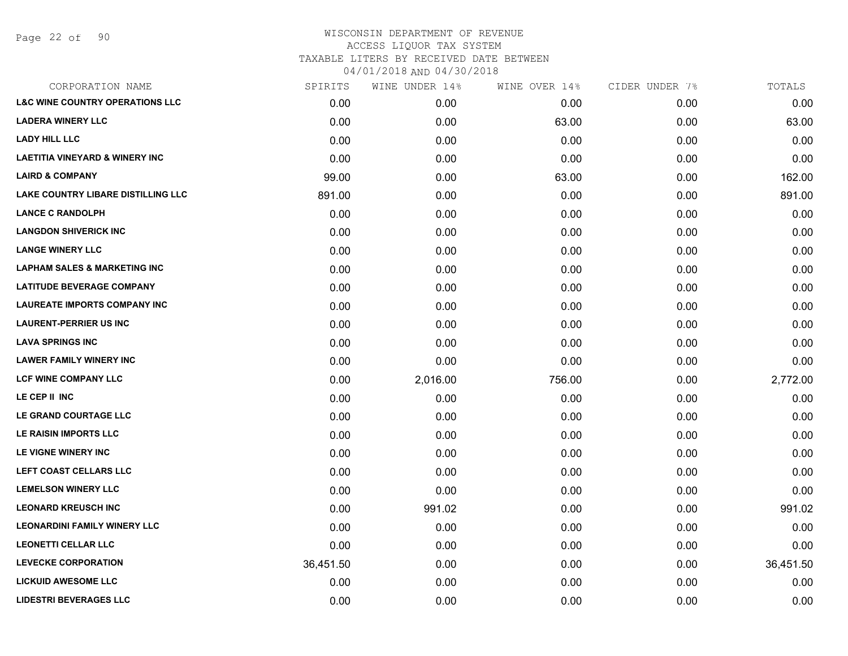Page 22 of 90

| CORPORATION NAME                           | SPIRITS   | WINE UNDER 14% | WINE OVER 14% | CIDER UNDER 7% | TOTALS    |
|--------------------------------------------|-----------|----------------|---------------|----------------|-----------|
| <b>L&amp;C WINE COUNTRY OPERATIONS LLC</b> | 0.00      | 0.00           | 0.00          | 0.00           | 0.00      |
| <b>LADERA WINERY LLC</b>                   | 0.00      | 0.00           | 63.00         | 0.00           | 63.00     |
| <b>LADY HILL LLC</b>                       | 0.00      | 0.00           | 0.00          | 0.00           | 0.00      |
| <b>LAETITIA VINEYARD &amp; WINERY INC</b>  | 0.00      | 0.00           | 0.00          | 0.00           | 0.00      |
| <b>LAIRD &amp; COMPANY</b>                 | 99.00     | 0.00           | 63.00         | 0.00           | 162.00    |
| LAKE COUNTRY LIBARE DISTILLING LLC         | 891.00    | 0.00           | 0.00          | 0.00           | 891.00    |
| <b>LANCE C RANDOLPH</b>                    | 0.00      | 0.00           | 0.00          | 0.00           | 0.00      |
| <b>LANGDON SHIVERICK INC</b>               | 0.00      | 0.00           | 0.00          | 0.00           | 0.00      |
| <b>LANGE WINERY LLC</b>                    | 0.00      | 0.00           | 0.00          | 0.00           | 0.00      |
| <b>LAPHAM SALES &amp; MARKETING INC</b>    | 0.00      | 0.00           | 0.00          | 0.00           | 0.00      |
| <b>LATITUDE BEVERAGE COMPANY</b>           | 0.00      | 0.00           | 0.00          | 0.00           | 0.00      |
| <b>LAUREATE IMPORTS COMPANY INC</b>        | 0.00      | 0.00           | 0.00          | 0.00           | 0.00      |
| <b>LAURENT-PERRIER US INC</b>              | 0.00      | 0.00           | 0.00          | 0.00           | 0.00      |
| <b>LAVA SPRINGS INC</b>                    | 0.00      | 0.00           | 0.00          | 0.00           | 0.00      |
| <b>LAWER FAMILY WINERY INC</b>             | 0.00      | 0.00           | 0.00          | 0.00           | 0.00      |
| <b>LCF WINE COMPANY LLC</b>                | 0.00      | 2,016.00       | 756.00        | 0.00           | 2,772.00  |
| LE CEP II INC                              | 0.00      | 0.00           | 0.00          | 0.00           | 0.00      |
| LE GRAND COURTAGE LLC                      | 0.00      | 0.00           | 0.00          | 0.00           | 0.00      |
| LE RAISIN IMPORTS LLC                      | 0.00      | 0.00           | 0.00          | 0.00           | 0.00      |
| LE VIGNE WINERY INC                        | 0.00      | 0.00           | 0.00          | 0.00           | 0.00      |
| LEFT COAST CELLARS LLC                     | 0.00      | 0.00           | 0.00          | 0.00           | 0.00      |
| <b>LEMELSON WINERY LLC</b>                 | 0.00      | 0.00           | 0.00          | 0.00           | 0.00      |
| <b>LEONARD KREUSCH INC</b>                 | 0.00      | 991.02         | 0.00          | 0.00           | 991.02    |
| <b>LEONARDINI FAMILY WINERY LLC</b>        | 0.00      | 0.00           | 0.00          | 0.00           | 0.00      |
| <b>LEONETTI CELLAR LLC</b>                 | 0.00      | 0.00           | 0.00          | 0.00           | 0.00      |
| <b>LEVECKE CORPORATION</b>                 | 36,451.50 | 0.00           | 0.00          | 0.00           | 36,451.50 |
| <b>LICKUID AWESOME LLC</b>                 | 0.00      | 0.00           | 0.00          | 0.00           | 0.00      |
| <b>LIDESTRI BEVERAGES LLC</b>              | 0.00      | 0.00           | 0.00          | 0.00           | 0.00      |
|                                            |           |                |               |                |           |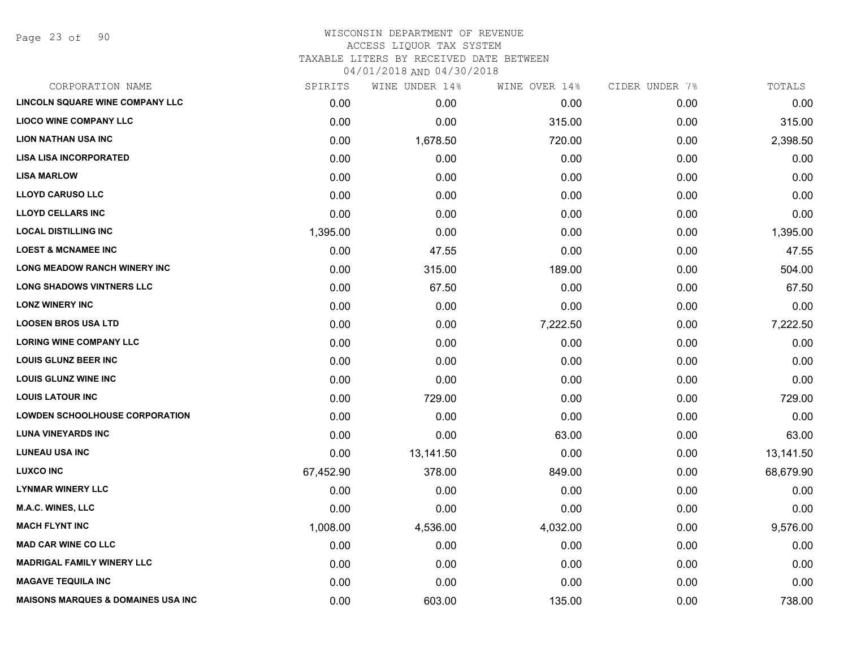Page 23 of 90

| CORPORATION NAME                               | SPIRITS   | WINE UNDER 14% | WINE OVER 14% | CIDER UNDER 7% | TOTALS    |
|------------------------------------------------|-----------|----------------|---------------|----------------|-----------|
| LINCOLN SQUARE WINE COMPANY LLC                | 0.00      | 0.00           | 0.00          | 0.00           | 0.00      |
| <b>LIOCO WINE COMPANY LLC</b>                  | 0.00      | 0.00           | 315.00        | 0.00           | 315.00    |
| <b>LION NATHAN USA INC</b>                     | 0.00      | 1,678.50       | 720.00        | 0.00           | 2,398.50  |
| <b>LISA LISA INCORPORATED</b>                  | 0.00      | 0.00           | 0.00          | 0.00           | 0.00      |
| <b>LISA MARLOW</b>                             | 0.00      | 0.00           | 0.00          | 0.00           | 0.00      |
| <b>LLOYD CARUSO LLC</b>                        | 0.00      | 0.00           | 0.00          | 0.00           | 0.00      |
| <b>LLOYD CELLARS INC</b>                       | 0.00      | 0.00           | 0.00          | 0.00           | 0.00      |
| <b>LOCAL DISTILLING INC</b>                    | 1,395.00  | 0.00           | 0.00          | 0.00           | 1,395.00  |
| <b>LOEST &amp; MCNAMEE INC</b>                 | 0.00      | 47.55          | 0.00          | 0.00           | 47.55     |
| <b>LONG MEADOW RANCH WINERY INC</b>            | 0.00      | 315.00         | 189.00        | 0.00           | 504.00    |
| <b>LONG SHADOWS VINTNERS LLC</b>               | 0.00      | 67.50          | 0.00          | 0.00           | 67.50     |
| <b>LONZ WINERY INC</b>                         | 0.00      | 0.00           | 0.00          | 0.00           | 0.00      |
| <b>LOOSEN BROS USA LTD</b>                     | 0.00      | 0.00           | 7,222.50      | 0.00           | 7,222.50  |
| <b>LORING WINE COMPANY LLC</b>                 | 0.00      | 0.00           | 0.00          | 0.00           | 0.00      |
| <b>LOUIS GLUNZ BEER INC</b>                    | 0.00      | 0.00           | 0.00          | 0.00           | 0.00      |
| <b>LOUIS GLUNZ WINE INC</b>                    | 0.00      | 0.00           | 0.00          | 0.00           | 0.00      |
| <b>LOUIS LATOUR INC</b>                        | 0.00      | 729.00         | 0.00          | 0.00           | 729.00    |
| <b>LOWDEN SCHOOLHOUSE CORPORATION</b>          | 0.00      | 0.00           | 0.00          | 0.00           | 0.00      |
| <b>LUNA VINEYARDS INC</b>                      | 0.00      | 0.00           | 63.00         | 0.00           | 63.00     |
| <b>LUNEAU USA INC</b>                          | 0.00      | 13,141.50      | 0.00          | 0.00           | 13,141.50 |
| <b>LUXCO INC</b>                               | 67,452.90 | 378.00         | 849.00        | 0.00           | 68,679.90 |
| <b>LYNMAR WINERY LLC</b>                       | 0.00      | 0.00           | 0.00          | 0.00           | 0.00      |
| <b>M.A.C. WINES, LLC</b>                       | 0.00      | 0.00           | 0.00          | 0.00           | 0.00      |
| <b>MACH FLYNT INC</b>                          | 1,008.00  | 4,536.00       | 4,032.00      | 0.00           | 9,576.00  |
| <b>MAD CAR WINE CO LLC</b>                     | 0.00      | 0.00           | 0.00          | 0.00           | 0.00      |
| <b>MADRIGAL FAMILY WINERY LLC</b>              | 0.00      | 0.00           | 0.00          | 0.00           | 0.00      |
| <b>MAGAVE TEQUILA INC</b>                      | 0.00      | 0.00           | 0.00          | 0.00           | 0.00      |
| <b>MAISONS MARQUES &amp; DOMAINES USA INC.</b> | 0.00      | 603.00         | 135.00        | 0.00           | 738.00    |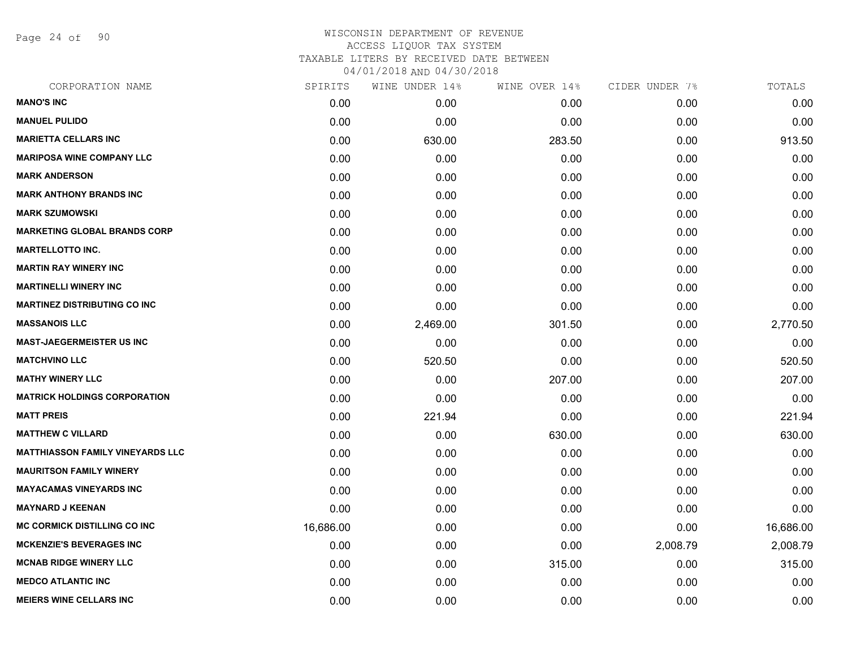Page 24 of 90

| CORPORATION NAME                        | SPIRITS   | WINE UNDER 14% | WINE OVER 14% | CIDER UNDER 7% | TOTALS    |
|-----------------------------------------|-----------|----------------|---------------|----------------|-----------|
| <b>MANO'S INC</b>                       | 0.00      | 0.00           | 0.00          | 0.00           | 0.00      |
| <b>MANUEL PULIDO</b>                    | 0.00      | 0.00           | 0.00          | 0.00           | 0.00      |
| <b>MARIETTA CELLARS INC</b>             | 0.00      | 630.00         | 283.50        | 0.00           | 913.50    |
| <b>MARIPOSA WINE COMPANY LLC</b>        | 0.00      | 0.00           | 0.00          | 0.00           | 0.00      |
| <b>MARK ANDERSON</b>                    | 0.00      | 0.00           | 0.00          | 0.00           | 0.00      |
| <b>MARK ANTHONY BRANDS INC</b>          | 0.00      | 0.00           | 0.00          | 0.00           | 0.00      |
| <b>MARK SZUMOWSKI</b>                   | 0.00      | 0.00           | 0.00          | 0.00           | 0.00      |
| <b>MARKETING GLOBAL BRANDS CORP</b>     | 0.00      | 0.00           | 0.00          | 0.00           | 0.00      |
| <b>MARTELLOTTO INC.</b>                 | 0.00      | 0.00           | 0.00          | 0.00           | 0.00      |
| <b>MARTIN RAY WINERY INC</b>            | 0.00      | 0.00           | 0.00          | 0.00           | 0.00      |
| <b>MARTINELLI WINERY INC</b>            | 0.00      | 0.00           | 0.00          | 0.00           | 0.00      |
| <b>MARTINEZ DISTRIBUTING CO INC</b>     | 0.00      | 0.00           | 0.00          | 0.00           | 0.00      |
| <b>MASSANOIS LLC</b>                    | 0.00      | 2,469.00       | 301.50        | 0.00           | 2,770.50  |
| <b>MAST-JAEGERMEISTER US INC</b>        | 0.00      | 0.00           | 0.00          | 0.00           | 0.00      |
| <b>MATCHVINO LLC</b>                    | 0.00      | 520.50         | 0.00          | 0.00           | 520.50    |
| <b>MATHY WINERY LLC</b>                 | 0.00      | 0.00           | 207.00        | 0.00           | 207.00    |
| <b>MATRICK HOLDINGS CORPORATION</b>     | 0.00      | 0.00           | 0.00          | 0.00           | 0.00      |
| <b>MATT PREIS</b>                       | 0.00      | 221.94         | 0.00          | 0.00           | 221.94    |
| <b>MATTHEW C VILLARD</b>                | 0.00      | 0.00           | 630.00        | 0.00           | 630.00    |
| <b>MATTHIASSON FAMILY VINEYARDS LLC</b> | 0.00      | 0.00           | 0.00          | 0.00           | 0.00      |
| <b>MAURITSON FAMILY WINERY</b>          | 0.00      | 0.00           | 0.00          | 0.00           | 0.00      |
| <b>MAYACAMAS VINEYARDS INC</b>          | 0.00      | 0.00           | 0.00          | 0.00           | 0.00      |
| <b>MAYNARD J KEENAN</b>                 | 0.00      | 0.00           | 0.00          | 0.00           | 0.00      |
| <b>MC CORMICK DISTILLING CO INC</b>     | 16,686.00 | 0.00           | 0.00          | 0.00           | 16,686.00 |
| <b>MCKENZIE'S BEVERAGES INC</b>         | 0.00      | 0.00           | 0.00          | 2,008.79       | 2,008.79  |
| <b>MCNAB RIDGE WINERY LLC</b>           | 0.00      | 0.00           | 315.00        | 0.00           | 315.00    |
| <b>MEDCO ATLANTIC INC</b>               | 0.00      | 0.00           | 0.00          | 0.00           | 0.00      |
| <b>MEIERS WINE CELLARS INC</b>          | 0.00      | 0.00           | 0.00          | 0.00           | 0.00      |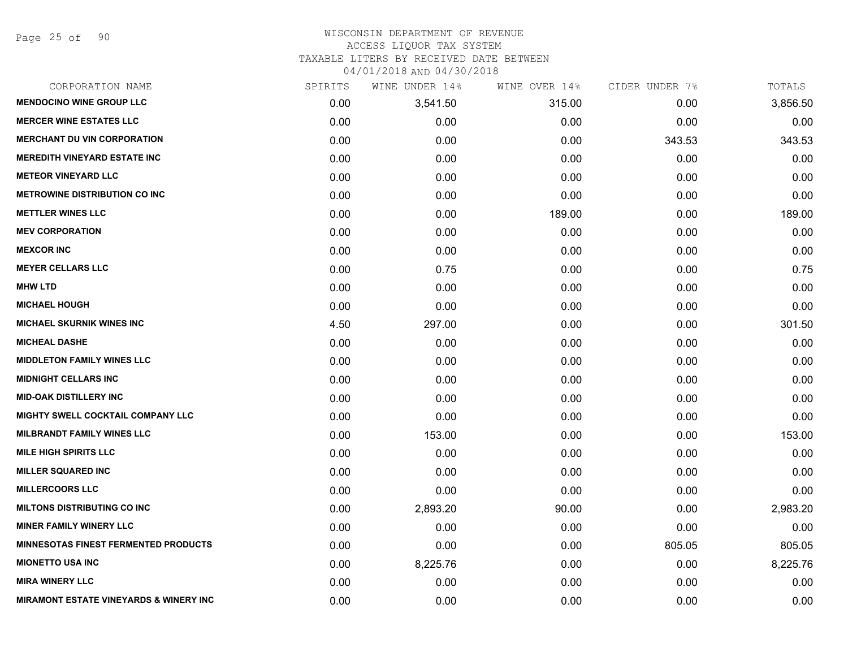Page 25 of 90

# WISCONSIN DEPARTMENT OF REVENUE ACCESS LIQUOR TAX SYSTEM

TAXABLE LITERS BY RECEIVED DATE BETWEEN

| CORPORATION NAME                                  | SPIRITS | WINE UNDER 14% | WINE OVER 14% | CIDER UNDER 7% | TOTALS   |
|---------------------------------------------------|---------|----------------|---------------|----------------|----------|
| <b>MENDOCINO WINE GROUP LLC</b>                   | 0.00    | 3,541.50       | 315.00        | 0.00           | 3,856.50 |
| <b>MERCER WINE ESTATES LLC</b>                    | 0.00    | 0.00           | 0.00          | 0.00           | 0.00     |
| <b>MERCHANT DU VIN CORPORATION</b>                | 0.00    | 0.00           | 0.00          | 343.53         | 343.53   |
| <b>MEREDITH VINEYARD ESTATE INC</b>               | 0.00    | 0.00           | 0.00          | 0.00           | 0.00     |
| <b>METEOR VINEYARD LLC</b>                        | 0.00    | 0.00           | 0.00          | 0.00           | 0.00     |
| <b>METROWINE DISTRIBUTION CO INC</b>              | 0.00    | 0.00           | 0.00          | 0.00           | 0.00     |
| <b>METTLER WINES LLC</b>                          | 0.00    | 0.00           | 189.00        | 0.00           | 189.00   |
| <b>MEV CORPORATION</b>                            | 0.00    | 0.00           | 0.00          | 0.00           | 0.00     |
| <b>MEXCOR INC</b>                                 | 0.00    | 0.00           | 0.00          | 0.00           | 0.00     |
| <b>MEYER CELLARS LLC</b>                          | 0.00    | 0.75           | 0.00          | 0.00           | 0.75     |
| <b>MHW LTD</b>                                    | 0.00    | 0.00           | 0.00          | 0.00           | 0.00     |
| <b>MICHAEL HOUGH</b>                              | 0.00    | 0.00           | 0.00          | 0.00           | 0.00     |
| <b>MICHAEL SKURNIK WINES INC</b>                  | 4.50    | 297.00         | 0.00          | 0.00           | 301.50   |
| <b>MICHEAL DASHE</b>                              | 0.00    | 0.00           | 0.00          | 0.00           | 0.00     |
| <b>MIDDLETON FAMILY WINES LLC</b>                 | 0.00    | 0.00           | 0.00          | 0.00           | 0.00     |
| <b>MIDNIGHT CELLARS INC</b>                       | 0.00    | 0.00           | 0.00          | 0.00           | 0.00     |
| <b>MID-OAK DISTILLERY INC</b>                     | 0.00    | 0.00           | 0.00          | 0.00           | 0.00     |
| MIGHTY SWELL COCKTAIL COMPANY LLC                 | 0.00    | 0.00           | 0.00          | 0.00           | 0.00     |
| <b>MILBRANDT FAMILY WINES LLC</b>                 | 0.00    | 153.00         | 0.00          | 0.00           | 153.00   |
| <b>MILE HIGH SPIRITS LLC</b>                      | 0.00    | 0.00           | 0.00          | 0.00           | 0.00     |
| <b>MILLER SQUARED INC</b>                         | 0.00    | 0.00           | 0.00          | 0.00           | 0.00     |
| <b>MILLERCOORS LLC</b>                            | 0.00    | 0.00           | 0.00          | 0.00           | 0.00     |
| <b>MILTONS DISTRIBUTING CO INC</b>                | 0.00    | 2,893.20       | 90.00         | 0.00           | 2,983.20 |
| <b>MINER FAMILY WINERY LLC</b>                    | 0.00    | 0.00           | 0.00          | 0.00           | 0.00     |
| <b>MINNESOTAS FINEST FERMENTED PRODUCTS</b>       | 0.00    | 0.00           | 0.00          | 805.05         | 805.05   |
| <b>MIONETTO USA INC</b>                           | 0.00    | 8,225.76       | 0.00          | 0.00           | 8,225.76 |
| <b>MIRA WINERY LLC</b>                            | 0.00    | 0.00           | 0.00          | 0.00           | 0.00     |
| <b>MIRAMONT ESTATE VINEYARDS &amp; WINERY INC</b> | 0.00    | 0.00           | 0.00          | 0.00           | 0.00     |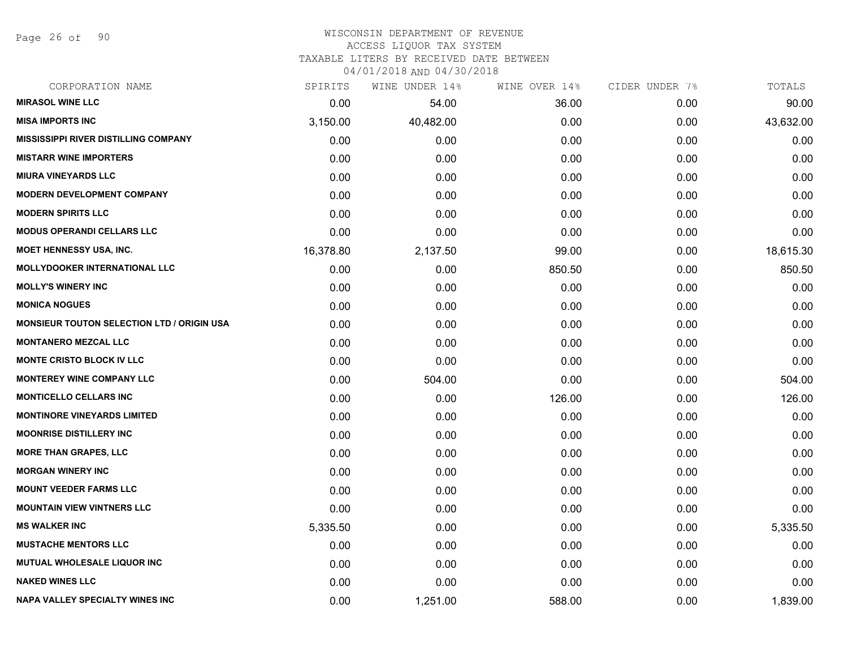Page 26 of 90

#### WISCONSIN DEPARTMENT OF REVENUE ACCESS LIQUOR TAX SYSTEM

TAXABLE LITERS BY RECEIVED DATE BETWEEN

| CORPORATION NAME                                  | SPIRITS   | WINE UNDER 14% | WINE OVER 14% | CIDER UNDER 7% | TOTALS    |
|---------------------------------------------------|-----------|----------------|---------------|----------------|-----------|
| <b>MIRASOL WINE LLC</b>                           | 0.00      | 54.00          | 36.00         | 0.00           | 90.00     |
| <b>MISA IMPORTS INC</b>                           | 3,150.00  | 40,482.00      | 0.00          | 0.00           | 43,632.00 |
| <b>MISSISSIPPI RIVER DISTILLING COMPANY</b>       | 0.00      | 0.00           | 0.00          | 0.00           | 0.00      |
| <b>MISTARR WINE IMPORTERS</b>                     | 0.00      | 0.00           | 0.00          | 0.00           | 0.00      |
| <b>MIURA VINEYARDS LLC</b>                        | 0.00      | 0.00           | 0.00          | 0.00           | 0.00      |
| <b>MODERN DEVELOPMENT COMPANY</b>                 | 0.00      | 0.00           | 0.00          | 0.00           | 0.00      |
| <b>MODERN SPIRITS LLC</b>                         | 0.00      | 0.00           | 0.00          | 0.00           | 0.00      |
| <b>MODUS OPERANDI CELLARS LLC</b>                 | 0.00      | 0.00           | 0.00          | 0.00           | 0.00      |
| <b>MOET HENNESSY USA, INC.</b>                    | 16,378.80 | 2,137.50       | 99.00         | 0.00           | 18,615.30 |
| MOLLYDOOKER INTERNATIONAL LLC                     | 0.00      | 0.00           | 850.50        | 0.00           | 850.50    |
| <b>MOLLY'S WINERY INC</b>                         | 0.00      | 0.00           | 0.00          | 0.00           | 0.00      |
| <b>MONICA NOGUES</b>                              | 0.00      | 0.00           | 0.00          | 0.00           | 0.00      |
| <b>MONSIEUR TOUTON SELECTION LTD / ORIGIN USA</b> | 0.00      | 0.00           | 0.00          | 0.00           | 0.00      |
| <b>MONTANERO MEZCAL LLC</b>                       | 0.00      | 0.00           | 0.00          | 0.00           | 0.00      |
| <b>MONTE CRISTO BLOCK IV LLC</b>                  | 0.00      | 0.00           | 0.00          | 0.00           | 0.00      |
| <b>MONTEREY WINE COMPANY LLC</b>                  | 0.00      | 504.00         | 0.00          | 0.00           | 504.00    |
| <b>MONTICELLO CELLARS INC</b>                     | 0.00      | 0.00           | 126.00        | 0.00           | 126.00    |
| <b>MONTINORE VINEYARDS LIMITED</b>                | 0.00      | 0.00           | 0.00          | 0.00           | 0.00      |
| <b>MOONRISE DISTILLERY INC</b>                    | 0.00      | 0.00           | 0.00          | 0.00           | 0.00      |
| <b>MORE THAN GRAPES, LLC</b>                      | 0.00      | 0.00           | 0.00          | 0.00           | 0.00      |
| <b>MORGAN WINERY INC</b>                          | 0.00      | 0.00           | 0.00          | 0.00           | 0.00      |
| <b>MOUNT VEEDER FARMS LLC</b>                     | 0.00      | 0.00           | 0.00          | 0.00           | 0.00      |
| <b>MOUNTAIN VIEW VINTNERS LLC</b>                 | 0.00      | 0.00           | 0.00          | 0.00           | 0.00      |
| <b>MS WALKER INC</b>                              | 5,335.50  | 0.00           | 0.00          | 0.00           | 5,335.50  |
| <b>MUSTACHE MENTORS LLC</b>                       | 0.00      | 0.00           | 0.00          | 0.00           | 0.00      |
| <b>MUTUAL WHOLESALE LIQUOR INC</b>                | 0.00      | 0.00           | 0.00          | 0.00           | 0.00      |
| <b>NAKED WINES LLC</b>                            | 0.00      | 0.00           | 0.00          | 0.00           | 0.00      |
| <b>NAPA VALLEY SPECIALTY WINES INC</b>            | 0.00      | 1,251.00       | 588.00        | 0.00           | 1,839.00  |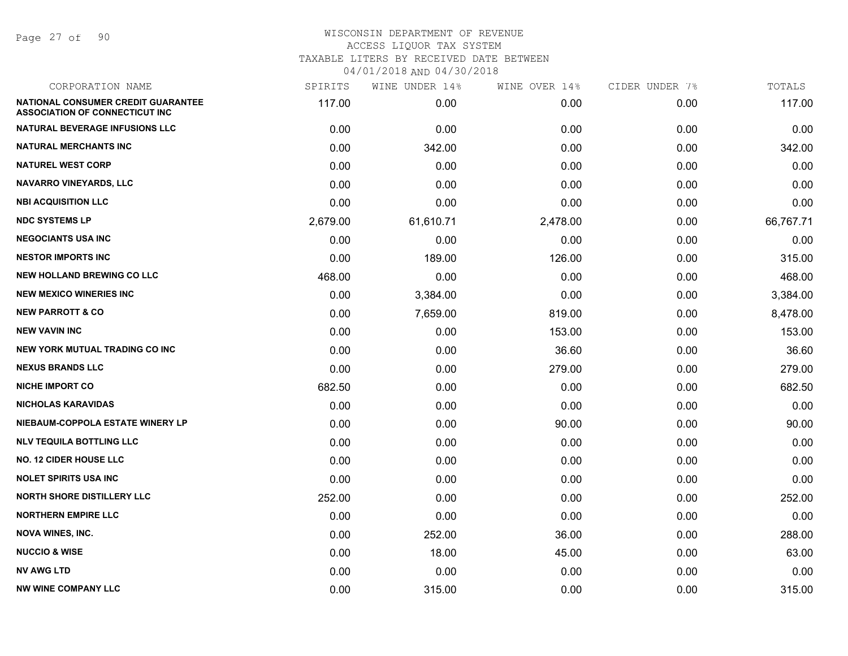Page 27 of 90

| CORPORATION NAME                                                            | SPIRITS  | WINE UNDER 14% | WINE OVER 14% | CIDER UNDER 7% | TOTALS    |
|-----------------------------------------------------------------------------|----------|----------------|---------------|----------------|-----------|
| NATIONAL CONSUMER CREDIT GUARANTEE<br><b>ASSOCIATION OF CONNECTICUT INC</b> | 117.00   | 0.00           | 0.00          | 0.00           | 117.00    |
| NATURAL BEVERAGE INFUSIONS LLC                                              | 0.00     | 0.00           | 0.00          | 0.00           | 0.00      |
| <b>NATURAL MERCHANTS INC</b>                                                | 0.00     | 342.00         | 0.00          | 0.00           | 342.00    |
| <b>NATUREL WEST CORP</b>                                                    | 0.00     | 0.00           | 0.00          | 0.00           | 0.00      |
| <b>NAVARRO VINEYARDS, LLC</b>                                               | 0.00     | 0.00           | 0.00          | 0.00           | 0.00      |
| <b>NBI ACQUISITION LLC</b>                                                  | 0.00     | 0.00           | 0.00          | 0.00           | 0.00      |
| <b>NDC SYSTEMS LP</b>                                                       | 2,679.00 | 61,610.71      | 2,478.00      | 0.00           | 66,767.71 |
| <b>NEGOCIANTS USA INC</b>                                                   | 0.00     | 0.00           | 0.00          | 0.00           | 0.00      |
| <b>NESTOR IMPORTS INC</b>                                                   | 0.00     | 189.00         | 126.00        | 0.00           | 315.00    |
| <b>NEW HOLLAND BREWING CO LLC</b>                                           | 468.00   | 0.00           | 0.00          | 0.00           | 468.00    |
| <b>NEW MEXICO WINERIES INC</b>                                              | 0.00     | 3,384.00       | 0.00          | 0.00           | 3,384.00  |
| <b>NEW PARROTT &amp; CO</b>                                                 | 0.00     | 7,659.00       | 819.00        | 0.00           | 8,478.00  |
| <b>NEW VAVIN INC</b>                                                        | 0.00     | 0.00           | 153.00        | 0.00           | 153.00    |
| NEW YORK MUTUAL TRADING CO INC                                              | 0.00     | 0.00           | 36.60         | 0.00           | 36.60     |
| <b>NEXUS BRANDS LLC</b>                                                     | 0.00     | 0.00           | 279.00        | 0.00           | 279.00    |
| <b>NICHE IMPORT CO</b>                                                      | 682.50   | 0.00           | 0.00          | 0.00           | 682.50    |
| <b>NICHOLAS KARAVIDAS</b>                                                   | 0.00     | 0.00           | 0.00          | 0.00           | 0.00      |
| NIEBAUM-COPPOLA ESTATE WINERY LP                                            | 0.00     | 0.00           | 90.00         | 0.00           | 90.00     |
| <b>NLV TEQUILA BOTTLING LLC</b>                                             | 0.00     | 0.00           | 0.00          | 0.00           | 0.00      |
| <b>NO. 12 CIDER HOUSE LLC</b>                                               | 0.00     | 0.00           | 0.00          | 0.00           | 0.00      |
| <b>NOLET SPIRITS USA INC</b>                                                | 0.00     | 0.00           | 0.00          | 0.00           | 0.00      |
| <b>NORTH SHORE DISTILLERY LLC</b>                                           | 252.00   | 0.00           | 0.00          | 0.00           | 252.00    |
| <b>NORTHERN EMPIRE LLC</b>                                                  | 0.00     | 0.00           | 0.00          | 0.00           | 0.00      |
| <b>NOVA WINES, INC.</b>                                                     | 0.00     | 252.00         | 36.00         | 0.00           | 288.00    |
| <b>NUCCIO &amp; WISE</b>                                                    | 0.00     | 18.00          | 45.00         | 0.00           | 63.00     |
| <b>NV AWG LTD</b>                                                           | 0.00     | 0.00           | 0.00          | 0.00           | 0.00      |
| <b>NW WINE COMPANY LLC</b>                                                  | 0.00     | 315.00         | 0.00          | 0.00           | 315.00    |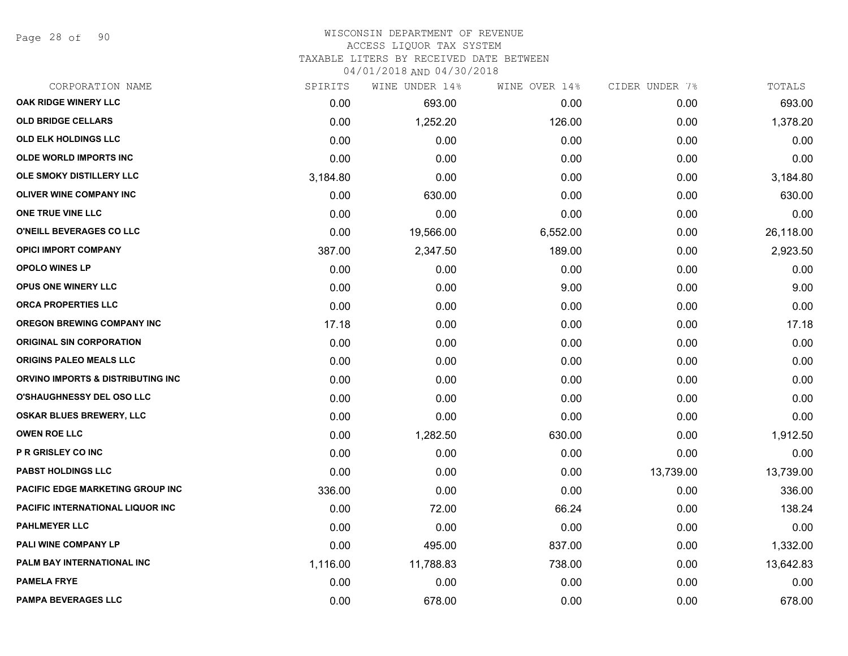Page 28 of 90

### WISCONSIN DEPARTMENT OF REVENUE ACCESS LIQUOR TAX SYSTEM TAXABLE LITERS BY RECEIVED DATE BETWEEN

| CORPORATION NAME                  | SPIRITS  | WINE UNDER 14% | WINE OVER 14% | CIDER UNDER 7% | TOTALS    |
|-----------------------------------|----------|----------------|---------------|----------------|-----------|
| OAK RIDGE WINERY LLC              | 0.00     | 693.00         | 0.00          | 0.00           | 693.00    |
| <b>OLD BRIDGE CELLARS</b>         | 0.00     | 1,252.20       | 126.00        | 0.00           | 1,378.20  |
| <b>OLD ELK HOLDINGS LLC</b>       | 0.00     | 0.00           | 0.00          | 0.00           | 0.00      |
| <b>OLDE WORLD IMPORTS INC</b>     | 0.00     | 0.00           | 0.00          | 0.00           | 0.00      |
| OLE SMOKY DISTILLERY LLC          | 3,184.80 | 0.00           | 0.00          | 0.00           | 3,184.80  |
| OLIVER WINE COMPANY INC           | 0.00     | 630.00         | 0.00          | 0.00           | 630.00    |
| ONE TRUE VINE LLC                 | 0.00     | 0.00           | 0.00          | 0.00           | 0.00      |
| O'NEILL BEVERAGES CO LLC          | 0.00     | 19,566.00      | 6,552.00      | 0.00           | 26,118.00 |
| <b>OPICI IMPORT COMPANY</b>       | 387.00   | 2,347.50       | 189.00        | 0.00           | 2,923.50  |
| <b>OPOLO WINES LP</b>             | 0.00     | 0.00           | 0.00          | 0.00           | 0.00      |
| <b>OPUS ONE WINERY LLC</b>        | 0.00     | 0.00           | 9.00          | 0.00           | 9.00      |
| <b>ORCA PROPERTIES LLC</b>        | 0.00     | 0.00           | 0.00          | 0.00           | 0.00      |
| <b>OREGON BREWING COMPANY INC</b> | 17.18    | 0.00           | 0.00          | 0.00           | 17.18     |
| <b>ORIGINAL SIN CORPORATION</b>   | 0.00     | 0.00           | 0.00          | 0.00           | 0.00      |
| ORIGINS PALEO MEALS LLC           | 0.00     | 0.00           | 0.00          | 0.00           | 0.00      |
| ORVINO IMPORTS & DISTRIBUTING INC | 0.00     | 0.00           | 0.00          | 0.00           | 0.00      |
| <b>O'SHAUGHNESSY DEL OSO LLC</b>  | 0.00     | 0.00           | 0.00          | 0.00           | 0.00      |
| <b>OSKAR BLUES BREWERY, LLC</b>   | 0.00     | 0.00           | 0.00          | 0.00           | 0.00      |
| <b>OWEN ROE LLC</b>               | 0.00     | 1,282.50       | 630.00        | 0.00           | 1,912.50  |
| P R GRISLEY CO INC                | 0.00     | 0.00           | 0.00          | 0.00           | 0.00      |
| <b>PABST HOLDINGS LLC</b>         | 0.00     | 0.00           | 0.00          | 13,739.00      | 13,739.00 |
| PACIFIC EDGE MARKETING GROUP INC  | 336.00   | 0.00           | 0.00          | 0.00           | 336.00    |
| PACIFIC INTERNATIONAL LIQUOR INC  | 0.00     | 72.00          | 66.24         | 0.00           | 138.24    |
| <b>PAHLMEYER LLC</b>              | 0.00     | 0.00           | 0.00          | 0.00           | 0.00      |
| <b>PALI WINE COMPANY LP</b>       | 0.00     | 495.00         | 837.00        | 0.00           | 1,332.00  |
| PALM BAY INTERNATIONAL INC        | 1,116.00 | 11,788.83      | 738.00        | 0.00           | 13,642.83 |
| <b>PAMELA FRYE</b>                | 0.00     | 0.00           | 0.00          | 0.00           | 0.00      |
| <b>PAMPA BEVERAGES LLC</b>        | 0.00     | 678.00         | 0.00          | 0.00           | 678.00    |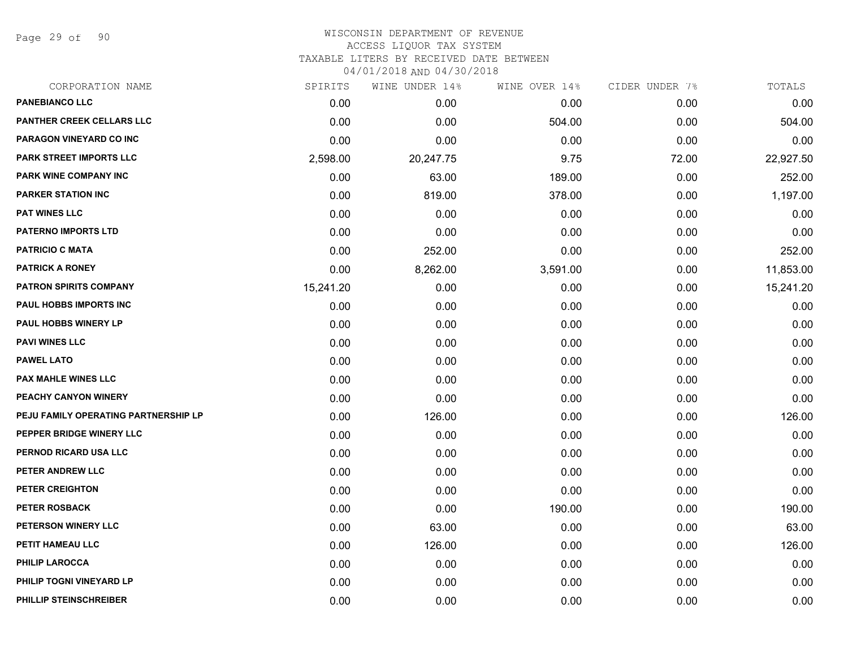Page 29 of 90

| CORPORATION NAME                     | SPIRITS   | WINE UNDER 14% | WINE OVER 14% | CIDER UNDER 7% | TOTALS    |
|--------------------------------------|-----------|----------------|---------------|----------------|-----------|
| <b>PANEBIANCO LLC</b>                | 0.00      | 0.00           | 0.00          | 0.00           | 0.00      |
| PANTHER CREEK CELLARS LLC            | 0.00      | 0.00           | 504.00        | 0.00           | 504.00    |
| PARAGON VINEYARD CO INC              | 0.00      | 0.00           | 0.00          | 0.00           | 0.00      |
| <b>PARK STREET IMPORTS LLC</b>       | 2,598.00  | 20,247.75      | 9.75          | 72.00          | 22,927.50 |
| PARK WINE COMPANY INC                | 0.00      | 63.00          | 189.00        | 0.00           | 252.00    |
| <b>PARKER STATION INC</b>            | 0.00      | 819.00         | 378.00        | 0.00           | 1,197.00  |
| <b>PAT WINES LLC</b>                 | 0.00      | 0.00           | 0.00          | 0.00           | 0.00      |
| <b>PATERNO IMPORTS LTD</b>           | 0.00      | 0.00           | 0.00          | 0.00           | 0.00      |
| <b>PATRICIO C MATA</b>               | 0.00      | 252.00         | 0.00          | 0.00           | 252.00    |
| <b>PATRICK A RONEY</b>               | 0.00      | 8,262.00       | 3,591.00      | 0.00           | 11,853.00 |
| <b>PATRON SPIRITS COMPANY</b>        | 15,241.20 | 0.00           | 0.00          | 0.00           | 15,241.20 |
| PAUL HOBBS IMPORTS INC               | 0.00      | 0.00           | 0.00          | 0.00           | 0.00      |
| <b>PAUL HOBBS WINERY LP</b>          | 0.00      | 0.00           | 0.00          | 0.00           | 0.00      |
| <b>PAVI WINES LLC</b>                | 0.00      | 0.00           | 0.00          | 0.00           | 0.00      |
| <b>PAWEL LATO</b>                    | 0.00      | 0.00           | 0.00          | 0.00           | 0.00      |
| <b>PAX MAHLE WINES LLC</b>           | 0.00      | 0.00           | 0.00          | 0.00           | 0.00      |
| PEACHY CANYON WINERY                 | 0.00      | 0.00           | 0.00          | 0.00           | 0.00      |
| PEJU FAMILY OPERATING PARTNERSHIP LP | 0.00      | 126.00         | 0.00          | 0.00           | 126.00    |
| PEPPER BRIDGE WINERY LLC             | 0.00      | 0.00           | 0.00          | 0.00           | 0.00      |
| PERNOD RICARD USA LLC                | 0.00      | 0.00           | 0.00          | 0.00           | 0.00      |
| PETER ANDREW LLC                     | 0.00      | 0.00           | 0.00          | 0.00           | 0.00      |
| PETER CREIGHTON                      | 0.00      | 0.00           | 0.00          | 0.00           | 0.00      |
| <b>PETER ROSBACK</b>                 | 0.00      | 0.00           | 190.00        | 0.00           | 190.00    |
| PETERSON WINERY LLC                  | 0.00      | 63.00          | 0.00          | 0.00           | 63.00     |
| PETIT HAMEAU LLC                     | 0.00      | 126.00         | 0.00          | 0.00           | 126.00    |
| <b>PHILIP LAROCCA</b>                | 0.00      | 0.00           | 0.00          | 0.00           | 0.00      |
| PHILIP TOGNI VINEYARD LP             | 0.00      | 0.00           | 0.00          | 0.00           | 0.00      |
| PHILLIP STEINSCHREIBER               | 0.00      | 0.00           | 0.00          | 0.00           | 0.00      |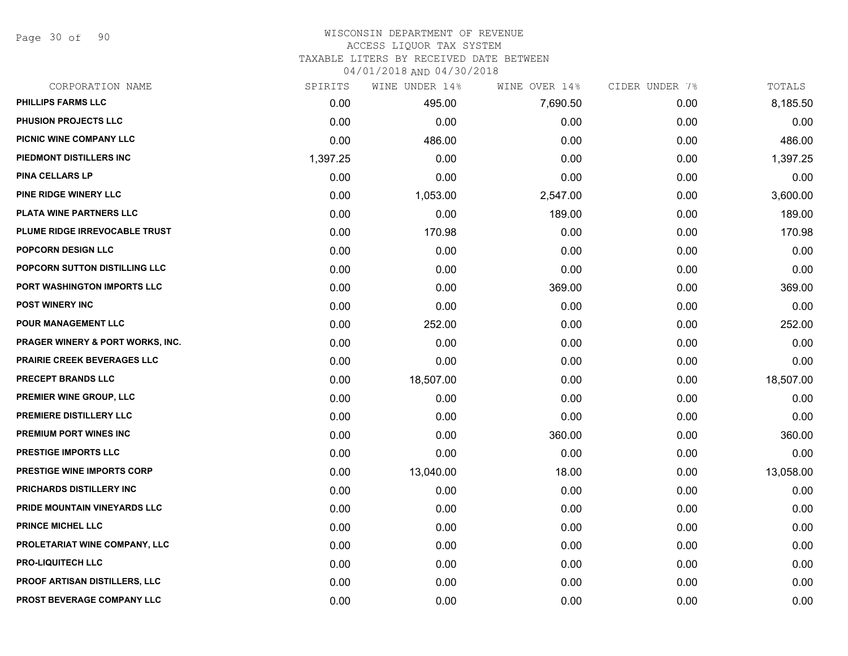Page 30 of 90

#### WISCONSIN DEPARTMENT OF REVENUE ACCESS LIQUOR TAX SYSTEM

TAXABLE LITERS BY RECEIVED DATE BETWEEN

| CORPORATION NAME                            | SPIRITS  | WINE UNDER 14% | WINE OVER 14% | CIDER UNDER 7% | TOTALS    |
|---------------------------------------------|----------|----------------|---------------|----------------|-----------|
| <b>PHILLIPS FARMS LLC</b>                   | 0.00     | 495.00         | 7,690.50      | 0.00           | 8,185.50  |
| PHUSION PROJECTS LLC                        | 0.00     | 0.00           | 0.00          | 0.00           | 0.00      |
| PICNIC WINE COMPANY LLC                     | 0.00     | 486.00         | 0.00          | 0.00           | 486.00    |
| PIEDMONT DISTILLERS INC                     | 1,397.25 | 0.00           | 0.00          | 0.00           | 1,397.25  |
| <b>PINA CELLARS LP</b>                      | 0.00     | 0.00           | 0.00          | 0.00           | 0.00      |
| PINE RIDGE WINERY LLC                       | 0.00     | 1,053.00       | 2,547.00      | 0.00           | 3,600.00  |
| PLATA WINE PARTNERS LLC                     | 0.00     | 0.00           | 189.00        | 0.00           | 189.00    |
| PLUME RIDGE IRREVOCABLE TRUST               | 0.00     | 170.98         | 0.00          | 0.00           | 170.98    |
| POPCORN DESIGN LLC                          | 0.00     | 0.00           | 0.00          | 0.00           | 0.00      |
| POPCORN SUTTON DISTILLING LLC               | 0.00     | 0.00           | 0.00          | 0.00           | 0.00      |
| PORT WASHINGTON IMPORTS LLC                 | 0.00     | 0.00           | 369.00        | 0.00           | 369.00    |
| <b>POST WINERY INC</b>                      | 0.00     | 0.00           | 0.00          | 0.00           | 0.00      |
| <b>POUR MANAGEMENT LLC</b>                  | 0.00     | 252.00         | 0.00          | 0.00           | 252.00    |
| <b>PRAGER WINERY &amp; PORT WORKS, INC.</b> | 0.00     | 0.00           | 0.00          | 0.00           | 0.00      |
| <b>PRAIRIE CREEK BEVERAGES LLC</b>          | 0.00     | 0.00           | 0.00          | 0.00           | 0.00      |
| PRECEPT BRANDS LLC                          | 0.00     | 18,507.00      | 0.00          | 0.00           | 18,507.00 |
| PREMIER WINE GROUP, LLC                     | 0.00     | 0.00           | 0.00          | 0.00           | 0.00      |
| PREMIERE DISTILLERY LLC                     | 0.00     | 0.00           | 0.00          | 0.00           | 0.00      |
| PREMIUM PORT WINES INC                      | 0.00     | 0.00           | 360.00        | 0.00           | 360.00    |
| <b>PRESTIGE IMPORTS LLC</b>                 | 0.00     | 0.00           | 0.00          | 0.00           | 0.00      |
| <b>PRESTIGE WINE IMPORTS CORP</b>           | 0.00     | 13,040.00      | 18.00         | 0.00           | 13,058.00 |
| PRICHARDS DISTILLERY INC                    | 0.00     | 0.00           | 0.00          | 0.00           | 0.00      |
| PRIDE MOUNTAIN VINEYARDS LLC                | 0.00     | 0.00           | 0.00          | 0.00           | 0.00      |
| <b>PRINCE MICHEL LLC</b>                    | 0.00     | 0.00           | 0.00          | 0.00           | 0.00      |
| PROLETARIAT WINE COMPANY, LLC               | 0.00     | 0.00           | 0.00          | 0.00           | 0.00      |
| <b>PRO-LIQUITECH LLC</b>                    | 0.00     | 0.00           | 0.00          | 0.00           | 0.00      |
| PROOF ARTISAN DISTILLERS, LLC               | 0.00     | 0.00           | 0.00          | 0.00           | 0.00      |
| PROST BEVERAGE COMPANY LLC                  | 0.00     | 0.00           | 0.00          | 0.00           | 0.00      |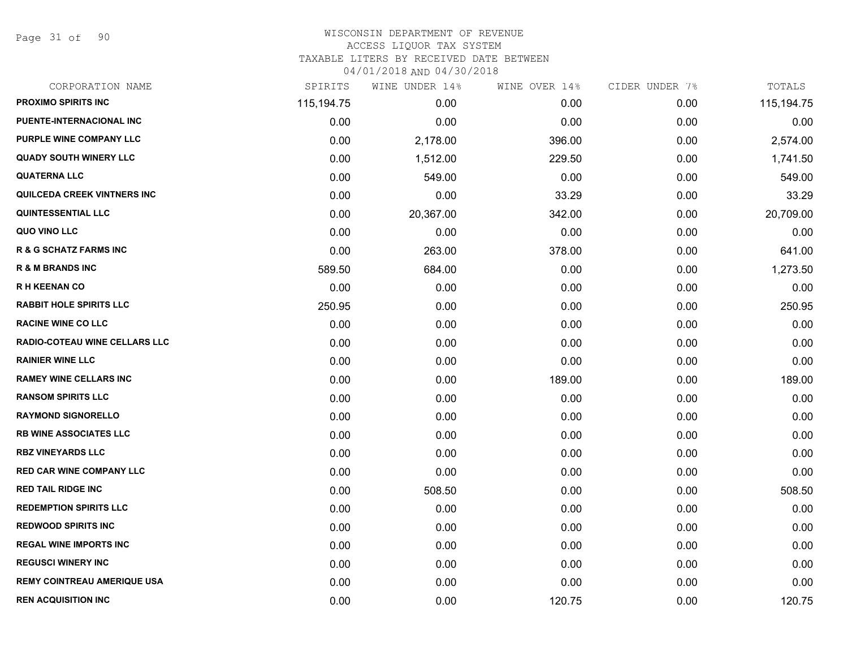Page 31 of 90

| CORPORATION NAME                     | SPIRITS    | WINE UNDER 14% | WINE OVER 14% | CIDER UNDER 7% | TOTALS       |
|--------------------------------------|------------|----------------|---------------|----------------|--------------|
| <b>PROXIMO SPIRITS INC</b>           | 115,194.75 | 0.00           | 0.00          | 0.00           | 115, 194. 75 |
| PUENTE-INTERNACIONAL INC             | 0.00       | 0.00           | 0.00          | 0.00           | 0.00         |
| PURPLE WINE COMPANY LLC              | 0.00       | 2,178.00       | 396.00        | 0.00           | 2,574.00     |
| <b>QUADY SOUTH WINERY LLC</b>        | 0.00       | 1,512.00       | 229.50        | 0.00           | 1,741.50     |
| <b>QUATERNA LLC</b>                  | 0.00       | 549.00         | 0.00          | 0.00           | 549.00       |
| <b>QUILCEDA CREEK VINTNERS INC</b>   | 0.00       | 0.00           | 33.29         | 0.00           | 33.29        |
| <b>QUINTESSENTIAL LLC</b>            | 0.00       | 20,367.00      | 342.00        | 0.00           | 20,709.00    |
| QUO VINO LLC                         | 0.00       | 0.00           | 0.00          | 0.00           | 0.00         |
| <b>R &amp; G SCHATZ FARMS INC</b>    | 0.00       | 263.00         | 378.00        | 0.00           | 641.00       |
| <b>R &amp; M BRANDS INC</b>          | 589.50     | 684.00         | 0.00          | 0.00           | 1,273.50     |
| <b>RH KEENAN CO</b>                  | 0.00       | 0.00           | 0.00          | 0.00           | 0.00         |
| <b>RABBIT HOLE SPIRITS LLC</b>       | 250.95     | 0.00           | 0.00          | 0.00           | 250.95       |
| <b>RACINE WINE CO LLC</b>            | 0.00       | 0.00           | 0.00          | 0.00           | 0.00         |
| <b>RADIO-COTEAU WINE CELLARS LLC</b> | 0.00       | 0.00           | 0.00          | 0.00           | 0.00         |
| <b>RAINIER WINE LLC</b>              | 0.00       | 0.00           | 0.00          | 0.00           | 0.00         |
| <b>RAMEY WINE CELLARS INC</b>        | 0.00       | 0.00           | 189.00        | 0.00           | 189.00       |
| <b>RANSOM SPIRITS LLC</b>            | 0.00       | 0.00           | 0.00          | 0.00           | 0.00         |
| <b>RAYMOND SIGNORELLO</b>            | 0.00       | 0.00           | 0.00          | 0.00           | 0.00         |
| <b>RB WINE ASSOCIATES LLC</b>        | 0.00       | 0.00           | 0.00          | 0.00           | 0.00         |
| <b>RBZ VINEYARDS LLC</b>             | 0.00       | 0.00           | 0.00          | 0.00           | 0.00         |
| <b>RED CAR WINE COMPANY LLC</b>      | 0.00       | 0.00           | 0.00          | 0.00           | 0.00         |
| <b>RED TAIL RIDGE INC</b>            | 0.00       | 508.50         | 0.00          | 0.00           | 508.50       |
| <b>REDEMPTION SPIRITS LLC</b>        | 0.00       | 0.00           | 0.00          | 0.00           | 0.00         |
| <b>REDWOOD SPIRITS INC</b>           | 0.00       | 0.00           | 0.00          | 0.00           | 0.00         |
| <b>REGAL WINE IMPORTS INC</b>        | 0.00       | 0.00           | 0.00          | 0.00           | 0.00         |
| <b>REGUSCI WINERY INC</b>            | 0.00       | 0.00           | 0.00          | 0.00           | 0.00         |
| <b>REMY COINTREAU AMERIQUE USA</b>   | 0.00       | 0.00           | 0.00          | 0.00           | 0.00         |
| <b>REN ACQUISITION INC</b>           | 0.00       | 0.00           | 120.75        | 0.00           | 120.75       |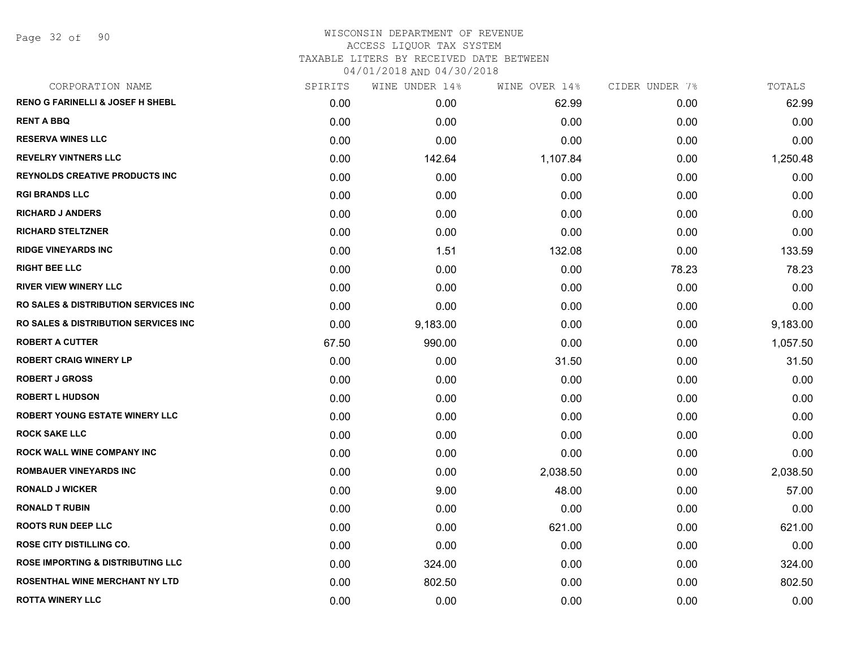Page 32 of 90

# WISCONSIN DEPARTMENT OF REVENUE ACCESS LIQUOR TAX SYSTEM TAXABLE LITERS BY RECEIVED DATE BETWEEN

| CORPORATION NAME                                 | SPIRITS | WINE UNDER 14% | WINE OVER 14% | CIDER UNDER 7% | TOTALS   |
|--------------------------------------------------|---------|----------------|---------------|----------------|----------|
| <b>RENO G FARINELLI &amp; JOSEF H SHEBL</b>      | 0.00    | 0.00           | 62.99         | 0.00           | 62.99    |
| <b>RENT A BBQ</b>                                | 0.00    | 0.00           | 0.00          | 0.00           | 0.00     |
| <b>RESERVA WINES LLC</b>                         | 0.00    | 0.00           | 0.00          | 0.00           | 0.00     |
| <b>REVELRY VINTNERS LLC</b>                      | 0.00    | 142.64         | 1,107.84      | 0.00           | 1,250.48 |
| <b>REYNOLDS CREATIVE PRODUCTS INC</b>            | 0.00    | 0.00           | 0.00          | 0.00           | 0.00     |
| <b>RGI BRANDS LLC</b>                            | 0.00    | 0.00           | 0.00          | 0.00           | 0.00     |
| <b>RICHARD J ANDERS</b>                          | 0.00    | 0.00           | 0.00          | 0.00           | 0.00     |
| <b>RICHARD STELTZNER</b>                         | 0.00    | 0.00           | 0.00          | 0.00           | 0.00     |
| <b>RIDGE VINEYARDS INC</b>                       | 0.00    | 1.51           | 132.08        | 0.00           | 133.59   |
| <b>RIGHT BEE LLC</b>                             | 0.00    | 0.00           | 0.00          | 78.23          | 78.23    |
| <b>RIVER VIEW WINERY LLC</b>                     | 0.00    | 0.00           | 0.00          | 0.00           | 0.00     |
| <b>RO SALES &amp; DISTRIBUTION SERVICES INC.</b> | 0.00    | 0.00           | 0.00          | 0.00           | 0.00     |
| <b>RO SALES &amp; DISTRIBUTION SERVICES INC.</b> | 0.00    | 9,183.00       | 0.00          | 0.00           | 9,183.00 |
| <b>ROBERT A CUTTER</b>                           | 67.50   | 990.00         | 0.00          | 0.00           | 1,057.50 |
| <b>ROBERT CRAIG WINERY LP</b>                    | 0.00    | 0.00           | 31.50         | 0.00           | 31.50    |
| <b>ROBERT J GROSS</b>                            | 0.00    | 0.00           | 0.00          | 0.00           | 0.00     |
| <b>ROBERT L HUDSON</b>                           | 0.00    | 0.00           | 0.00          | 0.00           | 0.00     |
| <b>ROBERT YOUNG ESTATE WINERY LLC</b>            | 0.00    | 0.00           | 0.00          | 0.00           | 0.00     |
| <b>ROCK SAKE LLC</b>                             | 0.00    | 0.00           | 0.00          | 0.00           | 0.00     |
| <b>ROCK WALL WINE COMPANY INC</b>                | 0.00    | 0.00           | 0.00          | 0.00           | 0.00     |
| <b>ROMBAUER VINEYARDS INC</b>                    | 0.00    | 0.00           | 2,038.50      | 0.00           | 2,038.50 |
| <b>RONALD J WICKER</b>                           | 0.00    | 9.00           | 48.00         | 0.00           | 57.00    |
| <b>RONALD T RUBIN</b>                            | 0.00    | 0.00           | 0.00          | 0.00           | 0.00     |
| <b>ROOTS RUN DEEP LLC</b>                        | 0.00    | 0.00           | 621.00        | 0.00           | 621.00   |
| <b>ROSE CITY DISTILLING CO.</b>                  | 0.00    | 0.00           | 0.00          | 0.00           | 0.00     |
| <b>ROSE IMPORTING &amp; DISTRIBUTING LLC</b>     | 0.00    | 324.00         | 0.00          | 0.00           | 324.00   |
| <b>ROSENTHAL WINE MERCHANT NY LTD</b>            | 0.00    | 802.50         | 0.00          | 0.00           | 802.50   |
| <b>ROTTA WINERY LLC</b>                          | 0.00    | 0.00           | 0.00          | 0.00           | 0.00     |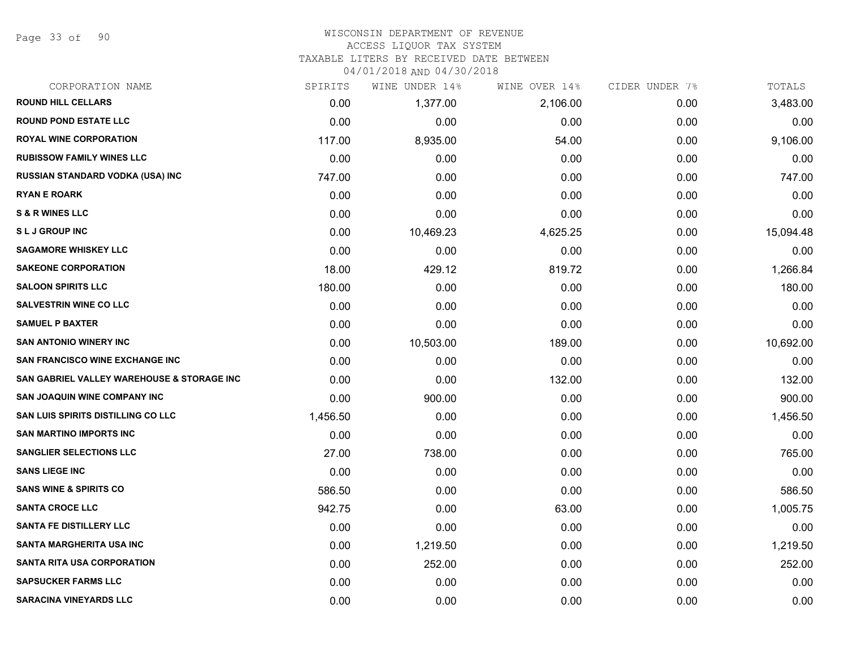Page 33 of 90

#### WISCONSIN DEPARTMENT OF REVENUE ACCESS LIQUOR TAX SYSTEM

TAXABLE LITERS BY RECEIVED DATE BETWEEN

| CORPORATION NAME                           | SPIRITS  | WINE UNDER 14% | WINE OVER 14% | CIDER UNDER 7% | TOTALS    |
|--------------------------------------------|----------|----------------|---------------|----------------|-----------|
| <b>ROUND HILL CELLARS</b>                  | 0.00     | 1,377.00       | 2,106.00      | 0.00           | 3,483.00  |
| <b>ROUND POND ESTATE LLC</b>               | 0.00     | 0.00           | 0.00          | 0.00           | 0.00      |
| <b>ROYAL WINE CORPORATION</b>              | 117.00   | 8,935.00       | 54.00         | 0.00           | 9,106.00  |
| <b>RUBISSOW FAMILY WINES LLC</b>           | 0.00     | 0.00           | 0.00          | 0.00           | 0.00      |
| RUSSIAN STANDARD VODKA (USA) INC           | 747.00   | 0.00           | 0.00          | 0.00           | 747.00    |
| <b>RYAN E ROARK</b>                        | 0.00     | 0.00           | 0.00          | 0.00           | 0.00      |
| <b>S &amp; R WINES LLC</b>                 | 0.00     | 0.00           | 0.00          | 0.00           | 0.00      |
| <b>SLJ GROUP INC</b>                       | 0.00     | 10,469.23      | 4,625.25      | 0.00           | 15,094.48 |
| <b>SAGAMORE WHISKEY LLC</b>                | 0.00     | 0.00           | 0.00          | 0.00           | 0.00      |
| <b>SAKEONE CORPORATION</b>                 | 18.00    | 429.12         | 819.72        | 0.00           | 1,266.84  |
| <b>SALOON SPIRITS LLC</b>                  | 180.00   | 0.00           | 0.00          | 0.00           | 180.00    |
| <b>SALVESTRIN WINE CO LLC</b>              | 0.00     | 0.00           | 0.00          | 0.00           | 0.00      |
| <b>SAMUEL P BAXTER</b>                     | 0.00     | 0.00           | 0.00          | 0.00           | 0.00      |
| <b>SAN ANTONIO WINERY INC</b>              | 0.00     | 10,503.00      | 189.00        | 0.00           | 10,692.00 |
| <b>SAN FRANCISCO WINE EXCHANGE INC</b>     | 0.00     | 0.00           | 0.00          | 0.00           | 0.00      |
| SAN GABRIEL VALLEY WAREHOUSE & STORAGE INC | 0.00     | 0.00           | 132.00        | 0.00           | 132.00    |
| <b>SAN JOAQUIN WINE COMPANY INC</b>        | 0.00     | 900.00         | 0.00          | 0.00           | 900.00    |
| SAN LUIS SPIRITS DISTILLING CO LLC         | 1,456.50 | 0.00           | 0.00          | 0.00           | 1,456.50  |
| <b>SAN MARTINO IMPORTS INC</b>             | 0.00     | 0.00           | 0.00          | 0.00           | 0.00      |
| <b>SANGLIER SELECTIONS LLC</b>             | 27.00    | 738.00         | 0.00          | 0.00           | 765.00    |
| <b>SANS LIEGE INC</b>                      | 0.00     | 0.00           | 0.00          | 0.00           | 0.00      |
| <b>SANS WINE &amp; SPIRITS CO</b>          | 586.50   | 0.00           | 0.00          | 0.00           | 586.50    |
| <b>SANTA CROCE LLC</b>                     | 942.75   | 0.00           | 63.00         | 0.00           | 1,005.75  |
| SANTA FE DISTILLERY LLC                    | 0.00     | 0.00           | 0.00          | 0.00           | 0.00      |
| <b>SANTA MARGHERITA USA INC</b>            | 0.00     | 1,219.50       | 0.00          | 0.00           | 1,219.50  |
| <b>SANTA RITA USA CORPORATION</b>          | 0.00     | 252.00         | 0.00          | 0.00           | 252.00    |
| <b>SAPSUCKER FARMS LLC</b>                 | 0.00     | 0.00           | 0.00          | 0.00           | 0.00      |
| <b>SARACINA VINEYARDS LLC</b>              | 0.00     | 0.00           | 0.00          | 0.00           | 0.00      |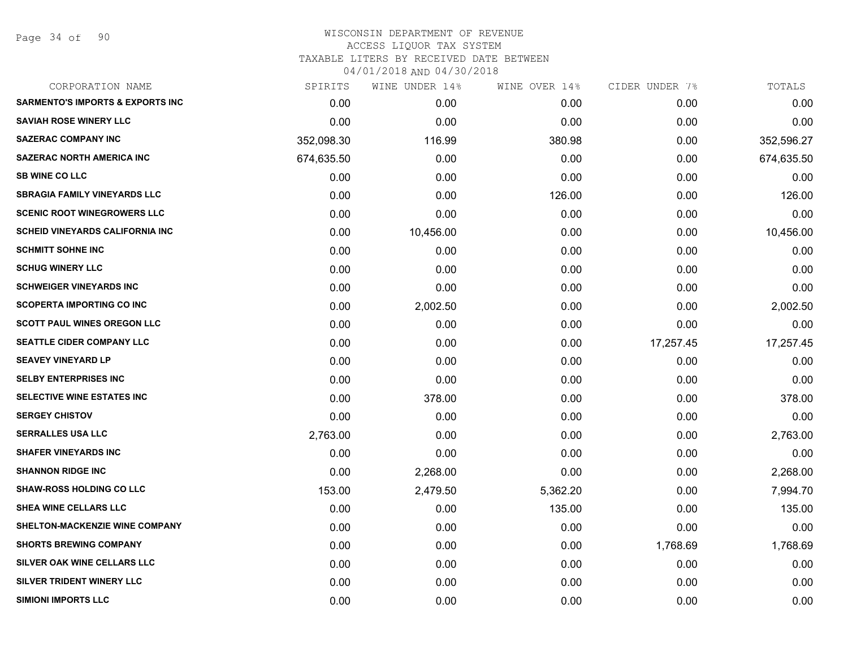Page 34 of 90

| CORPORATION NAME                            | SPIRITS    | WINE UNDER 14% | WINE OVER 14% | CIDER UNDER 7% | TOTALS     |
|---------------------------------------------|------------|----------------|---------------|----------------|------------|
| <b>SARMENTO'S IMPORTS &amp; EXPORTS INC</b> | 0.00       | 0.00           | 0.00          | 0.00           | 0.00       |
| <b>SAVIAH ROSE WINERY LLC</b>               | 0.00       | 0.00           | 0.00          | 0.00           | 0.00       |
| <b>SAZERAC COMPANY INC</b>                  | 352,098.30 | 116.99         | 380.98        | 0.00           | 352,596.27 |
| <b>SAZERAC NORTH AMERICA INC</b>            | 674,635.50 | 0.00           | 0.00          | 0.00           | 674,635.50 |
| <b>SB WINE CO LLC</b>                       | 0.00       | 0.00           | 0.00          | 0.00           | 0.00       |
| <b>SBRAGIA FAMILY VINEYARDS LLC</b>         | 0.00       | 0.00           | 126.00        | 0.00           | 126.00     |
| <b>SCENIC ROOT WINEGROWERS LLC</b>          | 0.00       | 0.00           | 0.00          | 0.00           | 0.00       |
| <b>SCHEID VINEYARDS CALIFORNIA INC</b>      | 0.00       | 10,456.00      | 0.00          | 0.00           | 10,456.00  |
| <b>SCHMITT SOHNE INC</b>                    | 0.00       | 0.00           | 0.00          | 0.00           | 0.00       |
| <b>SCHUG WINERY LLC</b>                     | 0.00       | 0.00           | 0.00          | 0.00           | 0.00       |
| <b>SCHWEIGER VINEYARDS INC</b>              | 0.00       | 0.00           | 0.00          | 0.00           | 0.00       |
| <b>SCOPERTA IMPORTING CO INC</b>            | 0.00       | 2,002.50       | 0.00          | 0.00           | 2,002.50   |
| <b>SCOTT PAUL WINES OREGON LLC</b>          | 0.00       | 0.00           | 0.00          | 0.00           | 0.00       |
| <b>SEATTLE CIDER COMPANY LLC</b>            | 0.00       | 0.00           | 0.00          | 17,257.45      | 17,257.45  |
| <b>SEAVEY VINEYARD LP</b>                   | 0.00       | 0.00           | 0.00          | 0.00           | 0.00       |
| <b>SELBY ENTERPRISES INC</b>                | 0.00       | 0.00           | 0.00          | 0.00           | 0.00       |
| <b>SELECTIVE WINE ESTATES INC</b>           | 0.00       | 378.00         | 0.00          | 0.00           | 378.00     |
| <b>SERGEY CHISTOV</b>                       | 0.00       | 0.00           | 0.00          | 0.00           | 0.00       |
| <b>SERRALLES USA LLC</b>                    | 2,763.00   | 0.00           | 0.00          | 0.00           | 2,763.00   |
| <b>SHAFER VINEYARDS INC</b>                 | 0.00       | 0.00           | 0.00          | 0.00           | 0.00       |
| <b>SHANNON RIDGE INC</b>                    | 0.00       | 2,268.00       | 0.00          | 0.00           | 2,268.00   |
| <b>SHAW-ROSS HOLDING CO LLC</b>             | 153.00     | 2,479.50       | 5,362.20      | 0.00           | 7,994.70   |
| <b>SHEA WINE CELLARS LLC</b>                | 0.00       | 0.00           | 135.00        | 0.00           | 135.00     |
| <b>SHELTON-MACKENZIE WINE COMPANY</b>       | 0.00       | 0.00           | 0.00          | 0.00           | 0.00       |
| <b>SHORTS BREWING COMPANY</b>               | 0.00       | 0.00           | 0.00          | 1,768.69       | 1,768.69   |
| SILVER OAK WINE CELLARS LLC                 | 0.00       | 0.00           | 0.00          | 0.00           | 0.00       |
| SILVER TRIDENT WINERY LLC                   | 0.00       | 0.00           | 0.00          | 0.00           | 0.00       |
| <b>SIMIONI IMPORTS LLC</b>                  | 0.00       | 0.00           | 0.00          | 0.00           | 0.00       |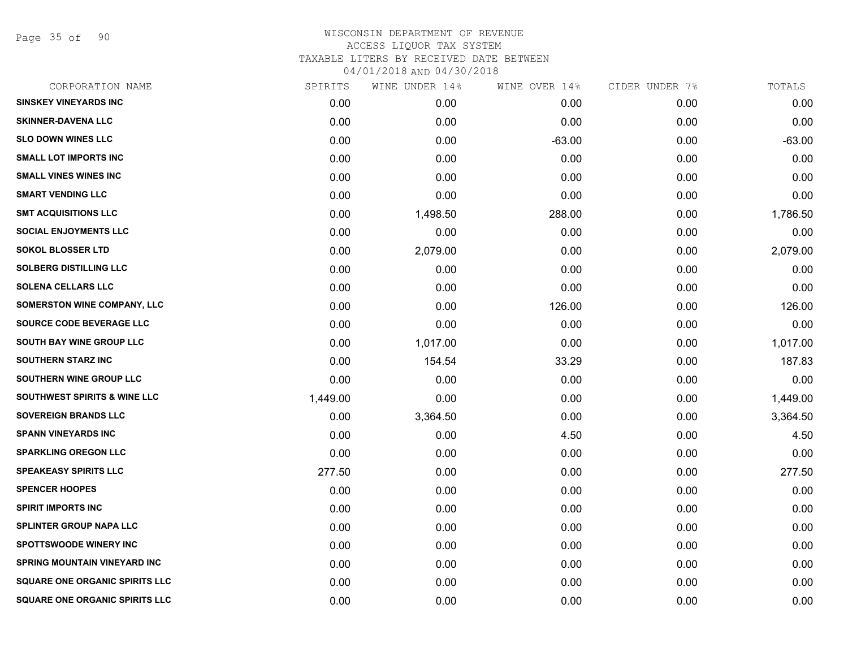Page 35 of 90

| SPIRITS  | WINE UNDER 14% |          | CIDER UNDER 7% | TOTALS   |
|----------|----------------|----------|----------------|----------|
| 0.00     | 0.00           | 0.00     | 0.00           | 0.00     |
| 0.00     | 0.00           | 0.00     | 0.00           | 0.00     |
| 0.00     | 0.00           | $-63.00$ | 0.00           | $-63.00$ |
| 0.00     | 0.00           | 0.00     | 0.00           | 0.00     |
| 0.00     | 0.00           | 0.00     | 0.00           | 0.00     |
| 0.00     | 0.00           | 0.00     | 0.00           | 0.00     |
| 0.00     | 1,498.50       | 288.00   | 0.00           | 1,786.50 |
| 0.00     | 0.00           | 0.00     | 0.00           | 0.00     |
| 0.00     | 2,079.00       | 0.00     | 0.00           | 2,079.00 |
| 0.00     | 0.00           | 0.00     | 0.00           | 0.00     |
| 0.00     | 0.00           | 0.00     | 0.00           | 0.00     |
| 0.00     | 0.00           | 126.00   | 0.00           | 126.00   |
| 0.00     | 0.00           | 0.00     | 0.00           | 0.00     |
| 0.00     | 1,017.00       | 0.00     | 0.00           | 1,017.00 |
| 0.00     | 154.54         | 33.29    | 0.00           | 187.83   |
| 0.00     | 0.00           | 0.00     | 0.00           | 0.00     |
| 1,449.00 | 0.00           | 0.00     | 0.00           | 1,449.00 |
| 0.00     | 3,364.50       | 0.00     | 0.00           | 3,364.50 |
| 0.00     | 0.00           | 4.50     | 0.00           | 4.50     |
| 0.00     | 0.00           | 0.00     | 0.00           | 0.00     |
| 277.50   | 0.00           | 0.00     | 0.00           | 277.50   |
| 0.00     | 0.00           | 0.00     | 0.00           | 0.00     |
| 0.00     | 0.00           | 0.00     | 0.00           | 0.00     |
| 0.00     | 0.00           | 0.00     | 0.00           | 0.00     |
| 0.00     | 0.00           | 0.00     | 0.00           | 0.00     |
| 0.00     | 0.00           | 0.00     | 0.00           | 0.00     |
| 0.00     | 0.00           | 0.00     | 0.00           | 0.00     |
| 0.00     | 0.00           | 0.00     | 0.00           | 0.00     |
|          |                |          | WINE OVER 14%  |          |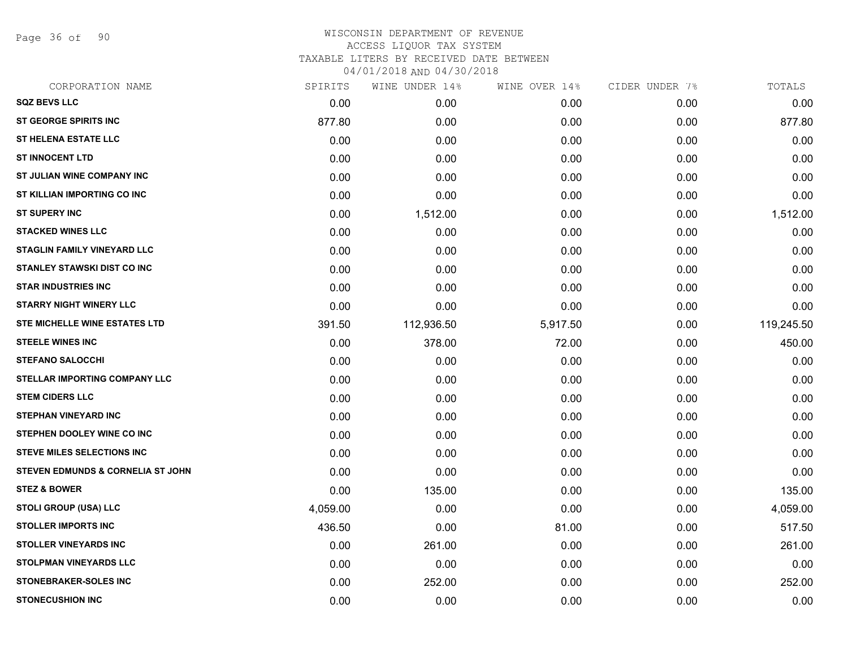Page 36 of 90

|          | WINE UNDER 14% |          |               | TOTALS         |
|----------|----------------|----------|---------------|----------------|
| 0.00     | 0.00           | 0.00     | 0.00          | 0.00           |
| 877.80   | 0.00           | 0.00     | 0.00          | 877.80         |
| 0.00     | 0.00           | 0.00     | 0.00          | 0.00           |
| 0.00     | 0.00           | 0.00     | 0.00          | 0.00           |
| 0.00     | 0.00           | 0.00     | 0.00          | 0.00           |
| 0.00     | 0.00           | 0.00     | 0.00          | 0.00           |
| 0.00     | 1,512.00       | 0.00     | 0.00          | 1,512.00       |
| 0.00     | 0.00           | 0.00     | 0.00          | 0.00           |
| 0.00     | 0.00           | 0.00     | 0.00          | 0.00           |
| 0.00     | 0.00           | 0.00     | 0.00          | 0.00           |
| 0.00     | 0.00           | 0.00     | 0.00          | 0.00           |
| 0.00     | 0.00           | 0.00     | 0.00          | 0.00           |
| 391.50   | 112,936.50     | 5,917.50 | 0.00          | 119,245.50     |
| 0.00     | 378.00         | 72.00    | 0.00          | 450.00         |
| 0.00     | 0.00           | 0.00     | 0.00          | 0.00           |
| 0.00     | 0.00           | 0.00     | 0.00          | 0.00           |
| 0.00     | 0.00           | 0.00     | 0.00          | 0.00           |
| 0.00     | 0.00           | 0.00     | 0.00          | 0.00           |
| 0.00     | 0.00           | 0.00     | 0.00          | 0.00           |
| 0.00     | 0.00           | 0.00     | 0.00          | 0.00           |
| 0.00     | 0.00           | 0.00     | 0.00          | 0.00           |
| 0.00     | 135.00         | 0.00     | 0.00          | 135.00         |
| 4,059.00 | 0.00           | 0.00     | 0.00          | 4,059.00       |
| 436.50   | 0.00           | 81.00    | 0.00          | 517.50         |
| 0.00     | 261.00         | 0.00     | 0.00          | 261.00         |
| 0.00     | 0.00           | 0.00     | 0.00          | 0.00           |
| 0.00     | 252.00         | 0.00     | 0.00          | 252.00         |
| 0.00     | 0.00           | 0.00     | 0.00          | 0.00           |
|          | SPIRITS        |          | WINE OVER 14% | CIDER UNDER 7% |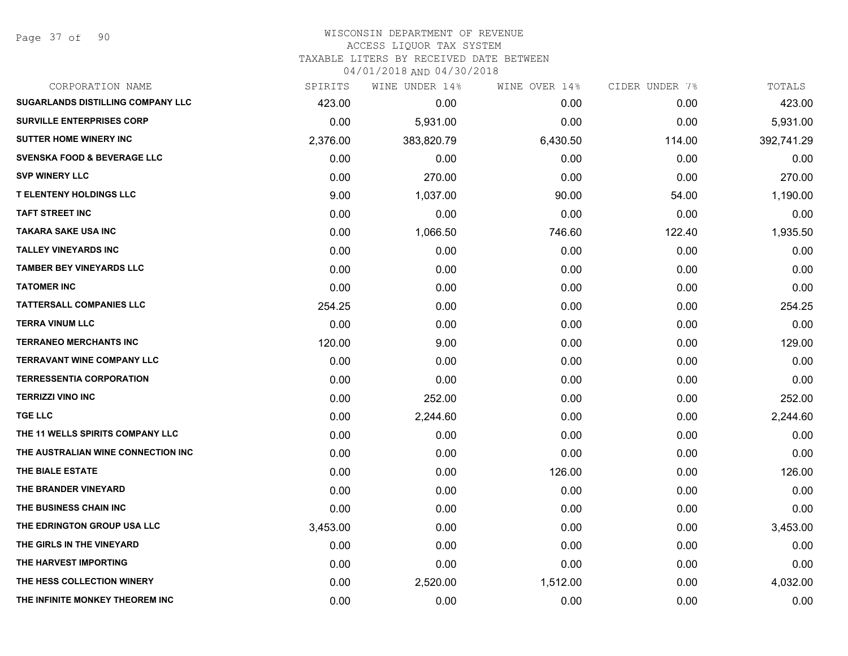| SUGARLANDS DISTILLING COMPANY LLC<br>423.00<br>0.00<br>0.00<br>0.00<br><b>SURVILLE ENTERPRISES CORP</b><br>0.00<br>5,931.00<br>0.00<br>0.00<br><b>SUTTER HOME WINERY INC</b><br>2,376.00<br>383,820.79<br>6,430.50<br>114.00<br><b>SVENSKA FOOD &amp; BEVERAGE LLC</b><br>0.00<br>0.00<br>0.00<br>0.00<br><b>SVP WINERY LLC</b><br>0.00<br>270.00<br>0.00<br>0.00<br><b>T ELENTENY HOLDINGS LLC</b><br>9.00<br>1,037.00<br>90.00<br>54.00<br><b>TAFT STREET INC</b><br>0.00<br>0.00<br>0.00<br>0.00<br><b>TAKARA SAKE USA INC</b><br>0.00<br>122.40<br>1,066.50<br>746.60<br><b>TALLEY VINEYARDS INC</b><br>0.00<br>0.00<br>0.00<br>0.00<br><b>TAMBER BEY VINEYARDS LLC</b><br>0.00<br>0.00<br>0.00<br>0.00<br><b>TATOMER INC</b><br>0.00<br>0.00<br>0.00<br>0.00<br><b>TATTERSALL COMPANIES LLC</b><br>254.25<br>0.00<br>0.00<br>0.00<br><b>TERRA VINUM LLC</b><br>0.00<br>0.00<br>0.00<br>0.00<br><b>TERRANEO MERCHANTS INC</b><br>120.00<br>9.00<br>0.00<br>0.00<br><b>TERRAVANT WINE COMPANY LLC</b><br>0.00<br>0.00<br>0.00<br>0.00<br><b>TERRESSENTIA CORPORATION</b><br>0.00<br>0.00<br>0.00<br>0.00<br><b>TERRIZZI VINO INC</b><br>0.00<br>252.00<br>0.00<br>0.00<br><b>TGE LLC</b><br>0.00<br>2,244.60<br>0.00<br>0.00<br>THE 11 WELLS SPIRITS COMPANY LLC<br>0.00<br>0.00<br>0.00<br>0.00<br>THE AUSTRALIAN WINE CONNECTION INC<br>0.00<br>0.00<br>0.00<br>0.00<br>THE BIALE ESTATE<br>0.00<br>0.00<br>126.00<br>0.00<br>THE BRANDER VINEYARD<br>0.00<br>0.00<br>0.00<br>0.00<br>THE BUSINESS CHAIN INC<br>0.00<br>0.00<br>0.00<br>0.00<br>THE EDRINGTON GROUP USA LLC<br>3,453.00<br>0.00<br>0.00<br>0.00<br>THE GIRLS IN THE VINEYARD<br>0.00<br>0.00<br>0.00<br>0.00<br>THE HARVEST IMPORTING<br>0.00<br>0.00<br>0.00<br>0.00<br>THE HESS COLLECTION WINERY<br>0.00<br>2,520.00<br>1,512.00<br>0.00<br>THE INFINITE MONKEY THEOREM INC<br>0.00<br>0.00<br>0.00<br>0.00 | CORPORATION NAME | SPIRITS | WINE UNDER 14% | WINE OVER 14% | CIDER UNDER 7% | TOTALS     |
|-------------------------------------------------------------------------------------------------------------------------------------------------------------------------------------------------------------------------------------------------------------------------------------------------------------------------------------------------------------------------------------------------------------------------------------------------------------------------------------------------------------------------------------------------------------------------------------------------------------------------------------------------------------------------------------------------------------------------------------------------------------------------------------------------------------------------------------------------------------------------------------------------------------------------------------------------------------------------------------------------------------------------------------------------------------------------------------------------------------------------------------------------------------------------------------------------------------------------------------------------------------------------------------------------------------------------------------------------------------------------------------------------------------------------------------------------------------------------------------------------------------------------------------------------------------------------------------------------------------------------------------------------------------------------------------------------------------------------------------------------------------------------------------------------------------------------------------------------------------------------------------|------------------|---------|----------------|---------------|----------------|------------|
|                                                                                                                                                                                                                                                                                                                                                                                                                                                                                                                                                                                                                                                                                                                                                                                                                                                                                                                                                                                                                                                                                                                                                                                                                                                                                                                                                                                                                                                                                                                                                                                                                                                                                                                                                                                                                                                                                     |                  |         |                |               |                | 423.00     |
|                                                                                                                                                                                                                                                                                                                                                                                                                                                                                                                                                                                                                                                                                                                                                                                                                                                                                                                                                                                                                                                                                                                                                                                                                                                                                                                                                                                                                                                                                                                                                                                                                                                                                                                                                                                                                                                                                     |                  |         |                |               |                | 5,931.00   |
|                                                                                                                                                                                                                                                                                                                                                                                                                                                                                                                                                                                                                                                                                                                                                                                                                                                                                                                                                                                                                                                                                                                                                                                                                                                                                                                                                                                                                                                                                                                                                                                                                                                                                                                                                                                                                                                                                     |                  |         |                |               |                | 392,741.29 |
|                                                                                                                                                                                                                                                                                                                                                                                                                                                                                                                                                                                                                                                                                                                                                                                                                                                                                                                                                                                                                                                                                                                                                                                                                                                                                                                                                                                                                                                                                                                                                                                                                                                                                                                                                                                                                                                                                     |                  |         |                |               |                | 0.00       |
|                                                                                                                                                                                                                                                                                                                                                                                                                                                                                                                                                                                                                                                                                                                                                                                                                                                                                                                                                                                                                                                                                                                                                                                                                                                                                                                                                                                                                                                                                                                                                                                                                                                                                                                                                                                                                                                                                     |                  |         |                |               |                | 270.00     |
|                                                                                                                                                                                                                                                                                                                                                                                                                                                                                                                                                                                                                                                                                                                                                                                                                                                                                                                                                                                                                                                                                                                                                                                                                                                                                                                                                                                                                                                                                                                                                                                                                                                                                                                                                                                                                                                                                     |                  |         |                |               |                | 1,190.00   |
|                                                                                                                                                                                                                                                                                                                                                                                                                                                                                                                                                                                                                                                                                                                                                                                                                                                                                                                                                                                                                                                                                                                                                                                                                                                                                                                                                                                                                                                                                                                                                                                                                                                                                                                                                                                                                                                                                     |                  |         |                |               |                | 0.00       |
|                                                                                                                                                                                                                                                                                                                                                                                                                                                                                                                                                                                                                                                                                                                                                                                                                                                                                                                                                                                                                                                                                                                                                                                                                                                                                                                                                                                                                                                                                                                                                                                                                                                                                                                                                                                                                                                                                     |                  |         |                |               |                | 1,935.50   |
|                                                                                                                                                                                                                                                                                                                                                                                                                                                                                                                                                                                                                                                                                                                                                                                                                                                                                                                                                                                                                                                                                                                                                                                                                                                                                                                                                                                                                                                                                                                                                                                                                                                                                                                                                                                                                                                                                     |                  |         |                |               |                | 0.00       |
|                                                                                                                                                                                                                                                                                                                                                                                                                                                                                                                                                                                                                                                                                                                                                                                                                                                                                                                                                                                                                                                                                                                                                                                                                                                                                                                                                                                                                                                                                                                                                                                                                                                                                                                                                                                                                                                                                     |                  |         |                |               |                | 0.00       |
|                                                                                                                                                                                                                                                                                                                                                                                                                                                                                                                                                                                                                                                                                                                                                                                                                                                                                                                                                                                                                                                                                                                                                                                                                                                                                                                                                                                                                                                                                                                                                                                                                                                                                                                                                                                                                                                                                     |                  |         |                |               |                | 0.00       |
|                                                                                                                                                                                                                                                                                                                                                                                                                                                                                                                                                                                                                                                                                                                                                                                                                                                                                                                                                                                                                                                                                                                                                                                                                                                                                                                                                                                                                                                                                                                                                                                                                                                                                                                                                                                                                                                                                     |                  |         |                |               |                | 254.25     |
|                                                                                                                                                                                                                                                                                                                                                                                                                                                                                                                                                                                                                                                                                                                                                                                                                                                                                                                                                                                                                                                                                                                                                                                                                                                                                                                                                                                                                                                                                                                                                                                                                                                                                                                                                                                                                                                                                     |                  |         |                |               |                | 0.00       |
|                                                                                                                                                                                                                                                                                                                                                                                                                                                                                                                                                                                                                                                                                                                                                                                                                                                                                                                                                                                                                                                                                                                                                                                                                                                                                                                                                                                                                                                                                                                                                                                                                                                                                                                                                                                                                                                                                     |                  |         |                |               |                | 129.00     |
|                                                                                                                                                                                                                                                                                                                                                                                                                                                                                                                                                                                                                                                                                                                                                                                                                                                                                                                                                                                                                                                                                                                                                                                                                                                                                                                                                                                                                                                                                                                                                                                                                                                                                                                                                                                                                                                                                     |                  |         |                |               |                | 0.00       |
|                                                                                                                                                                                                                                                                                                                                                                                                                                                                                                                                                                                                                                                                                                                                                                                                                                                                                                                                                                                                                                                                                                                                                                                                                                                                                                                                                                                                                                                                                                                                                                                                                                                                                                                                                                                                                                                                                     |                  |         |                |               |                | 0.00       |
|                                                                                                                                                                                                                                                                                                                                                                                                                                                                                                                                                                                                                                                                                                                                                                                                                                                                                                                                                                                                                                                                                                                                                                                                                                                                                                                                                                                                                                                                                                                                                                                                                                                                                                                                                                                                                                                                                     |                  |         |                |               |                | 252.00     |
|                                                                                                                                                                                                                                                                                                                                                                                                                                                                                                                                                                                                                                                                                                                                                                                                                                                                                                                                                                                                                                                                                                                                                                                                                                                                                                                                                                                                                                                                                                                                                                                                                                                                                                                                                                                                                                                                                     |                  |         |                |               |                | 2,244.60   |
|                                                                                                                                                                                                                                                                                                                                                                                                                                                                                                                                                                                                                                                                                                                                                                                                                                                                                                                                                                                                                                                                                                                                                                                                                                                                                                                                                                                                                                                                                                                                                                                                                                                                                                                                                                                                                                                                                     |                  |         |                |               |                | 0.00       |
|                                                                                                                                                                                                                                                                                                                                                                                                                                                                                                                                                                                                                                                                                                                                                                                                                                                                                                                                                                                                                                                                                                                                                                                                                                                                                                                                                                                                                                                                                                                                                                                                                                                                                                                                                                                                                                                                                     |                  |         |                |               |                | 0.00       |
|                                                                                                                                                                                                                                                                                                                                                                                                                                                                                                                                                                                                                                                                                                                                                                                                                                                                                                                                                                                                                                                                                                                                                                                                                                                                                                                                                                                                                                                                                                                                                                                                                                                                                                                                                                                                                                                                                     |                  |         |                |               |                | 126.00     |
|                                                                                                                                                                                                                                                                                                                                                                                                                                                                                                                                                                                                                                                                                                                                                                                                                                                                                                                                                                                                                                                                                                                                                                                                                                                                                                                                                                                                                                                                                                                                                                                                                                                                                                                                                                                                                                                                                     |                  |         |                |               |                | 0.00       |
|                                                                                                                                                                                                                                                                                                                                                                                                                                                                                                                                                                                                                                                                                                                                                                                                                                                                                                                                                                                                                                                                                                                                                                                                                                                                                                                                                                                                                                                                                                                                                                                                                                                                                                                                                                                                                                                                                     |                  |         |                |               |                | 0.00       |
|                                                                                                                                                                                                                                                                                                                                                                                                                                                                                                                                                                                                                                                                                                                                                                                                                                                                                                                                                                                                                                                                                                                                                                                                                                                                                                                                                                                                                                                                                                                                                                                                                                                                                                                                                                                                                                                                                     |                  |         |                |               |                | 3,453.00   |
|                                                                                                                                                                                                                                                                                                                                                                                                                                                                                                                                                                                                                                                                                                                                                                                                                                                                                                                                                                                                                                                                                                                                                                                                                                                                                                                                                                                                                                                                                                                                                                                                                                                                                                                                                                                                                                                                                     |                  |         |                |               |                | 0.00       |
|                                                                                                                                                                                                                                                                                                                                                                                                                                                                                                                                                                                                                                                                                                                                                                                                                                                                                                                                                                                                                                                                                                                                                                                                                                                                                                                                                                                                                                                                                                                                                                                                                                                                                                                                                                                                                                                                                     |                  |         |                |               |                | 0.00       |
|                                                                                                                                                                                                                                                                                                                                                                                                                                                                                                                                                                                                                                                                                                                                                                                                                                                                                                                                                                                                                                                                                                                                                                                                                                                                                                                                                                                                                                                                                                                                                                                                                                                                                                                                                                                                                                                                                     |                  |         |                |               |                | 4,032.00   |
|                                                                                                                                                                                                                                                                                                                                                                                                                                                                                                                                                                                                                                                                                                                                                                                                                                                                                                                                                                                                                                                                                                                                                                                                                                                                                                                                                                                                                                                                                                                                                                                                                                                                                                                                                                                                                                                                                     |                  |         |                |               |                | 0.00       |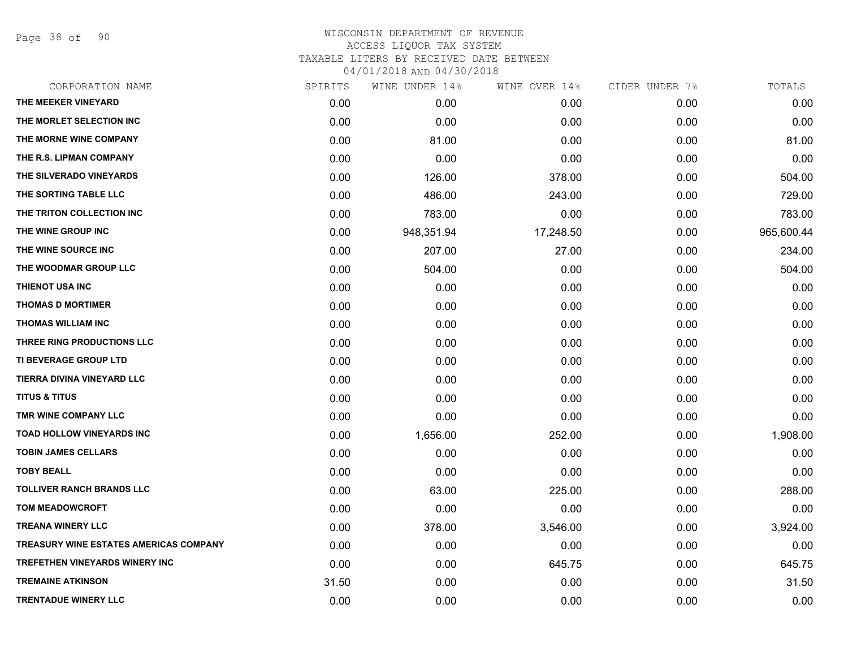Page 38 of 90

|       | WINE UNDER 14% | WINE OVER 14% |      | TOTALS         |
|-------|----------------|---------------|------|----------------|
| 0.00  | 0.00           | 0.00          | 0.00 | 0.00           |
| 0.00  | 0.00           | 0.00          | 0.00 | 0.00           |
| 0.00  | 81.00          | 0.00          | 0.00 | 81.00          |
| 0.00  | 0.00           | 0.00          | 0.00 | 0.00           |
| 0.00  | 126.00         | 378.00        | 0.00 | 504.00         |
| 0.00  | 486.00         | 243.00        | 0.00 | 729.00         |
| 0.00  | 783.00         | 0.00          | 0.00 | 783.00         |
| 0.00  | 948,351.94     | 17,248.50     | 0.00 | 965,600.44     |
| 0.00  | 207.00         | 27.00         | 0.00 | 234.00         |
| 0.00  | 504.00         | 0.00          | 0.00 | 504.00         |
| 0.00  | 0.00           | 0.00          | 0.00 | 0.00           |
| 0.00  | 0.00           | 0.00          | 0.00 | 0.00           |
| 0.00  | 0.00           | 0.00          | 0.00 | 0.00           |
| 0.00  | 0.00           | 0.00          | 0.00 | 0.00           |
| 0.00  | 0.00           | 0.00          | 0.00 | 0.00           |
| 0.00  | 0.00           | 0.00          | 0.00 | 0.00           |
| 0.00  | 0.00           | 0.00          | 0.00 | 0.00           |
| 0.00  | 0.00           | 0.00          | 0.00 | 0.00           |
| 0.00  | 1,656.00       | 252.00        | 0.00 | 1,908.00       |
| 0.00  | 0.00           | 0.00          | 0.00 | 0.00           |
| 0.00  | 0.00           | 0.00          | 0.00 | 0.00           |
| 0.00  | 63.00          | 225.00        | 0.00 | 288.00         |
| 0.00  | 0.00           | 0.00          | 0.00 | 0.00           |
| 0.00  | 378.00         | 3,546.00      | 0.00 | 3,924.00       |
| 0.00  | 0.00           | 0.00          | 0.00 | 0.00           |
| 0.00  | 0.00           | 645.75        | 0.00 | 645.75         |
| 31.50 | 0.00           | 0.00          | 0.00 | 31.50          |
| 0.00  | 0.00           | 0.00          | 0.00 | 0.00           |
|       | SPIRITS        |               |      | CIDER UNDER 7% |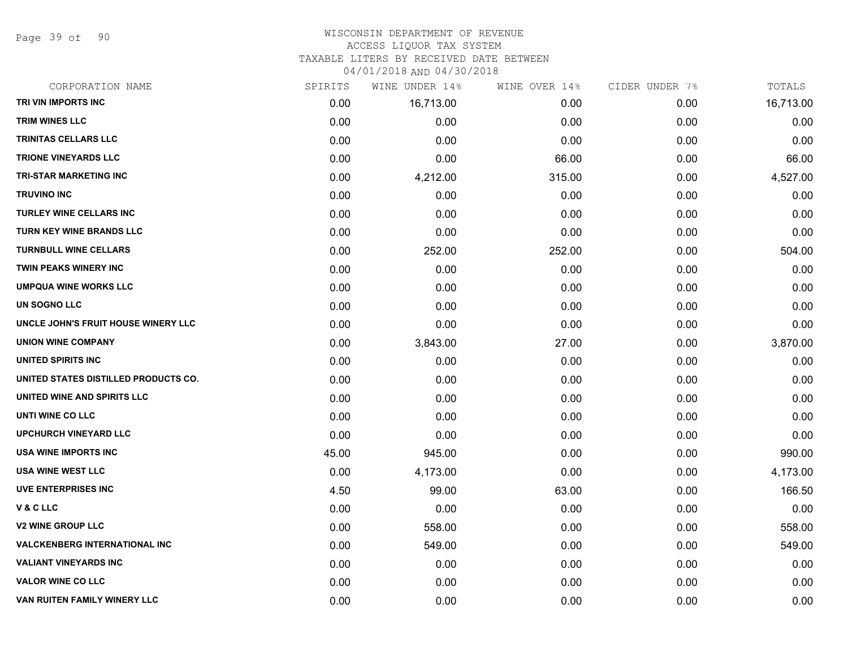Page 39 of 90

#### WISCONSIN DEPARTMENT OF REVENUE ACCESS LIQUOR TAX SYSTEM

TAXABLE LITERS BY RECEIVED DATE BETWEEN

04/01/2018 AND 04/30/2018

| CORPORATION NAME                     | SPIRITS | WINE UNDER 14% | WINE OVER 14% | CIDER UNDER 7% | TOTALS    |
|--------------------------------------|---------|----------------|---------------|----------------|-----------|
| TRI VIN IMPORTS INC                  | 0.00    | 16,713.00      | 0.00          | 0.00           | 16,713.00 |
| <b>TRIM WINES LLC</b>                | 0.00    | 0.00           | 0.00          | 0.00           | 0.00      |
| <b>TRINITAS CELLARS LLC</b>          | 0.00    | 0.00           | 0.00          | 0.00           | 0.00      |
| <b>TRIONE VINEYARDS LLC</b>          | 0.00    | 0.00           | 66.00         | 0.00           | 66.00     |
| <b>TRI-STAR MARKETING INC</b>        | 0.00    | 4,212.00       | 315.00        | 0.00           | 4,527.00  |
| <b>TRUVINO INC</b>                   | 0.00    | 0.00           | 0.00          | 0.00           | 0.00      |
| <b>TURLEY WINE CELLARS INC</b>       | 0.00    | 0.00           | 0.00          | 0.00           | 0.00      |
| <b>TURN KEY WINE BRANDS LLC</b>      | 0.00    | 0.00           | 0.00          | 0.00           | 0.00      |
| <b>TURNBULL WINE CELLARS</b>         | 0.00    | 252.00         | 252.00        | 0.00           | 504.00    |
| TWIN PEAKS WINERY INC                | 0.00    | 0.00           | 0.00          | 0.00           | 0.00      |
| <b>UMPQUA WINE WORKS LLC</b>         | 0.00    | 0.00           | 0.00          | 0.00           | 0.00      |
| UN SOGNO LLC                         | 0.00    | 0.00           | 0.00          | 0.00           | 0.00      |
| UNCLE JOHN'S FRUIT HOUSE WINERY LLC  | 0.00    | 0.00           | 0.00          | 0.00           | 0.00      |
| <b>UNION WINE COMPANY</b>            | 0.00    | 3,843.00       | 27.00         | 0.00           | 3,870.00  |
| UNITED SPIRITS INC                   | 0.00    | 0.00           | 0.00          | 0.00           | 0.00      |
| UNITED STATES DISTILLED PRODUCTS CO. | 0.00    | 0.00           | 0.00          | 0.00           | 0.00      |
| UNITED WINE AND SPIRITS LLC          | 0.00    | 0.00           | 0.00          | 0.00           | 0.00      |
| UNTI WINE CO LLC                     | 0.00    | 0.00           | 0.00          | 0.00           | 0.00      |
| <b>UPCHURCH VINEYARD LLC</b>         | 0.00    | 0.00           | 0.00          | 0.00           | 0.00      |
| <b>USA WINE IMPORTS INC</b>          | 45.00   | 945.00         | 0.00          | 0.00           | 990.00    |
| <b>USA WINE WEST LLC</b>             | 0.00    | 4,173.00       | 0.00          | 0.00           | 4,173.00  |
| <b>UVE ENTERPRISES INC</b>           | 4.50    | 99.00          | 63.00         | 0.00           | 166.50    |
| V&CLLC                               | 0.00    | 0.00           | 0.00          | 0.00           | 0.00      |
| <b>V2 WINE GROUP LLC</b>             | 0.00    | 558.00         | 0.00          | 0.00           | 558.00    |
| <b>VALCKENBERG INTERNATIONAL INC</b> | 0.00    | 549.00         | 0.00          | 0.00           | 549.00    |
| <b>VALIANT VINEYARDS INC</b>         | 0.00    | 0.00           | 0.00          | 0.00           | 0.00      |
| <b>VALOR WINE CO LLC</b>             | 0.00    | 0.00           | 0.00          | 0.00           | 0.00      |
| VAN RUITEN FAMILY WINERY LLC         | 0.00    | 0.00           | 0.00          | 0.00           | 0.00      |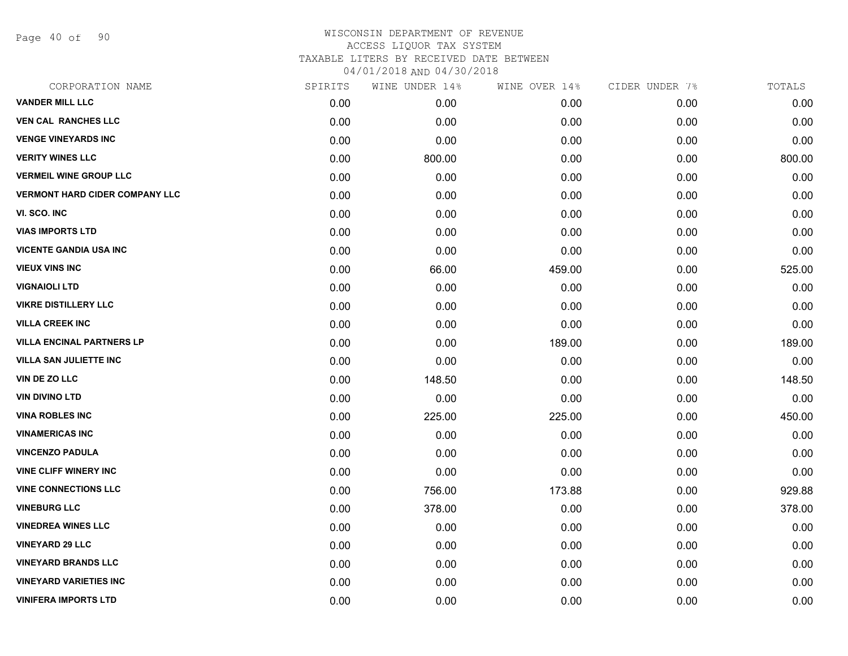Page 40 of 90

| CORPORATION NAME                      | SPIRITS | WINE UNDER 14% | WINE OVER 14% | CIDER UNDER 7% | TOTALS |
|---------------------------------------|---------|----------------|---------------|----------------|--------|
| <b>VANDER MILL LLC</b>                | 0.00    | 0.00           | 0.00          | 0.00           | 0.00   |
| <b>VEN CAL RANCHES LLC</b>            | 0.00    | 0.00           | 0.00          | 0.00           | 0.00   |
| <b>VENGE VINEYARDS INC</b>            | 0.00    | 0.00           | 0.00          | 0.00           | 0.00   |
| <b>VERITY WINES LLC</b>               | 0.00    | 800.00         | 0.00          | 0.00           | 800.00 |
| <b>VERMEIL WINE GROUP LLC</b>         | 0.00    | 0.00           | 0.00          | 0.00           | 0.00   |
| <b>VERMONT HARD CIDER COMPANY LLC</b> | 0.00    | 0.00           | 0.00          | 0.00           | 0.00   |
| VI. SCO. INC                          | 0.00    | 0.00           | 0.00          | 0.00           | 0.00   |
| <b>VIAS IMPORTS LTD</b>               | 0.00    | 0.00           | 0.00          | 0.00           | 0.00   |
| <b>VICENTE GANDIA USA INC</b>         | 0.00    | 0.00           | 0.00          | 0.00           | 0.00   |
| <b>VIEUX VINS INC</b>                 | 0.00    | 66.00          | 459.00        | 0.00           | 525.00 |
| <b>VIGNAIOLI LTD</b>                  | 0.00    | 0.00           | 0.00          | 0.00           | 0.00   |
| <b>VIKRE DISTILLERY LLC</b>           | 0.00    | 0.00           | 0.00          | 0.00           | 0.00   |
| <b>VILLA CREEK INC</b>                | 0.00    | 0.00           | 0.00          | 0.00           | 0.00   |
| <b>VILLA ENCINAL PARTNERS LP</b>      | 0.00    | 0.00           | 189.00        | 0.00           | 189.00 |
| VILLA SAN JULIETTE INC                | 0.00    | 0.00           | 0.00          | 0.00           | 0.00   |
| VIN DE ZO LLC                         | 0.00    | 148.50         | 0.00          | 0.00           | 148.50 |
| <b>VIN DIVINO LTD</b>                 | 0.00    | 0.00           | 0.00          | 0.00           | 0.00   |
| <b>VINA ROBLES INC</b>                | 0.00    | 225.00         | 225.00        | 0.00           | 450.00 |
| <b>VINAMERICAS INC</b>                | 0.00    | 0.00           | 0.00          | 0.00           | 0.00   |
| <b>VINCENZO PADULA</b>                | 0.00    | 0.00           | 0.00          | 0.00           | 0.00   |
| <b>VINE CLIFF WINERY INC</b>          | 0.00    | 0.00           | 0.00          | 0.00           | 0.00   |
| <b>VINE CONNECTIONS LLC</b>           | 0.00    | 756.00         | 173.88        | 0.00           | 929.88 |
| <b>VINEBURG LLC</b>                   | 0.00    | 378.00         | 0.00          | 0.00           | 378.00 |
| <b>VINEDREA WINES LLC</b>             | 0.00    | 0.00           | 0.00          | 0.00           | 0.00   |
| <b>VINEYARD 29 LLC</b>                | 0.00    | 0.00           | 0.00          | 0.00           | 0.00   |
| <b>VINEYARD BRANDS LLC</b>            | 0.00    | 0.00           | 0.00          | 0.00           | 0.00   |
| <b>VINEYARD VARIETIES INC</b>         | 0.00    | 0.00           | 0.00          | 0.00           | 0.00   |
| <b>VINIFERA IMPORTS LTD</b>           | 0.00    | 0.00           | 0.00          | 0.00           | 0.00   |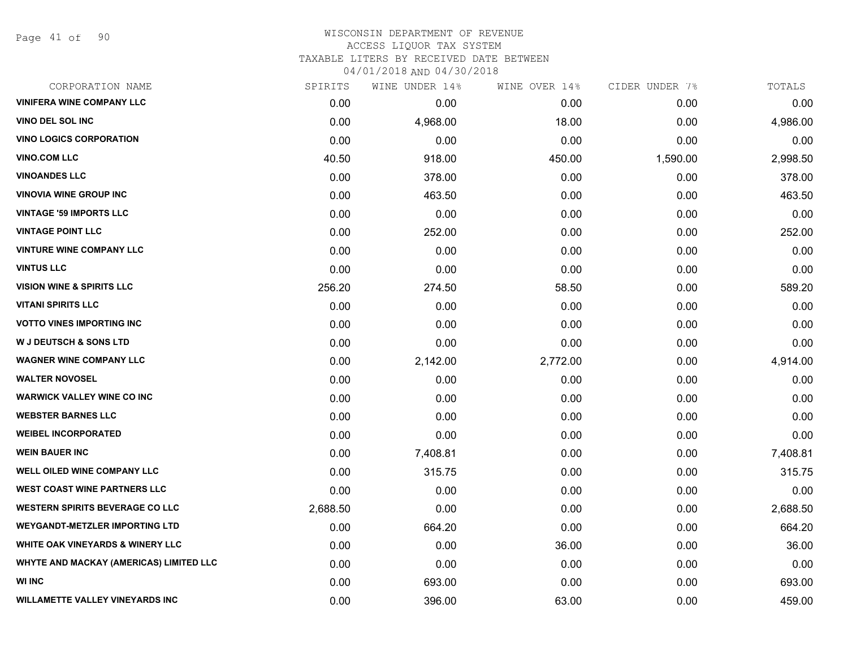Page 41 of 90

| CORPORATION NAME                        | SPIRITS  | WINE UNDER 14% | WINE OVER 14% | CIDER UNDER 7% | TOTALS   |
|-----------------------------------------|----------|----------------|---------------|----------------|----------|
| <b>VINIFERA WINE COMPANY LLC</b>        | 0.00     | 0.00           | 0.00          | 0.00           | 0.00     |
| <b>VINO DEL SOL INC</b>                 | 0.00     | 4,968.00       | 18.00         | 0.00           | 4,986.00 |
| <b>VINO LOGICS CORPORATION</b>          | 0.00     | 0.00           | 0.00          | 0.00           | 0.00     |
| <b>VINO.COM LLC</b>                     | 40.50    | 918.00         | 450.00        | 1,590.00       | 2,998.50 |
| <b>VINOANDES LLC</b>                    | 0.00     | 378.00         | 0.00          | 0.00           | 378.00   |
| <b>VINOVIA WINE GROUP INC</b>           | 0.00     | 463.50         | 0.00          | 0.00           | 463.50   |
| <b>VINTAGE '59 IMPORTS LLC</b>          | 0.00     | 0.00           | 0.00          | 0.00           | 0.00     |
| <b>VINTAGE POINT LLC</b>                | 0.00     | 252.00         | 0.00          | 0.00           | 252.00   |
| <b>VINTURE WINE COMPANY LLC</b>         | 0.00     | 0.00           | 0.00          | 0.00           | 0.00     |
| <b>VINTUS LLC</b>                       | 0.00     | 0.00           | 0.00          | 0.00           | 0.00     |
| <b>VISION WINE &amp; SPIRITS LLC</b>    | 256.20   | 274.50         | 58.50         | 0.00           | 589.20   |
| <b>VITANI SPIRITS LLC</b>               | 0.00     | 0.00           | 0.00          | 0.00           | 0.00     |
| <b>VOTTO VINES IMPORTING INC</b>        | 0.00     | 0.00           | 0.00          | 0.00           | 0.00     |
| <b>W J DEUTSCH &amp; SONS LTD</b>       | 0.00     | 0.00           | 0.00          | 0.00           | 0.00     |
| <b>WAGNER WINE COMPANY LLC</b>          | 0.00     | 2,142.00       | 2,772.00      | 0.00           | 4,914.00 |
| <b>WALTER NOVOSEL</b>                   | 0.00     | 0.00           | 0.00          | 0.00           | 0.00     |
| <b>WARWICK VALLEY WINE CO INC</b>       | 0.00     | 0.00           | 0.00          | 0.00           | 0.00     |
| <b>WEBSTER BARNES LLC</b>               | 0.00     | 0.00           | 0.00          | 0.00           | 0.00     |
| <b>WEIBEL INCORPORATED</b>              | 0.00     | 0.00           | 0.00          | 0.00           | 0.00     |
| <b>WEIN BAUER INC</b>                   | 0.00     | 7,408.81       | 0.00          | 0.00           | 7,408.81 |
| WELL OILED WINE COMPANY LLC             | 0.00     | 315.75         | 0.00          | 0.00           | 315.75   |
| <b>WEST COAST WINE PARTNERS LLC</b>     | 0.00     | 0.00           | 0.00          | 0.00           | 0.00     |
| <b>WESTERN SPIRITS BEVERAGE CO LLC</b>  | 2,688.50 | 0.00           | 0.00          | 0.00           | 2,688.50 |
| <b>WEYGANDT-METZLER IMPORTING LTD</b>   | 0.00     | 664.20         | 0.00          | 0.00           | 664.20   |
| WHITE OAK VINEYARDS & WINERY LLC        | 0.00     | 0.00           | 36.00         | 0.00           | 36.00    |
| WHYTE AND MACKAY (AMERICAS) LIMITED LLC | 0.00     | 0.00           | 0.00          | 0.00           | 0.00     |
| <b>WI INC</b>                           | 0.00     | 693.00         | 0.00          | 0.00           | 693.00   |
| <b>WILLAMETTE VALLEY VINEYARDS INC</b>  | 0.00     | 396.00         | 63.00         | 0.00           | 459.00   |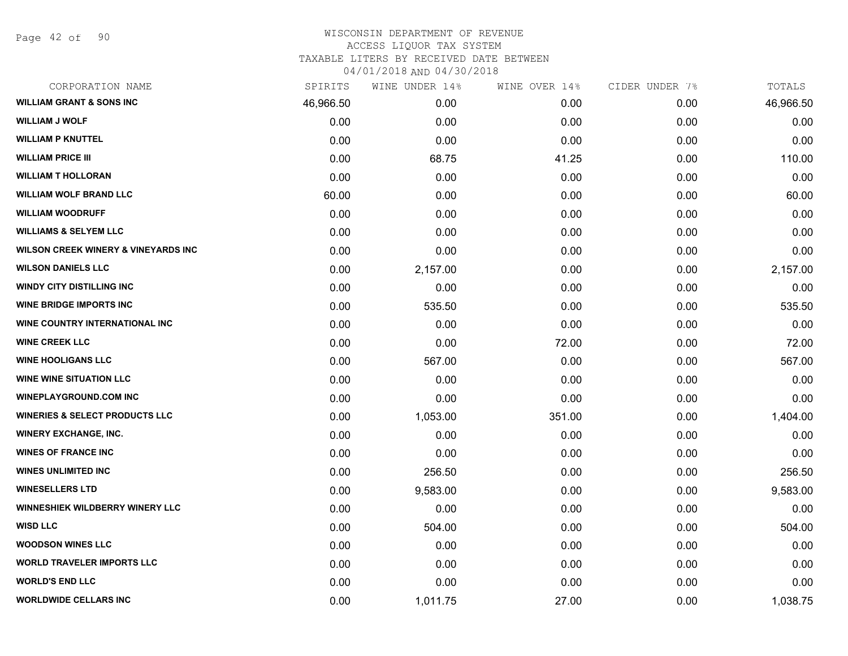Page 42 of 90

| CORPORATION NAME                               | SPIRITS   | WINE UNDER 14% | WINE OVER 14% | CIDER UNDER 7% | TOTALS    |
|------------------------------------------------|-----------|----------------|---------------|----------------|-----------|
| <b>WILLIAM GRANT &amp; SONS INC</b>            | 46,966.50 | 0.00           | 0.00          | 0.00           | 46,966.50 |
| <b>WILLIAM J WOLF</b>                          | 0.00      | 0.00           | 0.00          | 0.00           | 0.00      |
| <b>WILLIAM P KNUTTEL</b>                       | 0.00      | 0.00           | 0.00          | 0.00           | 0.00      |
| <b>WILLIAM PRICE III</b>                       | 0.00      | 68.75          | 41.25         | 0.00           | 110.00    |
| <b>WILLIAM T HOLLORAN</b>                      | 0.00      | 0.00           | 0.00          | 0.00           | 0.00      |
| <b>WILLIAM WOLF BRAND LLC</b>                  | 60.00     | 0.00           | 0.00          | 0.00           | 60.00     |
| <b>WILLIAM WOODRUFF</b>                        | 0.00      | 0.00           | 0.00          | 0.00           | 0.00      |
| <b>WILLIAMS &amp; SELYEM LLC</b>               | 0.00      | 0.00           | 0.00          | 0.00           | 0.00      |
| <b>WILSON CREEK WINERY &amp; VINEYARDS INC</b> | 0.00      | 0.00           | 0.00          | 0.00           | 0.00      |
| <b>WILSON DANIELS LLC</b>                      | 0.00      | 2,157.00       | 0.00          | 0.00           | 2,157.00  |
| <b>WINDY CITY DISTILLING INC</b>               | 0.00      | 0.00           | 0.00          | 0.00           | 0.00      |
| <b>WINE BRIDGE IMPORTS INC</b>                 | 0.00      | 535.50         | 0.00          | 0.00           | 535.50    |
| WINE COUNTRY INTERNATIONAL INC                 | 0.00      | 0.00           | 0.00          | 0.00           | 0.00      |
| <b>WINE CREEK LLC</b>                          | 0.00      | 0.00           | 72.00         | 0.00           | 72.00     |
| <b>WINE HOOLIGANS LLC</b>                      | 0.00      | 567.00         | 0.00          | 0.00           | 567.00    |
| <b>WINE WINE SITUATION LLC</b>                 | 0.00      | 0.00           | 0.00          | 0.00           | 0.00      |
| <b>WINEPLAYGROUND.COM INC</b>                  | 0.00      | 0.00           | 0.00          | 0.00           | 0.00      |
| <b>WINERIES &amp; SELECT PRODUCTS LLC</b>      | 0.00      | 1,053.00       | 351.00        | 0.00           | 1,404.00  |
| <b>WINERY EXCHANGE, INC.</b>                   | 0.00      | 0.00           | 0.00          | 0.00           | 0.00      |
| <b>WINES OF FRANCE INC</b>                     | 0.00      | 0.00           | 0.00          | 0.00           | 0.00      |
| <b>WINES UNLIMITED INC</b>                     | 0.00      | 256.50         | 0.00          | 0.00           | 256.50    |
| <b>WINESELLERS LTD</b>                         | 0.00      | 9,583.00       | 0.00          | 0.00           | 9,583.00  |
| <b>WINNESHIEK WILDBERRY WINERY LLC</b>         | 0.00      | 0.00           | 0.00          | 0.00           | 0.00      |
| <b>WISD LLC</b>                                | 0.00      | 504.00         | 0.00          | 0.00           | 504.00    |
| <b>WOODSON WINES LLC</b>                       | 0.00      | 0.00           | 0.00          | 0.00           | 0.00      |
| <b>WORLD TRAVELER IMPORTS LLC</b>              | 0.00      | 0.00           | 0.00          | 0.00           | 0.00      |
| <b>WORLD'S END LLC</b>                         | 0.00      | 0.00           | 0.00          | 0.00           | 0.00      |
| <b>WORLDWIDE CELLARS INC</b>                   | 0.00      | 1,011.75       | 27.00         | 0.00           | 1,038.75  |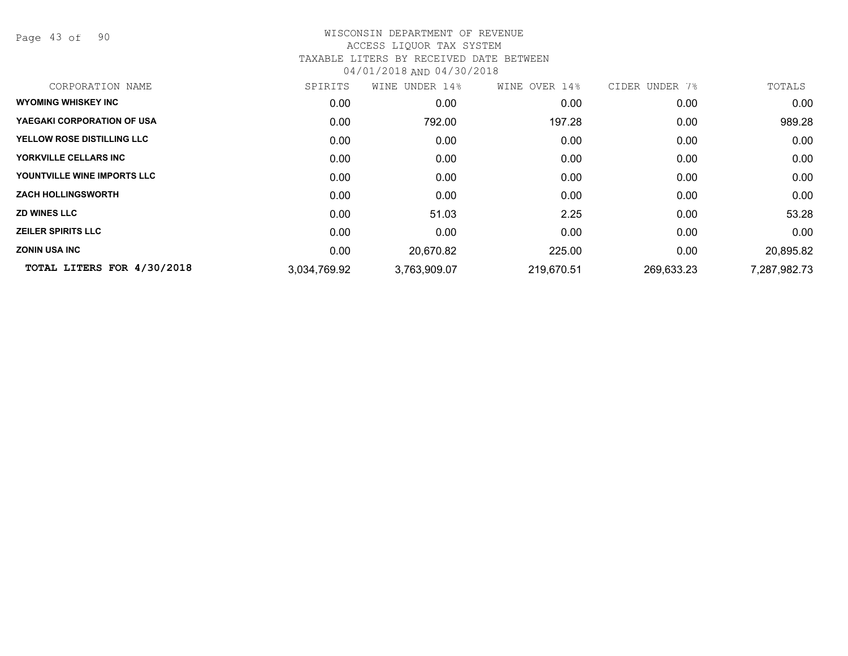Page 43 of 90

| CORPORATION NAME                  | SPIRITS      | WINE UNDER 14% | WINE OVER 14% | CIDER UNDER 7% | TOTALS       |
|-----------------------------------|--------------|----------------|---------------|----------------|--------------|
| <b>WYOMING WHISKEY INC</b>        | 0.00         | 0.00           | 0.00          | 0.00           | 0.00         |
| YAEGAKI CORPORATION OF USA        | 0.00         | 792.00         | 197.28        | 0.00           | 989.28       |
| <b>YELLOW ROSE DISTILLING LLC</b> | 0.00         | 0.00           | 0.00          | 0.00           | 0.00         |
| YORKVILLE CELLARS INC             | 0.00         | 0.00           | 0.00          | 0.00           | 0.00         |
| YOUNTVILLE WINE IMPORTS LLC       | 0.00         | 0.00           | 0.00          | 0.00           | 0.00         |
| <b>ZACH HOLLINGSWORTH</b>         | 0.00         | 0.00           | 0.00          | 0.00           | 0.00         |
| <b>ZD WINES LLC</b>               | 0.00         | 51.03          | 2.25          | 0.00           | 53.28        |
| <b>ZEILER SPIRITS LLC</b>         | 0.00         | 0.00           | 0.00          | 0.00           | 0.00         |
| <b>ZONIN USA INC</b>              | 0.00         | 20,670.82      | 225.00        | 0.00           | 20,895.82    |
| TOTAL LITERS FOR 4/30/2018        | 3,034,769.92 | 3,763,909.07   | 219,670.51    | 269,633.23     | 7,287,982.73 |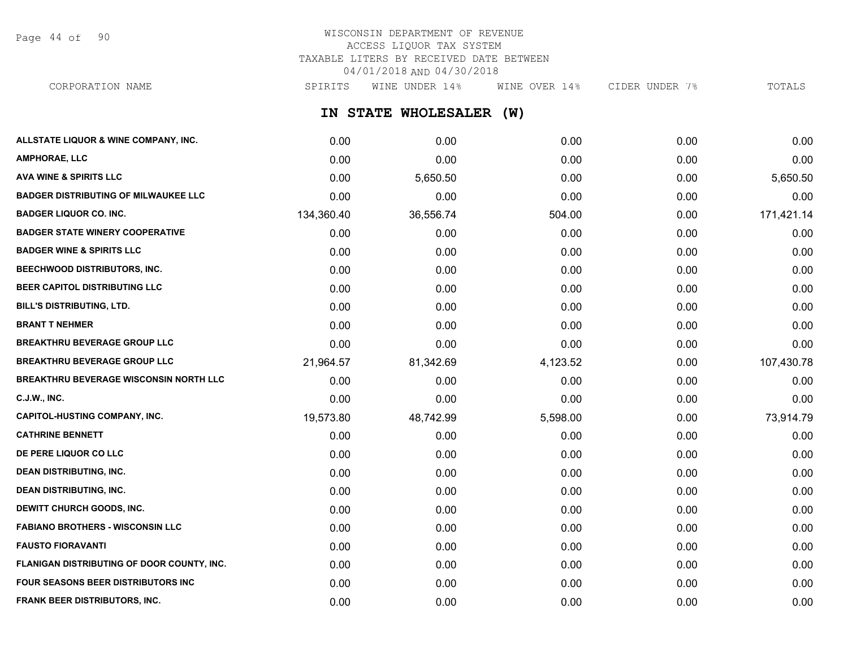Page 44 of 90

# WISCONSIN DEPARTMENT OF REVENUE ACCESS LIQUOR TAX SYSTEM TAXABLE LITERS BY RECEIVED DATE BETWEEN 04/01/2018 AND 04/30/2018

CORPORATION NAME SPIRITS WINE UNDER 14% WINE OVER 14% CIDER UNDER 7% TOTALS

**IN STATE WHOLESALER (W)**

| ALLSTATE LIQUOR & WINE COMPANY, INC.          | 0.00       | 0.00      | 0.00     | 0.00 | 0.00       |
|-----------------------------------------------|------------|-----------|----------|------|------------|
| <b>AMPHORAE, LLC</b>                          | 0.00       | 0.00      | 0.00     | 0.00 | 0.00       |
| <b>AVA WINE &amp; SPIRITS LLC</b>             | 0.00       | 5,650.50  | 0.00     | 0.00 | 5,650.50   |
| <b>BADGER DISTRIBUTING OF MILWAUKEE LLC</b>   | 0.00       | 0.00      | 0.00     | 0.00 | 0.00       |
| <b>BADGER LIQUOR CO. INC.</b>                 | 134,360.40 | 36,556.74 | 504.00   | 0.00 | 171,421.14 |
| <b>BADGER STATE WINERY COOPERATIVE</b>        | 0.00       | 0.00      | 0.00     | 0.00 | 0.00       |
| <b>BADGER WINE &amp; SPIRITS LLC</b>          | 0.00       | 0.00      | 0.00     | 0.00 | 0.00       |
| <b>BEECHWOOD DISTRIBUTORS, INC.</b>           | 0.00       | 0.00      | 0.00     | 0.00 | 0.00       |
| BEER CAPITOL DISTRIBUTING LLC                 | 0.00       | 0.00      | 0.00     | 0.00 | 0.00       |
| <b>BILL'S DISTRIBUTING, LTD.</b>              | 0.00       | 0.00      | 0.00     | 0.00 | 0.00       |
| <b>BRANT T NEHMER</b>                         | 0.00       | 0.00      | 0.00     | 0.00 | 0.00       |
| <b>BREAKTHRU BEVERAGE GROUP LLC</b>           | 0.00       | 0.00      | 0.00     | 0.00 | 0.00       |
| <b>BREAKTHRU BEVERAGE GROUP LLC</b>           | 21,964.57  | 81,342.69 | 4,123.52 | 0.00 | 107,430.78 |
| <b>BREAKTHRU BEVERAGE WISCONSIN NORTH LLC</b> | 0.00       | 0.00      | 0.00     | 0.00 | 0.00       |
| <b>C.J.W., INC.</b>                           | 0.00       | 0.00      | 0.00     | 0.00 | 0.00       |
| <b>CAPITOL-HUSTING COMPANY, INC.</b>          | 19,573.80  | 48,742.99 | 5,598.00 | 0.00 | 73,914.79  |
| <b>CATHRINE BENNETT</b>                       | 0.00       | 0.00      | 0.00     | 0.00 | 0.00       |
| DE PERE LIQUOR CO LLC                         | 0.00       | 0.00      | 0.00     | 0.00 | 0.00       |
| <b>DEAN DISTRIBUTING, INC.</b>                | 0.00       | 0.00      | 0.00     | 0.00 | 0.00       |
| <b>DEAN DISTRIBUTING, INC.</b>                | 0.00       | 0.00      | 0.00     | 0.00 | 0.00       |
| DEWITT CHURCH GOODS, INC.                     | 0.00       | 0.00      | 0.00     | 0.00 | 0.00       |
| <b>FABIANO BROTHERS - WISCONSIN LLC</b>       | 0.00       | 0.00      | 0.00     | 0.00 | 0.00       |
| <b>FAUSTO FIORAVANTI</b>                      | 0.00       | 0.00      | 0.00     | 0.00 | 0.00       |
| FLANIGAN DISTRIBUTING OF DOOR COUNTY, INC.    | 0.00       | 0.00      | 0.00     | 0.00 | 0.00       |
| <b>FOUR SEASONS BEER DISTRIBUTORS INC</b>     | 0.00       | 0.00      | 0.00     | 0.00 | 0.00       |
| FRANK BEER DISTRIBUTORS, INC.                 | 0.00       | 0.00      | 0.00     | 0.00 | 0.00       |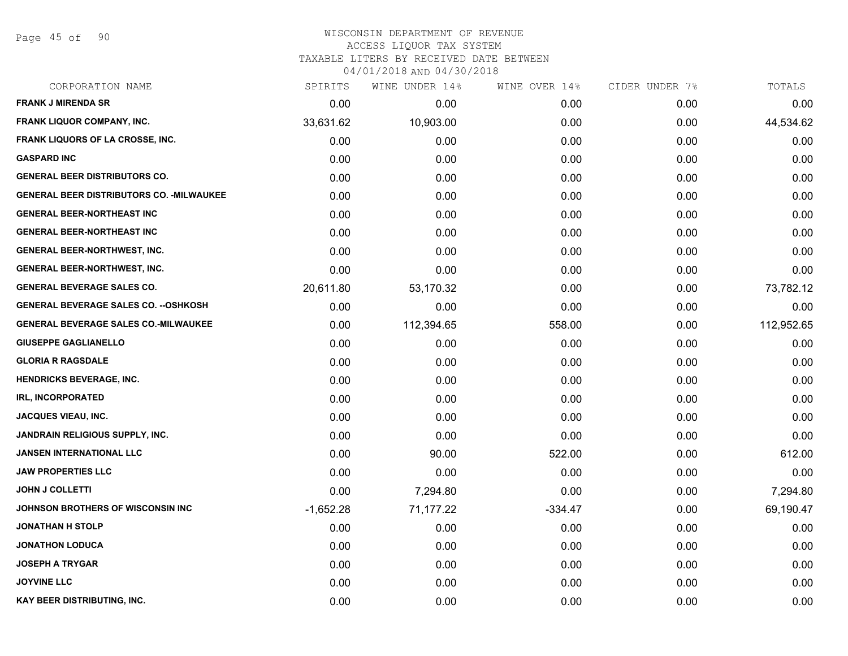Page 45 of 90

| CORPORATION NAME                                 | SPIRITS     | WINE UNDER 14% | WINE OVER 14% | CIDER UNDER 7% | TOTALS     |
|--------------------------------------------------|-------------|----------------|---------------|----------------|------------|
| <b>FRANK J MIRENDA SR</b>                        | 0.00        | 0.00           | 0.00          | 0.00           | 0.00       |
| FRANK LIQUOR COMPANY, INC.                       | 33,631.62   | 10,903.00      | 0.00          | 0.00           | 44,534.62  |
| FRANK LIQUORS OF LA CROSSE, INC.                 | 0.00        | 0.00           | 0.00          | 0.00           | 0.00       |
| <b>GASPARD INC</b>                               | 0.00        | 0.00           | 0.00          | 0.00           | 0.00       |
| <b>GENERAL BEER DISTRIBUTORS CO.</b>             | 0.00        | 0.00           | 0.00          | 0.00           | 0.00       |
| <b>GENERAL BEER DISTRIBUTORS CO. - MILWAUKEE</b> | 0.00        | 0.00           | 0.00          | 0.00           | 0.00       |
| <b>GENERAL BEER-NORTHEAST INC</b>                | 0.00        | 0.00           | 0.00          | 0.00           | 0.00       |
| <b>GENERAL BEER-NORTHEAST INC</b>                | 0.00        | 0.00           | 0.00          | 0.00           | 0.00       |
| <b>GENERAL BEER-NORTHWEST, INC.</b>              | 0.00        | 0.00           | 0.00          | 0.00           | 0.00       |
| <b>GENERAL BEER-NORTHWEST, INC.</b>              | 0.00        | 0.00           | 0.00          | 0.00           | 0.00       |
| <b>GENERAL BEVERAGE SALES CO.</b>                | 20,611.80   | 53,170.32      | 0.00          | 0.00           | 73,782.12  |
| <b>GENERAL BEVERAGE SALES CO. -- OSHKOSH</b>     | 0.00        | 0.00           | 0.00          | 0.00           | 0.00       |
| <b>GENERAL BEVERAGE SALES CO.-MILWAUKEE</b>      | 0.00        | 112,394.65     | 558.00        | 0.00           | 112,952.65 |
| <b>GIUSEPPE GAGLIANELLO</b>                      | 0.00        | 0.00           | 0.00          | 0.00           | 0.00       |
| <b>GLORIA R RAGSDALE</b>                         | 0.00        | 0.00           | 0.00          | 0.00           | 0.00       |
| HENDRICKS BEVERAGE, INC.                         | 0.00        | 0.00           | 0.00          | 0.00           | 0.00       |
| <b>IRL, INCORPORATED</b>                         | 0.00        | 0.00           | 0.00          | 0.00           | 0.00       |
| <b>JACQUES VIEAU, INC.</b>                       | 0.00        | 0.00           | 0.00          | 0.00           | 0.00       |
| JANDRAIN RELIGIOUS SUPPLY, INC.                  | 0.00        | 0.00           | 0.00          | 0.00           | 0.00       |
| <b>JANSEN INTERNATIONAL LLC</b>                  | 0.00        | 90.00          | 522.00        | 0.00           | 612.00     |
| <b>JAW PROPERTIES LLC</b>                        | 0.00        | 0.00           | 0.00          | 0.00           | 0.00       |
| <b>JOHN J COLLETTI</b>                           | 0.00        | 7,294.80       | 0.00          | 0.00           | 7,294.80   |
| JOHNSON BROTHERS OF WISCONSIN INC                | $-1,652.28$ | 71,177.22      | $-334.47$     | 0.00           | 69,190.47  |
| <b>JONATHAN H STOLP</b>                          | 0.00        | 0.00           | 0.00          | 0.00           | 0.00       |
| <b>JONATHON LODUCA</b>                           | 0.00        | 0.00           | 0.00          | 0.00           | 0.00       |
| <b>JOSEPH A TRYGAR</b>                           | 0.00        | 0.00           | 0.00          | 0.00           | 0.00       |
| <b>JOYVINE LLC</b>                               | 0.00        | 0.00           | 0.00          | 0.00           | 0.00       |
| KAY BEER DISTRIBUTING, INC.                      | 0.00        | 0.00           | 0.00          | 0.00           | 0.00       |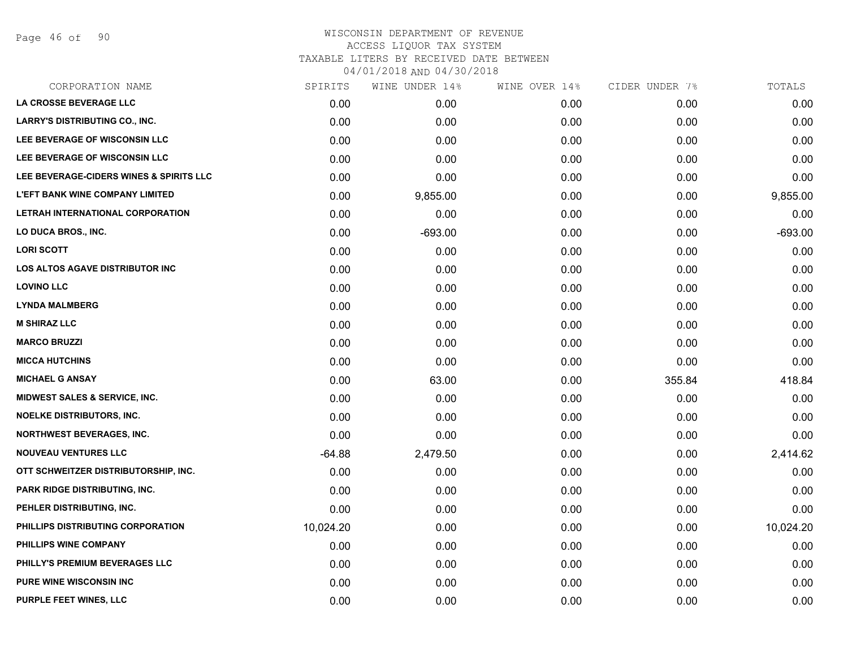Page 46 of 90

| CORPORATION NAME                                   | SPIRITS   | WINE UNDER 14% | WINE OVER 14% | CIDER UNDER 7% | TOTALS    |
|----------------------------------------------------|-----------|----------------|---------------|----------------|-----------|
| LA CROSSE BEVERAGE LLC                             | 0.00      | 0.00           | 0.00          | 0.00           | 0.00      |
| LARRY'S DISTRIBUTING CO., INC.                     | 0.00      | 0.00           | 0.00          | 0.00           | 0.00      |
| LEE BEVERAGE OF WISCONSIN LLC                      | 0.00      | 0.00           | 0.00          | 0.00           | 0.00      |
| LEE BEVERAGE OF WISCONSIN LLC                      | 0.00      | 0.00           | 0.00          | 0.00           | 0.00      |
| <b>LEE BEVERAGE-CIDERS WINES &amp; SPIRITS LLC</b> | 0.00      | 0.00           | 0.00          | 0.00           | 0.00      |
| <b>L'EFT BANK WINE COMPANY LIMITED</b>             | 0.00      | 9,855.00       | 0.00          | 0.00           | 9,855.00  |
| LETRAH INTERNATIONAL CORPORATION                   | 0.00      | 0.00           | 0.00          | 0.00           | 0.00      |
| <b>LO DUCA BROS., INC.</b>                         | 0.00      | $-693.00$      | 0.00          | 0.00           | $-693.00$ |
| <b>LORI SCOTT</b>                                  | 0.00      | 0.00           | 0.00          | 0.00           | 0.00      |
| LOS ALTOS AGAVE DISTRIBUTOR INC                    | 0.00      | 0.00           | 0.00          | 0.00           | 0.00      |
| <b>LOVINO LLC</b>                                  | 0.00      | 0.00           | 0.00          | 0.00           | 0.00      |
| <b>LYNDA MALMBERG</b>                              | 0.00      | 0.00           | 0.00          | 0.00           | 0.00      |
| <b>M SHIRAZ LLC</b>                                | 0.00      | 0.00           | 0.00          | 0.00           | 0.00      |
| <b>MARCO BRUZZI</b>                                | 0.00      | 0.00           | 0.00          | 0.00           | 0.00      |
| <b>MICCA HUTCHINS</b>                              | 0.00      | 0.00           | 0.00          | 0.00           | 0.00      |
| <b>MICHAEL G ANSAY</b>                             | 0.00      | 63.00          | 0.00          | 355.84         | 418.84    |
| <b>MIDWEST SALES &amp; SERVICE, INC.</b>           | 0.00      | 0.00           | 0.00          | 0.00           | 0.00      |
| NOELKE DISTRIBUTORS, INC.                          | 0.00      | 0.00           | 0.00          | 0.00           | 0.00      |
| <b>NORTHWEST BEVERAGES, INC.</b>                   | 0.00      | 0.00           | 0.00          | 0.00           | 0.00      |
| <b>NOUVEAU VENTURES LLC</b>                        | $-64.88$  | 2,479.50       | 0.00          | 0.00           | 2,414.62  |
| OTT SCHWEITZER DISTRIBUTORSHIP, INC.               | 0.00      | 0.00           | 0.00          | 0.00           | 0.00      |
| PARK RIDGE DISTRIBUTING, INC.                      | 0.00      | 0.00           | 0.00          | 0.00           | 0.00      |
| PEHLER DISTRIBUTING, INC.                          | 0.00      | 0.00           | 0.00          | 0.00           | 0.00      |
| PHILLIPS DISTRIBUTING CORPORATION                  | 10,024.20 | 0.00           | 0.00          | 0.00           | 10,024.20 |
| PHILLIPS WINE COMPANY                              | 0.00      | 0.00           | 0.00          | 0.00           | 0.00      |
| PHILLY'S PREMIUM BEVERAGES LLC                     | 0.00      | 0.00           | 0.00          | 0.00           | 0.00      |
| <b>PURE WINE WISCONSIN INC</b>                     | 0.00      | 0.00           | 0.00          | 0.00           | 0.00      |
| PURPLE FEET WINES, LLC                             | 0.00      | 0.00           | 0.00          | 0.00           | 0.00      |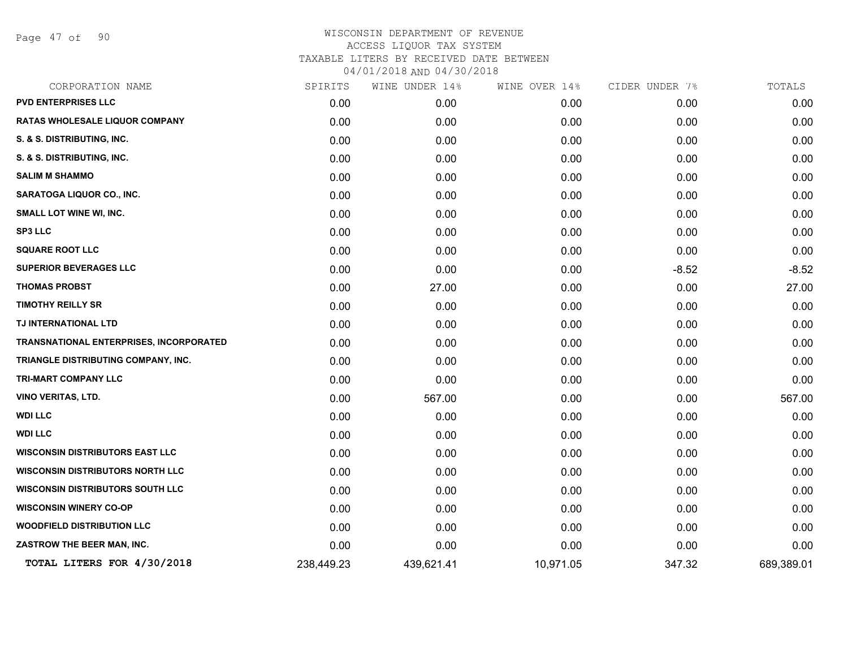Page 47 of 90

| CORPORATION NAME                        | SPIRITS    | WINE UNDER 14% | WINE OVER 14% | CIDER UNDER 7% | TOTALS     |
|-----------------------------------------|------------|----------------|---------------|----------------|------------|
| <b>PVD ENTERPRISES LLC</b>              | 0.00       | 0.00           | 0.00          | 0.00           | 0.00       |
| RATAS WHOLESALE LIQUOR COMPANY          | 0.00       | 0.00           | 0.00          | 0.00           | 0.00       |
| S. & S. DISTRIBUTING, INC.              | 0.00       | 0.00           | 0.00          | 0.00           | 0.00       |
| S. & S. DISTRIBUTING, INC.              | 0.00       | 0.00           | 0.00          | 0.00           | 0.00       |
| <b>SALIM M SHAMMO</b>                   | 0.00       | 0.00           | 0.00          | 0.00           | 0.00       |
| SARATOGA LIQUOR CO., INC.               | 0.00       | 0.00           | 0.00          | 0.00           | 0.00       |
| SMALL LOT WINE WI, INC.                 | 0.00       | 0.00           | 0.00          | 0.00           | 0.00       |
| <b>SP3 LLC</b>                          | 0.00       | 0.00           | 0.00          | 0.00           | 0.00       |
| <b>SQUARE ROOT LLC</b>                  | 0.00       | 0.00           | 0.00          | 0.00           | 0.00       |
| <b>SUPERIOR BEVERAGES LLC</b>           | 0.00       | 0.00           | 0.00          | $-8.52$        | $-8.52$    |
| <b>THOMAS PROBST</b>                    | 0.00       | 27.00          | 0.00          | 0.00           | 27.00      |
| <b>TIMOTHY REILLY SR</b>                | 0.00       | 0.00           | 0.00          | 0.00           | 0.00       |
| TJ INTERNATIONAL LTD                    | 0.00       | 0.00           | 0.00          | 0.00           | 0.00       |
| TRANSNATIONAL ENTERPRISES, INCORPORATED | 0.00       | 0.00           | 0.00          | 0.00           | 0.00       |
| TRIANGLE DISTRIBUTING COMPANY, INC.     | 0.00       | 0.00           | 0.00          | 0.00           | 0.00       |
| <b>TRI-MART COMPANY LLC</b>             | 0.00       | 0.00           | 0.00          | 0.00           | 0.00       |
| <b>VINO VERITAS, LTD.</b>               | 0.00       | 567.00         | 0.00          | 0.00           | 567.00     |
| <b>WDI LLC</b>                          | 0.00       | 0.00           | 0.00          | 0.00           | 0.00       |
| <b>WDI LLC</b>                          | 0.00       | 0.00           | 0.00          | 0.00           | 0.00       |
| <b>WISCONSIN DISTRIBUTORS EAST LLC</b>  | 0.00       | 0.00           | 0.00          | 0.00           | 0.00       |
| <b>WISCONSIN DISTRIBUTORS NORTH LLC</b> | 0.00       | 0.00           | 0.00          | 0.00           | 0.00       |
| <b>WISCONSIN DISTRIBUTORS SOUTH LLC</b> | 0.00       | 0.00           | 0.00          | 0.00           | 0.00       |
| <b>WISCONSIN WINERY CO-OP</b>           | 0.00       | 0.00           | 0.00          | 0.00           | 0.00       |
| <b>WOODFIELD DISTRIBUTION LLC</b>       | 0.00       | 0.00           | 0.00          | 0.00           | 0.00       |
| ZASTROW THE BEER MAN, INC.              | 0.00       | 0.00           | 0.00          | 0.00           | 0.00       |
| TOTAL LITERS FOR 4/30/2018              | 238,449.23 | 439,621.41     | 10,971.05     | 347.32         | 689,389.01 |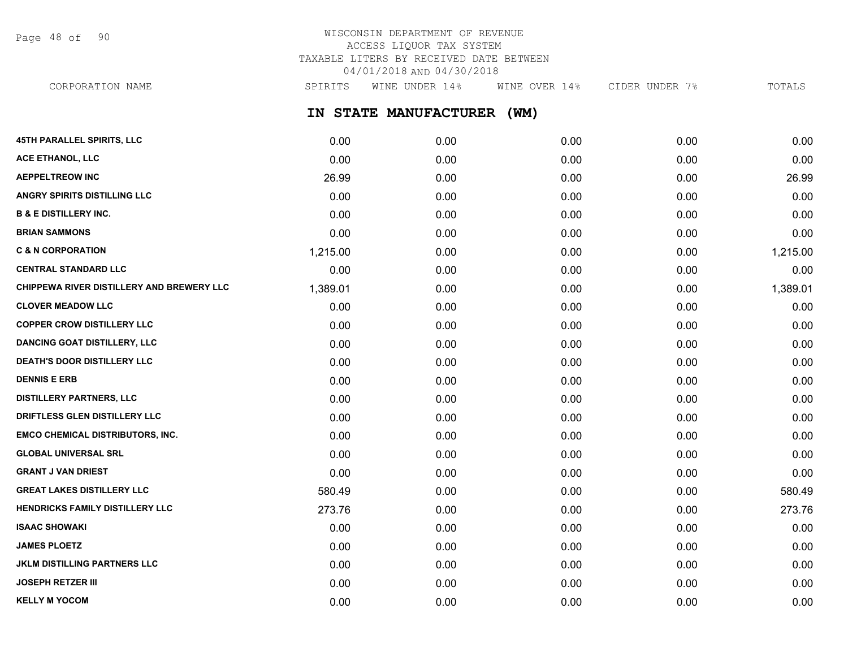Page 48 of 90

# WISCONSIN DEPARTMENT OF REVENUE ACCESS LIQUOR TAX SYSTEM TAXABLE LITERS BY RECEIVED DATE BETWEEN 04/01/2018 AND 04/30/2018

CORPORATION NAME SPIRITS WINE UNDER 14% WINE OVER 14% CIDER UNDER 7% TOTALS

**IN STATE MANUFACTURER (WM)**

| <b>45TH PARALLEL SPIRITS, LLC</b>         | 0.00     | 0.00 | 0.00 | 0.00 | 0.00     |
|-------------------------------------------|----------|------|------|------|----------|
| ACE ETHANOL, LLC                          | 0.00     | 0.00 | 0.00 | 0.00 | 0.00     |
| <b>AEPPELTREOW INC</b>                    | 26.99    | 0.00 | 0.00 | 0.00 | 26.99    |
| ANGRY SPIRITS DISTILLING LLC              | 0.00     | 0.00 | 0.00 | 0.00 | 0.00     |
| <b>B &amp; E DISTILLERY INC.</b>          | 0.00     | 0.00 | 0.00 | 0.00 | 0.00     |
| <b>BRIAN SAMMONS</b>                      | 0.00     | 0.00 | 0.00 | 0.00 | 0.00     |
| <b>C &amp; N CORPORATION</b>              | 1,215.00 | 0.00 | 0.00 | 0.00 | 1,215.00 |
| <b>CENTRAL STANDARD LLC</b>               | 0.00     | 0.00 | 0.00 | 0.00 | 0.00     |
| CHIPPEWA RIVER DISTILLERY AND BREWERY LLC | 1,389.01 | 0.00 | 0.00 | 0.00 | 1,389.01 |
| <b>CLOVER MEADOW LLC</b>                  | 0.00     | 0.00 | 0.00 | 0.00 | 0.00     |
| <b>COPPER CROW DISTILLERY LLC</b>         | 0.00     | 0.00 | 0.00 | 0.00 | 0.00     |
| <b>DANCING GOAT DISTILLERY, LLC</b>       | 0.00     | 0.00 | 0.00 | 0.00 | 0.00     |
| <b>DEATH'S DOOR DISTILLERY LLC</b>        | 0.00     | 0.00 | 0.00 | 0.00 | 0.00     |
| <b>DENNIS E ERB</b>                       | 0.00     | 0.00 | 0.00 | 0.00 | 0.00     |
| <b>DISTILLERY PARTNERS, LLC</b>           | 0.00     | 0.00 | 0.00 | 0.00 | 0.00     |
| DRIFTLESS GLEN DISTILLERY LLC             | 0.00     | 0.00 | 0.00 | 0.00 | 0.00     |
| <b>EMCO CHEMICAL DISTRIBUTORS, INC.</b>   | 0.00     | 0.00 | 0.00 | 0.00 | 0.00     |
| <b>GLOBAL UNIVERSAL SRL</b>               | 0.00     | 0.00 | 0.00 | 0.00 | 0.00     |
| <b>GRANT J VAN DRIEST</b>                 | 0.00     | 0.00 | 0.00 | 0.00 | 0.00     |
| <b>GREAT LAKES DISTILLERY LLC</b>         | 580.49   | 0.00 | 0.00 | 0.00 | 580.49   |
| HENDRICKS FAMILY DISTILLERY LLC           | 273.76   | 0.00 | 0.00 | 0.00 | 273.76   |
| <b>ISAAC SHOWAKI</b>                      | 0.00     | 0.00 | 0.00 | 0.00 | 0.00     |
| <b>JAMES PLOETZ</b>                       | 0.00     | 0.00 | 0.00 | 0.00 | 0.00     |
| <b>JKLM DISTILLING PARTNERS LLC</b>       | 0.00     | 0.00 | 0.00 | 0.00 | 0.00     |
| <b>JOSEPH RETZER III</b>                  | 0.00     | 0.00 | 0.00 | 0.00 | 0.00     |
| <b>KELLY M YOCOM</b>                      | 0.00     | 0.00 | 0.00 | 0.00 | 0.00     |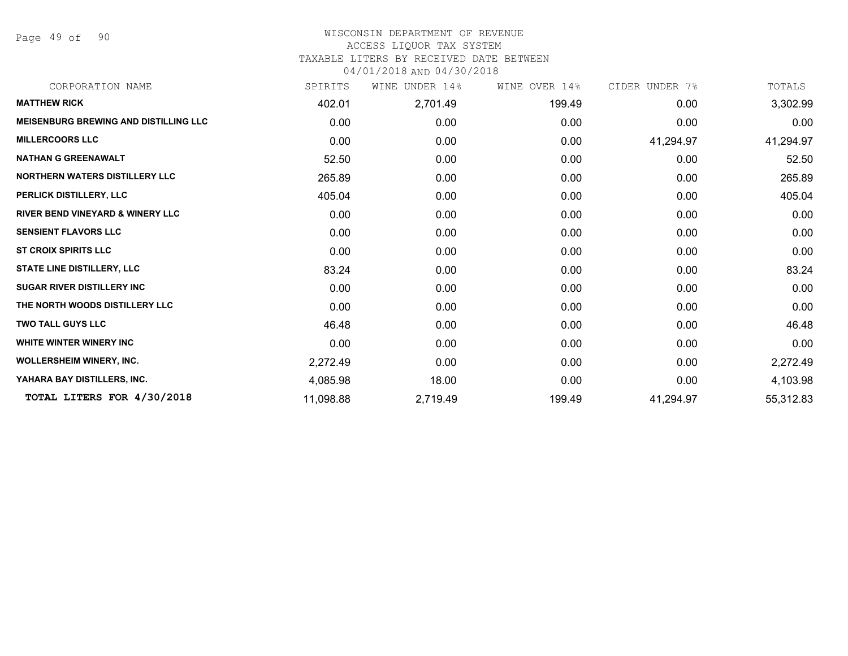Page 49 of 90

### WISCONSIN DEPARTMENT OF REVENUE ACCESS LIQUOR TAX SYSTEM TAXABLE LITERS BY RECEIVED DATE BETWEEN

04/01/2018 AND 04/30/2018

| CORPORATION NAME                             | SPIRITS   | UNDER 14%<br>WINE | WINE OVER 14% | CIDER UNDER 7% | TOTALS    |
|----------------------------------------------|-----------|-------------------|---------------|----------------|-----------|
| <b>MATTHEW RICK</b>                          | 402.01    | 2,701.49          | 199.49        | 0.00           | 3,302.99  |
| <b>MEISENBURG BREWING AND DISTILLING LLC</b> | 0.00      | 0.00              | 0.00          | 0.00           | 0.00      |
| <b>MILLERCOORS LLC</b>                       | 0.00      | 0.00              | 0.00          | 41,294.97      | 41,294.97 |
| <b>NATHAN G GREENAWALT</b>                   | 52.50     | 0.00              | 0.00          | 0.00           | 52.50     |
| NORTHERN WATERS DISTILLERY LLC               | 265.89    | 0.00              | 0.00          | 0.00           | 265.89    |
| PERLICK DISTILLERY, LLC                      | 405.04    | 0.00 <sub>1</sub> | 0.00          | 0.00           | 405.04    |
| <b>RIVER BEND VINEYARD &amp; WINERY LLC</b>  | 0.00      | 0.00              | 0.00          | 0.00           | 0.00      |
| <b>SENSIENT FLAVORS LLC</b>                  | 0.00      | 0.00              | 0.00          | 0.00           | 0.00      |
| <b>ST CROIX SPIRITS LLC</b>                  | 0.00      | 0.00              | 0.00          | 0.00           | 0.00      |
| <b>STATE LINE DISTILLERY, LLC</b>            | 83.24     | 0.00              | 0.00          | 0.00           | 83.24     |
| <b>SUGAR RIVER DISTILLERY INC</b>            | 0.00      | 0.00              | 0.00          | 0.00           | 0.00      |
| THE NORTH WOODS DISTILLERY LLC               | 0.00      | 0.00              | 0.00          | 0.00           | 0.00      |
| <b>TWO TALL GUYS LLC</b>                     | 46.48     | 0.00              | 0.00          | 0.00           | 46.48     |
| WHITE WINTER WINERY INC                      | 0.00      | 0.00 <sub>1</sub> | 0.00          | 0.00           | 0.00      |
| <b>WOLLERSHEIM WINERY, INC.</b>              | 2,272.49  | 0.00              | 0.00          | 0.00           | 2,272.49  |
| YAHARA BAY DISTILLERS, INC.                  | 4,085.98  | 18.00             | 0.00          | 0.00           | 4,103.98  |
| TOTAL LITERS FOR 4/30/2018                   | 11,098.88 | 2,719.49          | 199.49        | 41,294.97      | 55,312.83 |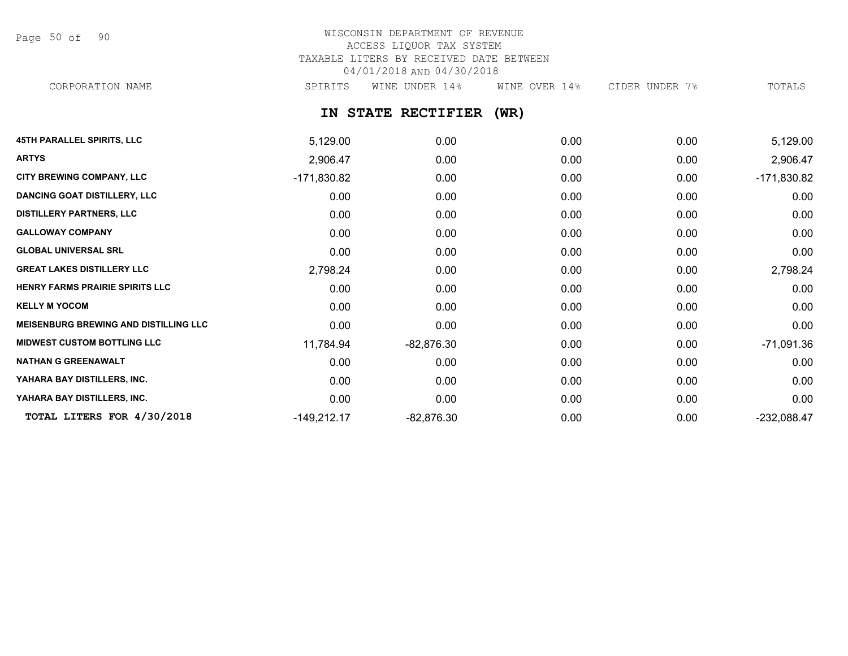Page 50 of 90

# WISCONSIN DEPARTMENT OF REVENUE ACCESS LIQUOR TAX SYSTEM TAXABLE LITERS BY RECEIVED DATE BETWEEN 04/01/2018 AND 04/30/2018

CORPORATION NAME SPIRITS WINE UNDER 14% WINE OVER 14% CIDER UNDER 7% TOTALS

**IN STATE RECTIFIER (WR)**

| <b>45TH PARALLEL SPIRITS, LLC</b>            | 5,129.00      | 0.00         | 0.00 | 0.00 | 5,129.00      |
|----------------------------------------------|---------------|--------------|------|------|---------------|
| <b>ARTYS</b>                                 | 2,906.47      | 0.00         | 0.00 | 0.00 | 2,906.47      |
| CITY BREWING COMPANY, LLC                    | $-171,830.82$ | 0.00         | 0.00 | 0.00 | $-171,830.82$ |
| <b>DANCING GOAT DISTILLERY, LLC</b>          | 0.00          | 0.00         | 0.00 | 0.00 | 0.00          |
| <b>DISTILLERY PARTNERS, LLC</b>              | 0.00          | 0.00         | 0.00 | 0.00 | 0.00          |
| <b>GALLOWAY COMPANY</b>                      | 0.00          | 0.00         | 0.00 | 0.00 | 0.00          |
| <b>GLOBAL UNIVERSAL SRL</b>                  | 0.00          | 0.00         | 0.00 | 0.00 | 0.00          |
| <b>GREAT LAKES DISTILLERY LLC</b>            | 2,798.24      | 0.00         | 0.00 | 0.00 | 2,798.24      |
| HENRY FARMS PRAIRIE SPIRITS LLC              | 0.00          | 0.00         | 0.00 | 0.00 | 0.00          |
| <b>KELLY M YOCOM</b>                         | 0.00          | 0.00         | 0.00 | 0.00 | 0.00          |
| <b>MEISENBURG BREWING AND DISTILLING LLC</b> | 0.00          | 0.00         | 0.00 | 0.00 | 0.00          |
| <b>MIDWEST CUSTOM BOTTLING LLC</b>           | 11,784.94     | $-82,876.30$ | 0.00 | 0.00 | $-71,091.36$  |
| <b>NATHAN G GREENAWALT</b>                   | 0.00          | 0.00         | 0.00 | 0.00 | 0.00          |
| YAHARA BAY DISTILLERS, INC.                  | 0.00          | 0.00         | 0.00 | 0.00 | 0.00          |
| YAHARA BAY DISTILLERS, INC.                  | 0.00          | 0.00         | 0.00 | 0.00 | 0.00          |
| TOTAL LITERS FOR 4/30/2018                   | $-149,212.17$ | $-82,876.30$ | 0.00 | 0.00 | $-232,088.47$ |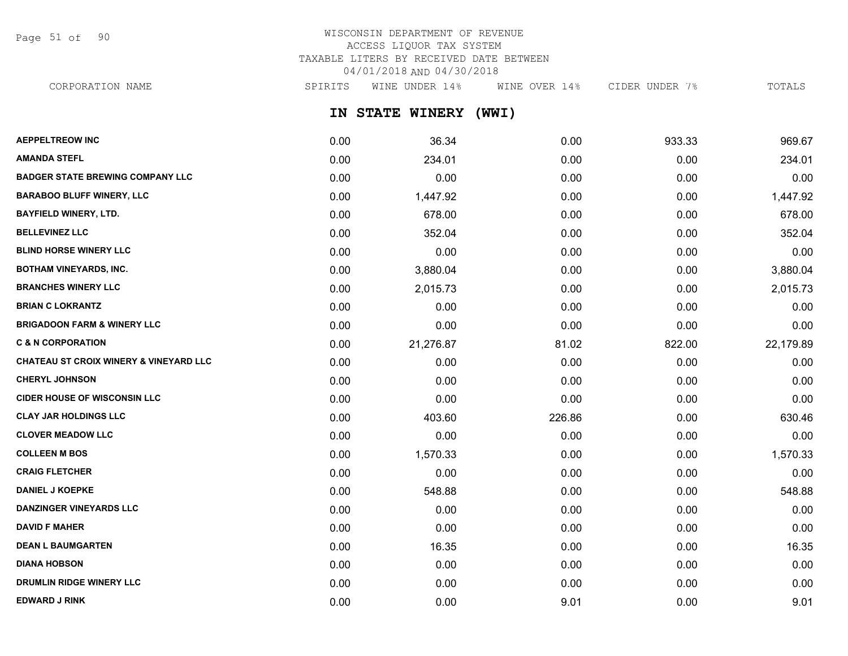Page 51 of 90

# WISCONSIN DEPARTMENT OF REVENUE ACCESS LIQUOR TAX SYSTEM TAXABLE LITERS BY RECEIVED DATE BETWEEN 04/01/2018 AND 04/30/2018

CORPORATION NAME SPIRITS WINE UNDER 14% WINE OVER 14% CIDER UNDER 7% TOTALS

**IN STATE WINERY (WWI)**

| <b>AEPPELTREOW INC</b>                  | 0.00 | 36.34     | 0.00   | 933.33 | 969.67    |
|-----------------------------------------|------|-----------|--------|--------|-----------|
| <b>AMANDA STEFL</b>                     | 0.00 | 234.01    | 0.00   | 0.00   | 234.01    |
| <b>BADGER STATE BREWING COMPANY LLC</b> | 0.00 | 0.00      | 0.00   | 0.00   | 0.00      |
| <b>BARABOO BLUFF WINERY, LLC</b>        | 0.00 | 1,447.92  | 0.00   | 0.00   | 1,447.92  |
| <b>BAYFIELD WINERY, LTD.</b>            | 0.00 | 678.00    | 0.00   | 0.00   | 678.00    |
| <b>BELLEVINEZ LLC</b>                   | 0.00 | 352.04    | 0.00   | 0.00   | 352.04    |
| <b>BLIND HORSE WINERY LLC</b>           | 0.00 | 0.00      | 0.00   | 0.00   | 0.00      |
| <b>BOTHAM VINEYARDS, INC.</b>           | 0.00 | 3,880.04  | 0.00   | 0.00   | 3,880.04  |
| <b>BRANCHES WINERY LLC</b>              | 0.00 | 2,015.73  | 0.00   | 0.00   | 2,015.73  |
| <b>BRIAN C LOKRANTZ</b>                 | 0.00 | 0.00      | 0.00   | 0.00   | 0.00      |
| <b>BRIGADOON FARM &amp; WINERY LLC</b>  | 0.00 | 0.00      | 0.00   | 0.00   | 0.00      |
| <b>C &amp; N CORPORATION</b>            | 0.00 | 21,276.87 | 81.02  | 822.00 | 22,179.89 |
| CHATEAU ST CROIX WINERY & VINEYARD LLC  | 0.00 | 0.00      | 0.00   | 0.00   | 0.00      |
| <b>CHERYL JOHNSON</b>                   | 0.00 | 0.00      | 0.00   | 0.00   | 0.00      |
| <b>CIDER HOUSE OF WISCONSIN LLC</b>     | 0.00 | 0.00      | 0.00   | 0.00   | 0.00      |
| <b>CLAY JAR HOLDINGS LLC</b>            | 0.00 | 403.60    | 226.86 | 0.00   | 630.46    |
| <b>CLOVER MEADOW LLC</b>                | 0.00 | 0.00      | 0.00   | 0.00   | 0.00      |
| <b>COLLEEN M BOS</b>                    | 0.00 | 1,570.33  | 0.00   | 0.00   | 1,570.33  |
| <b>CRAIG FLETCHER</b>                   | 0.00 | 0.00      | 0.00   | 0.00   | 0.00      |
| <b>DANIEL J KOEPKE</b>                  | 0.00 | 548.88    | 0.00   | 0.00   | 548.88    |
| <b>DANZINGER VINEYARDS LLC</b>          | 0.00 | 0.00      | 0.00   | 0.00   | 0.00      |
| <b>DAVID F MAHER</b>                    | 0.00 | 0.00      | 0.00   | 0.00   | 0.00      |
| <b>DEAN L BAUMGARTEN</b>                | 0.00 | 16.35     | 0.00   | 0.00   | 16.35     |
| <b>DIANA HOBSON</b>                     | 0.00 | 0.00      | 0.00   | 0.00   | 0.00      |
| <b>DRUMLIN RIDGE WINERY LLC</b>         | 0.00 | 0.00      | 0.00   | 0.00   | 0.00      |
| <b>EDWARD J RINK</b>                    | 0.00 | 0.00      | 9.01   | 0.00   | 9.01      |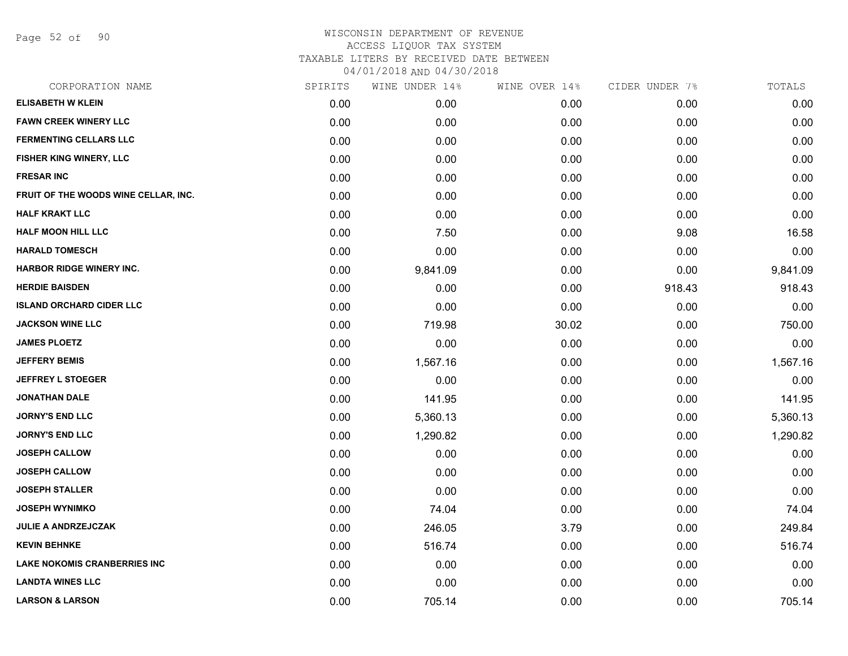Page 52 of 90

|      |          |                |               | TOTALS         |
|------|----------|----------------|---------------|----------------|
| 0.00 | 0.00     | 0.00           | 0.00          | 0.00           |
| 0.00 | 0.00     | 0.00           | 0.00          | 0.00           |
| 0.00 | 0.00     | 0.00           | 0.00          | 0.00           |
| 0.00 | 0.00     | 0.00           | 0.00          | 0.00           |
| 0.00 | 0.00     | 0.00           | 0.00          | 0.00           |
| 0.00 | 0.00     | 0.00           | 0.00          | 0.00           |
| 0.00 | 0.00     | 0.00           | 0.00          | 0.00           |
| 0.00 | 7.50     | 0.00           | 9.08          | 16.58          |
| 0.00 | 0.00     | 0.00           | 0.00          | 0.00           |
| 0.00 | 9,841.09 | 0.00           | 0.00          | 9,841.09       |
| 0.00 | 0.00     | 0.00           | 918.43        | 918.43         |
| 0.00 | 0.00     | 0.00           | 0.00          | 0.00           |
| 0.00 | 719.98   | 30.02          | 0.00          | 750.00         |
| 0.00 | 0.00     | 0.00           | 0.00          | 0.00           |
| 0.00 | 1,567.16 | 0.00           | 0.00          | 1,567.16       |
| 0.00 | 0.00     | 0.00           | 0.00          | 0.00           |
| 0.00 | 141.95   | 0.00           | 0.00          | 141.95         |
| 0.00 | 5,360.13 | 0.00           | 0.00          | 5,360.13       |
| 0.00 | 1,290.82 | 0.00           | 0.00          | 1,290.82       |
| 0.00 | 0.00     | 0.00           | 0.00          | 0.00           |
| 0.00 | 0.00     | 0.00           | 0.00          | 0.00           |
| 0.00 | 0.00     | 0.00           | 0.00          | 0.00           |
| 0.00 | 74.04    | 0.00           | 0.00          | 74.04          |
| 0.00 | 246.05   | 3.79           | 0.00          | 249.84         |
| 0.00 | 516.74   | 0.00           | 0.00          | 516.74         |
| 0.00 | 0.00     | 0.00           | 0.00          | 0.00           |
| 0.00 | 0.00     | 0.00           | 0.00          | 0.00           |
| 0.00 | 705.14   | 0.00           | 0.00          | 705.14         |
|      | SPIRITS  | WINE UNDER 14% | WINE OVER 14% | CIDER UNDER 7% |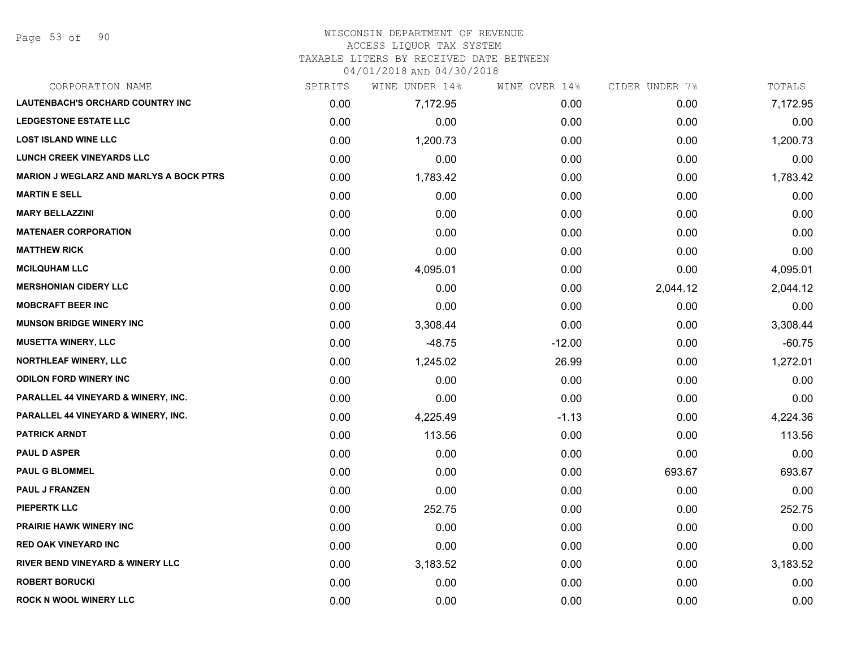Page 53 of 90

#### WISCONSIN DEPARTMENT OF REVENUE ACCESS LIQUOR TAX SYSTEM

TAXABLE LITERS BY RECEIVED DATE BETWEEN

04/01/2018 AND 04/30/2018

| CORPORATION NAME                               | SPIRITS | WINE UNDER 14% | WINE OVER 14% | CIDER UNDER 7% | TOTALS   |
|------------------------------------------------|---------|----------------|---------------|----------------|----------|
| LAUTENBACH'S ORCHARD COUNTRY INC               | 0.00    | 7,172.95       | 0.00          | 0.00           | 7,172.95 |
| <b>LEDGESTONE ESTATE LLC</b>                   | 0.00    | 0.00           | 0.00          | 0.00           | 0.00     |
| <b>LOST ISLAND WINE LLC</b>                    | 0.00    | 1,200.73       | 0.00          | 0.00           | 1,200.73 |
| <b>LUNCH CREEK VINEYARDS LLC</b>               | 0.00    | 0.00           | 0.00          | 0.00           | 0.00     |
| <b>MARION J WEGLARZ AND MARLYS A BOCK PTRS</b> | 0.00    | 1,783.42       | 0.00          | 0.00           | 1,783.42 |
| <b>MARTIN E SELL</b>                           | 0.00    | 0.00           | 0.00          | 0.00           | 0.00     |
| <b>MARY BELLAZZINI</b>                         | 0.00    | 0.00           | 0.00          | 0.00           | 0.00     |
| <b>MATENAER CORPORATION</b>                    | 0.00    | 0.00           | 0.00          | 0.00           | 0.00     |
| <b>MATTHEW RICK</b>                            | 0.00    | 0.00           | 0.00          | 0.00           | 0.00     |
| <b>MCILQUHAM LLC</b>                           | 0.00    | 4,095.01       | 0.00          | 0.00           | 4,095.01 |
| <b>MERSHONIAN CIDERY LLC</b>                   | 0.00    | 0.00           | 0.00          | 2,044.12       | 2,044.12 |
| <b>MOBCRAFT BEER INC</b>                       | 0.00    | 0.00           | 0.00          | 0.00           | 0.00     |
| <b>MUNSON BRIDGE WINERY INC</b>                | 0.00    | 3,308.44       | 0.00          | 0.00           | 3,308.44 |
| <b>MUSETTA WINERY, LLC</b>                     | 0.00    | $-48.75$       | $-12.00$      | 0.00           | $-60.75$ |
| <b>NORTHLEAF WINERY, LLC</b>                   | 0.00    | 1,245.02       | 26.99         | 0.00           | 1,272.01 |
| <b>ODILON FORD WINERY INC</b>                  | 0.00    | 0.00           | 0.00          | 0.00           | 0.00     |
| <b>PARALLEL 44 VINEYARD &amp; WINERY, INC.</b> | 0.00    | 0.00           | 0.00          | 0.00           | 0.00     |
| <b>PARALLEL 44 VINEYARD &amp; WINERY, INC.</b> | 0.00    | 4,225.49       | $-1.13$       | 0.00           | 4,224.36 |
| <b>PATRICK ARNDT</b>                           | 0.00    | 113.56         | 0.00          | 0.00           | 113.56   |
| <b>PAUL D ASPER</b>                            | 0.00    | 0.00           | 0.00          | 0.00           | 0.00     |
| <b>PAUL G BLOMMEL</b>                          | 0.00    | 0.00           | 0.00          | 693.67         | 693.67   |
| <b>PAUL J FRANZEN</b>                          | 0.00    | 0.00           | 0.00          | 0.00           | 0.00     |
| <b>PIEPERTK LLC</b>                            | 0.00    | 252.75         | 0.00          | 0.00           | 252.75   |
| <b>PRAIRIE HAWK WINERY INC</b>                 | 0.00    | 0.00           | 0.00          | 0.00           | 0.00     |
| <b>RED OAK VINEYARD INC</b>                    | 0.00    | 0.00           | 0.00          | 0.00           | 0.00     |
| <b>RIVER BEND VINEYARD &amp; WINERY LLC</b>    | 0.00    | 3,183.52       | 0.00          | 0.00           | 3,183.52 |
| <b>ROBERT BORUCKI</b>                          | 0.00    | 0.00           | 0.00          | 0.00           | 0.00     |
| <b>ROCK N WOOL WINERY LLC</b>                  | 0.00    | 0.00           | 0.00          | 0.00           | 0.00     |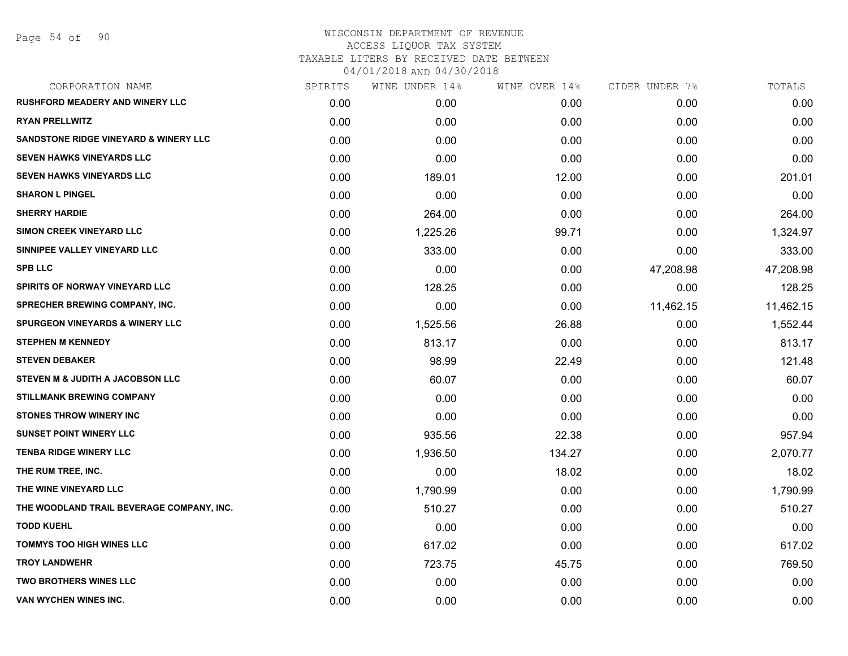| SPIRITS | WINE UNDER 14% | WINE OVER 14% | CIDER UNDER 7% | TOTALS    |
|---------|----------------|---------------|----------------|-----------|
| 0.00    | 0.00           | 0.00          | 0.00           | 0.00      |
| 0.00    | 0.00           | 0.00          | 0.00           | 0.00      |
| 0.00    | 0.00           | 0.00          | 0.00           | 0.00      |
| 0.00    | 0.00           | 0.00          | 0.00           | 0.00      |
| 0.00    | 189.01         | 12.00         | 0.00           | 201.01    |
| 0.00    | 0.00           | 0.00          | 0.00           | 0.00      |
| 0.00    | 264.00         | 0.00          | 0.00           | 264.00    |
| 0.00    | 1,225.26       | 99.71         | 0.00           | 1,324.97  |
| 0.00    | 333.00         | 0.00          | 0.00           | 333.00    |
| 0.00    | 0.00           | 0.00          | 47,208.98      | 47,208.98 |
| 0.00    | 128.25         | 0.00          | 0.00           | 128.25    |
| 0.00    | 0.00           | 0.00          | 11,462.15      | 11,462.15 |
| 0.00    | 1,525.56       | 26.88         | 0.00           | 1,552.44  |
| 0.00    | 813.17         | 0.00          | 0.00           | 813.17    |
| 0.00    | 98.99          | 22.49         | 0.00           | 121.48    |
| 0.00    | 60.07          | 0.00          | 0.00           | 60.07     |
| 0.00    | 0.00           | 0.00          | 0.00           | 0.00      |
| 0.00    | 0.00           | 0.00          | 0.00           | 0.00      |
| 0.00    | 935.56         | 22.38         | 0.00           | 957.94    |
| 0.00    | 1,936.50       | 134.27        | 0.00           | 2,070.77  |
| 0.00    | 0.00           | 18.02         | 0.00           | 18.02     |
| 0.00    | 1,790.99       | 0.00          | 0.00           | 1,790.99  |
| 0.00    | 510.27         | 0.00          | 0.00           | 510.27    |
| 0.00    | 0.00           | 0.00          | 0.00           | 0.00      |
| 0.00    | 617.02         | 0.00          | 0.00           | 617.02    |
| 0.00    | 723.75         | 45.75         | 0.00           | 769.50    |
| 0.00    | 0.00           | 0.00          | 0.00           | 0.00      |
| 0.00    | 0.00           | 0.00          | 0.00           | 0.00      |
|         |                |               |                |           |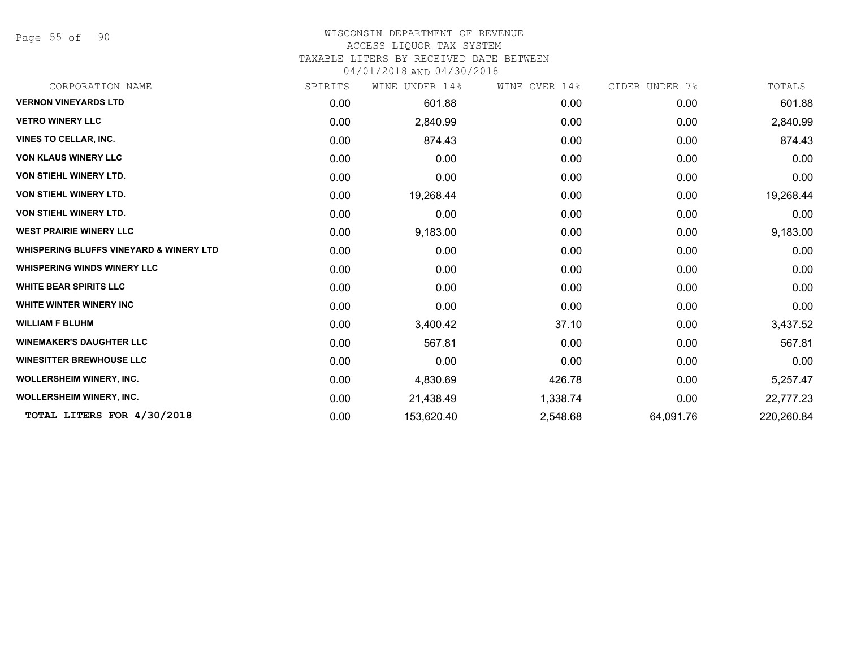Page 55 of 90

#### WISCONSIN DEPARTMENT OF REVENUE ACCESS LIQUOR TAX SYSTEM

TAXABLE LITERS BY RECEIVED DATE BETWEEN

04/01/2018 AND 04/30/2018

| CORPORATION NAME                                   | SPIRITS | UNDER 14%<br>WINE | WINE OVER 14% | CIDER UNDER 7% | TOTALS     |
|----------------------------------------------------|---------|-------------------|---------------|----------------|------------|
| <b>VERNON VINEYARDS LTD</b>                        | 0.00    | 601.88            | 0.00          | 0.00           | 601.88     |
| <b>VETRO WINERY LLC</b>                            | 0.00    | 2,840.99          | 0.00          | 0.00           | 2,840.99   |
| <b>VINES TO CELLAR, INC.</b>                       | 0.00    | 874.43            | 0.00          | 0.00           | 874.43     |
| <b>VON KLAUS WINERY LLC</b>                        | 0.00    | 0.00              | 0.00          | 0.00           | 0.00       |
| <b>VON STIEHL WINERY LTD.</b>                      | 0.00    | 0.00              | 0.00          | 0.00           | 0.00       |
| <b>VON STIEHL WINERY LTD.</b>                      | 0.00    | 19,268.44         | 0.00          | 0.00           | 19,268.44  |
| <b>VON STIEHL WINERY LTD.</b>                      | 0.00    | 0.00              | 0.00          | 0.00           | 0.00       |
| <b>WEST PRAIRIE WINERY LLC</b>                     | 0.00    | 9,183.00          | 0.00          | 0.00           | 9,183.00   |
| <b>WHISPERING BLUFFS VINEYARD &amp; WINERY LTD</b> | 0.00    | 0.00              | 0.00          | 0.00           | 0.00       |
| <b>WHISPERING WINDS WINERY LLC</b>                 | 0.00    | 0.00              | 0.00          | 0.00           | 0.00       |
| <b>WHITE BEAR SPIRITS LLC</b>                      | 0.00    | 0.00              | 0.00          | 0.00           | 0.00       |
| <b>WHITE WINTER WINERY INC</b>                     | 0.00    | 0.00              | 0.00          | 0.00           | 0.00       |
| <b>WILLIAM F BLUHM</b>                             | 0.00    | 3,400.42          | 37.10         | 0.00           | 3,437.52   |
| <b>WINEMAKER'S DAUGHTER LLC</b>                    | 0.00    | 567.81            | 0.00          | 0.00           | 567.81     |
| <b>WINESITTER BREWHOUSE LLC</b>                    | 0.00    | 0.00              | 0.00          | 0.00           | 0.00       |
| <b>WOLLERSHEIM WINERY, INC.</b>                    | 0.00    | 4,830.69          | 426.78        | 0.00           | 5,257.47   |
| <b>WOLLERSHEIM WINERY, INC.</b>                    | 0.00    | 21,438.49         | 1,338.74      | 0.00           | 22,777.23  |
| TOTAL LITERS FOR 4/30/2018                         | 0.00    | 153,620.40        | 2,548.68      | 64,091.76      | 220,260.84 |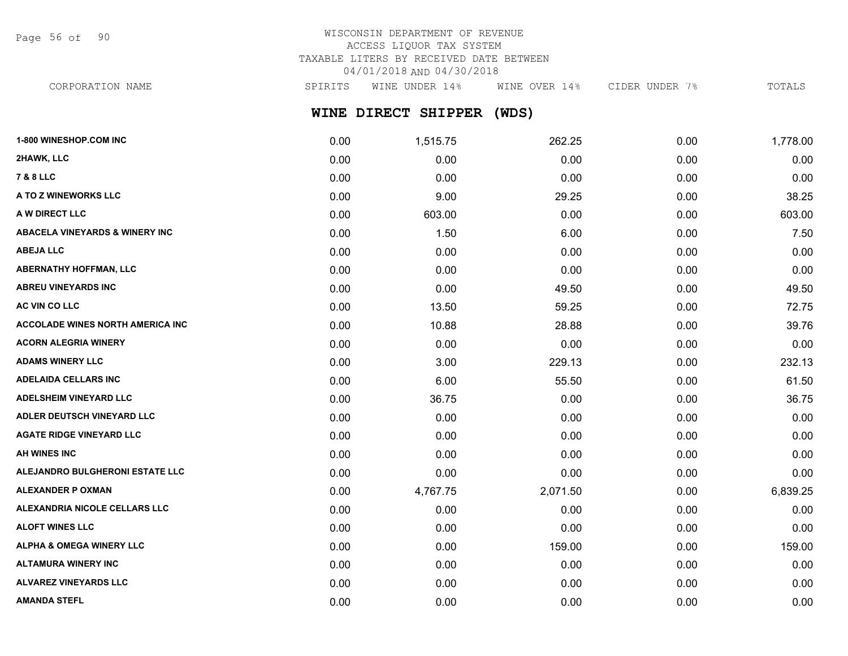Page 56 of 90

# WISCONSIN DEPARTMENT OF REVENUE ACCESS LIQUOR TAX SYSTEM TAXABLE LITERS BY RECEIVED DATE BETWEEN 04/01/2018 AND 04/30/2018

**WINE DIRECT SHIPPER (WDS)** CORPORATION NAME SPIRITS WINE UNDER 14% WINE OVER 14% CIDER UNDER 7% TOTALS

| 1-800 WINESHOP.COM INC                  | 0.00 | 1,515.75 | 262.25   | 0.00 | 1,778.00 |
|-----------------------------------------|------|----------|----------|------|----------|
| 2HAWK, LLC                              | 0.00 | 0.00     | 0.00     | 0.00 | 0.00     |
| 7 & 8 LLC                               | 0.00 | 0.00     | 0.00     | 0.00 | 0.00     |
| A TO Z WINEWORKS LLC                    | 0.00 | 9.00     | 29.25    | 0.00 | 38.25    |
| A W DIRECT LLC                          | 0.00 | 603.00   | 0.00     | 0.00 | 603.00   |
| ABACELA VINEYARDS & WINERY INC          | 0.00 | 1.50     | 6.00     | 0.00 | 7.50     |
| <b>ABEJA LLC</b>                        | 0.00 | 0.00     | 0.00     | 0.00 | 0.00     |
| <b>ABERNATHY HOFFMAN, LLC</b>           | 0.00 | 0.00     | 0.00     | 0.00 | 0.00     |
| <b>ABREU VINEYARDS INC</b>              | 0.00 | 0.00     | 49.50    | 0.00 | 49.50    |
| <b>AC VIN CO LLC</b>                    | 0.00 | 13.50    | 59.25    | 0.00 | 72.75    |
| <b>ACCOLADE WINES NORTH AMERICA INC</b> | 0.00 | 10.88    | 28.88    | 0.00 | 39.76    |
| ACORN ALEGRIA WINERY                    | 0.00 | 0.00     | 0.00     | 0.00 | 0.00     |
| <b>ADAMS WINERY LLC</b>                 | 0.00 | 3.00     | 229.13   | 0.00 | 232.13   |
| ADELAIDA CELLARS INC                    | 0.00 | 6.00     | 55.50    | 0.00 | 61.50    |
| <b>ADELSHEIM VINEYARD LLC</b>           | 0.00 | 36.75    | 0.00     | 0.00 | 36.75    |
| <b>ADLER DEUTSCH VINEYARD LLC</b>       | 0.00 | 0.00     | 0.00     | 0.00 | 0.00     |
| <b>AGATE RIDGE VINEYARD LLC</b>         | 0.00 | 0.00     | 0.00     | 0.00 | 0.00     |
| <b>AH WINES INC</b>                     | 0.00 | 0.00     | 0.00     | 0.00 | 0.00     |
| <b>ALEJANDRO BULGHERONI ESTATE LLC</b>  | 0.00 | 0.00     | 0.00     | 0.00 | 0.00     |
| <b>ALEXANDER P OXMAN</b>                | 0.00 | 4,767.75 | 2,071.50 | 0.00 | 6,839.25 |
| <b>ALEXANDRIA NICOLE CELLARS LLC</b>    | 0.00 | 0.00     | 0.00     | 0.00 | 0.00     |
| <b>ALOFT WINES LLC</b>                  | 0.00 | 0.00     | 0.00     | 0.00 | 0.00     |
| <b>ALPHA &amp; OMEGA WINERY LLC</b>     | 0.00 | 0.00     | 159.00   | 0.00 | 159.00   |
| <b>ALTAMURA WINERY INC</b>              | 0.00 | 0.00     | 0.00     | 0.00 | 0.00     |
| ALVAREZ VINEYARDS LLC                   | 0.00 | 0.00     | 0.00     | 0.00 | 0.00     |
| <b>AMANDA STEFL</b>                     | 0.00 | 0.00     | 0.00     | 0.00 | 0.00     |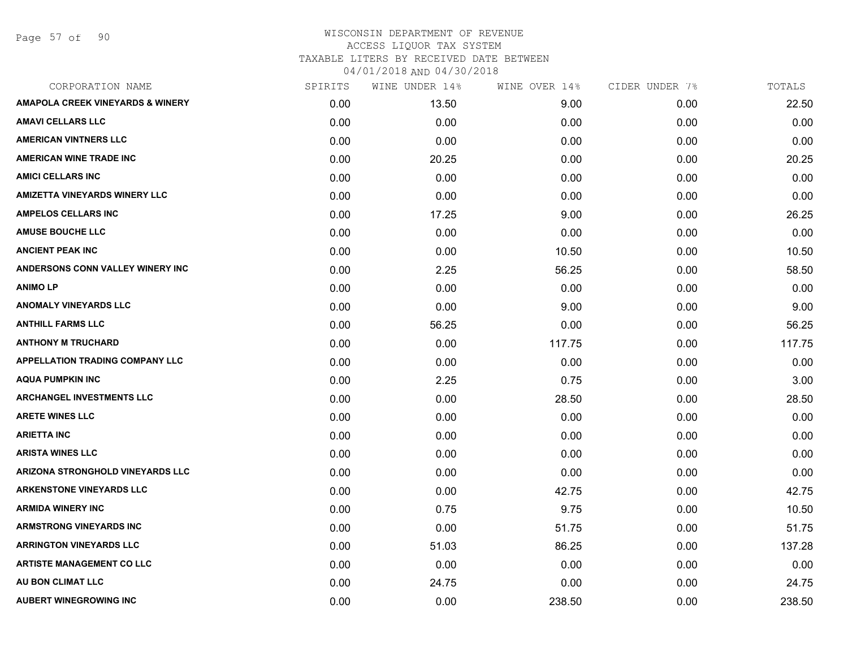Page 57 of 90

| CORPORATION NAME                            | SPIRITS | WINE UNDER 14% | WINE OVER 14% | CIDER UNDER 7% | TOTALS |
|---------------------------------------------|---------|----------------|---------------|----------------|--------|
| <b>AMAPOLA CREEK VINEYARDS &amp; WINERY</b> | 0.00    | 13.50          | 9.00          | 0.00           | 22.50  |
| <b>AMAVI CELLARS LLC</b>                    | 0.00    | 0.00           | 0.00          | 0.00           | 0.00   |
| <b>AMERICAN VINTNERS LLC</b>                | 0.00    | 0.00           | 0.00          | 0.00           | 0.00   |
| AMERICAN WINE TRADE INC                     | 0.00    | 20.25          | 0.00          | 0.00           | 20.25  |
| <b>AMICI CELLARS INC</b>                    | 0.00    | 0.00           | 0.00          | 0.00           | 0.00   |
| <b>AMIZETTA VINEYARDS WINERY LLC</b>        | 0.00    | 0.00           | 0.00          | 0.00           | 0.00   |
| <b>AMPELOS CELLARS INC</b>                  | 0.00    | 17.25          | 9.00          | 0.00           | 26.25  |
| <b>AMUSE BOUCHE LLC</b>                     | 0.00    | 0.00           | 0.00          | 0.00           | 0.00   |
| <b>ANCIENT PEAK INC</b>                     | 0.00    | 0.00           | 10.50         | 0.00           | 10.50  |
| ANDERSONS CONN VALLEY WINERY INC            | 0.00    | 2.25           | 56.25         | 0.00           | 58.50  |
| <b>ANIMOLP</b>                              | 0.00    | 0.00           | 0.00          | 0.00           | 0.00   |
| <b>ANOMALY VINEYARDS LLC</b>                | 0.00    | 0.00           | 9.00          | 0.00           | 9.00   |
| <b>ANTHILL FARMS LLC</b>                    | 0.00    | 56.25          | 0.00          | 0.00           | 56.25  |
| <b>ANTHONY M TRUCHARD</b>                   | 0.00    | 0.00           | 117.75        | 0.00           | 117.75 |
| <b>APPELLATION TRADING COMPANY LLC</b>      | 0.00    | 0.00           | 0.00          | 0.00           | 0.00   |
| <b>AQUA PUMPKIN INC</b>                     | 0.00    | 2.25           | 0.75          | 0.00           | 3.00   |
| <b>ARCHANGEL INVESTMENTS LLC</b>            | 0.00    | 0.00           | 28.50         | 0.00           | 28.50  |
| <b>ARETE WINES LLC</b>                      | 0.00    | 0.00           | 0.00          | 0.00           | 0.00   |
| <b>ARIETTA INC</b>                          | 0.00    | 0.00           | 0.00          | 0.00           | 0.00   |
| <b>ARISTA WINES LLC</b>                     | 0.00    | 0.00           | 0.00          | 0.00           | 0.00   |
| ARIZONA STRONGHOLD VINEYARDS LLC            | 0.00    | 0.00           | 0.00          | 0.00           | 0.00   |
| <b>ARKENSTONE VINEYARDS LLC</b>             | 0.00    | 0.00           | 42.75         | 0.00           | 42.75  |
| <b>ARMIDA WINERY INC</b>                    | 0.00    | 0.75           | 9.75          | 0.00           | 10.50  |
| <b>ARMSTRONG VINEYARDS INC</b>              | 0.00    | 0.00           | 51.75         | 0.00           | 51.75  |
| <b>ARRINGTON VINEYARDS LLC</b>              | 0.00    | 51.03          | 86.25         | 0.00           | 137.28 |
| <b>ARTISTE MANAGEMENT CO LLC</b>            | 0.00    | 0.00           | 0.00          | 0.00           | 0.00   |
| AU BON CLIMAT LLC                           | 0.00    | 24.75          | 0.00          | 0.00           | 24.75  |
| <b>AUBERT WINEGROWING INC</b>               | 0.00    | 0.00           | 238.50        | 0.00           | 238.50 |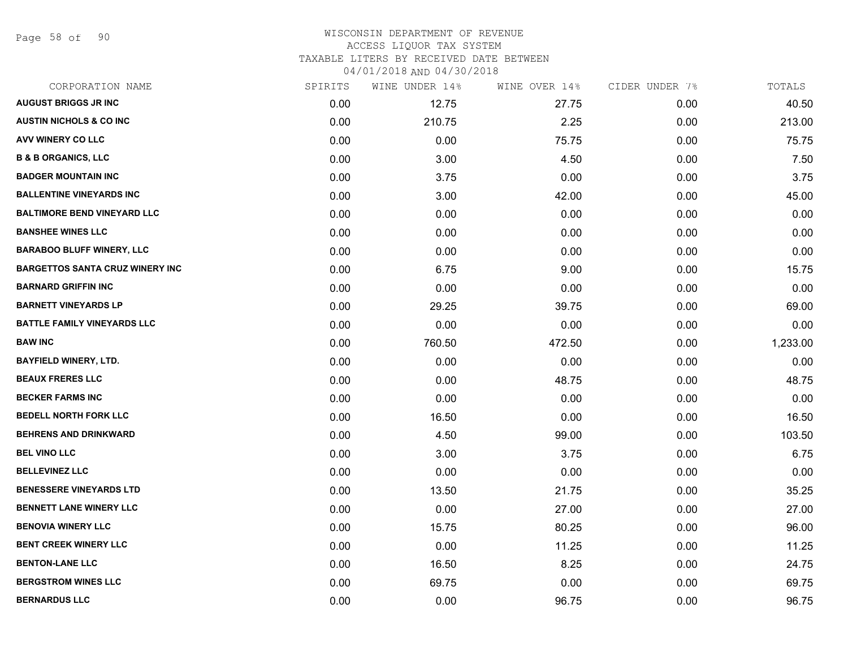Page 58 of 90

| CORPORATION NAME                       | SPIRITS | WINE UNDER 14% | WINE OVER 14% | CIDER UNDER 7% | TOTALS   |
|----------------------------------------|---------|----------------|---------------|----------------|----------|
| <b>AUGUST BRIGGS JR INC</b>            | 0.00    | 12.75          | 27.75         | 0.00           | 40.50    |
| <b>AUSTIN NICHOLS &amp; CO INC</b>     | 0.00    | 210.75         | 2.25          | 0.00           | 213.00   |
| AVV WINERY CO LLC                      | 0.00    | 0.00           | 75.75         | 0.00           | 75.75    |
| <b>B &amp; B ORGANICS, LLC</b>         | 0.00    | 3.00           | 4.50          | 0.00           | 7.50     |
| <b>BADGER MOUNTAIN INC</b>             | 0.00    | 3.75           | 0.00          | 0.00           | 3.75     |
| <b>BALLENTINE VINEYARDS INC</b>        | 0.00    | 3.00           | 42.00         | 0.00           | 45.00    |
| <b>BALTIMORE BEND VINEYARD LLC</b>     | 0.00    | 0.00           | 0.00          | 0.00           | 0.00     |
| <b>BANSHEE WINES LLC</b>               | 0.00    | 0.00           | 0.00          | 0.00           | 0.00     |
| <b>BARABOO BLUFF WINERY, LLC</b>       | 0.00    | 0.00           | 0.00          | 0.00           | 0.00     |
| <b>BARGETTOS SANTA CRUZ WINERY INC</b> | 0.00    | 6.75           | 9.00          | 0.00           | 15.75    |
| <b>BARNARD GRIFFIN INC</b>             | 0.00    | 0.00           | 0.00          | 0.00           | 0.00     |
| <b>BARNETT VINEYARDS LP</b>            | 0.00    | 29.25          | 39.75         | 0.00           | 69.00    |
| <b>BATTLE FAMILY VINEYARDS LLC</b>     | 0.00    | 0.00           | 0.00          | 0.00           | 0.00     |
| <b>BAW INC</b>                         | 0.00    | 760.50         | 472.50        | 0.00           | 1,233.00 |
| <b>BAYFIELD WINERY, LTD.</b>           | 0.00    | 0.00           | 0.00          | 0.00           | 0.00     |
| <b>BEAUX FRERES LLC</b>                | 0.00    | 0.00           | 48.75         | 0.00           | 48.75    |
| <b>BECKER FARMS INC</b>                | 0.00    | 0.00           | 0.00          | 0.00           | 0.00     |
| <b>BEDELL NORTH FORK LLC</b>           | 0.00    | 16.50          | 0.00          | 0.00           | 16.50    |
| <b>BEHRENS AND DRINKWARD</b>           | 0.00    | 4.50           | 99.00         | 0.00           | 103.50   |
| <b>BEL VINO LLC</b>                    | 0.00    | 3.00           | 3.75          | 0.00           | 6.75     |
| <b>BELLEVINEZ LLC</b>                  | 0.00    | 0.00           | 0.00          | 0.00           | 0.00     |
| <b>BENESSERE VINEYARDS LTD</b>         | 0.00    | 13.50          | 21.75         | 0.00           | 35.25    |
| BENNETT LANE WINERY LLC                | 0.00    | 0.00           | 27.00         | 0.00           | 27.00    |
| <b>BENOVIA WINERY LLC</b>              | 0.00    | 15.75          | 80.25         | 0.00           | 96.00    |
| <b>BENT CREEK WINERY LLC</b>           | 0.00    | 0.00           | 11.25         | 0.00           | 11.25    |
| <b>BENTON-LANE LLC</b>                 | 0.00    | 16.50          | 8.25          | 0.00           | 24.75    |
| <b>BERGSTROM WINES LLC</b>             | 0.00    | 69.75          | 0.00          | 0.00           | 69.75    |
| <b>BERNARDUS LLC</b>                   | 0.00    | 0.00           | 96.75         | 0.00           | 96.75    |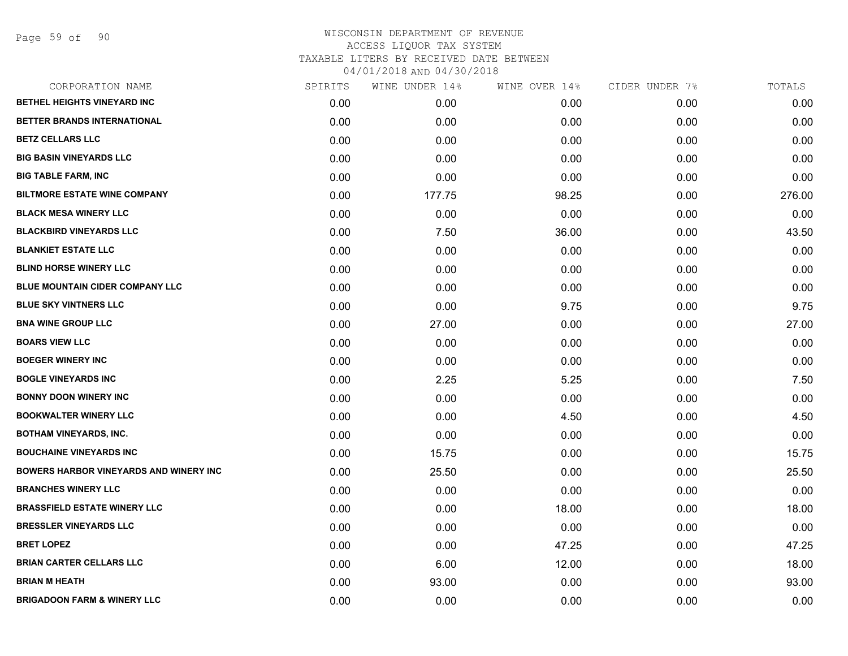| CORPORATION NAME                              | SPIRITS | WINE UNDER 14% | WINE OVER 14% | CIDER UNDER 7% | TOTALS |
|-----------------------------------------------|---------|----------------|---------------|----------------|--------|
| BETHEL HEIGHTS VINEYARD INC                   | 0.00    | 0.00           | 0.00          | 0.00           | 0.00   |
| BETTER BRANDS INTERNATIONAL                   | 0.00    | 0.00           | 0.00          | 0.00           | 0.00   |
| <b>BETZ CELLARS LLC</b>                       | 0.00    | 0.00           | 0.00          | 0.00           | 0.00   |
| <b>BIG BASIN VINEYARDS LLC</b>                | 0.00    | 0.00           | 0.00          | 0.00           | 0.00   |
| <b>BIG TABLE FARM, INC</b>                    | 0.00    | 0.00           | 0.00          | 0.00           | 0.00   |
| <b>BILTMORE ESTATE WINE COMPANY</b>           | 0.00    | 177.75         | 98.25         | 0.00           | 276.00 |
| <b>BLACK MESA WINERY LLC</b>                  | 0.00    | 0.00           | 0.00          | 0.00           | 0.00   |
| <b>BLACKBIRD VINEYARDS LLC</b>                | 0.00    | 7.50           | 36.00         | 0.00           | 43.50  |
| <b>BLANKIET ESTATE LLC</b>                    | 0.00    | 0.00           | 0.00          | 0.00           | 0.00   |
| <b>BLIND HORSE WINERY LLC</b>                 | 0.00    | 0.00           | 0.00          | 0.00           | 0.00   |
| <b>BLUE MOUNTAIN CIDER COMPANY LLC</b>        | 0.00    | 0.00           | 0.00          | 0.00           | 0.00   |
| <b>BLUE SKY VINTNERS LLC</b>                  | 0.00    | 0.00           | 9.75          | 0.00           | 9.75   |
| <b>BNA WINE GROUP LLC</b>                     | 0.00    | 27.00          | 0.00          | 0.00           | 27.00  |
| <b>BOARS VIEW LLC</b>                         | 0.00    | 0.00           | 0.00          | 0.00           | 0.00   |
| <b>BOEGER WINERY INC</b>                      | 0.00    | 0.00           | 0.00          | 0.00           | 0.00   |
| <b>BOGLE VINEYARDS INC</b>                    | 0.00    | 2.25           | 5.25          | 0.00           | 7.50   |
| <b>BONNY DOON WINERY INC</b>                  | 0.00    | 0.00           | 0.00          | 0.00           | 0.00   |
| <b>BOOKWALTER WINERY LLC</b>                  | 0.00    | 0.00           | 4.50          | 0.00           | 4.50   |
| <b>BOTHAM VINEYARDS, INC.</b>                 | 0.00    | 0.00           | 0.00          | 0.00           | 0.00   |
| <b>BOUCHAINE VINEYARDS INC</b>                | 0.00    | 15.75          | 0.00          | 0.00           | 15.75  |
| <b>BOWERS HARBOR VINEYARDS AND WINERY INC</b> | 0.00    | 25.50          | 0.00          | 0.00           | 25.50  |
| <b>BRANCHES WINERY LLC</b>                    | 0.00    | 0.00           | 0.00          | 0.00           | 0.00   |
| <b>BRASSFIELD ESTATE WINERY LLC</b>           | 0.00    | 0.00           | 18.00         | 0.00           | 18.00  |
| <b>BRESSLER VINEYARDS LLC</b>                 | 0.00    | 0.00           | 0.00          | 0.00           | 0.00   |
| <b>BRET LOPEZ</b>                             | 0.00    | 0.00           | 47.25         | 0.00           | 47.25  |
| <b>BRIAN CARTER CELLARS LLC</b>               | 0.00    | 6.00           | 12.00         | 0.00           | 18.00  |
| <b>BRIAN M HEATH</b>                          | 0.00    | 93.00          | 0.00          | 0.00           | 93.00  |
| <b>BRIGADOON FARM &amp; WINERY LLC</b>        | 0.00    | 0.00           | 0.00          | 0.00           | 0.00   |
|                                               |         |                |               |                |        |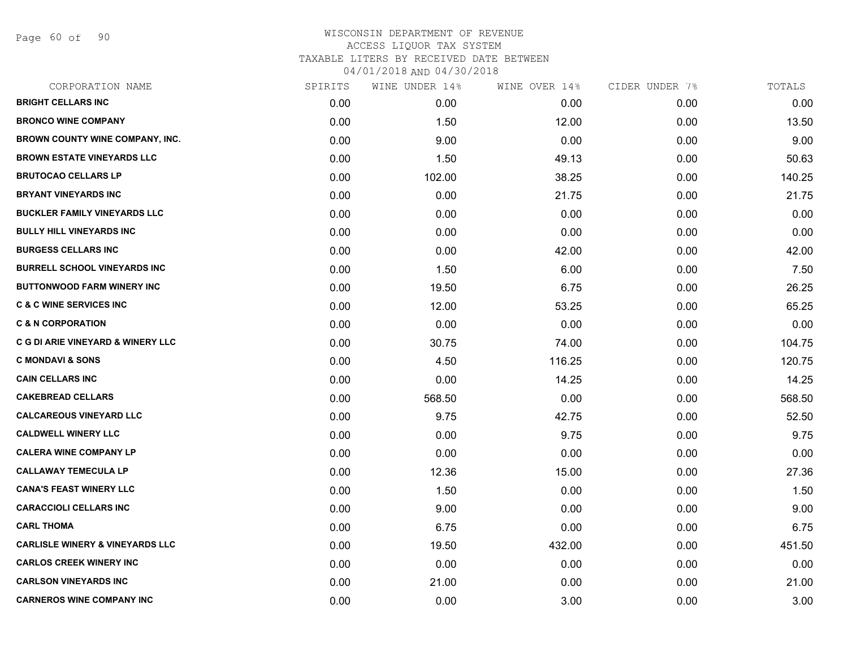Page 60 of 90

|      | WINE UNDER 14% |        |               | TOTALS         |
|------|----------------|--------|---------------|----------------|
| 0.00 | 0.00           | 0.00   | 0.00          | 0.00           |
| 0.00 | 1.50           | 12.00  | 0.00          | 13.50          |
| 0.00 | 9.00           | 0.00   | 0.00          | 9.00           |
| 0.00 | 1.50           | 49.13  | 0.00          | 50.63          |
| 0.00 | 102.00         | 38.25  | 0.00          | 140.25         |
| 0.00 | 0.00           | 21.75  | 0.00          | 21.75          |
| 0.00 | 0.00           | 0.00   | 0.00          | 0.00           |
| 0.00 | 0.00           | 0.00   | 0.00          | 0.00           |
| 0.00 | 0.00           | 42.00  | 0.00          | 42.00          |
| 0.00 | 1.50           | 6.00   | 0.00          | 7.50           |
| 0.00 | 19.50          | 6.75   | 0.00          | 26.25          |
| 0.00 | 12.00          | 53.25  | 0.00          | 65.25          |
| 0.00 | 0.00           | 0.00   | 0.00          | 0.00           |
| 0.00 | 30.75          | 74.00  | 0.00          | 104.75         |
| 0.00 | 4.50           | 116.25 | 0.00          | 120.75         |
| 0.00 | 0.00           | 14.25  | 0.00          | 14.25          |
| 0.00 | 568.50         | 0.00   | 0.00          | 568.50         |
| 0.00 | 9.75           | 42.75  | 0.00          | 52.50          |
| 0.00 | 0.00           | 9.75   | 0.00          | 9.75           |
| 0.00 | 0.00           | 0.00   | 0.00          | 0.00           |
| 0.00 | 12.36          | 15.00  | 0.00          | 27.36          |
| 0.00 | 1.50           | 0.00   | 0.00          | 1.50           |
| 0.00 | 9.00           | 0.00   | 0.00          | 9.00           |
| 0.00 | 6.75           | 0.00   | 0.00          | 6.75           |
| 0.00 | 19.50          | 432.00 | 0.00          | 451.50         |
| 0.00 | 0.00           | 0.00   | 0.00          | 0.00           |
| 0.00 | 21.00          | 0.00   | 0.00          | 21.00          |
| 0.00 | 0.00           | 3.00   | 0.00          | 3.00           |
|      | SPIRITS        |        | WINE OVER 14% | CIDER UNDER 7% |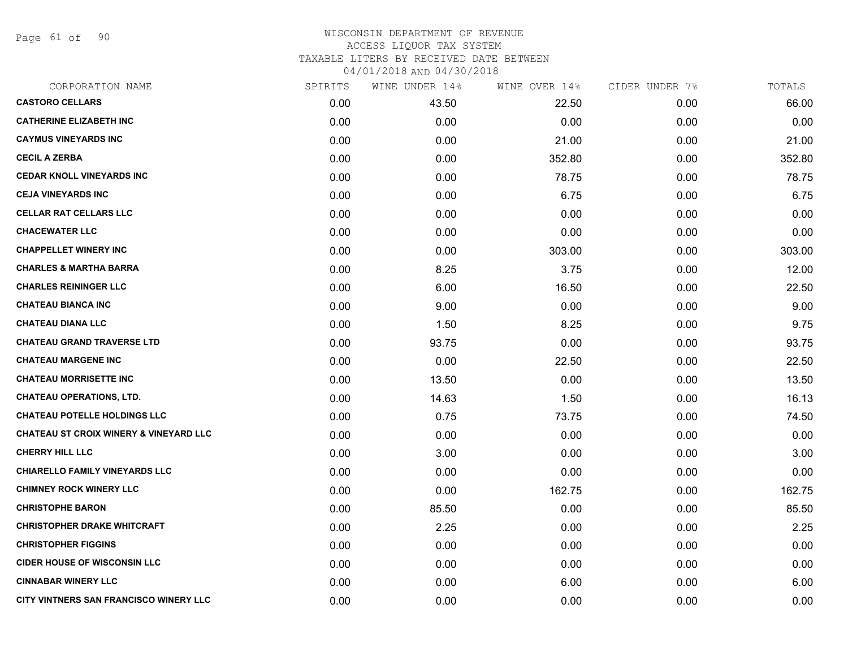Page 61 of 90

| CORPORATION NAME                                  | SPIRITS | WINE UNDER 14% | WINE OVER 14% | CIDER UNDER 7% | TOTALS |
|---------------------------------------------------|---------|----------------|---------------|----------------|--------|
| <b>CASTORO CELLARS</b>                            | 0.00    | 43.50          | 22.50         | 0.00           | 66.00  |
| <b>CATHERINE ELIZABETH INC</b>                    | 0.00    | 0.00           | 0.00          | 0.00           | 0.00   |
| <b>CAYMUS VINEYARDS INC</b>                       | 0.00    | 0.00           | 21.00         | 0.00           | 21.00  |
| <b>CECIL A ZERBA</b>                              | 0.00    | 0.00           | 352.80        | 0.00           | 352.80 |
| <b>CEDAR KNOLL VINEYARDS INC</b>                  | 0.00    | 0.00           | 78.75         | 0.00           | 78.75  |
| <b>CEJA VINEYARDS INC</b>                         | 0.00    | 0.00           | 6.75          | 0.00           | 6.75   |
| <b>CELLAR RAT CELLARS LLC</b>                     | 0.00    | 0.00           | 0.00          | 0.00           | 0.00   |
| <b>CHACEWATER LLC</b>                             | 0.00    | 0.00           | 0.00          | 0.00           | 0.00   |
| <b>CHAPPELLET WINERY INC</b>                      | 0.00    | 0.00           | 303.00        | 0.00           | 303.00 |
| <b>CHARLES &amp; MARTHA BARRA</b>                 | 0.00    | 8.25           | 3.75          | 0.00           | 12.00  |
| <b>CHARLES REININGER LLC</b>                      | 0.00    | 6.00           | 16.50         | 0.00           | 22.50  |
| <b>CHATEAU BIANCA INC</b>                         | 0.00    | 9.00           | 0.00          | 0.00           | 9.00   |
| <b>CHATEAU DIANA LLC</b>                          | 0.00    | 1.50           | 8.25          | 0.00           | 9.75   |
| <b>CHATEAU GRAND TRAVERSE LTD</b>                 | 0.00    | 93.75          | 0.00          | 0.00           | 93.75  |
| <b>CHATEAU MARGENE INC</b>                        | 0.00    | 0.00           | 22.50         | 0.00           | 22.50  |
| <b>CHATEAU MORRISETTE INC</b>                     | 0.00    | 13.50          | 0.00          | 0.00           | 13.50  |
| <b>CHATEAU OPERATIONS, LTD.</b>                   | 0.00    | 14.63          | 1.50          | 0.00           | 16.13  |
| <b>CHATEAU POTELLE HOLDINGS LLC</b>               | 0.00    | 0.75           | 73.75         | 0.00           | 74.50  |
| <b>CHATEAU ST CROIX WINERY &amp; VINEYARD LLC</b> | 0.00    | 0.00           | 0.00          | 0.00           | 0.00   |
| <b>CHERRY HILL LLC</b>                            | 0.00    | 3.00           | 0.00          | 0.00           | 3.00   |
| CHIARELLO FAMILY VINEYARDS LLC                    | 0.00    | 0.00           | 0.00          | 0.00           | 0.00   |
| <b>CHIMNEY ROCK WINERY LLC</b>                    | 0.00    | 0.00           | 162.75        | 0.00           | 162.75 |
| <b>CHRISTOPHE BARON</b>                           | 0.00    | 85.50          | 0.00          | 0.00           | 85.50  |
| <b>CHRISTOPHER DRAKE WHITCRAFT</b>                | 0.00    | 2.25           | 0.00          | 0.00           | 2.25   |
| <b>CHRISTOPHER FIGGINS</b>                        | 0.00    | 0.00           | 0.00          | 0.00           | 0.00   |
| <b>CIDER HOUSE OF WISCONSIN LLC</b>               | 0.00    | 0.00           | 0.00          | 0.00           | 0.00   |
| <b>CINNABAR WINERY LLC</b>                        | 0.00    | 0.00           | 6.00          | 0.00           | 6.00   |
| CITY VINTNERS SAN FRANCISCO WINERY LLC            | 0.00    | 0.00           | 0.00          | 0.00           | 0.00   |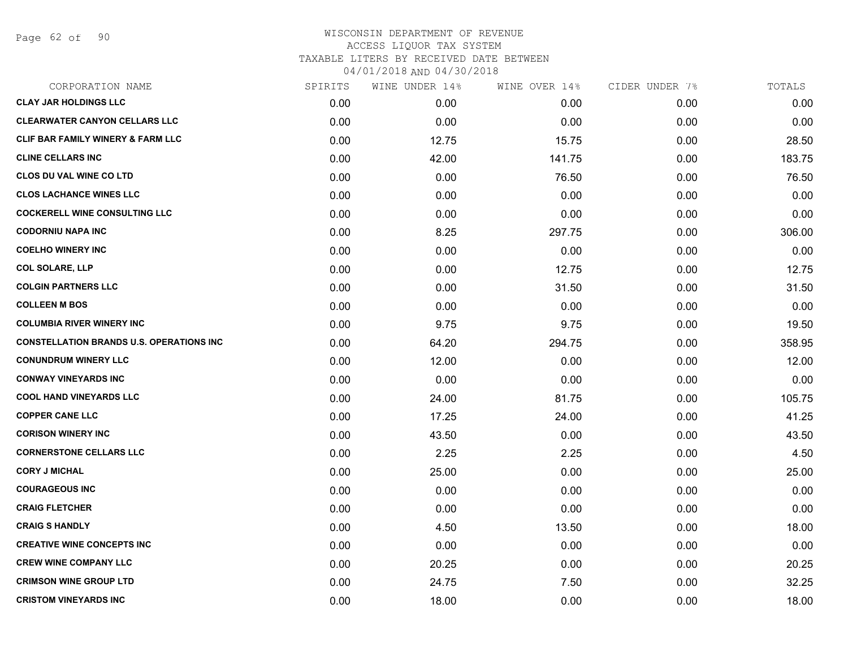Page 62 of 90

| CORPORATION NAME                                 | SPIRITS | WINE UNDER 14% | WINE OVER 14% | CIDER UNDER 7% | TOTALS |
|--------------------------------------------------|---------|----------------|---------------|----------------|--------|
| <b>CLAY JAR HOLDINGS LLC</b>                     | 0.00    | 0.00           | 0.00          | 0.00           | 0.00   |
| <b>CLEARWATER CANYON CELLARS LLC</b>             | 0.00    | 0.00           | 0.00          | 0.00           | 0.00   |
| <b>CLIF BAR FAMILY WINERY &amp; FARM LLC</b>     | 0.00    | 12.75          | 15.75         | 0.00           | 28.50  |
| <b>CLINE CELLARS INC</b>                         | 0.00    | 42.00          | 141.75        | 0.00           | 183.75 |
| <b>CLOS DU VAL WINE CO LTD</b>                   | 0.00    | 0.00           | 76.50         | 0.00           | 76.50  |
| <b>CLOS LACHANCE WINES LLC</b>                   | 0.00    | 0.00           | 0.00          | 0.00           | 0.00   |
| <b>COCKERELL WINE CONSULTING LLC</b>             | 0.00    | 0.00           | 0.00          | 0.00           | 0.00   |
| <b>CODORNIU NAPA INC</b>                         | 0.00    | 8.25           | 297.75        | 0.00           | 306.00 |
| <b>COELHO WINERY INC</b>                         | 0.00    | 0.00           | 0.00          | 0.00           | 0.00   |
| <b>COL SOLARE, LLP</b>                           | 0.00    | 0.00           | 12.75         | 0.00           | 12.75  |
| <b>COLGIN PARTNERS LLC</b>                       | 0.00    | 0.00           | 31.50         | 0.00           | 31.50  |
| <b>COLLEEN M BOS</b>                             | 0.00    | 0.00           | 0.00          | 0.00           | 0.00   |
| <b>COLUMBIA RIVER WINERY INC</b>                 | 0.00    | 9.75           | 9.75          | 0.00           | 19.50  |
| <b>CONSTELLATION BRANDS U.S. OPERATIONS INC.</b> | 0.00    | 64.20          | 294.75        | 0.00           | 358.95 |
| <b>CONUNDRUM WINERY LLC</b>                      | 0.00    | 12.00          | 0.00          | 0.00           | 12.00  |
| <b>CONWAY VINEYARDS INC</b>                      | 0.00    | 0.00           | 0.00          | 0.00           | 0.00   |
| <b>COOL HAND VINEYARDS LLC</b>                   | 0.00    | 24.00          | 81.75         | 0.00           | 105.75 |
| <b>COPPER CANE LLC</b>                           | 0.00    | 17.25          | 24.00         | 0.00           | 41.25  |
| <b>CORISON WINERY INC</b>                        | 0.00    | 43.50          | 0.00          | 0.00           | 43.50  |
| <b>CORNERSTONE CELLARS LLC</b>                   | 0.00    | 2.25           | 2.25          | 0.00           | 4.50   |
| <b>CORY J MICHAL</b>                             | 0.00    | 25.00          | 0.00          | 0.00           | 25.00  |
| <b>COURAGEOUS INC</b>                            | 0.00    | 0.00           | 0.00          | 0.00           | 0.00   |
| <b>CRAIG FLETCHER</b>                            | 0.00    | 0.00           | 0.00          | 0.00           | 0.00   |
| <b>CRAIG S HANDLY</b>                            | 0.00    | 4.50           | 13.50         | 0.00           | 18.00  |
| <b>CREATIVE WINE CONCEPTS INC</b>                | 0.00    | 0.00           | 0.00          | 0.00           | 0.00   |
| <b>CREW WINE COMPANY LLC</b>                     | 0.00    | 20.25          | 0.00          | 0.00           | 20.25  |
| <b>CRIMSON WINE GROUP LTD</b>                    | 0.00    | 24.75          | 7.50          | 0.00           | 32.25  |
| <b>CRISTOM VINEYARDS INC</b>                     | 0.00    | 18.00          | 0.00          | 0.00           | 18.00  |
|                                                  |         |                |               |                |        |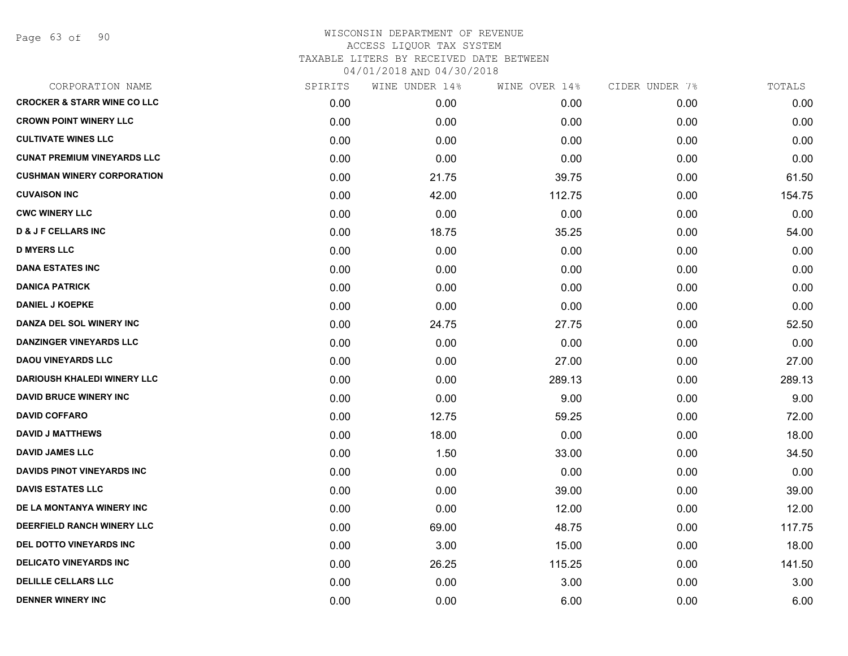Page 63 of 90

| CORPORATION NAME                       | SPIRITS | WINE UNDER 14% | WINE OVER 14% | CIDER UNDER 7% | TOTALS |
|----------------------------------------|---------|----------------|---------------|----------------|--------|
| <b>CROCKER &amp; STARR WINE CO LLC</b> | 0.00    | 0.00           | 0.00          | 0.00           | 0.00   |
| <b>CROWN POINT WINERY LLC</b>          | 0.00    | 0.00           | 0.00          | 0.00           | 0.00   |
| <b>CULTIVATE WINES LLC</b>             | 0.00    | 0.00           | 0.00          | 0.00           | 0.00   |
| <b>CUNAT PREMIUM VINEYARDS LLC</b>     | 0.00    | 0.00           | 0.00          | 0.00           | 0.00   |
| <b>CUSHMAN WINERY CORPORATION</b>      | 0.00    | 21.75          | 39.75         | 0.00           | 61.50  |
| <b>CUVAISON INC</b>                    | 0.00    | 42.00          | 112.75        | 0.00           | 154.75 |
| <b>CWC WINERY LLC</b>                  | 0.00    | 0.00           | 0.00          | 0.00           | 0.00   |
| <b>D &amp; J F CELLARS INC</b>         | 0.00    | 18.75          | 35.25         | 0.00           | 54.00  |
| <b>D MYERS LLC</b>                     | 0.00    | 0.00           | 0.00          | 0.00           | 0.00   |
| <b>DANA ESTATES INC</b>                | 0.00    | 0.00           | 0.00          | 0.00           | 0.00   |
| <b>DANICA PATRICK</b>                  | 0.00    | 0.00           | 0.00          | 0.00           | 0.00   |
| <b>DANIEL J KOEPKE</b>                 | 0.00    | 0.00           | 0.00          | 0.00           | 0.00   |
| DANZA DEL SOL WINERY INC               | 0.00    | 24.75          | 27.75         | 0.00           | 52.50  |
| <b>DANZINGER VINEYARDS LLC</b>         | 0.00    | 0.00           | 0.00          | 0.00           | 0.00   |
| <b>DAOU VINEYARDS LLC</b>              | 0.00    | 0.00           | 27.00         | 0.00           | 27.00  |
| <b>DARIOUSH KHALEDI WINERY LLC</b>     | 0.00    | 0.00           | 289.13        | 0.00           | 289.13 |
| <b>DAVID BRUCE WINERY INC</b>          | 0.00    | 0.00           | 9.00          | 0.00           | 9.00   |
| <b>DAVID COFFARO</b>                   | 0.00    | 12.75          | 59.25         | 0.00           | 72.00  |
| <b>DAVID J MATTHEWS</b>                | 0.00    | 18.00          | 0.00          | 0.00           | 18.00  |
| <b>DAVID JAMES LLC</b>                 | 0.00    | 1.50           | 33.00         | 0.00           | 34.50  |
| <b>DAVIDS PINOT VINEYARDS INC</b>      | 0.00    | 0.00           | 0.00          | 0.00           | 0.00   |
| <b>DAVIS ESTATES LLC</b>               | 0.00    | 0.00           | 39.00         | 0.00           | 39.00  |
| DE LA MONTANYA WINERY INC              | 0.00    | 0.00           | 12.00         | 0.00           | 12.00  |
| DEERFIELD RANCH WINERY LLC             | 0.00    | 69.00          | 48.75         | 0.00           | 117.75 |
| DEL DOTTO VINEYARDS INC                | 0.00    | 3.00           | 15.00         | 0.00           | 18.00  |
| <b>DELICATO VINEYARDS INC</b>          | 0.00    | 26.25          | 115.25        | 0.00           | 141.50 |
| <b>DELILLE CELLARS LLC</b>             | 0.00    | 0.00           | 3.00          | 0.00           | 3.00   |
| <b>DENNER WINERY INC</b>               | 0.00    | 0.00           | 6.00          | 0.00           | 6.00   |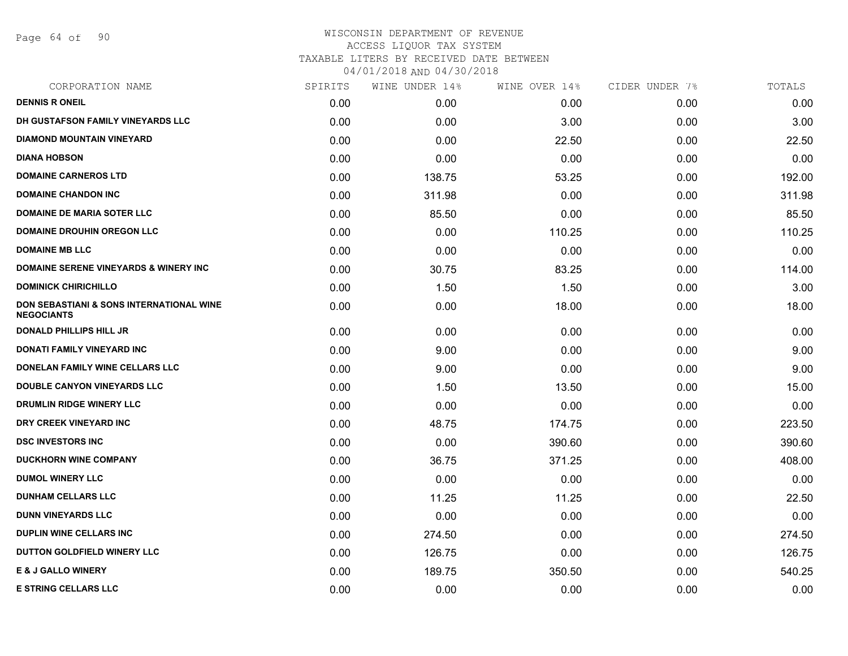Page 64 of 90

| CORPORATION NAME                                              | SPIRITS | WINE UNDER 14% | WINE OVER 14% | CIDER UNDER 7% | TOTALS |
|---------------------------------------------------------------|---------|----------------|---------------|----------------|--------|
| <b>DENNIS R ONEIL</b>                                         | 0.00    | 0.00           | 0.00          | 0.00           | 0.00   |
| DH GUSTAFSON FAMILY VINEYARDS LLC                             | 0.00    | 0.00           | 3.00          | 0.00           | 3.00   |
| <b>DIAMOND MOUNTAIN VINEYARD</b>                              | 0.00    | 0.00           | 22.50         | 0.00           | 22.50  |
| <b>DIANA HOBSON</b>                                           | 0.00    | 0.00           | 0.00          | 0.00           | 0.00   |
| <b>DOMAINE CARNEROS LTD</b>                                   | 0.00    | 138.75         | 53.25         | 0.00           | 192.00 |
| <b>DOMAINE CHANDON INC</b>                                    | 0.00    | 311.98         | 0.00          | 0.00           | 311.98 |
| <b>DOMAINE DE MARIA SOTER LLC</b>                             | 0.00    | 85.50          | 0.00          | 0.00           | 85.50  |
| <b>DOMAINE DROUHIN OREGON LLC</b>                             | 0.00    | 0.00           | 110.25        | 0.00           | 110.25 |
| <b>DOMAINE MB LLC</b>                                         | 0.00    | 0.00           | 0.00          | 0.00           | 0.00   |
| <b>DOMAINE SERENE VINEYARDS &amp; WINERY INC</b>              | 0.00    | 30.75          | 83.25         | 0.00           | 114.00 |
| <b>DOMINICK CHIRICHILLO</b>                                   | 0.00    | 1.50           | 1.50          | 0.00           | 3.00   |
| DON SEBASTIANI & SONS INTERNATIONAL WINE<br><b>NEGOCIANTS</b> | 0.00    | 0.00           | 18.00         | 0.00           | 18.00  |
| <b>DONALD PHILLIPS HILL JR</b>                                | 0.00    | 0.00           | 0.00          | 0.00           | 0.00   |
| DONATI FAMILY VINEYARD INC                                    | 0.00    | 9.00           | 0.00          | 0.00           | 9.00   |
| DONELAN FAMILY WINE CELLARS LLC                               | 0.00    | 9.00           | 0.00          | 0.00           | 9.00   |
| <b>DOUBLE CANYON VINEYARDS LLC</b>                            | 0.00    | 1.50           | 13.50         | 0.00           | 15.00  |
| DRUMLIN RIDGE WINERY LLC                                      | 0.00    | 0.00           | 0.00          | 0.00           | 0.00   |
| DRY CREEK VINEYARD INC                                        | 0.00    | 48.75          | 174.75        | 0.00           | 223.50 |
| <b>DSC INVESTORS INC</b>                                      | 0.00    | 0.00           | 390.60        | 0.00           | 390.60 |
| <b>DUCKHORN WINE COMPANY</b>                                  | 0.00    | 36.75          | 371.25        | 0.00           | 408.00 |
| <b>DUMOL WINERY LLC</b>                                       | 0.00    | 0.00           | 0.00          | 0.00           | 0.00   |
| <b>DUNHAM CELLARS LLC</b>                                     | 0.00    | 11.25          | 11.25         | 0.00           | 22.50  |
| <b>DUNN VINEYARDS LLC</b>                                     | 0.00    | 0.00           | 0.00          | 0.00           | 0.00   |
| <b>DUPLIN WINE CELLARS INC.</b>                               | 0.00    | 274.50         | 0.00          | 0.00           | 274.50 |
| DUTTON GOLDFIELD WINERY LLC                                   | 0.00    | 126.75         | 0.00          | 0.00           | 126.75 |
| <b>E &amp; J GALLO WINERY</b>                                 | 0.00    | 189.75         | 350.50        | 0.00           | 540.25 |
| <b>E STRING CELLARS LLC</b>                                   | 0.00    | 0.00           | 0.00          | 0.00           | 0.00   |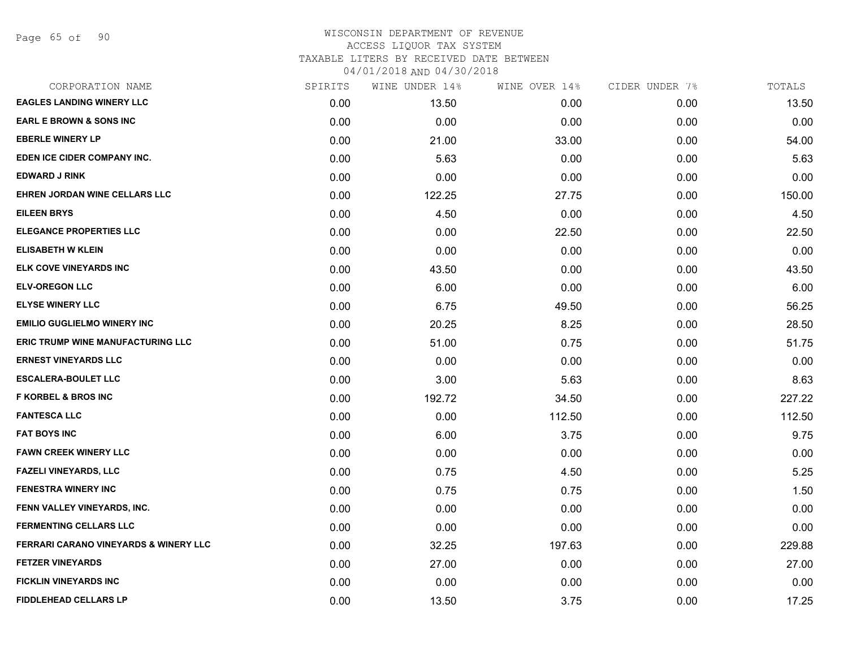| CORPORATION NAME                         | SPIRITS | WINE UNDER 14% | WINE OVER 14% | CIDER UNDER 7% | TOTALS |
|------------------------------------------|---------|----------------|---------------|----------------|--------|
| <b>EAGLES LANDING WINERY LLC</b>         | 0.00    | 13.50          | 0.00          | 0.00           | 13.50  |
| <b>EARL E BROWN &amp; SONS INC</b>       | 0.00    | 0.00           | 0.00          | 0.00           | 0.00   |
| <b>EBERLE WINERY LP</b>                  | 0.00    | 21.00          | 33.00         | 0.00           | 54.00  |
| EDEN ICE CIDER COMPANY INC.              | 0.00    | 5.63           | 0.00          | 0.00           | 5.63   |
| <b>EDWARD J RINK</b>                     | 0.00    | 0.00           | 0.00          | 0.00           | 0.00   |
| EHREN JORDAN WINE CELLARS LLC            | 0.00    | 122.25         | 27.75         | 0.00           | 150.00 |
| <b>EILEEN BRYS</b>                       | 0.00    | 4.50           | 0.00          | 0.00           | 4.50   |
| <b>ELEGANCE PROPERTIES LLC</b>           | 0.00    | 0.00           | 22.50         | 0.00           | 22.50  |
| <b>ELISABETH W KLEIN</b>                 | 0.00    | 0.00           | 0.00          | 0.00           | 0.00   |
| ELK COVE VINEYARDS INC                   | 0.00    | 43.50          | 0.00          | 0.00           | 43.50  |
| <b>ELV-OREGON LLC</b>                    | 0.00    | 6.00           | 0.00          | 0.00           | 6.00   |
| <b>ELYSE WINERY LLC</b>                  | 0.00    | 6.75           | 49.50         | 0.00           | 56.25  |
| <b>EMILIO GUGLIELMO WINERY INC</b>       | 0.00    | 20.25          | 8.25          | 0.00           | 28.50  |
| <b>ERIC TRUMP WINE MANUFACTURING LLC</b> | 0.00    | 51.00          | 0.75          | 0.00           | 51.75  |
| <b>ERNEST VINEYARDS LLC</b>              | 0.00    | 0.00           | 0.00          | 0.00           | 0.00   |
| <b>ESCALERA-BOULET LLC</b>               | 0.00    | 3.00           | 5.63          | 0.00           | 8.63   |
| <b>F KORBEL &amp; BROS INC</b>           | 0.00    | 192.72         | 34.50         | 0.00           | 227.22 |
| <b>FANTESCA LLC</b>                      | 0.00    | 0.00           | 112.50        | 0.00           | 112.50 |
| <b>FAT BOYS INC</b>                      | 0.00    | 6.00           | 3.75          | 0.00           | 9.75   |
| <b>FAWN CREEK WINERY LLC</b>             | 0.00    | 0.00           | 0.00          | 0.00           | 0.00   |
| <b>FAZELI VINEYARDS, LLC</b>             | 0.00    | 0.75           | 4.50          | 0.00           | 5.25   |
| <b>FENESTRA WINERY INC</b>               | 0.00    | 0.75           | 0.75          | 0.00           | 1.50   |
| FENN VALLEY VINEYARDS, INC.              | 0.00    | 0.00           | 0.00          | 0.00           | 0.00   |
| <b>FERMENTING CELLARS LLC</b>            | 0.00    | 0.00           | 0.00          | 0.00           | 0.00   |
| FERRARI CARANO VINEYARDS & WINERY LLC    | 0.00    | 32.25          | 197.63        | 0.00           | 229.88 |
| <b>FETZER VINEYARDS</b>                  | 0.00    | 27.00          | 0.00          | 0.00           | 27.00  |
| <b>FICKLIN VINEYARDS INC</b>             | 0.00    | 0.00           | 0.00          | 0.00           | 0.00   |
| <b>FIDDLEHEAD CELLARS LP</b>             | 0.00    | 13.50          | 3.75          | 0.00           | 17.25  |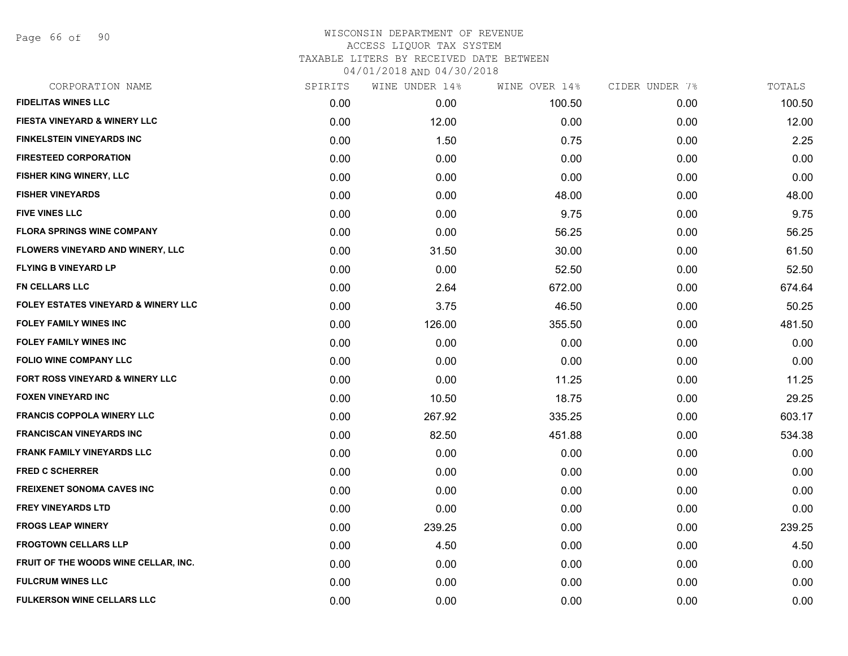Page 66 of 90

| CORPORATION NAME                               | SPIRITS | WINE UNDER 14% | WINE OVER 14% | CIDER UNDER 7% | TOTALS |
|------------------------------------------------|---------|----------------|---------------|----------------|--------|
| <b>FIDELITAS WINES LLC</b>                     | 0.00    | 0.00           | 100.50        | 0.00           | 100.50 |
| <b>FIESTA VINEYARD &amp; WINERY LLC</b>        | 0.00    | 12.00          | 0.00          | 0.00           | 12.00  |
| <b>FINKELSTEIN VINEYARDS INC</b>               | 0.00    | 1.50           | 0.75          | 0.00           | 2.25   |
| <b>FIRESTEED CORPORATION</b>                   | 0.00    | 0.00           | 0.00          | 0.00           | 0.00   |
| <b>FISHER KING WINERY, LLC</b>                 | 0.00    | 0.00           | 0.00          | 0.00           | 0.00   |
| <b>FISHER VINEYARDS</b>                        | 0.00    | 0.00           | 48.00         | 0.00           | 48.00  |
| <b>FIVE VINES LLC</b>                          | 0.00    | 0.00           | 9.75          | 0.00           | 9.75   |
| <b>FLORA SPRINGS WINE COMPANY</b>              | 0.00    | 0.00           | 56.25         | 0.00           | 56.25  |
| FLOWERS VINEYARD AND WINERY, LLC               | 0.00    | 31.50          | 30.00         | 0.00           | 61.50  |
| <b>FLYING B VINEYARD LP</b>                    | 0.00    | 0.00           | 52.50         | 0.00           | 52.50  |
| <b>FN CELLARS LLC</b>                          | 0.00    | 2.64           | 672.00        | 0.00           | 674.64 |
| <b>FOLEY ESTATES VINEYARD &amp; WINERY LLC</b> | 0.00    | 3.75           | 46.50         | 0.00           | 50.25  |
| <b>FOLEY FAMILY WINES INC</b>                  | 0.00    | 126.00         | 355.50        | 0.00           | 481.50 |
| <b>FOLEY FAMILY WINES INC</b>                  | 0.00    | 0.00           | 0.00          | 0.00           | 0.00   |
| <b>FOLIO WINE COMPANY LLC</b>                  | 0.00    | 0.00           | 0.00          | 0.00           | 0.00   |
| FORT ROSS VINEYARD & WINERY LLC                | 0.00    | 0.00           | 11.25         | 0.00           | 11.25  |
| <b>FOXEN VINEYARD INC</b>                      | 0.00    | 10.50          | 18.75         | 0.00           | 29.25  |
| <b>FRANCIS COPPOLA WINERY LLC</b>              | 0.00    | 267.92         | 335.25        | 0.00           | 603.17 |
| <b>FRANCISCAN VINEYARDS INC</b>                | 0.00    | 82.50          | 451.88        | 0.00           | 534.38 |
| <b>FRANK FAMILY VINEYARDS LLC</b>              | 0.00    | 0.00           | 0.00          | 0.00           | 0.00   |
| <b>FRED C SCHERRER</b>                         | 0.00    | 0.00           | 0.00          | 0.00           | 0.00   |
| <b>FREIXENET SONOMA CAVES INC</b>              | 0.00    | 0.00           | 0.00          | 0.00           | 0.00   |
| <b>FREY VINEYARDS LTD</b>                      | 0.00    | 0.00           | 0.00          | 0.00           | 0.00   |
| <b>FROGS LEAP WINERY</b>                       | 0.00    | 239.25         | 0.00          | 0.00           | 239.25 |
| <b>FROGTOWN CELLARS LLP</b>                    | 0.00    | 4.50           | 0.00          | 0.00           | 4.50   |
| FRUIT OF THE WOODS WINE CELLAR, INC.           | 0.00    | 0.00           | 0.00          | 0.00           | 0.00   |
| <b>FULCRUM WINES LLC</b>                       | 0.00    | 0.00           | 0.00          | 0.00           | 0.00   |
| <b>FULKERSON WINE CELLARS LLC</b>              | 0.00    | 0.00           | 0.00          | 0.00           | 0.00   |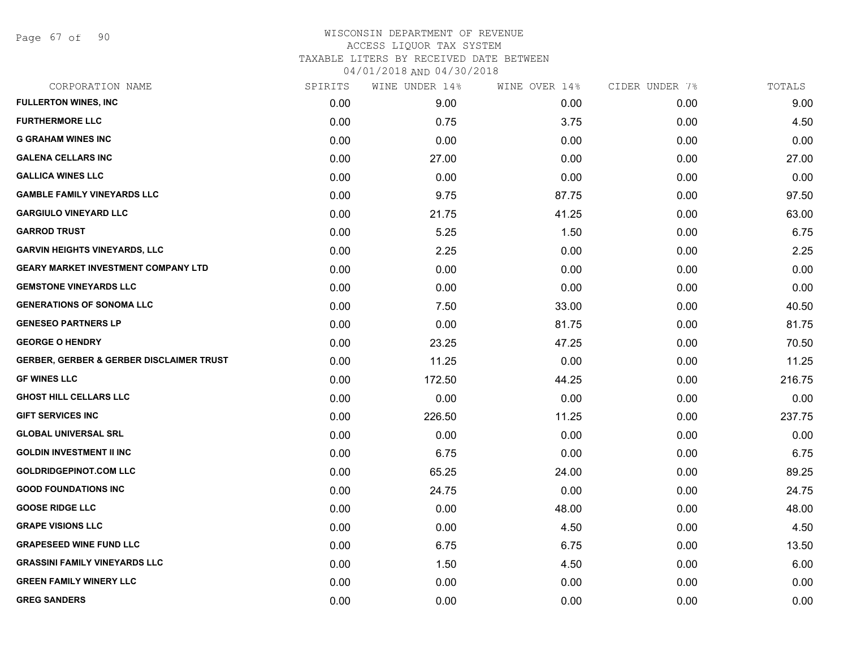Page 67 of 90

| CORPORATION NAME                                    | SPIRITS | WINE UNDER 14% | WINE OVER 14% | CIDER UNDER 7% | TOTALS |
|-----------------------------------------------------|---------|----------------|---------------|----------------|--------|
| <b>FULLERTON WINES, INC</b>                         | 0.00    | 9.00           | 0.00          | 0.00           | 9.00   |
| <b>FURTHERMORE LLC</b>                              | 0.00    | 0.75           | 3.75          | 0.00           | 4.50   |
| <b>G GRAHAM WINES INC</b>                           | 0.00    | 0.00           | 0.00          | 0.00           | 0.00   |
| <b>GALENA CELLARS INC</b>                           | 0.00    | 27.00          | 0.00          | 0.00           | 27.00  |
| <b>GALLICA WINES LLC</b>                            | 0.00    | 0.00           | 0.00          | 0.00           | 0.00   |
| <b>GAMBLE FAMILY VINEYARDS LLC</b>                  | 0.00    | 9.75           | 87.75         | 0.00           | 97.50  |
| <b>GARGIULO VINEYARD LLC</b>                        | 0.00    | 21.75          | 41.25         | 0.00           | 63.00  |
| <b>GARROD TRUST</b>                                 | 0.00    | 5.25           | 1.50          | 0.00           | 6.75   |
| <b>GARVIN HEIGHTS VINEYARDS, LLC</b>                | 0.00    | 2.25           | 0.00          | 0.00           | 2.25   |
| <b>GEARY MARKET INVESTMENT COMPANY LTD</b>          | 0.00    | 0.00           | 0.00          | 0.00           | 0.00   |
| <b>GEMSTONE VINEYARDS LLC</b>                       | 0.00    | 0.00           | 0.00          | 0.00           | 0.00   |
| <b>GENERATIONS OF SONOMA LLC</b>                    | 0.00    | 7.50           | 33.00         | 0.00           | 40.50  |
| <b>GENESEO PARTNERS LP</b>                          | 0.00    | 0.00           | 81.75         | 0.00           | 81.75  |
| <b>GEORGE O HENDRY</b>                              | 0.00    | 23.25          | 47.25         | 0.00           | 70.50  |
| <b>GERBER, GERBER &amp; GERBER DISCLAIMER TRUST</b> | 0.00    | 11.25          | 0.00          | 0.00           | 11.25  |
| <b>GF WINES LLC</b>                                 | 0.00    | 172.50         | 44.25         | 0.00           | 216.75 |
| <b>GHOST HILL CELLARS LLC</b>                       | 0.00    | 0.00           | 0.00          | 0.00           | 0.00   |
| <b>GIFT SERVICES INC</b>                            | 0.00    | 226.50         | 11.25         | 0.00           | 237.75 |
| <b>GLOBAL UNIVERSAL SRL</b>                         | 0.00    | 0.00           | 0.00          | 0.00           | 0.00   |
| <b>GOLDIN INVESTMENT II INC</b>                     | 0.00    | 6.75           | 0.00          | 0.00           | 6.75   |
| <b>GOLDRIDGEPINOT.COM LLC</b>                       | 0.00    | 65.25          | 24.00         | 0.00           | 89.25  |
| <b>GOOD FOUNDATIONS INC</b>                         | 0.00    | 24.75          | 0.00          | 0.00           | 24.75  |
| <b>GOOSE RIDGE LLC</b>                              | 0.00    | 0.00           | 48.00         | 0.00           | 48.00  |
| <b>GRAPE VISIONS LLC</b>                            | 0.00    | 0.00           | 4.50          | 0.00           | 4.50   |
| <b>GRAPESEED WINE FUND LLC</b>                      | 0.00    | 6.75           | 6.75          | 0.00           | 13.50  |
| <b>GRASSINI FAMILY VINEYARDS LLC</b>                | 0.00    | 1.50           | 4.50          | 0.00           | 6.00   |
| <b>GREEN FAMILY WINERY LLC</b>                      | 0.00    | 0.00           | 0.00          | 0.00           | 0.00   |
| <b>GREG SANDERS</b>                                 | 0.00    | 0.00           | 0.00          | 0.00           | 0.00   |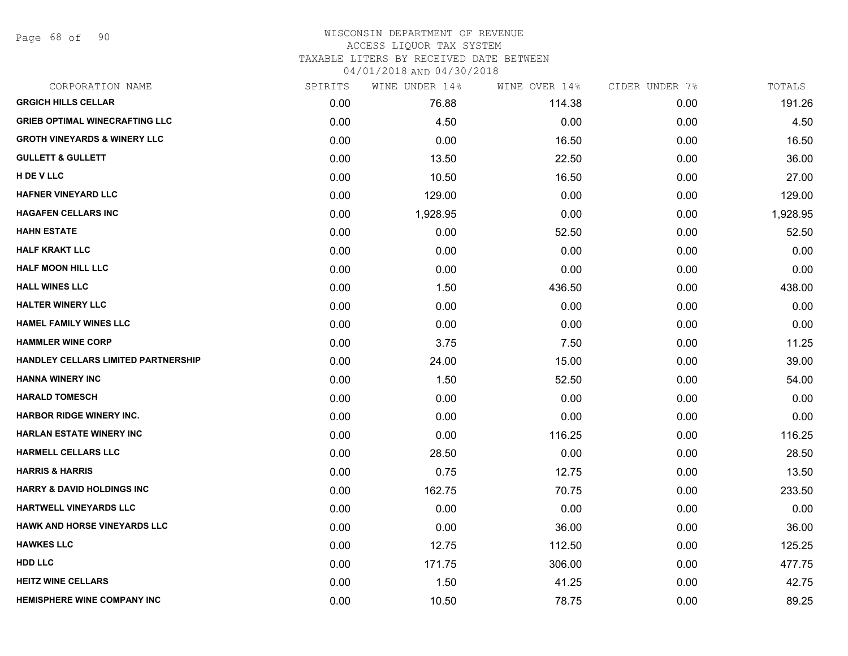Page 68 of 90

| CORPORATION NAME                        | SPIRITS | WINE UNDER 14% | WINE OVER 14% | CIDER UNDER 7% | TOTALS   |
|-----------------------------------------|---------|----------------|---------------|----------------|----------|
| <b>GRGICH HILLS CELLAR</b>              | 0.00    | 76.88          | 114.38        | 0.00           | 191.26   |
| <b>GRIEB OPTIMAL WINECRAFTING LLC</b>   | 0.00    | 4.50           | 0.00          | 0.00           | 4.50     |
| <b>GROTH VINEYARDS &amp; WINERY LLC</b> | 0.00    | 0.00           | 16.50         | 0.00           | 16.50    |
| <b>GULLETT &amp; GULLETT</b>            | 0.00    | 13.50          | 22.50         | 0.00           | 36.00    |
| H DE V LLC                              | 0.00    | 10.50          | 16.50         | 0.00           | 27.00    |
| <b>HAFNER VINEYARD LLC</b>              | 0.00    | 129.00         | 0.00          | 0.00           | 129.00   |
| <b>HAGAFEN CELLARS INC</b>              | 0.00    | 1,928.95       | 0.00          | 0.00           | 1,928.95 |
| <b>HAHN ESTATE</b>                      | 0.00    | 0.00           | 52.50         | 0.00           | 52.50    |
| <b>HALF KRAKT LLC</b>                   | 0.00    | 0.00           | 0.00          | 0.00           | 0.00     |
| <b>HALF MOON HILL LLC</b>               | 0.00    | 0.00           | 0.00          | 0.00           | 0.00     |
| <b>HALL WINES LLC</b>                   | 0.00    | 1.50           | 436.50        | 0.00           | 438.00   |
| <b>HALTER WINERY LLC</b>                | 0.00    | 0.00           | 0.00          | 0.00           | 0.00     |
| <b>HAMEL FAMILY WINES LLC</b>           | 0.00    | 0.00           | 0.00          | 0.00           | 0.00     |
| <b>HAMMLER WINE CORP</b>                | 0.00    | 3.75           | 7.50          | 0.00           | 11.25    |
| HANDLEY CELLARS LIMITED PARTNERSHIP     | 0.00    | 24.00          | 15.00         | 0.00           | 39.00    |
| <b>HANNA WINERY INC</b>                 | 0.00    | 1.50           | 52.50         | 0.00           | 54.00    |
| <b>HARALD TOMESCH</b>                   | 0.00    | 0.00           | 0.00          | 0.00           | 0.00     |
| <b>HARBOR RIDGE WINERY INC.</b>         | 0.00    | 0.00           | 0.00          | 0.00           | 0.00     |
| <b>HARLAN ESTATE WINERY INC</b>         | 0.00    | 0.00           | 116.25        | 0.00           | 116.25   |
| <b>HARMELL CELLARS LLC</b>              | 0.00    | 28.50          | 0.00          | 0.00           | 28.50    |
| <b>HARRIS &amp; HARRIS</b>              | 0.00    | 0.75           | 12.75         | 0.00           | 13.50    |
| <b>HARRY &amp; DAVID HOLDINGS INC</b>   | 0.00    | 162.75         | 70.75         | 0.00           | 233.50   |
| HARTWELL VINEYARDS LLC                  | 0.00    | 0.00           | 0.00          | 0.00           | 0.00     |
| <b>HAWK AND HORSE VINEYARDS LLC</b>     | 0.00    | 0.00           | 36.00         | 0.00           | 36.00    |
| <b>HAWKES LLC</b>                       | 0.00    | 12.75          | 112.50        | 0.00           | 125.25   |
| <b>HDD LLC</b>                          | 0.00    | 171.75         | 306.00        | 0.00           | 477.75   |
| <b>HEITZ WINE CELLARS</b>               | 0.00    | 1.50           | 41.25         | 0.00           | 42.75    |
| <b>HEMISPHERE WINE COMPANY INC</b>      | 0.00    | 10.50          | 78.75         | 0.00           | 89.25    |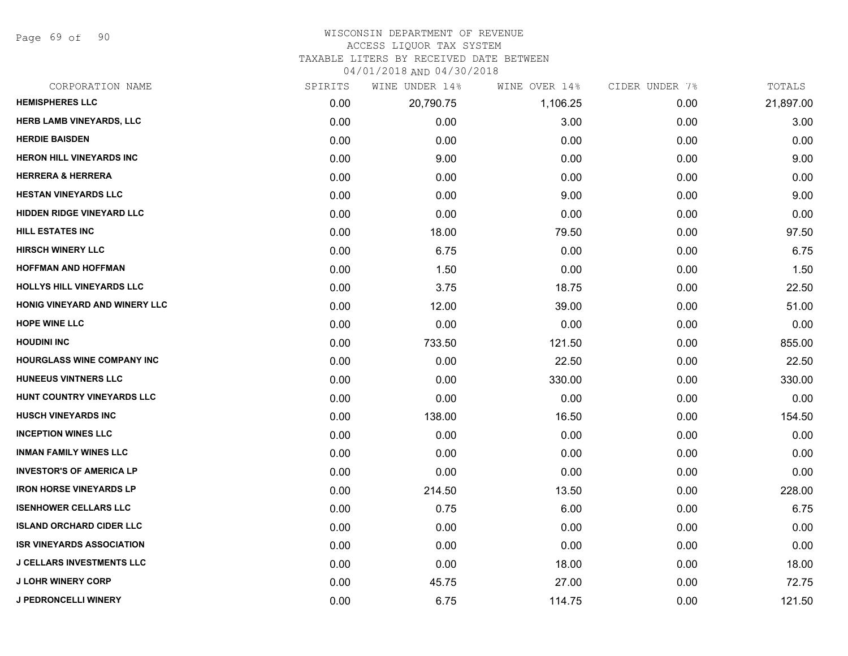Page 69 of 90

#### WISCONSIN DEPARTMENT OF REVENUE ACCESS LIQUOR TAX SYSTEM

TAXABLE LITERS BY RECEIVED DATE BETWEEN

04/01/2018 AND 04/30/2018

| CORPORATION NAME                  | SPIRITS | WINE UNDER 14% | WINE OVER 14% | CIDER UNDER 7% | TOTALS    |
|-----------------------------------|---------|----------------|---------------|----------------|-----------|
| <b>HEMISPHERES LLC</b>            | 0.00    | 20,790.75      | 1,106.25      | 0.00           | 21,897.00 |
| HERB LAMB VINEYARDS, LLC          | 0.00    | 0.00           | 3.00          | 0.00           | 3.00      |
| <b>HERDIE BAISDEN</b>             | 0.00    | 0.00           | 0.00          | 0.00           | 0.00      |
| <b>HERON HILL VINEYARDS INC</b>   | 0.00    | 9.00           | 0.00          | 0.00           | 9.00      |
| <b>HERRERA &amp; HERRERA</b>      | 0.00    | 0.00           | 0.00          | 0.00           | 0.00      |
| <b>HESTAN VINEYARDS LLC</b>       | 0.00    | 0.00           | 9.00          | 0.00           | 9.00      |
| HIDDEN RIDGE VINEYARD LLC         | 0.00    | 0.00           | 0.00          | 0.00           | 0.00      |
| <b>HILL ESTATES INC</b>           | 0.00    | 18.00          | 79.50         | 0.00           | 97.50     |
| <b>HIRSCH WINERY LLC</b>          | 0.00    | 6.75           | 0.00          | 0.00           | 6.75      |
| <b>HOFFMAN AND HOFFMAN</b>        | 0.00    | 1.50           | 0.00          | 0.00           | 1.50      |
| HOLLYS HILL VINEYARDS LLC         | 0.00    | 3.75           | 18.75         | 0.00           | 22.50     |
| HONIG VINEYARD AND WINERY LLC     | 0.00    | 12.00          | 39.00         | 0.00           | 51.00     |
| <b>HOPE WINE LLC</b>              | 0.00    | 0.00           | 0.00          | 0.00           | 0.00      |
| <b>HOUDINI INC</b>                | 0.00    | 733.50         | 121.50        | 0.00           | 855.00    |
| <b>HOURGLASS WINE COMPANY INC</b> | 0.00    | 0.00           | 22.50         | 0.00           | 22.50     |
| <b>HUNEEUS VINTNERS LLC</b>       | 0.00    | 0.00           | 330.00        | 0.00           | 330.00    |
| HUNT COUNTRY VINEYARDS LLC        | 0.00    | 0.00           | 0.00          | 0.00           | 0.00      |
| <b>HUSCH VINEYARDS INC</b>        | 0.00    | 138.00         | 16.50         | 0.00           | 154.50    |
| <b>INCEPTION WINES LLC</b>        | 0.00    | 0.00           | 0.00          | 0.00           | 0.00      |
| <b>INMAN FAMILY WINES LLC</b>     | 0.00    | 0.00           | 0.00          | 0.00           | 0.00      |
| <b>INVESTOR'S OF AMERICA LP</b>   | 0.00    | 0.00           | 0.00          | 0.00           | 0.00      |
| <b>IRON HORSE VINEYARDS LP</b>    | 0.00    | 214.50         | 13.50         | 0.00           | 228.00    |
| <b>ISENHOWER CELLARS LLC</b>      | 0.00    | 0.75           | 6.00          | 0.00           | 6.75      |
| <b>ISLAND ORCHARD CIDER LLC</b>   | 0.00    | 0.00           | 0.00          | 0.00           | 0.00      |
| <b>ISR VINEYARDS ASSOCIATION</b>  | 0.00    | 0.00           | 0.00          | 0.00           | 0.00      |
| <b>J CELLARS INVESTMENTS LLC</b>  | 0.00    | 0.00           | 18.00         | 0.00           | 18.00     |
| <b>J LOHR WINERY CORP</b>         | 0.00    | 45.75          | 27.00         | 0.00           | 72.75     |
| <b>J PEDRONCELLI WINERY</b>       | 0.00    | 6.75           | 114.75        | 0.00           | 121.50    |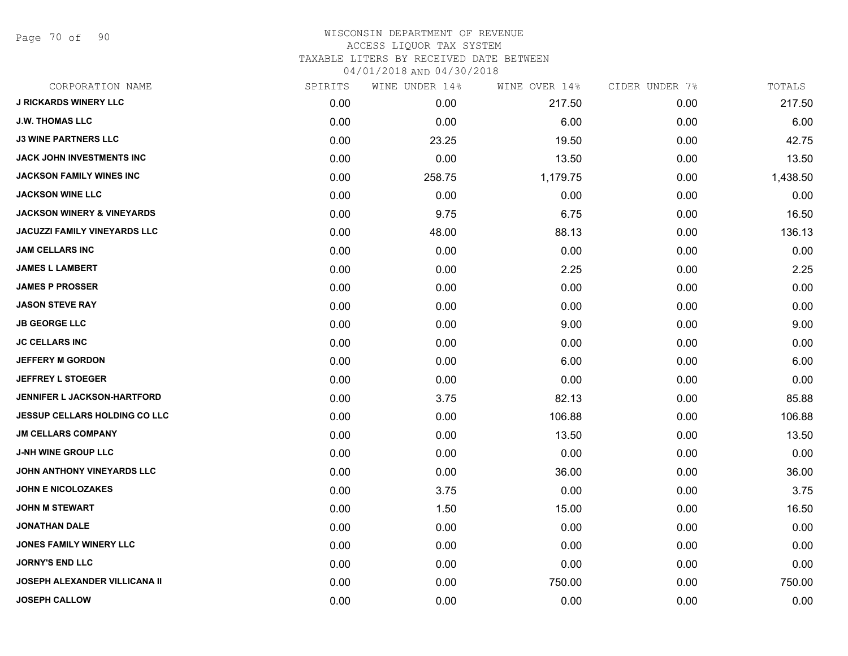Page 70 of 90

|      | WINE UNDER 14% |          | CIDER UNDER 7% | TOTALS   |
|------|----------------|----------|----------------|----------|
| 0.00 | 0.00           | 217.50   | 0.00           | 217.50   |
| 0.00 | 0.00           | 6.00     | 0.00           | 6.00     |
| 0.00 | 23.25          | 19.50    | 0.00           | 42.75    |
| 0.00 | 0.00           | 13.50    | 0.00           | 13.50    |
| 0.00 | 258.75         | 1,179.75 | 0.00           | 1,438.50 |
| 0.00 | 0.00           | 0.00     | 0.00           | 0.00     |
| 0.00 | 9.75           | 6.75     | 0.00           | 16.50    |
| 0.00 | 48.00          | 88.13    | 0.00           | 136.13   |
| 0.00 | 0.00           | 0.00     | 0.00           | 0.00     |
| 0.00 | 0.00           | 2.25     | 0.00           | 2.25     |
| 0.00 | 0.00           | 0.00     | 0.00           | 0.00     |
| 0.00 | 0.00           | 0.00     | 0.00           | 0.00     |
| 0.00 | 0.00           | 9.00     | 0.00           | 9.00     |
| 0.00 | 0.00           | 0.00     | 0.00           | 0.00     |
| 0.00 | 0.00           | 6.00     | 0.00           | 6.00     |
| 0.00 | 0.00           | 0.00     | 0.00           | 0.00     |
| 0.00 | 3.75           | 82.13    | 0.00           | 85.88    |
| 0.00 | 0.00           | 106.88   | 0.00           | 106.88   |
| 0.00 | 0.00           | 13.50    | 0.00           | 13.50    |
| 0.00 | 0.00           | 0.00     | 0.00           | 0.00     |
| 0.00 | 0.00           | 36.00    | 0.00           | 36.00    |
| 0.00 | 3.75           | 0.00     | 0.00           | 3.75     |
| 0.00 | 1.50           | 15.00    | 0.00           | 16.50    |
| 0.00 | 0.00           | 0.00     | 0.00           | 0.00     |
| 0.00 | 0.00           | 0.00     | 0.00           | 0.00     |
| 0.00 | 0.00           | 0.00     | 0.00           | 0.00     |
| 0.00 | 0.00           | 750.00   | 0.00           | 750.00   |
| 0.00 | 0.00           | 0.00     | 0.00           | 0.00     |
|      | SPIRITS        |          | WINE OVER 14%  |          |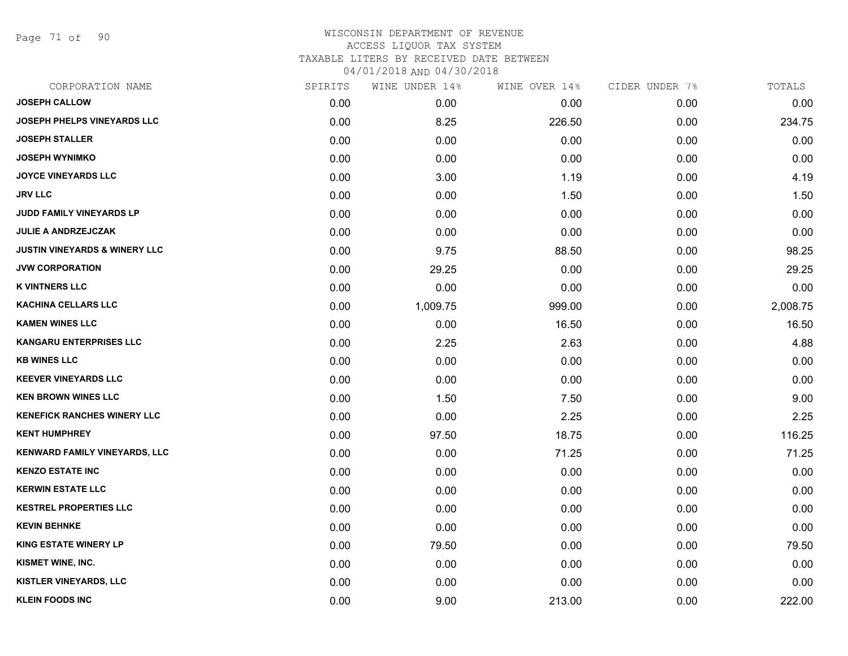Page 71 of 90

| CORPORATION NAME                         | SPIRITS | WINE UNDER 14% | WINE OVER 14% | CIDER UNDER 7% | TOTALS   |
|------------------------------------------|---------|----------------|---------------|----------------|----------|
| <b>JOSEPH CALLOW</b>                     | 0.00    | 0.00           | 0.00          | 0.00           | 0.00     |
| <b>JOSEPH PHELPS VINEYARDS LLC</b>       | 0.00    | 8.25           | 226.50        | 0.00           | 234.75   |
| <b>JOSEPH STALLER</b>                    | 0.00    | 0.00           | 0.00          | 0.00           | 0.00     |
| <b>JOSEPH WYNIMKO</b>                    | 0.00    | 0.00           | 0.00          | 0.00           | 0.00     |
| <b>JOYCE VINEYARDS LLC</b>               | 0.00    | 3.00           | 1.19          | 0.00           | 4.19     |
| JRV LLC                                  | 0.00    | 0.00           | 1.50          | 0.00           | 1.50     |
| JUDD FAMILY VINEYARDS LP                 | 0.00    | 0.00           | 0.00          | 0.00           | 0.00     |
| <b>JULIE A ANDRZEJCZAK</b>               | 0.00    | 0.00           | 0.00          | 0.00           | 0.00     |
| <b>JUSTIN VINEYARDS &amp; WINERY LLC</b> | 0.00    | 9.75           | 88.50         | 0.00           | 98.25    |
| <b>JVW CORPORATION</b>                   | 0.00    | 29.25          | 0.00          | 0.00           | 29.25    |
| <b>K VINTNERS LLC</b>                    | 0.00    | 0.00           | 0.00          | 0.00           | 0.00     |
| <b>KACHINA CELLARS LLC</b>               | 0.00    | 1,009.75       | 999.00        | 0.00           | 2,008.75 |
| <b>KAMEN WINES LLC</b>                   | 0.00    | 0.00           | 16.50         | 0.00           | 16.50    |
| <b>KANGARU ENTERPRISES LLC</b>           | 0.00    | 2.25           | 2.63          | 0.00           | 4.88     |
| <b>KB WINES LLC</b>                      | 0.00    | 0.00           | 0.00          | 0.00           | 0.00     |
| <b>KEEVER VINEYARDS LLC</b>              | 0.00    | 0.00           | 0.00          | 0.00           | 0.00     |
| <b>KEN BROWN WINES LLC</b>               | 0.00    | 1.50           | 7.50          | 0.00           | 9.00     |
| <b>KENEFICK RANCHES WINERY LLC</b>       | 0.00    | 0.00           | 2.25          | 0.00           | 2.25     |
| <b>KENT HUMPHREY</b>                     | 0.00    | 97.50          | 18.75         | 0.00           | 116.25   |
| <b>KENWARD FAMILY VINEYARDS, LLC</b>     | 0.00    | 0.00           | 71.25         | 0.00           | 71.25    |
| <b>KENZO ESTATE INC</b>                  | 0.00    | 0.00           | 0.00          | 0.00           | 0.00     |
| <b>KERWIN ESTATE LLC</b>                 | 0.00    | 0.00           | 0.00          | 0.00           | 0.00     |
| <b>KESTREL PROPERTIES LLC</b>            | 0.00    | 0.00           | 0.00          | 0.00           | 0.00     |
| <b>KEVIN BEHNKE</b>                      | 0.00    | 0.00           | 0.00          | 0.00           | 0.00     |
| <b>KING ESTATE WINERY LP</b>             | 0.00    | 79.50          | 0.00          | 0.00           | 79.50    |
| <b>KISMET WINE, INC.</b>                 | 0.00    | 0.00           | 0.00          | 0.00           | 0.00     |
| KISTLER VINEYARDS, LLC                   | 0.00    | 0.00           | 0.00          | 0.00           | 0.00     |
| <b>KLEIN FOODS INC</b>                   | 0.00    | 9.00           | 213.00        | 0.00           | 222.00   |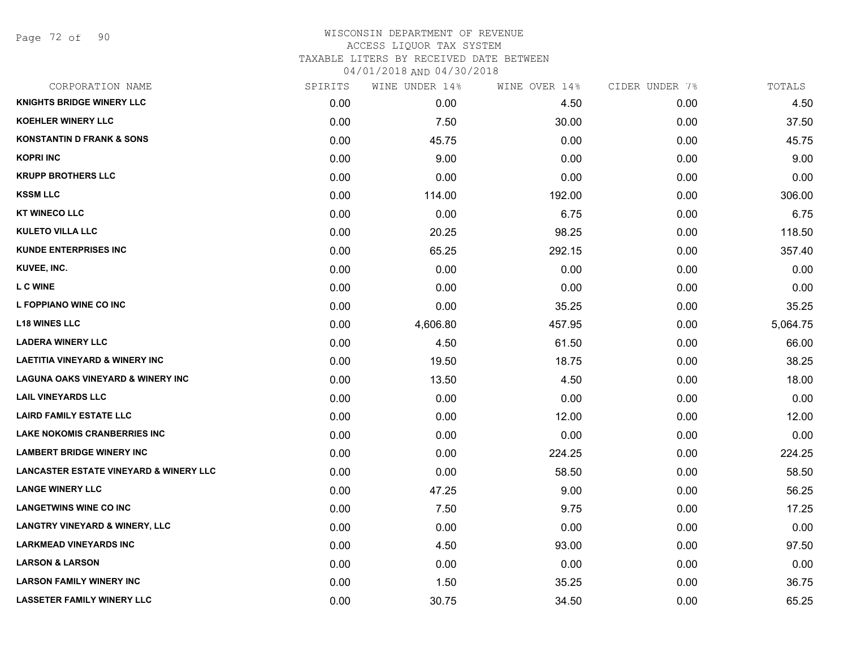Page 72 of 90

| CORPORATION NAME                                  | SPIRITS | WINE UNDER 14% | WINE OVER 14% | CIDER UNDER 7% | TOTALS   |
|---------------------------------------------------|---------|----------------|---------------|----------------|----------|
| <b>KNIGHTS BRIDGE WINERY LLC</b>                  | 0.00    | 0.00           | 4.50          | 0.00           | 4.50     |
| <b>KOEHLER WINERY LLC</b>                         | 0.00    | 7.50           | 30.00         | 0.00           | 37.50    |
| <b>KONSTANTIN D FRANK &amp; SONS</b>              | 0.00    | 45.75          | 0.00          | 0.00           | 45.75    |
| <b>KOPRI INC</b>                                  | 0.00    | 9.00           | 0.00          | 0.00           | 9.00     |
| <b>KRUPP BROTHERS LLC</b>                         | 0.00    | 0.00           | 0.00          | 0.00           | 0.00     |
| <b>KSSM LLC</b>                                   | 0.00    | 114.00         | 192.00        | 0.00           | 306.00   |
| <b>KT WINECO LLC</b>                              | 0.00    | 0.00           | 6.75          | 0.00           | 6.75     |
| <b>KULETO VILLA LLC</b>                           | 0.00    | 20.25          | 98.25         | 0.00           | 118.50   |
| <b>KUNDE ENTERPRISES INC</b>                      | 0.00    | 65.25          | 292.15        | 0.00           | 357.40   |
| KUVEE, INC.                                       | 0.00    | 0.00           | 0.00          | 0.00           | 0.00     |
| <b>LC WINE</b>                                    | 0.00    | 0.00           | 0.00          | 0.00           | 0.00     |
| L FOPPIANO WINE CO INC                            | 0.00    | 0.00           | 35.25         | 0.00           | 35.25    |
| <b>L18 WINES LLC</b>                              | 0.00    | 4,606.80       | 457.95        | 0.00           | 5,064.75 |
| <b>LADERA WINERY LLC</b>                          | 0.00    | 4.50           | 61.50         | 0.00           | 66.00    |
| <b>LAETITIA VINEYARD &amp; WINERY INC</b>         | 0.00    | 19.50          | 18.75         | 0.00           | 38.25    |
| <b>LAGUNA OAKS VINEYARD &amp; WINERY INC</b>      | 0.00    | 13.50          | 4.50          | 0.00           | 18.00    |
| <b>LAIL VINEYARDS LLC</b>                         | 0.00    | 0.00           | 0.00          | 0.00           | 0.00     |
| <b>LAIRD FAMILY ESTATE LLC</b>                    | 0.00    | 0.00           | 12.00         | 0.00           | 12.00    |
| <b>LAKE NOKOMIS CRANBERRIES INC</b>               | 0.00    | 0.00           | 0.00          | 0.00           | 0.00     |
| <b>LAMBERT BRIDGE WINERY INC</b>                  | 0.00    | 0.00           | 224.25        | 0.00           | 224.25   |
| <b>LANCASTER ESTATE VINEYARD &amp; WINERY LLC</b> | 0.00    | 0.00           | 58.50         | 0.00           | 58.50    |
| <b>LANGE WINERY LLC</b>                           | 0.00    | 47.25          | 9.00          | 0.00           | 56.25    |
| <b>LANGETWINS WINE CO INC</b>                     | 0.00    | 7.50           | 9.75          | 0.00           | 17.25    |
| <b>LANGTRY VINEYARD &amp; WINERY, LLC</b>         | 0.00    | 0.00           | 0.00          | 0.00           | 0.00     |
| <b>LARKMEAD VINEYARDS INC</b>                     | 0.00    | 4.50           | 93.00         | 0.00           | 97.50    |
| <b>LARSON &amp; LARSON</b>                        | 0.00    | 0.00           | 0.00          | 0.00           | 0.00     |
| <b>LARSON FAMILY WINERY INC</b>                   | 0.00    | 1.50           | 35.25         | 0.00           | 36.75    |
| <b>LASSETER FAMILY WINERY LLC</b>                 | 0.00    | 30.75          | 34.50         | 0.00           | 65.25    |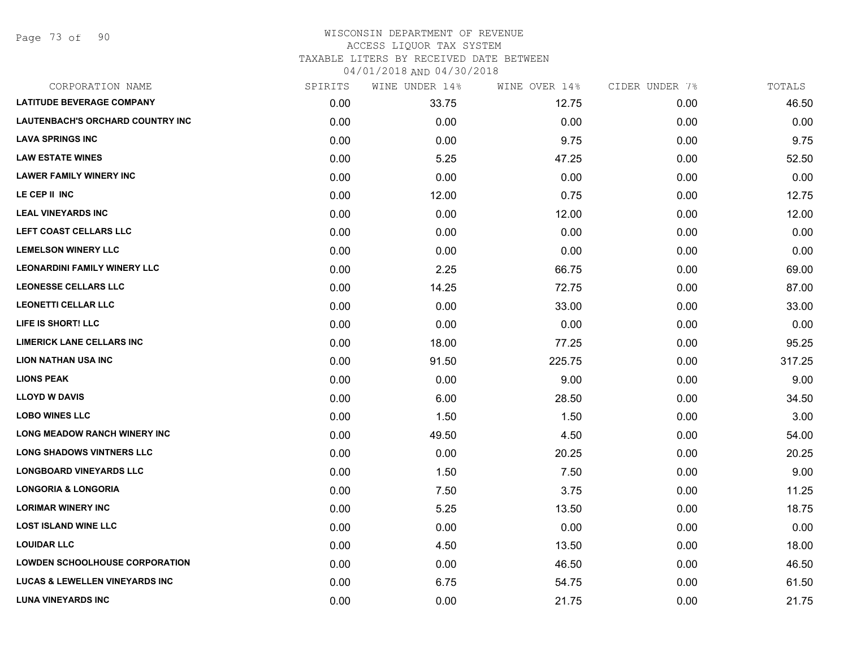| CORPORATION NAME                          | SPIRITS | WINE UNDER 14% | WINE OVER 14% | CIDER UNDER 7% | TOTALS |
|-------------------------------------------|---------|----------------|---------------|----------------|--------|
| <b>LATITUDE BEVERAGE COMPANY</b>          | 0.00    | 33.75          | 12.75         | 0.00           | 46.50  |
| LAUTENBACH'S ORCHARD COUNTRY INC          | 0.00    | 0.00           | 0.00          | 0.00           | 0.00   |
| <b>LAVA SPRINGS INC</b>                   | 0.00    | 0.00           | 9.75          | 0.00           | 9.75   |
| <b>LAW ESTATE WINES</b>                   | 0.00    | 5.25           | 47.25         | 0.00           | 52.50  |
| <b>LAWER FAMILY WINERY INC</b>            | 0.00    | 0.00           | 0.00          | 0.00           | 0.00   |
| LE CEP II INC                             | 0.00    | 12.00          | 0.75          | 0.00           | 12.75  |
| <b>LEAL VINEYARDS INC</b>                 | 0.00    | 0.00           | 12.00         | 0.00           | 12.00  |
| LEFT COAST CELLARS LLC                    | 0.00    | 0.00           | 0.00          | 0.00           | 0.00   |
| <b>LEMELSON WINERY LLC</b>                | 0.00    | 0.00           | 0.00          | 0.00           | 0.00   |
| <b>LEONARDINI FAMILY WINERY LLC</b>       | 0.00    | 2.25           | 66.75         | 0.00           | 69.00  |
| <b>LEONESSE CELLARS LLC</b>               | 0.00    | 14.25          | 72.75         | 0.00           | 87.00  |
| <b>LEONETTI CELLAR LLC</b>                | 0.00    | 0.00           | 33.00         | 0.00           | 33.00  |
| LIFE IS SHORT! LLC                        | 0.00    | 0.00           | 0.00          | 0.00           | 0.00   |
| <b>LIMERICK LANE CELLARS INC</b>          | 0.00    | 18.00          | 77.25         | 0.00           | 95.25  |
| <b>LION NATHAN USA INC</b>                | 0.00    | 91.50          | 225.75        | 0.00           | 317.25 |
| <b>LIONS PEAK</b>                         | 0.00    | 0.00           | 9.00          | 0.00           | 9.00   |
| <b>LLOYD W DAVIS</b>                      | 0.00    | 6.00           | 28.50         | 0.00           | 34.50  |
| <b>LOBO WINES LLC</b>                     | 0.00    | 1.50           | 1.50          | 0.00           | 3.00   |
| <b>LONG MEADOW RANCH WINERY INC</b>       | 0.00    | 49.50          | 4.50          | 0.00           | 54.00  |
| <b>LONG SHADOWS VINTNERS LLC</b>          | 0.00    | 0.00           | 20.25         | 0.00           | 20.25  |
| <b>LONGBOARD VINEYARDS LLC</b>            | 0.00    | 1.50           | 7.50          | 0.00           | 9.00   |
| <b>LONGORIA &amp; LONGORIA</b>            | 0.00    | 7.50           | 3.75          | 0.00           | 11.25  |
| <b>LORIMAR WINERY INC</b>                 | 0.00    | 5.25           | 13.50         | 0.00           | 18.75  |
| <b>LOST ISLAND WINE LLC</b>               | 0.00    | 0.00           | 0.00          | 0.00           | 0.00   |
| <b>LOUIDAR LLC</b>                        | 0.00    | 4.50           | 13.50         | 0.00           | 18.00  |
| <b>LOWDEN SCHOOLHOUSE CORPORATION</b>     | 0.00    | 0.00           | 46.50         | 0.00           | 46.50  |
| <b>LUCAS &amp; LEWELLEN VINEYARDS INC</b> | 0.00    | 6.75           | 54.75         | 0.00           | 61.50  |
| <b>LUNA VINEYARDS INC</b>                 | 0.00    | 0.00           | 21.75         | 0.00           | 21.75  |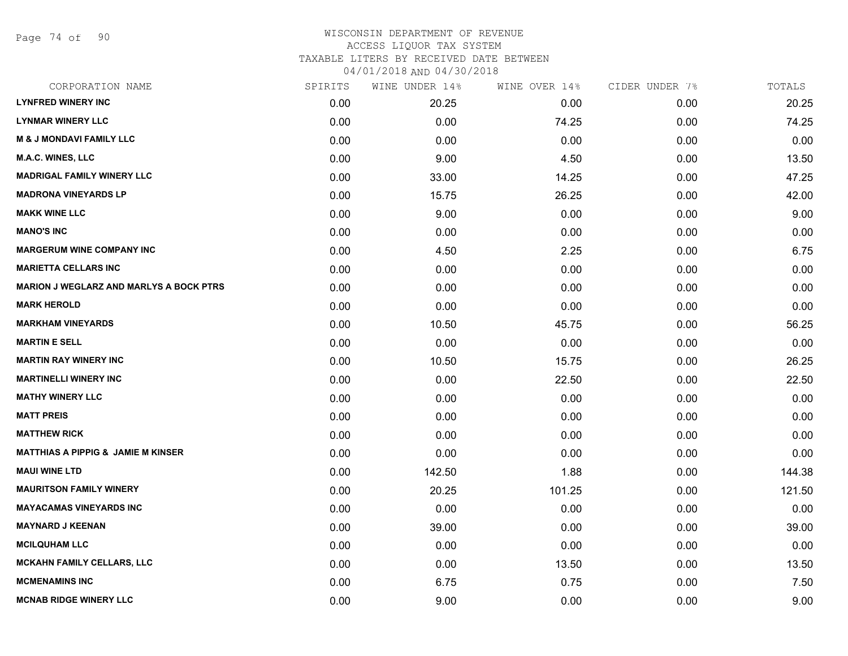Page 74 of 90

| CORPORATION NAME                               | SPIRITS | WINE UNDER 14% | WINE OVER 14% | CIDER UNDER 7% | TOTALS |
|------------------------------------------------|---------|----------------|---------------|----------------|--------|
| <b>LYNFRED WINERY INC</b>                      | 0.00    | 20.25          | 0.00          | 0.00           | 20.25  |
| <b>LYNMAR WINERY LLC</b>                       | 0.00    | 0.00           | 74.25         | 0.00           | 74.25  |
| <b>M &amp; J MONDAVI FAMILY LLC</b>            | 0.00    | 0.00           | 0.00          | 0.00           | 0.00   |
| <b>M.A.C. WINES, LLC</b>                       | 0.00    | 9.00           | 4.50          | 0.00           | 13.50  |
| <b>MADRIGAL FAMILY WINERY LLC</b>              | 0.00    | 33.00          | 14.25         | 0.00           | 47.25  |
| <b>MADRONA VINEYARDS LP</b>                    | 0.00    | 15.75          | 26.25         | 0.00           | 42.00  |
| <b>MAKK WINE LLC</b>                           | 0.00    | 9.00           | 0.00          | 0.00           | 9.00   |
| <b>MANO'S INC</b>                              | 0.00    | 0.00           | 0.00          | 0.00           | 0.00   |
| <b>MARGERUM WINE COMPANY INC</b>               | 0.00    | 4.50           | 2.25          | 0.00           | 6.75   |
| <b>MARIETTA CELLARS INC</b>                    | 0.00    | 0.00           | 0.00          | 0.00           | 0.00   |
| <b>MARION J WEGLARZ AND MARLYS A BOCK PTRS</b> | 0.00    | 0.00           | 0.00          | 0.00           | 0.00   |
| <b>MARK HEROLD</b>                             | 0.00    | 0.00           | 0.00          | 0.00           | 0.00   |
| <b>MARKHAM VINEYARDS</b>                       | 0.00    | 10.50          | 45.75         | 0.00           | 56.25  |
| <b>MARTIN E SELL</b>                           | 0.00    | 0.00           | 0.00          | 0.00           | 0.00   |
| <b>MARTIN RAY WINERY INC</b>                   | 0.00    | 10.50          | 15.75         | 0.00           | 26.25  |
| <b>MARTINELLI WINERY INC</b>                   | 0.00    | 0.00           | 22.50         | 0.00           | 22.50  |
| <b>MATHY WINERY LLC</b>                        | 0.00    | 0.00           | 0.00          | 0.00           | 0.00   |
| <b>MATT PREIS</b>                              | 0.00    | 0.00           | 0.00          | 0.00           | 0.00   |
| <b>MATTHEW RICK</b>                            | 0.00    | 0.00           | 0.00          | 0.00           | 0.00   |
| <b>MATTHIAS A PIPPIG &amp; JAMIE M KINSER</b>  | 0.00    | 0.00           | 0.00          | 0.00           | 0.00   |
| <b>MAUI WINE LTD</b>                           | 0.00    | 142.50         | 1.88          | 0.00           | 144.38 |
| <b>MAURITSON FAMILY WINERY</b>                 | 0.00    | 20.25          | 101.25        | 0.00           | 121.50 |
| <b>MAYACAMAS VINEYARDS INC</b>                 | 0.00    | 0.00           | 0.00          | 0.00           | 0.00   |
| <b>MAYNARD J KEENAN</b>                        | 0.00    | 39.00          | 0.00          | 0.00           | 39.00  |
| <b>MCILQUHAM LLC</b>                           | 0.00    | 0.00           | 0.00          | 0.00           | 0.00   |
| <b>MCKAHN FAMILY CELLARS, LLC</b>              | 0.00    | 0.00           | 13.50         | 0.00           | 13.50  |
| <b>MCMENAMINS INC</b>                          | 0.00    | 6.75           | 0.75          | 0.00           | 7.50   |
| <b>MCNAB RIDGE WINERY LLC</b>                  | 0.00    | 9.00           | 0.00          | 0.00           | 9.00   |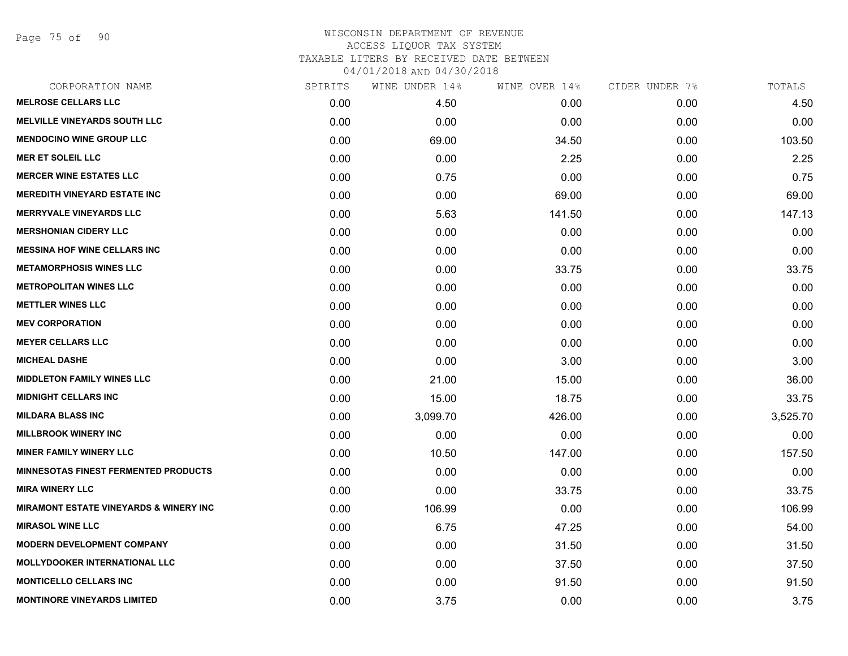Page 75 of 90

| CORPORATION NAME                                  | SPIRITS | WINE UNDER 14% | WINE OVER 14% | CIDER UNDER 7% | TOTALS   |
|---------------------------------------------------|---------|----------------|---------------|----------------|----------|
| <b>MELROSE CELLARS LLC</b>                        | 0.00    | 4.50           | 0.00          | 0.00           | 4.50     |
| <b>MELVILLE VINEYARDS SOUTH LLC</b>               | 0.00    | 0.00           | 0.00          | 0.00           | 0.00     |
| <b>MENDOCINO WINE GROUP LLC</b>                   | 0.00    | 69.00          | 34.50         | 0.00           | 103.50   |
| <b>MER ET SOLEIL LLC</b>                          | 0.00    | 0.00           | 2.25          | 0.00           | 2.25     |
| <b>MERCER WINE ESTATES LLC</b>                    | 0.00    | 0.75           | 0.00          | 0.00           | 0.75     |
| <b>MEREDITH VINEYARD ESTATE INC</b>               | 0.00    | 0.00           | 69.00         | 0.00           | 69.00    |
| <b>MERRYVALE VINEYARDS LLC</b>                    | 0.00    | 5.63           | 141.50        | 0.00           | 147.13   |
| <b>MERSHONIAN CIDERY LLC</b>                      | 0.00    | 0.00           | 0.00          | 0.00           | 0.00     |
| <b>MESSINA HOF WINE CELLARS INC</b>               | 0.00    | 0.00           | 0.00          | 0.00           | 0.00     |
| <b>METAMORPHOSIS WINES LLC</b>                    | 0.00    | 0.00           | 33.75         | 0.00           | 33.75    |
| <b>METROPOLITAN WINES LLC</b>                     | 0.00    | 0.00           | 0.00          | 0.00           | 0.00     |
| <b>METTLER WINES LLC</b>                          | 0.00    | 0.00           | 0.00          | 0.00           | 0.00     |
| <b>MEV CORPORATION</b>                            | 0.00    | 0.00           | 0.00          | 0.00           | 0.00     |
| <b>MEYER CELLARS LLC</b>                          | 0.00    | 0.00           | 0.00          | 0.00           | 0.00     |
| <b>MICHEAL DASHE</b>                              | 0.00    | 0.00           | 3.00          | 0.00           | 3.00     |
| <b>MIDDLETON FAMILY WINES LLC</b>                 | 0.00    | 21.00          | 15.00         | 0.00           | 36.00    |
| <b>MIDNIGHT CELLARS INC</b>                       | 0.00    | 15.00          | 18.75         | 0.00           | 33.75    |
| <b>MILDARA BLASS INC</b>                          | 0.00    | 3,099.70       | 426.00        | 0.00           | 3,525.70 |
| <b>MILLBROOK WINERY INC</b>                       | 0.00    | 0.00           | 0.00          | 0.00           | 0.00     |
| <b>MINER FAMILY WINERY LLC</b>                    | 0.00    | 10.50          | 147.00        | 0.00           | 157.50   |
| <b>MINNESOTAS FINEST FERMENTED PRODUCTS</b>       | 0.00    | 0.00           | 0.00          | 0.00           | 0.00     |
| <b>MIRA WINERY LLC</b>                            | 0.00    | 0.00           | 33.75         | 0.00           | 33.75    |
| <b>MIRAMONT ESTATE VINEYARDS &amp; WINERY INC</b> | 0.00    | 106.99         | 0.00          | 0.00           | 106.99   |
| <b>MIRASOL WINE LLC</b>                           | 0.00    | 6.75           | 47.25         | 0.00           | 54.00    |
| <b>MODERN DEVELOPMENT COMPANY</b>                 | 0.00    | 0.00           | 31.50         | 0.00           | 31.50    |
| <b>MOLLYDOOKER INTERNATIONAL LLC</b>              | 0.00    | 0.00           | 37.50         | 0.00           | 37.50    |
| <b>MONTICELLO CELLARS INC</b>                     | 0.00    | 0.00           | 91.50         | 0.00           | 91.50    |
| <b>MONTINORE VINEYARDS LIMITED</b>                | 0.00    | 3.75           | 0.00          | 0.00           | 3.75     |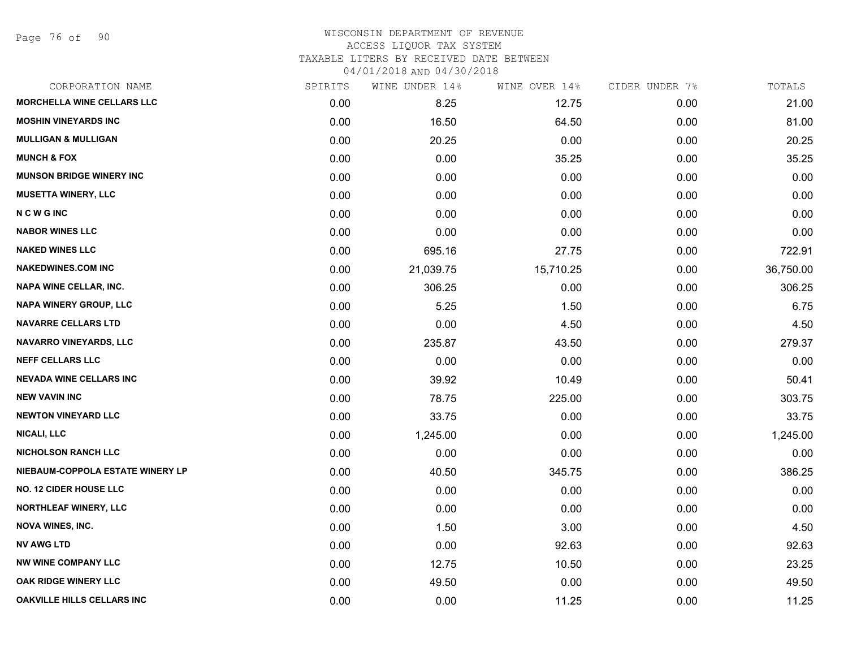Page 76 of 90

| CORPORATION NAME                  | SPIRITS | WINE UNDER 14% | WINE OVER 14% | CIDER UNDER 7% | TOTALS    |
|-----------------------------------|---------|----------------|---------------|----------------|-----------|
| <b>MORCHELLA WINE CELLARS LLC</b> | 0.00    | 8.25           | 12.75         | 0.00           | 21.00     |
| <b>MOSHIN VINEYARDS INC</b>       | 0.00    | 16.50          | 64.50         | 0.00           | 81.00     |
| <b>MULLIGAN &amp; MULLIGAN</b>    | 0.00    | 20.25          | 0.00          | 0.00           | 20.25     |
| <b>MUNCH &amp; FOX</b>            | 0.00    | 0.00           | 35.25         | 0.00           | 35.25     |
| <b>MUNSON BRIDGE WINERY INC</b>   | 0.00    | 0.00           | 0.00          | 0.00           | 0.00      |
| <b>MUSETTA WINERY, LLC</b>        | 0.00    | 0.00           | 0.00          | 0.00           | 0.00      |
| <b>NCWGINC</b>                    | 0.00    | 0.00           | 0.00          | 0.00           | 0.00      |
| <b>NABOR WINES LLC</b>            | 0.00    | 0.00           | 0.00          | 0.00           | 0.00      |
| <b>NAKED WINES LLC</b>            | 0.00    | 695.16         | 27.75         | 0.00           | 722.91    |
| <b>NAKEDWINES.COM INC</b>         | 0.00    | 21,039.75      | 15,710.25     | 0.00           | 36,750.00 |
| <b>NAPA WINE CELLAR, INC.</b>     | 0.00    | 306.25         | 0.00          | 0.00           | 306.25    |
| <b>NAPA WINERY GROUP, LLC</b>     | 0.00    | 5.25           | 1.50          | 0.00           | 6.75      |
| <b>NAVARRE CELLARS LTD</b>        | 0.00    | 0.00           | 4.50          | 0.00           | 4.50      |
| <b>NAVARRO VINEYARDS, LLC</b>     | 0.00    | 235.87         | 43.50         | 0.00           | 279.37    |
| <b>NEFF CELLARS LLC</b>           | 0.00    | 0.00           | 0.00          | 0.00           | 0.00      |
| <b>NEVADA WINE CELLARS INC</b>    | 0.00    | 39.92          | 10.49         | 0.00           | 50.41     |
| <b>NEW VAVIN INC</b>              | 0.00    | 78.75          | 225.00        | 0.00           | 303.75    |
| <b>NEWTON VINEYARD LLC</b>        | 0.00    | 33.75          | 0.00          | 0.00           | 33.75     |
| <b>NICALI, LLC</b>                | 0.00    | 1,245.00       | 0.00          | 0.00           | 1,245.00  |
| <b>NICHOLSON RANCH LLC</b>        | 0.00    | 0.00           | 0.00          | 0.00           | 0.00      |
| NIEBAUM-COPPOLA ESTATE WINERY LP  | 0.00    | 40.50          | 345.75        | 0.00           | 386.25    |
| <b>NO. 12 CIDER HOUSE LLC</b>     | 0.00    | 0.00           | 0.00          | 0.00           | 0.00      |
| <b>NORTHLEAF WINERY, LLC</b>      | 0.00    | 0.00           | 0.00          | 0.00           | 0.00      |
| <b>NOVA WINES, INC.</b>           | 0.00    | 1.50           | 3.00          | 0.00           | 4.50      |
| <b>NV AWG LTD</b>                 | 0.00    | 0.00           | 92.63         | 0.00           | 92.63     |
| <b>NW WINE COMPANY LLC</b>        | 0.00    | 12.75          | 10.50         | 0.00           | 23.25     |
| <b>OAK RIDGE WINERY LLC</b>       | 0.00    | 49.50          | 0.00          | 0.00           | 49.50     |
| <b>OAKVILLE HILLS CELLARS INC</b> | 0.00    | 0.00           | 11.25         | 0.00           | 11.25     |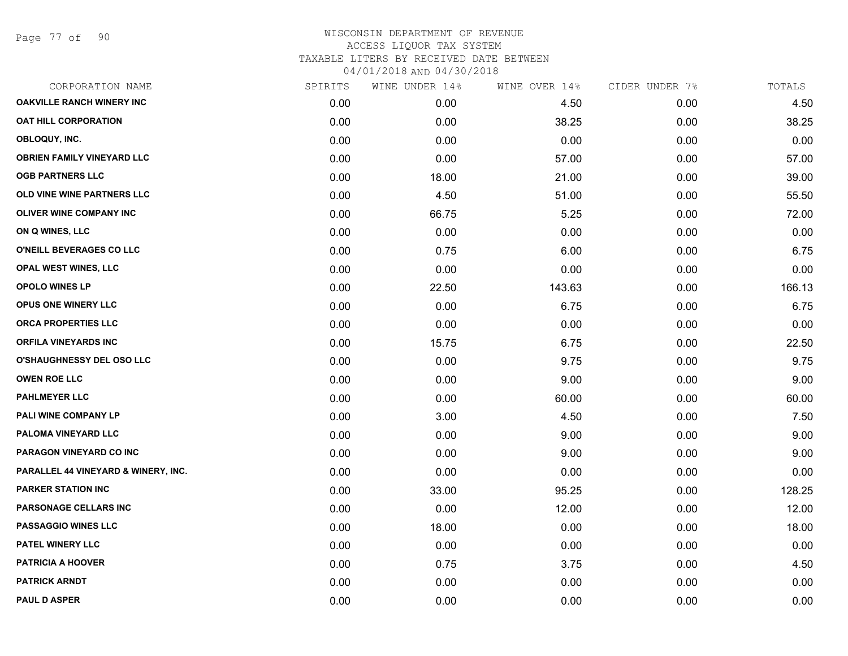Page 77 of 90

| CORPORATION NAME                    | SPIRITS | WINE UNDER 14% | WINE OVER 14% | CIDER UNDER 7% | TOTALS |
|-------------------------------------|---------|----------------|---------------|----------------|--------|
| <b>OAKVILLE RANCH WINERY INC</b>    | 0.00    | 0.00           | 4.50          | 0.00           | 4.50   |
| <b>OAT HILL CORPORATION</b>         | 0.00    | 0.00           | 38.25         | 0.00           | 38.25  |
| OBLOQUY, INC.                       | 0.00    | 0.00           | 0.00          | 0.00           | 0.00   |
| <b>OBRIEN FAMILY VINEYARD LLC</b>   | 0.00    | 0.00           | 57.00         | 0.00           | 57.00  |
| <b>OGB PARTNERS LLC</b>             | 0.00    | 18.00          | 21.00         | 0.00           | 39.00  |
| OLD VINE WINE PARTNERS LLC          | 0.00    | 4.50           | 51.00         | 0.00           | 55.50  |
| OLIVER WINE COMPANY INC             | 0.00    | 66.75          | 5.25          | 0.00           | 72.00  |
| ON Q WINES, LLC                     | 0.00    | 0.00           | 0.00          | 0.00           | 0.00   |
| O'NEILL BEVERAGES CO LLC            | 0.00    | 0.75           | 6.00          | 0.00           | 6.75   |
| <b>OPAL WEST WINES, LLC</b>         | 0.00    | 0.00           | 0.00          | 0.00           | 0.00   |
| <b>OPOLO WINES LP</b>               | 0.00    | 22.50          | 143.63        | 0.00           | 166.13 |
| OPUS ONE WINERY LLC                 | 0.00    | 0.00           | 6.75          | 0.00           | 6.75   |
| ORCA PROPERTIES LLC                 | 0.00    | 0.00           | 0.00          | 0.00           | 0.00   |
| <b>ORFILA VINEYARDS INC</b>         | 0.00    | 15.75          | 6.75          | 0.00           | 22.50  |
| <b>O'SHAUGHNESSY DEL OSO LLC</b>    | 0.00    | 0.00           | 9.75          | 0.00           | 9.75   |
| <b>OWEN ROE LLC</b>                 | 0.00    | 0.00           | 9.00          | 0.00           | 9.00   |
| <b>PAHLMEYER LLC</b>                | 0.00    | 0.00           | 60.00         | 0.00           | 60.00  |
| PALI WINE COMPANY LP                | 0.00    | 3.00           | 4.50          | 0.00           | 7.50   |
| PALOMA VINEYARD LLC                 | 0.00    | 0.00           | 9.00          | 0.00           | 9.00   |
| PARAGON VINEYARD CO INC             | 0.00    | 0.00           | 9.00          | 0.00           | 9.00   |
| PARALLEL 44 VINEYARD & WINERY, INC. | 0.00    | 0.00           | 0.00          | 0.00           | 0.00   |
| <b>PARKER STATION INC</b>           | 0.00    | 33.00          | 95.25         | 0.00           | 128.25 |
| PARSONAGE CELLARS INC               | 0.00    | 0.00           | 12.00         | 0.00           | 12.00  |
| <b>PASSAGGIO WINES LLC</b>          | 0.00    | 18.00          | 0.00          | 0.00           | 18.00  |
| PATEL WINERY LLC                    | 0.00    | 0.00           | 0.00          | 0.00           | 0.00   |
| <b>PATRICIA A HOOVER</b>            | 0.00    | 0.75           | 3.75          | 0.00           | 4.50   |
| <b>PATRICK ARNDT</b>                | 0.00    | 0.00           | 0.00          | 0.00           | 0.00   |
| <b>PAUL D ASPER</b>                 | 0.00    | 0.00           | 0.00          | 0.00           | 0.00   |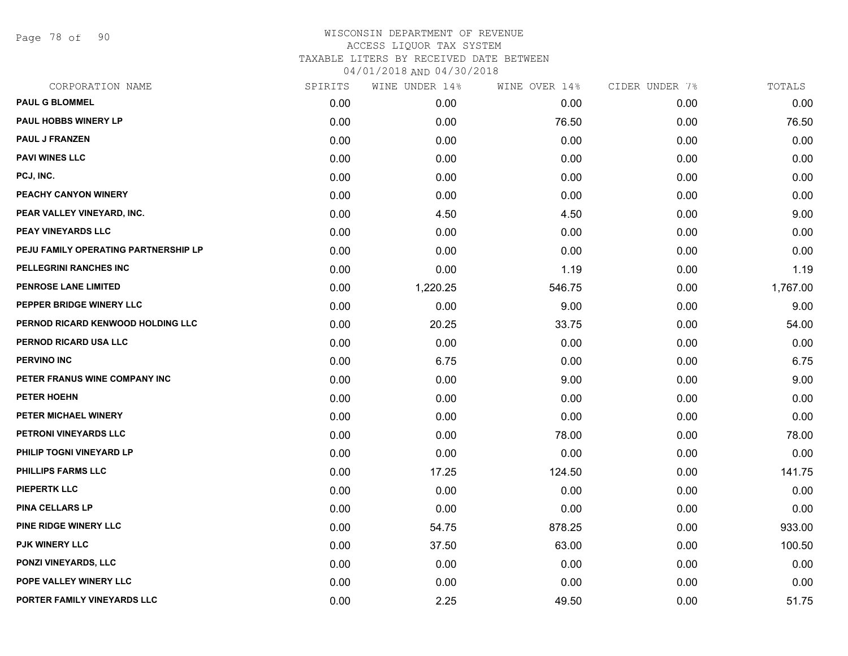Page 78 of 90

| CORPORATION NAME                     | SPIRITS | WINE UNDER 14% | WINE OVER 14% | CIDER UNDER 7% | TOTALS   |
|--------------------------------------|---------|----------------|---------------|----------------|----------|
| <b>PAUL G BLOMMEL</b>                | 0.00    | 0.00           | 0.00          | 0.00           | 0.00     |
| <b>PAUL HOBBS WINERY LP</b>          | 0.00    | 0.00           | 76.50         | 0.00           | 76.50    |
| <b>PAUL J FRANZEN</b>                | 0.00    | 0.00           | 0.00          | 0.00           | 0.00     |
| <b>PAVI WINES LLC</b>                | 0.00    | 0.00           | 0.00          | 0.00           | 0.00     |
| PCJ, INC.                            | 0.00    | 0.00           | 0.00          | 0.00           | 0.00     |
| PEACHY CANYON WINERY                 | 0.00    | 0.00           | 0.00          | 0.00           | 0.00     |
| PEAR VALLEY VINEYARD, INC.           | 0.00    | 4.50           | 4.50          | 0.00           | 9.00     |
| <b>PEAY VINEYARDS LLC</b>            | 0.00    | 0.00           | 0.00          | 0.00           | 0.00     |
| PEJU FAMILY OPERATING PARTNERSHIP LP | 0.00    | 0.00           | 0.00          | 0.00           | 0.00     |
| PELLEGRINI RANCHES INC               | 0.00    | 0.00           | 1.19          | 0.00           | 1.19     |
| <b>PENROSE LANE LIMITED</b>          | 0.00    | 1,220.25       | 546.75        | 0.00           | 1,767.00 |
| PEPPER BRIDGE WINERY LLC             | 0.00    | 0.00           | 9.00          | 0.00           | 9.00     |
| PERNOD RICARD KENWOOD HOLDING LLC    | 0.00    | 20.25          | 33.75         | 0.00           | 54.00    |
| PERNOD RICARD USA LLC                | 0.00    | 0.00           | 0.00          | 0.00           | 0.00     |
| <b>PERVINO INC</b>                   | 0.00    | 6.75           | 0.00          | 0.00           | 6.75     |
| PETER FRANUS WINE COMPANY INC        | 0.00    | 0.00           | 9.00          | 0.00           | 9.00     |
| PETER HOEHN                          | 0.00    | 0.00           | 0.00          | 0.00           | 0.00     |
| PETER MICHAEL WINERY                 | 0.00    | 0.00           | 0.00          | 0.00           | 0.00     |
| PETRONI VINEYARDS LLC                | 0.00    | 0.00           | 78.00         | 0.00           | 78.00    |
| PHILIP TOGNI VINEYARD LP             | 0.00    | 0.00           | 0.00          | 0.00           | 0.00     |
| <b>PHILLIPS FARMS LLC</b>            | 0.00    | 17.25          | 124.50        | 0.00           | 141.75   |
| <b>PIEPERTK LLC</b>                  | 0.00    | 0.00           | 0.00          | 0.00           | 0.00     |
| <b>PINA CELLARS LP</b>               | 0.00    | 0.00           | 0.00          | 0.00           | 0.00     |
| PINE RIDGE WINERY LLC                | 0.00    | 54.75          | 878.25        | 0.00           | 933.00   |
| <b>PJK WINERY LLC</b>                | 0.00    | 37.50          | 63.00         | 0.00           | 100.50   |
| PONZI VINEYARDS, LLC                 | 0.00    | 0.00           | 0.00          | 0.00           | 0.00     |
| POPE VALLEY WINERY LLC               | 0.00    | 0.00           | 0.00          | 0.00           | 0.00     |
| PORTER FAMILY VINEYARDS LLC          | 0.00    | 2.25           | 49.50         | 0.00           | 51.75    |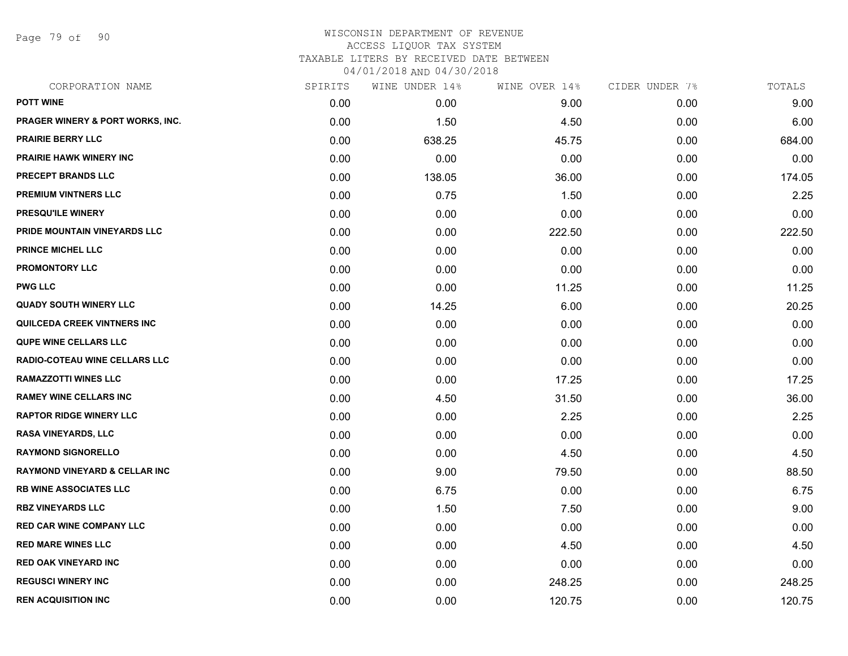Page 79 of 90

| CORPORATION NAME                         | SPIRITS | WINE UNDER 14% | WINE OVER 14% | CIDER UNDER 7% | TOTALS |
|------------------------------------------|---------|----------------|---------------|----------------|--------|
| <b>POTT WINE</b>                         | 0.00    | 0.00           | 9.00          | 0.00           | 9.00   |
| PRAGER WINERY & PORT WORKS, INC.         | 0.00    | 1.50           | 4.50          | 0.00           | 6.00   |
| <b>PRAIRIE BERRY LLC</b>                 | 0.00    | 638.25         | 45.75         | 0.00           | 684.00 |
| <b>PRAIRIE HAWK WINERY INC</b>           | 0.00    | 0.00           | 0.00          | 0.00           | 0.00   |
| PRECEPT BRANDS LLC                       | 0.00    | 138.05         | 36.00         | 0.00           | 174.05 |
| PREMIUM VINTNERS LLC                     | 0.00    | 0.75           | 1.50          | 0.00           | 2.25   |
| PRESQU'ILE WINERY                        | 0.00    | 0.00           | 0.00          | 0.00           | 0.00   |
| PRIDE MOUNTAIN VINEYARDS LLC             | 0.00    | 0.00           | 222.50        | 0.00           | 222.50 |
| <b>PRINCE MICHEL LLC</b>                 | 0.00    | 0.00           | 0.00          | 0.00           | 0.00   |
| <b>PROMONTORY LLC</b>                    | 0.00    | 0.00           | 0.00          | 0.00           | 0.00   |
| <b>PWG LLC</b>                           | 0.00    | 0.00           | 11.25         | 0.00           | 11.25  |
| <b>QUADY SOUTH WINERY LLC</b>            | 0.00    | 14.25          | 6.00          | 0.00           | 20.25  |
| <b>QUILCEDA CREEK VINTNERS INC</b>       | 0.00    | 0.00           | 0.00          | 0.00           | 0.00   |
| <b>QUPE WINE CELLARS LLC</b>             | 0.00    | 0.00           | 0.00          | 0.00           | 0.00   |
| RADIO-COTEAU WINE CELLARS LLC            | 0.00    | 0.00           | 0.00          | 0.00           | 0.00   |
| <b>RAMAZZOTTI WINES LLC</b>              | 0.00    | 0.00           | 17.25         | 0.00           | 17.25  |
| <b>RAMEY WINE CELLARS INC</b>            | 0.00    | 4.50           | 31.50         | 0.00           | 36.00  |
| <b>RAPTOR RIDGE WINERY LLC</b>           | 0.00    | 0.00           | 2.25          | 0.00           | 2.25   |
| RASA VINEYARDS, LLC                      | 0.00    | 0.00           | 0.00          | 0.00           | 0.00   |
| <b>RAYMOND SIGNORELLO</b>                | 0.00    | 0.00           | 4.50          | 0.00           | 4.50   |
| <b>RAYMOND VINEYARD &amp; CELLAR INC</b> | 0.00    | 9.00           | 79.50         | 0.00           | 88.50  |
| <b>RB WINE ASSOCIATES LLC</b>            | 0.00    | 6.75           | 0.00          | 0.00           | 6.75   |
| <b>RBZ VINEYARDS LLC</b>                 | 0.00    | 1.50           | 7.50          | 0.00           | 9.00   |
| <b>RED CAR WINE COMPANY LLC</b>          | 0.00    | 0.00           | 0.00          | 0.00           | 0.00   |
| <b>RED MARE WINES LLC</b>                | 0.00    | 0.00           | 4.50          | 0.00           | 4.50   |
| <b>RED OAK VINEYARD INC</b>              | 0.00    | 0.00           | 0.00          | 0.00           | 0.00   |
| <b>REGUSCI WINERY INC</b>                | 0.00    | 0.00           | 248.25        | 0.00           | 248.25 |
| <b>REN ACQUISITION INC</b>               | 0.00    | 0.00           | 120.75        | 0.00           | 120.75 |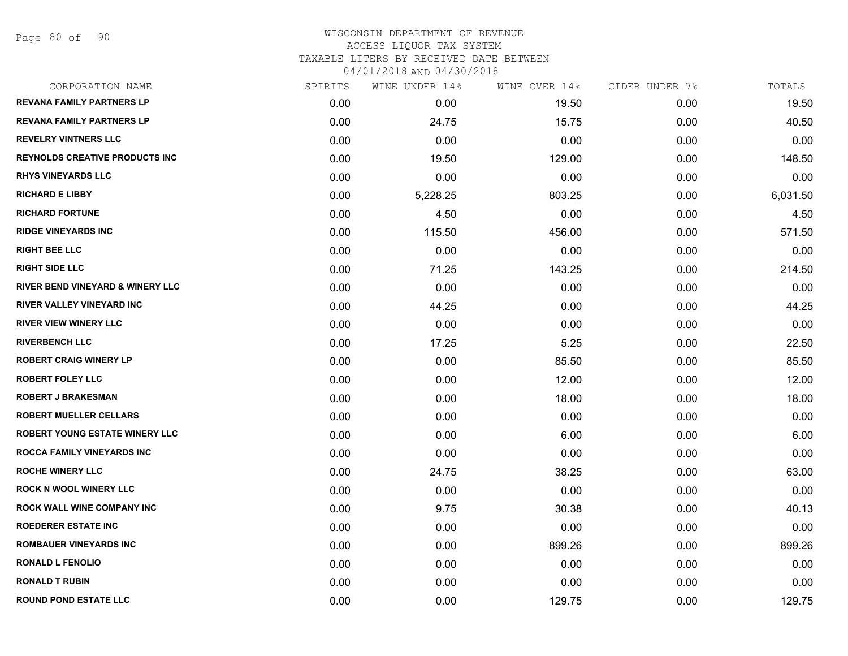| CORPORATION NAME                            | SPIRITS | WINE UNDER 14% | WINE OVER 14% | CIDER UNDER 7% | TOTALS   |
|---------------------------------------------|---------|----------------|---------------|----------------|----------|
| <b>REVANA FAMILY PARTNERS LP</b>            | 0.00    | 0.00           | 19.50         | 0.00           | 19.50    |
| <b>REVANA FAMILY PARTNERS LP</b>            | 0.00    | 24.75          | 15.75         | 0.00           | 40.50    |
| <b>REVELRY VINTNERS LLC</b>                 | 0.00    | 0.00           | 0.00          | 0.00           | 0.00     |
| REYNOLDS CREATIVE PRODUCTS INC              | 0.00    | 19.50          | 129.00        | 0.00           | 148.50   |
| <b>RHYS VINEYARDS LLC</b>                   | 0.00    | 0.00           | 0.00          | 0.00           | 0.00     |
| <b>RICHARD E LIBBY</b>                      | 0.00    | 5,228.25       | 803.25        | 0.00           | 6,031.50 |
| <b>RICHARD FORTUNE</b>                      | 0.00    | 4.50           | 0.00          | 0.00           | 4.50     |
| <b>RIDGE VINEYARDS INC</b>                  | 0.00    | 115.50         | 456.00        | 0.00           | 571.50   |
| <b>RIGHT BEE LLC</b>                        | 0.00    | 0.00           | 0.00          | 0.00           | 0.00     |
| <b>RIGHT SIDE LLC</b>                       | 0.00    | 71.25          | 143.25        | 0.00           | 214.50   |
| <b>RIVER BEND VINEYARD &amp; WINERY LLC</b> | 0.00    | 0.00           | 0.00          | 0.00           | 0.00     |
| <b>RIVER VALLEY VINEYARD INC</b>            | 0.00    | 44.25          | 0.00          | 0.00           | 44.25    |
| <b>RIVER VIEW WINERY LLC</b>                | 0.00    | 0.00           | 0.00          | 0.00           | 0.00     |
| <b>RIVERBENCH LLC</b>                       | 0.00    | 17.25          | 5.25          | 0.00           | 22.50    |
| <b>ROBERT CRAIG WINERY LP</b>               | 0.00    | 0.00           | 85.50         | 0.00           | 85.50    |
| <b>ROBERT FOLEY LLC</b>                     | 0.00    | 0.00           | 12.00         | 0.00           | 12.00    |
| <b>ROBERT J BRAKESMAN</b>                   | 0.00    | 0.00           | 18.00         | 0.00           | 18.00    |
| <b>ROBERT MUELLER CELLARS</b>               | 0.00    | 0.00           | 0.00          | 0.00           | 0.00     |
| <b>ROBERT YOUNG ESTATE WINERY LLC</b>       | 0.00    | 0.00           | 6.00          | 0.00           | 6.00     |
| <b>ROCCA FAMILY VINEYARDS INC</b>           | 0.00    | 0.00           | 0.00          | 0.00           | 0.00     |
| <b>ROCHE WINERY LLC</b>                     | 0.00    | 24.75          | 38.25         | 0.00           | 63.00    |
| <b>ROCK N WOOL WINERY LLC</b>               | 0.00    | 0.00           | 0.00          | 0.00           | 0.00     |
| <b>ROCK WALL WINE COMPANY INC</b>           | 0.00    | 9.75           | 30.38         | 0.00           | 40.13    |
| <b>ROEDERER ESTATE INC</b>                  | 0.00    | 0.00           | 0.00          | 0.00           | 0.00     |
| <b>ROMBAUER VINEYARDS INC</b>               | 0.00    | 0.00           | 899.26        | 0.00           | 899.26   |
| <b>RONALD L FENOLIO</b>                     | 0.00    | 0.00           | 0.00          | 0.00           | 0.00     |
| <b>RONALD T RUBIN</b>                       | 0.00    | 0.00           | 0.00          | 0.00           | 0.00     |
| <b>ROUND POND ESTATE LLC</b>                | 0.00    | 0.00           | 129.75        | 0.00           | 129.75   |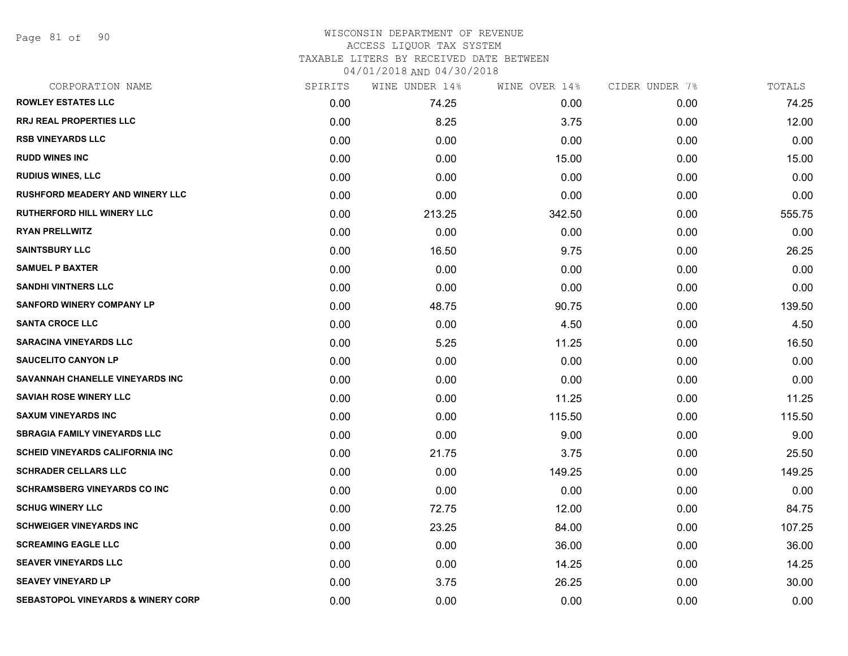Page 81 of 90

## WISCONSIN DEPARTMENT OF REVENUE ACCESS LIQUOR TAX SYSTEM TAXABLE LITERS BY RECEIVED DATE BETWEEN

04/01/2018 AND 04/30/2018

| CORPORATION NAME                              | SPIRITS | WINE UNDER 14% | WINE OVER 14% | CIDER UNDER 7% | TOTALS |
|-----------------------------------------------|---------|----------------|---------------|----------------|--------|
| <b>ROWLEY ESTATES LLC</b>                     | 0.00    | 74.25          | 0.00          | 0.00           | 74.25  |
| <b>RRJ REAL PROPERTIES LLC</b>                | 0.00    | 8.25           | 3.75          | 0.00           | 12.00  |
| <b>RSB VINEYARDS LLC</b>                      | 0.00    | 0.00           | 0.00          | 0.00           | 0.00   |
| <b>RUDD WINES INC</b>                         | 0.00    | 0.00           | 15.00         | 0.00           | 15.00  |
| <b>RUDIUS WINES, LLC</b>                      | 0.00    | 0.00           | 0.00          | 0.00           | 0.00   |
| <b>RUSHFORD MEADERY AND WINERY LLC</b>        | 0.00    | 0.00           | 0.00          | 0.00           | 0.00   |
| <b>RUTHERFORD HILL WINERY LLC</b>             | 0.00    | 213.25         | 342.50        | 0.00           | 555.75 |
| <b>RYAN PRELLWITZ</b>                         | 0.00    | 0.00           | 0.00          | 0.00           | 0.00   |
| <b>SAINTSBURY LLC</b>                         | 0.00    | 16.50          | 9.75          | 0.00           | 26.25  |
| <b>SAMUEL P BAXTER</b>                        | 0.00    | 0.00           | 0.00          | 0.00           | 0.00   |
| <b>SANDHI VINTNERS LLC</b>                    | 0.00    | 0.00           | 0.00          | 0.00           | 0.00   |
| <b>SANFORD WINERY COMPANY LP</b>              | 0.00    | 48.75          | 90.75         | 0.00           | 139.50 |
| <b>SANTA CROCE LLC</b>                        | 0.00    | 0.00           | 4.50          | 0.00           | 4.50   |
| <b>SARACINA VINEYARDS LLC</b>                 | 0.00    | 5.25           | 11.25         | 0.00           | 16.50  |
| <b>SAUCELITO CANYON LP</b>                    | 0.00    | 0.00           | 0.00          | 0.00           | 0.00   |
| SAVANNAH CHANELLE VINEYARDS INC               | 0.00    | 0.00           | 0.00          | 0.00           | 0.00   |
| <b>SAVIAH ROSE WINERY LLC</b>                 | 0.00    | 0.00           | 11.25         | 0.00           | 11.25  |
| <b>SAXUM VINEYARDS INC</b>                    | 0.00    | 0.00           | 115.50        | 0.00           | 115.50 |
| <b>SBRAGIA FAMILY VINEYARDS LLC</b>           | 0.00    | 0.00           | 9.00          | 0.00           | 9.00   |
| <b>SCHEID VINEYARDS CALIFORNIA INC.</b>       | 0.00    | 21.75          | 3.75          | 0.00           | 25.50  |
| <b>SCHRADER CELLARS LLC</b>                   | 0.00    | 0.00           | 149.25        | 0.00           | 149.25 |
| <b>SCHRAMSBERG VINEYARDS CO INC</b>           | 0.00    | 0.00           | 0.00          | 0.00           | 0.00   |
| <b>SCHUG WINERY LLC</b>                       | 0.00    | 72.75          | 12.00         | 0.00           | 84.75  |
| <b>SCHWEIGER VINEYARDS INC</b>                | 0.00    | 23.25          | 84.00         | 0.00           | 107.25 |
| <b>SCREAMING EAGLE LLC</b>                    | 0.00    | 0.00           | 36.00         | 0.00           | 36.00  |
| <b>SEAVER VINEYARDS LLC</b>                   | 0.00    | 0.00           | 14.25         | 0.00           | 14.25  |
| <b>SEAVEY VINEYARD LP</b>                     | 0.00    | 3.75           | 26.25         | 0.00           | 30.00  |
| <b>SEBASTOPOL VINEYARDS &amp; WINERY CORP</b> | 0.00    | 0.00           | 0.00          | 0.00           | 0.00   |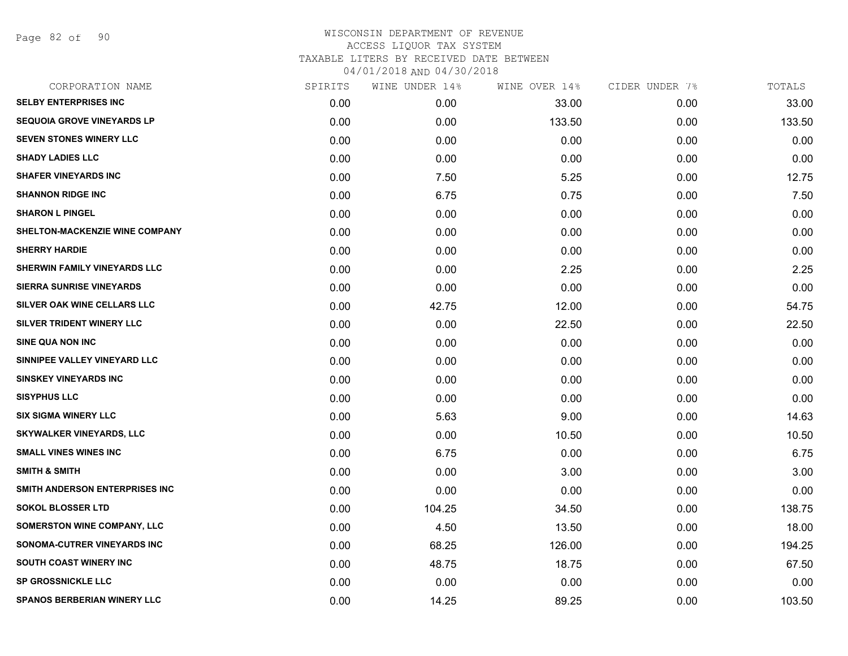Page 82 of 90

| 33.00<br>133.50<br>0.00 | 0.00<br>0.00 | 33.00<br>133.50 |
|-------------------------|--------------|-----------------|
|                         |              |                 |
|                         |              |                 |
|                         |              | 0.00            |
|                         | 0.00         | 0.00            |
| 5.25                    | 0.00         | 12.75           |
| 0.75                    | 0.00         | 7.50            |
| 0.00                    | 0.00         | 0.00            |
| 0.00                    | 0.00         | 0.00            |
| 0.00                    | 0.00         | 0.00            |
| 2.25                    | 0.00         | 2.25            |
| 0.00                    | 0.00         | 0.00            |
| 12.00                   | 0.00         | 54.75           |
| 22.50                   | 0.00         | 22.50           |
| 0.00                    | 0.00         | 0.00            |
| 0.00                    | 0.00         | 0.00            |
| 0.00                    | 0.00         | 0.00            |
| 0.00                    | 0.00         | 0.00            |
| 9.00                    | 0.00         | 14.63           |
| 10.50                   | 0.00         | 10.50           |
| 0.00                    | 0.00         | 6.75            |
| 3.00                    | 0.00         | 3.00            |
| 0.00                    | 0.00         | 0.00            |
| 34.50                   | 0.00         | 138.75          |
| 13.50                   | 0.00         | 18.00           |
| 126.00                  | 0.00         | 194.25          |
| 18.75                   | 0.00         | 67.50           |
| 0.00                    | 0.00         | 0.00            |
| 89.25                   | 0.00         | 103.50          |
|                         | 0.00         | 0.00            |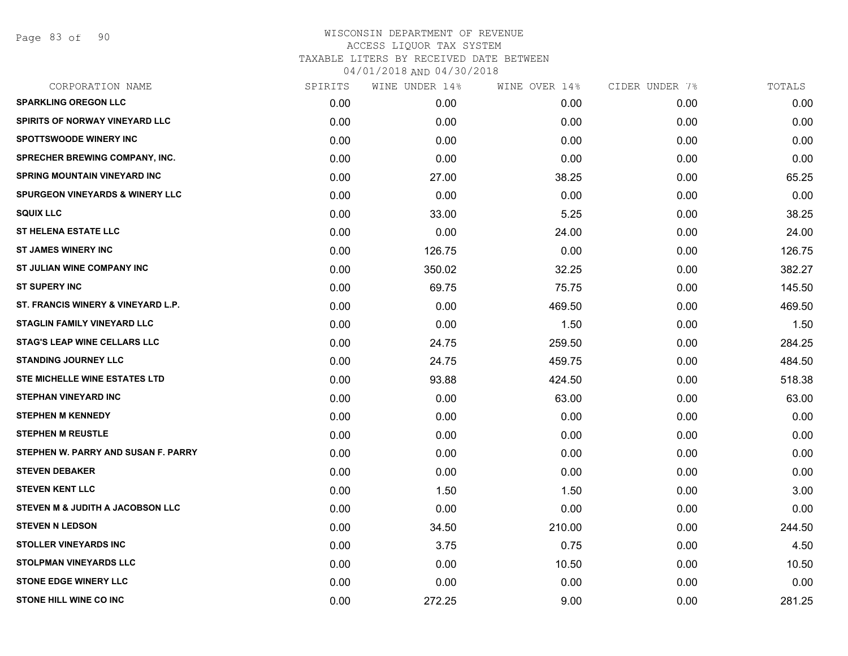Page 83 of 90

| SPIRITS | WINE UNDER 14% | WINE OVER 14% |      | TOTALS         |
|---------|----------------|---------------|------|----------------|
| 0.00    | 0.00           | 0.00          | 0.00 | 0.00           |
| 0.00    | 0.00           | 0.00          | 0.00 | 0.00           |
| 0.00    | 0.00           | 0.00          | 0.00 | 0.00           |
| 0.00    | 0.00           | 0.00          | 0.00 | 0.00           |
| 0.00    | 27.00          | 38.25         | 0.00 | 65.25          |
| 0.00    | 0.00           | 0.00          | 0.00 | 0.00           |
| 0.00    | 33.00          | 5.25          | 0.00 | 38.25          |
| 0.00    | 0.00           | 24.00         | 0.00 | 24.00          |
| 0.00    | 126.75         | 0.00          | 0.00 | 126.75         |
| 0.00    | 350.02         | 32.25         | 0.00 | 382.27         |
| 0.00    | 69.75          | 75.75         | 0.00 | 145.50         |
| 0.00    | 0.00           | 469.50        | 0.00 | 469.50         |
| 0.00    | 0.00           | 1.50          | 0.00 | 1.50           |
| 0.00    | 24.75          | 259.50        | 0.00 | 284.25         |
| 0.00    | 24.75          | 459.75        | 0.00 | 484.50         |
| 0.00    | 93.88          | 424.50        | 0.00 | 518.38         |
| 0.00    | 0.00           | 63.00         | 0.00 | 63.00          |
| 0.00    | 0.00           | 0.00          | 0.00 | 0.00           |
| 0.00    | 0.00           | 0.00          | 0.00 | 0.00           |
| 0.00    | 0.00           | 0.00          | 0.00 | 0.00           |
| 0.00    | 0.00           | 0.00          | 0.00 | 0.00           |
| 0.00    | 1.50           | 1.50          | 0.00 | 3.00           |
| 0.00    | 0.00           | 0.00          | 0.00 | 0.00           |
| 0.00    | 34.50          | 210.00        | 0.00 | 244.50         |
| 0.00    | 3.75           | 0.75          | 0.00 | 4.50           |
| 0.00    | 0.00           | 10.50         | 0.00 | 10.50          |
| 0.00    | 0.00           | 0.00          | 0.00 | 0.00           |
| 0.00    | 272.25         | 9.00          | 0.00 | 281.25         |
|         |                |               |      | CIDER UNDER 7% |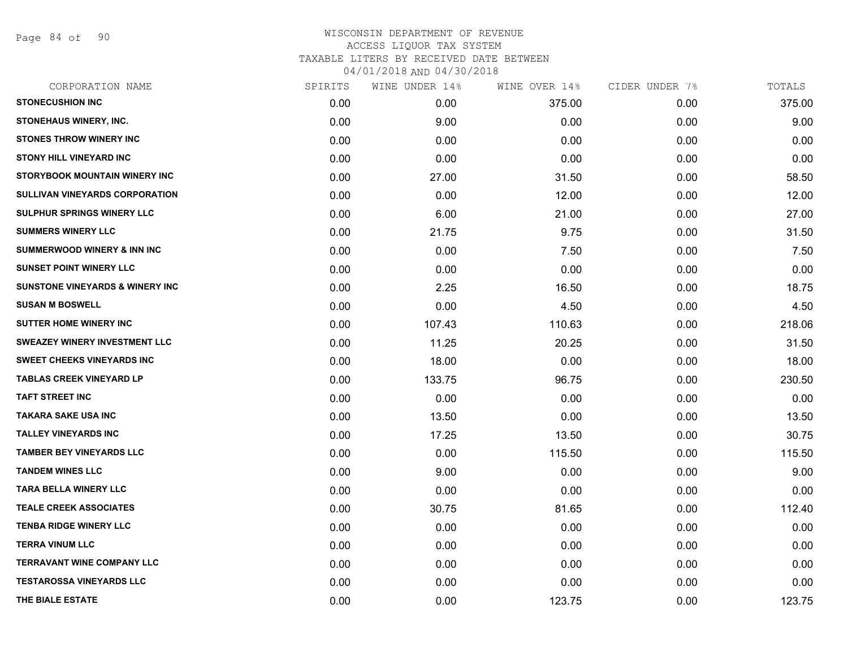Page 84 of 90

| CORPORATION NAME                            | SPIRITS | WINE UNDER 14% | WINE OVER 14% | CIDER UNDER 7% | TOTALS |
|---------------------------------------------|---------|----------------|---------------|----------------|--------|
| <b>STONECUSHION INC</b>                     | 0.00    | 0.00           | 375.00        | 0.00           | 375.00 |
| STONEHAUS WINERY, INC.                      | 0.00    | 9.00           | 0.00          | 0.00           | 9.00   |
| <b>STONES THROW WINERY INC</b>              | 0.00    | 0.00           | 0.00          | 0.00           | 0.00   |
| <b>STONY HILL VINEYARD INC</b>              | 0.00    | 0.00           | 0.00          | 0.00           | 0.00   |
| STORYBOOK MOUNTAIN WINERY INC               | 0.00    | 27.00          | 31.50         | 0.00           | 58.50  |
| <b>SULLIVAN VINEYARDS CORPORATION</b>       | 0.00    | 0.00           | 12.00         | 0.00           | 12.00  |
| SULPHUR SPRINGS WINERY LLC                  | 0.00    | 6.00           | 21.00         | 0.00           | 27.00  |
| <b>SUMMERS WINERY LLC</b>                   | 0.00    | 21.75          | 9.75          | 0.00           | 31.50  |
| <b>SUMMERWOOD WINERY &amp; INN INC</b>      | 0.00    | 0.00           | 7.50          | 0.00           | 7.50   |
| <b>SUNSET POINT WINERY LLC</b>              | 0.00    | 0.00           | 0.00          | 0.00           | 0.00   |
| <b>SUNSTONE VINEYARDS &amp; WINERY INC.</b> | 0.00    | 2.25           | 16.50         | 0.00           | 18.75  |
| <b>SUSAN M BOSWELL</b>                      | 0.00    | 0.00           | 4.50          | 0.00           | 4.50   |
| <b>SUTTER HOME WINERY INC</b>               | 0.00    | 107.43         | 110.63        | 0.00           | 218.06 |
| <b>SWEAZEY WINERY INVESTMENT LLC</b>        | 0.00    | 11.25          | 20.25         | 0.00           | 31.50  |
| SWEET CHEEKS VINEYARDS INC                  | 0.00    | 18.00          | 0.00          | 0.00           | 18.00  |
| <b>TABLAS CREEK VINEYARD LP</b>             | 0.00    | 133.75         | 96.75         | 0.00           | 230.50 |
| <b>TAFT STREET INC</b>                      | 0.00    | 0.00           | 0.00          | 0.00           | 0.00   |
| TAKARA SAKE USA INC                         | 0.00    | 13.50          | 0.00          | 0.00           | 13.50  |
| <b>TALLEY VINEYARDS INC</b>                 | 0.00    | 17.25          | 13.50         | 0.00           | 30.75  |
| <b>TAMBER BEY VINEYARDS LLC</b>             | 0.00    | 0.00           | 115.50        | 0.00           | 115.50 |
| <b>TANDEM WINES LLC</b>                     | 0.00    | 9.00           | 0.00          | 0.00           | 9.00   |
| <b>TARA BELLA WINERY LLC</b>                | 0.00    | 0.00           | 0.00          | 0.00           | 0.00   |
| <b>TEALE CREEK ASSOCIATES</b>               | 0.00    | 30.75          | 81.65         | 0.00           | 112.40 |
| <b>TENBA RIDGE WINERY LLC</b>               | 0.00    | 0.00           | 0.00          | 0.00           | 0.00   |
| <b>TERRA VINUM LLC</b>                      | 0.00    | 0.00           | 0.00          | 0.00           | 0.00   |
| <b>TERRAVANT WINE COMPANY LLC</b>           | 0.00    | 0.00           | 0.00          | 0.00           | 0.00   |
| <b>TESTAROSSA VINEYARDS LLC</b>             | 0.00    | 0.00           | 0.00          | 0.00           | 0.00   |
| THE BIALE ESTATE                            | 0.00    | 0.00           | 123.75        | 0.00           | 123.75 |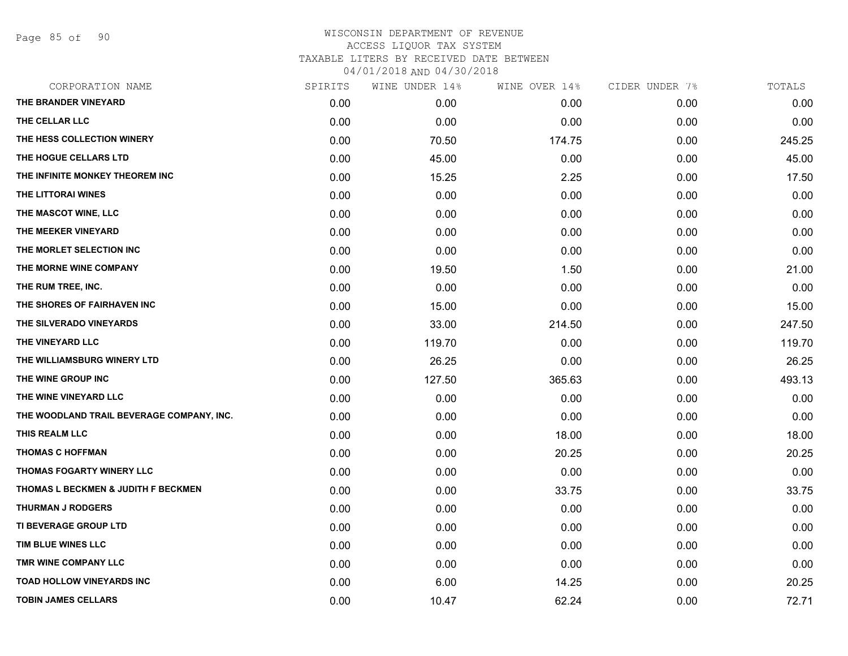Page 85 of 90

| CORPORATION NAME                          | SPIRITS | WINE UNDER 14% | WINE OVER 14% | CIDER UNDER 7% | TOTALS |
|-------------------------------------------|---------|----------------|---------------|----------------|--------|
| THE BRANDER VINEYARD                      | 0.00    | 0.00           | 0.00          | 0.00           | 0.00   |
| THE CELLAR LLC                            | 0.00    | 0.00           | 0.00          | 0.00           | 0.00   |
| THE HESS COLLECTION WINERY                | 0.00    | 70.50          | 174.75        | 0.00           | 245.25 |
| THE HOGUE CELLARS LTD                     | 0.00    | 45.00          | 0.00          | 0.00           | 45.00  |
| THE INFINITE MONKEY THEOREM INC           | 0.00    | 15.25          | 2.25          | 0.00           | 17.50  |
| THE LITTORAI WINES                        | 0.00    | 0.00           | 0.00          | 0.00           | 0.00   |
| THE MASCOT WINE, LLC                      | 0.00    | 0.00           | 0.00          | 0.00           | 0.00   |
| THE MEEKER VINEYARD                       | 0.00    | 0.00           | 0.00          | 0.00           | 0.00   |
| THE MORLET SELECTION INC                  | 0.00    | 0.00           | 0.00          | 0.00           | 0.00   |
| THE MORNE WINE COMPANY                    | 0.00    | 19.50          | 1.50          | 0.00           | 21.00  |
| THE RUM TREE, INC.                        | 0.00    | 0.00           | 0.00          | 0.00           | 0.00   |
| THE SHORES OF FAIRHAVEN INC               | 0.00    | 15.00          | 0.00          | 0.00           | 15.00  |
| THE SILVERADO VINEYARDS                   | 0.00    | 33.00          | 214.50        | 0.00           | 247.50 |
| THE VINEYARD LLC                          | 0.00    | 119.70         | 0.00          | 0.00           | 119.70 |
| THE WILLIAMSBURG WINERY LTD               | 0.00    | 26.25          | 0.00          | 0.00           | 26.25  |
| THE WINE GROUP INC                        | 0.00    | 127.50         | 365.63        | 0.00           | 493.13 |
| THE WINE VINEYARD LLC                     | 0.00    | 0.00           | 0.00          | 0.00           | 0.00   |
| THE WOODLAND TRAIL BEVERAGE COMPANY, INC. | 0.00    | 0.00           | 0.00          | 0.00           | 0.00   |
| THIS REALM LLC                            | 0.00    | 0.00           | 18.00         | 0.00           | 18.00  |
| <b>THOMAS C HOFFMAN</b>                   | 0.00    | 0.00           | 20.25         | 0.00           | 20.25  |
| THOMAS FOGARTY WINERY LLC                 | 0.00    | 0.00           | 0.00          | 0.00           | 0.00   |
| THOMAS L BECKMEN & JUDITH F BECKMEN       | 0.00    | 0.00           | 33.75         | 0.00           | 33.75  |
| <b>THURMAN J RODGERS</b>                  | 0.00    | 0.00           | 0.00          | 0.00           | 0.00   |
| TI BEVERAGE GROUP LTD                     | 0.00    | 0.00           | 0.00          | 0.00           | 0.00   |
| TIM BLUE WINES LLC                        | 0.00    | 0.00           | 0.00          | 0.00           | 0.00   |
| TMR WINE COMPANY LLC                      | 0.00    | 0.00           | 0.00          | 0.00           | 0.00   |
| <b>TOAD HOLLOW VINEYARDS INC</b>          | 0.00    | 6.00           | 14.25         | 0.00           | 20.25  |
| <b>TOBIN JAMES CELLARS</b>                | 0.00    | 10.47          | 62.24         | 0.00           | 72.71  |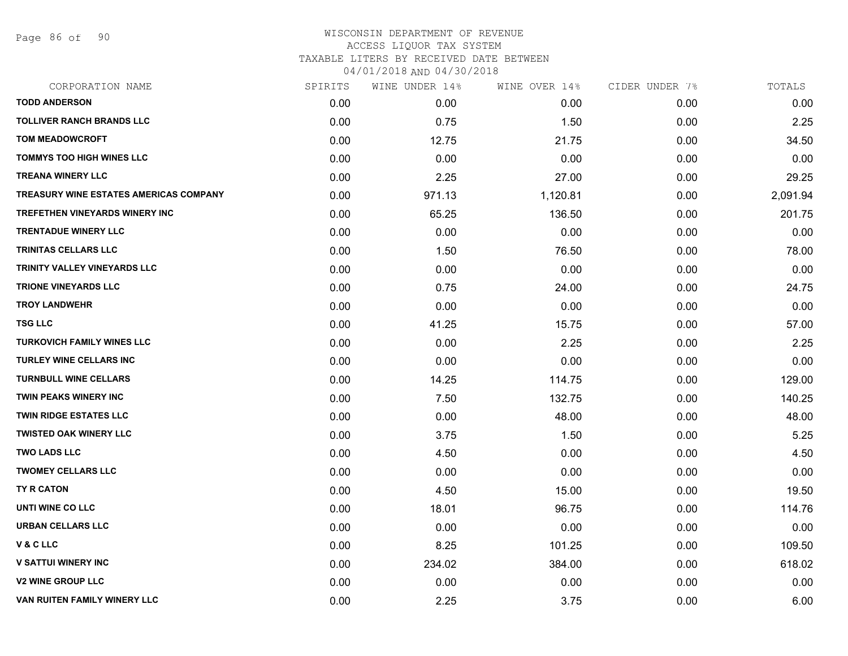Page 86 of 90

| CORPORATION NAME                              | SPIRITS | WINE UNDER 14% | WINE OVER 14% | CIDER UNDER 7% | TOTALS   |
|-----------------------------------------------|---------|----------------|---------------|----------------|----------|
| <b>TODD ANDERSON</b>                          | 0.00    | 0.00           | 0.00          | 0.00           | 0.00     |
| <b>TOLLIVER RANCH BRANDS LLC</b>              | 0.00    | 0.75           | 1.50          | 0.00           | 2.25     |
| <b>TOM MEADOWCROFT</b>                        | 0.00    | 12.75          | 21.75         | 0.00           | 34.50    |
| <b>TOMMYS TOO HIGH WINES LLC</b>              | 0.00    | 0.00           | 0.00          | 0.00           | 0.00     |
| <b>TREANA WINERY LLC</b>                      | 0.00    | 2.25           | 27.00         | 0.00           | 29.25    |
| <b>TREASURY WINE ESTATES AMERICAS COMPANY</b> | 0.00    | 971.13         | 1,120.81      | 0.00           | 2,091.94 |
| <b>TREFETHEN VINEYARDS WINERY INC</b>         | 0.00    | 65.25          | 136.50        | 0.00           | 201.75   |
| <b>TRENTADUE WINERY LLC</b>                   | 0.00    | 0.00           | 0.00          | 0.00           | 0.00     |
| <b>TRINITAS CELLARS LLC</b>                   | 0.00    | 1.50           | 76.50         | 0.00           | 78.00    |
| TRINITY VALLEY VINEYARDS LLC                  | 0.00    | 0.00           | 0.00          | 0.00           | 0.00     |
| <b>TRIONE VINEYARDS LLC</b>                   | 0.00    | 0.75           | 24.00         | 0.00           | 24.75    |
| <b>TROY LANDWEHR</b>                          | 0.00    | 0.00           | 0.00          | 0.00           | 0.00     |
| <b>TSG LLC</b>                                | 0.00    | 41.25          | 15.75         | 0.00           | 57.00    |
| <b>TURKOVICH FAMILY WINES LLC</b>             | 0.00    | 0.00           | 2.25          | 0.00           | 2.25     |
| <b>TURLEY WINE CELLARS INC</b>                | 0.00    | 0.00           | 0.00          | 0.00           | 0.00     |
| <b>TURNBULL WINE CELLARS</b>                  | 0.00    | 14.25          | 114.75        | 0.00           | 129.00   |
| <b>TWIN PEAKS WINERY INC</b>                  | 0.00    | 7.50           | 132.75        | 0.00           | 140.25   |
| <b>TWIN RIDGE ESTATES LLC</b>                 | 0.00    | 0.00           | 48.00         | 0.00           | 48.00    |
| <b>TWISTED OAK WINERY LLC</b>                 | 0.00    | 3.75           | 1.50          | 0.00           | 5.25     |
| <b>TWO LADS LLC</b>                           | 0.00    | 4.50           | 0.00          | 0.00           | 4.50     |
| <b>TWOMEY CELLARS LLC</b>                     | 0.00    | 0.00           | 0.00          | 0.00           | 0.00     |
| TY R CATON                                    | 0.00    | 4.50           | 15.00         | 0.00           | 19.50    |
| UNTI WINE CO LLC                              | 0.00    | 18.01          | 96.75         | 0.00           | 114.76   |
| <b>URBAN CELLARS LLC</b>                      | 0.00    | 0.00           | 0.00          | 0.00           | 0.00     |
| V & C LLC                                     | 0.00    | 8.25           | 101.25        | 0.00           | 109.50   |
| <b>V SATTUI WINERY INC</b>                    | 0.00    | 234.02         | 384.00        | 0.00           | 618.02   |
| <b>V2 WINE GROUP LLC</b>                      | 0.00    | 0.00           | 0.00          | 0.00           | 0.00     |
| VAN RUITEN FAMILY WINERY LLC                  | 0.00    | 2.25           | 3.75          | 0.00           | 6.00     |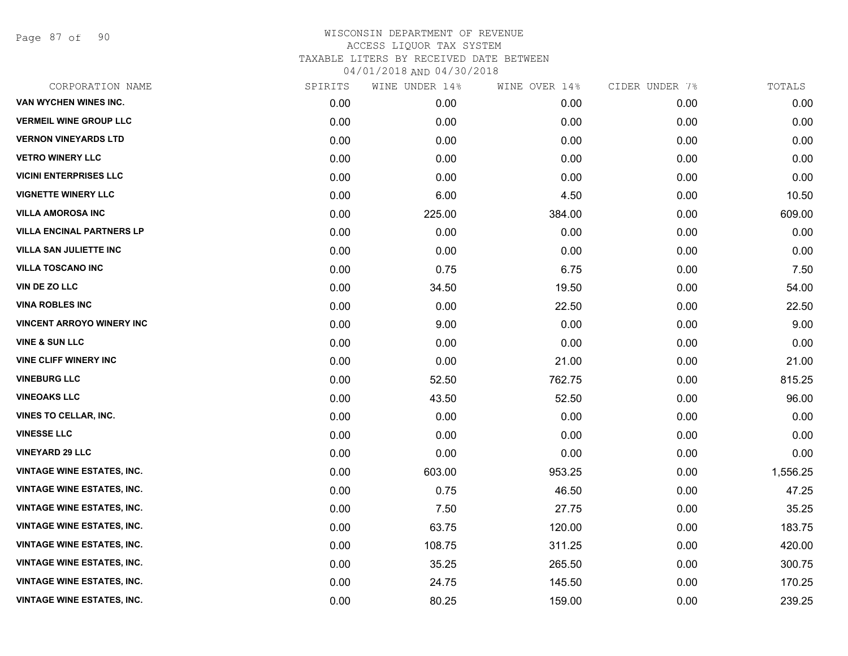Page 87 of 90

| CORPORATION NAME                  | SPIRITS | WINE UNDER 14% | WINE OVER 14% | CIDER UNDER 7% | TOTALS   |
|-----------------------------------|---------|----------------|---------------|----------------|----------|
| VAN WYCHEN WINES INC.             | 0.00    | 0.00           | 0.00          | 0.00           | 0.00     |
| <b>VERMEIL WINE GROUP LLC</b>     | 0.00    | 0.00           | 0.00          | 0.00           | 0.00     |
| <b>VERNON VINEYARDS LTD</b>       | 0.00    | 0.00           | 0.00          | 0.00           | 0.00     |
| <b>VETRO WINERY LLC</b>           | 0.00    | 0.00           | 0.00          | 0.00           | 0.00     |
| <b>VICINI ENTERPRISES LLC</b>     | 0.00    | 0.00           | 0.00          | 0.00           | 0.00     |
| <b>VIGNETTE WINERY LLC</b>        | 0.00    | 6.00           | 4.50          | 0.00           | 10.50    |
| <b>VILLA AMOROSA INC</b>          | 0.00    | 225.00         | 384.00        | 0.00           | 609.00   |
| <b>VILLA ENCINAL PARTNERS LP</b>  | 0.00    | 0.00           | 0.00          | 0.00           | 0.00     |
| <b>VILLA SAN JULIETTE INC</b>     | 0.00    | 0.00           | 0.00          | 0.00           | 0.00     |
| <b>VILLA TOSCANO INC</b>          | 0.00    | 0.75           | 6.75          | 0.00           | 7.50     |
| VIN DE ZO LLC                     | 0.00    | 34.50          | 19.50         | 0.00           | 54.00    |
| <b>VINA ROBLES INC</b>            | 0.00    | 0.00           | 22.50         | 0.00           | 22.50    |
| <b>VINCENT ARROYO WINERY INC</b>  | 0.00    | 9.00           | 0.00          | 0.00           | 9.00     |
| <b>VINE &amp; SUN LLC</b>         | 0.00    | 0.00           | 0.00          | 0.00           | 0.00     |
| <b>VINE CLIFF WINERY INC</b>      | 0.00    | 0.00           | 21.00         | 0.00           | 21.00    |
| <b>VINEBURG LLC</b>               | 0.00    | 52.50          | 762.75        | 0.00           | 815.25   |
| <b>VINEOAKS LLC</b>               | 0.00    | 43.50          | 52.50         | 0.00           | 96.00    |
| <b>VINES TO CELLAR, INC.</b>      | 0.00    | 0.00           | 0.00          | 0.00           | 0.00     |
| <b>VINESSE LLC</b>                | 0.00    | 0.00           | 0.00          | 0.00           | 0.00     |
| <b>VINEYARD 29 LLC</b>            | 0.00    | 0.00           | 0.00          | 0.00           | 0.00     |
| <b>VINTAGE WINE ESTATES, INC.</b> | 0.00    | 603.00         | 953.25        | 0.00           | 1,556.25 |
| <b>VINTAGE WINE ESTATES, INC.</b> | 0.00    | 0.75           | 46.50         | 0.00           | 47.25    |
| VINTAGE WINE ESTATES, INC.        | 0.00    | 7.50           | 27.75         | 0.00           | 35.25    |
| <b>VINTAGE WINE ESTATES, INC.</b> | 0.00    | 63.75          | 120.00        | 0.00           | 183.75   |
| <b>VINTAGE WINE ESTATES, INC.</b> | 0.00    | 108.75         | 311.25        | 0.00           | 420.00   |
| <b>VINTAGE WINE ESTATES, INC.</b> | 0.00    | 35.25          | 265.50        | 0.00           | 300.75   |
| <b>VINTAGE WINE ESTATES, INC.</b> | 0.00    | 24.75          | 145.50        | 0.00           | 170.25   |
| <b>VINTAGE WINE ESTATES, INC.</b> | 0.00    | 80.25          | 159.00        | 0.00           | 239.25   |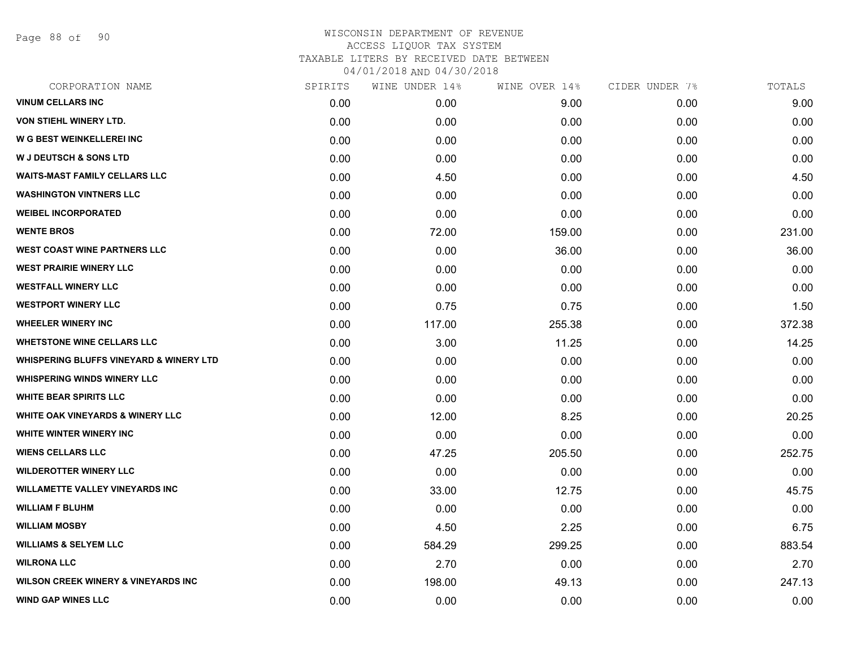Page 88 of 90

| SPIRITS | WINE UNDER 14% | WINE OVER 14% | CIDER UNDER 7% | TOTALS |
|---------|----------------|---------------|----------------|--------|
| 0.00    | 0.00           | 9.00          | 0.00           | 9.00   |
| 0.00    | 0.00           | 0.00          | 0.00           | 0.00   |
| 0.00    | 0.00           | 0.00          | 0.00           | 0.00   |
| 0.00    | 0.00           | 0.00          | 0.00           | 0.00   |
| 0.00    | 4.50           | 0.00          | 0.00           | 4.50   |
| 0.00    | 0.00           | 0.00          | 0.00           | 0.00   |
| 0.00    | 0.00           | 0.00          | 0.00           | 0.00   |
| 0.00    | 72.00          | 159.00        | 0.00           | 231.00 |
| 0.00    | 0.00           | 36.00         | 0.00           | 36.00  |
| 0.00    | 0.00           | 0.00          | 0.00           | 0.00   |
| 0.00    | 0.00           | 0.00          | 0.00           | 0.00   |
| 0.00    | 0.75           | 0.75          | 0.00           | 1.50   |
| 0.00    | 117.00         | 255.38        | 0.00           | 372.38 |
| 0.00    | 3.00           | 11.25         | 0.00           | 14.25  |
| 0.00    | 0.00           | 0.00          | 0.00           | 0.00   |
| 0.00    | 0.00           | 0.00          | 0.00           | 0.00   |
| 0.00    | 0.00           | 0.00          | 0.00           | 0.00   |
| 0.00    | 12.00          | 8.25          | 0.00           | 20.25  |
| 0.00    | 0.00           | 0.00          | 0.00           | 0.00   |
| 0.00    | 47.25          | 205.50        | 0.00           | 252.75 |
| 0.00    | 0.00           | 0.00          | 0.00           | 0.00   |
| 0.00    | 33.00          | 12.75         | 0.00           | 45.75  |
| 0.00    | 0.00           | 0.00          | 0.00           | 0.00   |
| 0.00    | 4.50           | 2.25          | 0.00           | 6.75   |
| 0.00    | 584.29         | 299.25        | 0.00           | 883.54 |
| 0.00    | 2.70           | 0.00          | 0.00           | 2.70   |
| 0.00    | 198.00         | 49.13         | 0.00           | 247.13 |
| 0.00    | 0.00           | 0.00          | 0.00           | 0.00   |
|         |                |               |                |        |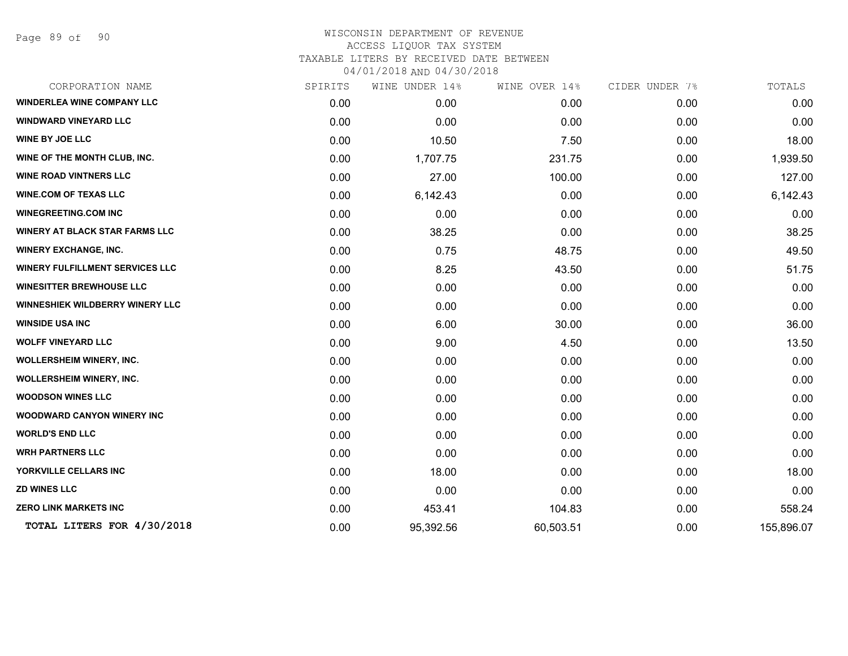| CORPORATION NAME                       | SPIRITS | WINE UNDER 14% | WINE OVER 14% | CIDER UNDER 7% | TOTALS     |
|----------------------------------------|---------|----------------|---------------|----------------|------------|
| <b>WINDERLEA WINE COMPANY LLC</b>      | 0.00    | 0.00           | 0.00          | 0.00           | 0.00       |
| <b>WINDWARD VINEYARD LLC</b>           | 0.00    | 0.00           | 0.00          | 0.00           | 0.00       |
| <b>WINE BY JOE LLC</b>                 | 0.00    | 10.50          | 7.50          | 0.00           | 18.00      |
| WINE OF THE MONTH CLUB, INC.           | 0.00    | 1,707.75       | 231.75        | 0.00           | 1,939.50   |
| <b>WINE ROAD VINTNERS LLC</b>          | 0.00    | 27.00          | 100.00        | 0.00           | 127.00     |
| <b>WINE.COM OF TEXAS LLC</b>           | 0.00    | 6,142.43       | 0.00          | 0.00           | 6,142.43   |
| <b>WINEGREETING.COM INC</b>            | 0.00    | 0.00           | 0.00          | 0.00           | 0.00       |
| <b>WINERY AT BLACK STAR FARMS LLC</b>  | 0.00    | 38.25          | 0.00          | 0.00           | 38.25      |
| <b>WINERY EXCHANGE, INC.</b>           | 0.00    | 0.75           | 48.75         | 0.00           | 49.50      |
| <b>WINERY FULFILLMENT SERVICES LLC</b> | 0.00    | 8.25           | 43.50         | 0.00           | 51.75      |
| <b>WINESITTER BREWHOUSE LLC</b>        | 0.00    | 0.00           | 0.00          | 0.00           | 0.00       |
| <b>WINNESHIEK WILDBERRY WINERY LLC</b> | 0.00    | 0.00           | 0.00          | 0.00           | 0.00       |
| <b>WINSIDE USA INC</b>                 | 0.00    | 6.00           | 30.00         | 0.00           | 36.00      |
| <b>WOLFF VINEYARD LLC</b>              | 0.00    | 9.00           | 4.50          | 0.00           | 13.50      |
| <b>WOLLERSHEIM WINERY, INC.</b>        | 0.00    | 0.00           | 0.00          | 0.00           | 0.00       |
| <b>WOLLERSHEIM WINERY, INC.</b>        | 0.00    | 0.00           | 0.00          | 0.00           | 0.00       |
| <b>WOODSON WINES LLC</b>               | 0.00    | 0.00           | 0.00          | 0.00           | 0.00       |
| <b>WOODWARD CANYON WINERY INC</b>      | 0.00    | 0.00           | 0.00          | 0.00           | 0.00       |
| <b>WORLD'S END LLC</b>                 | 0.00    | 0.00           | 0.00          | 0.00           | 0.00       |
| <b>WRH PARTNERS LLC</b>                | 0.00    | 0.00           | 0.00          | 0.00           | 0.00       |
| YORKVILLE CELLARS INC                  | 0.00    | 18.00          | 0.00          | 0.00           | 18.00      |
| <b>ZD WINES LLC</b>                    | 0.00    | 0.00           | 0.00          | 0.00           | 0.00       |
| <b>ZERO LINK MARKETS INC</b>           | 0.00    | 453.41         | 104.83        | 0.00           | 558.24     |
| TOTAL LITERS FOR 4/30/2018             | 0.00    | 95,392.56      | 60,503.51     | 0.00           | 155,896.07 |